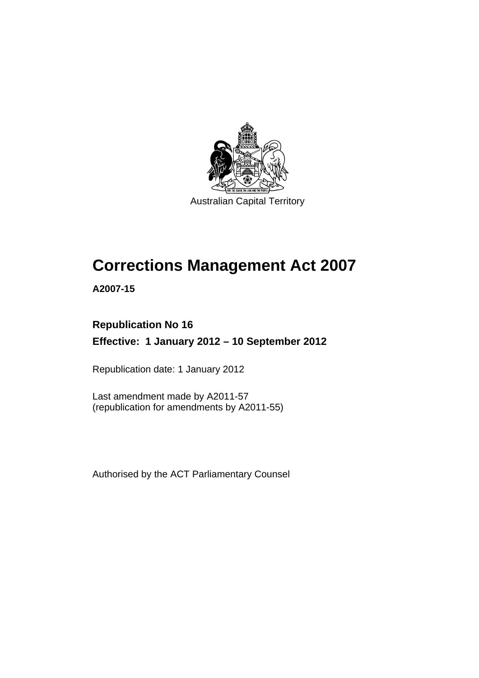

Australian Capital Territory

# **Corrections Management Act 2007**

**A2007-15** 

### **Republication No 16 Effective: 1 January 2012 – 10 September 2012**

Republication date: 1 January 2012

Last amendment made by A2011-57 (republication for amendments by A2011-55)

Authorised by the ACT Parliamentary Counsel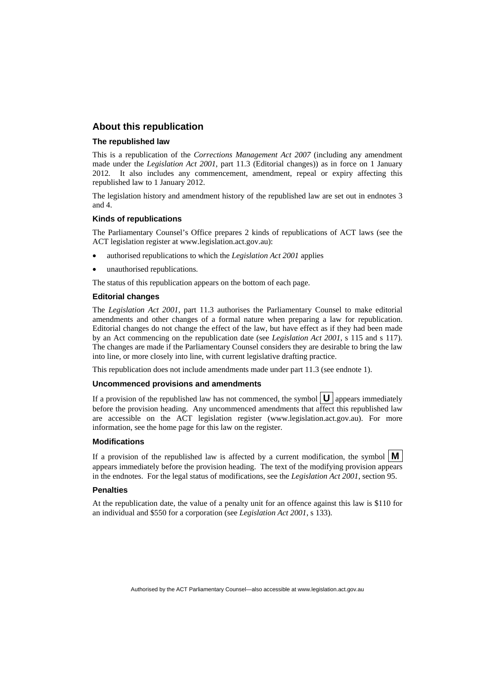### **About this republication**

#### **The republished law**

This is a republication of the *Corrections Management Act 2007* (including any amendment made under the *Legislation Act 2001*, part 11.3 (Editorial changes)) as in force on 1 January 2012*.* It also includes any commencement, amendment, repeal or expiry affecting this republished law to 1 January 2012.

The legislation history and amendment history of the republished law are set out in endnotes 3 and 4.

#### **Kinds of republications**

The Parliamentary Counsel's Office prepares 2 kinds of republications of ACT laws (see the ACT legislation register at www.legislation.act.gov.au):

- authorised republications to which the *Legislation Act 2001* applies
- unauthorised republications.

The status of this republication appears on the bottom of each page.

#### **Editorial changes**

The *Legislation Act 2001*, part 11.3 authorises the Parliamentary Counsel to make editorial amendments and other changes of a formal nature when preparing a law for republication. Editorial changes do not change the effect of the law, but have effect as if they had been made by an Act commencing on the republication date (see *Legislation Act 2001*, s 115 and s 117). The changes are made if the Parliamentary Counsel considers they are desirable to bring the law into line, or more closely into line, with current legislative drafting practice.

This republication does not include amendments made under part 11.3 (see endnote 1).

#### **Uncommenced provisions and amendments**

If a provision of the republished law has not commenced, the symbol  $\mathbf{U}$  appears immediately before the provision heading. Any uncommenced amendments that affect this republished law are accessible on the ACT legislation register (www.legislation.act.gov.au). For more information, see the home page for this law on the register.

#### **Modifications**

If a provision of the republished law is affected by a current modification, the symbol  $\mathbf{M}$ appears immediately before the provision heading. The text of the modifying provision appears in the endnotes. For the legal status of modifications, see the *Legislation Act 2001*, section 95.

#### **Penalties**

At the republication date, the value of a penalty unit for an offence against this law is \$110 for an individual and \$550 for a corporation (see *Legislation Act 2001*, s 133).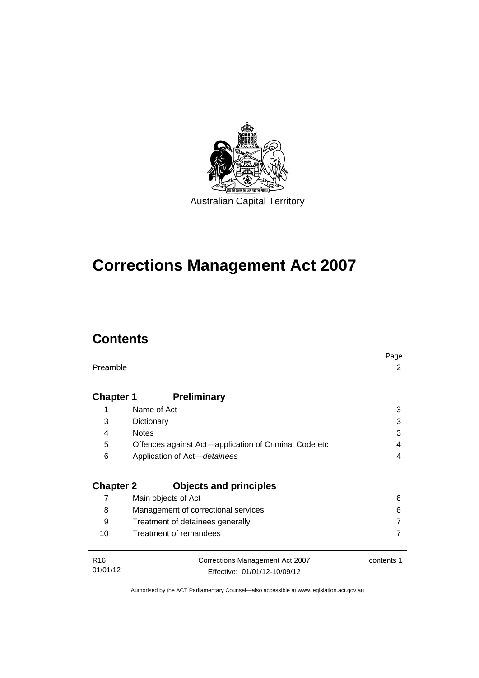

# **Corrections Management Act 2007**

## **Contents**

|                  |                                                       | Page       |
|------------------|-------------------------------------------------------|------------|
| Preamble         |                                                       | 2          |
|                  |                                                       |            |
| <b>Chapter 1</b> | <b>Preliminary</b>                                    |            |
| 1                | Name of Act                                           | 3          |
| 3                | Dictionary                                            | 3          |
| 4                | <b>Notes</b>                                          | 3          |
| 5                | Offences against Act-application of Criminal Code etc | 4          |
| 6                | Application of Act-detainees                          | 4          |
|                  |                                                       |            |
| <b>Chapter 2</b> | <b>Objects and principles</b>                         |            |
| 7                | Main objects of Act                                   | 6          |
| 8                | Management of correctional services                   | 6          |
| 9                | Treatment of detainees generally                      |            |
| 10               | Treatment of remandees                                |            |
|                  |                                                       |            |
| R <sub>16</sub>  | Corrections Management Act 2007                       | contents 1 |
| 01/01/12         | Effective: 01/01/12-10/09/12                          |            |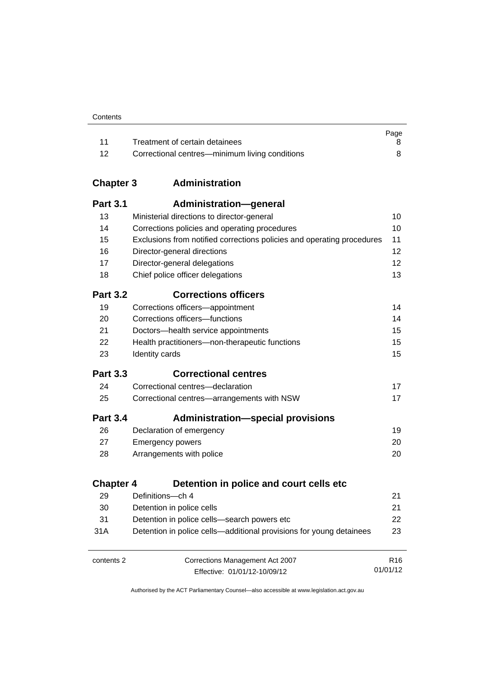| Contents |
|----------|
|----------|

|      |                                                | Page |
|------|------------------------------------------------|------|
|      | Treatment of certain detainees                 |      |
| - 12 | Correctional centres—minimum living conditions |      |

### **Chapter 3 [Administration](#page-23-0)**

| <b>Part 3.1</b>  | <b>Administration-general</b>                                          |                 |
|------------------|------------------------------------------------------------------------|-----------------|
| 13               | Ministerial directions to director-general                             | 10              |
| 14               | Corrections policies and operating procedures                          | 10              |
| 15               | Exclusions from notified corrections policies and operating procedures | 11              |
| 16               | Director-general directions                                            | 12              |
| 17               | Director-general delegations                                           | 12              |
| 18               | Chief police officer delegations                                       | 13              |
| <b>Part 3.2</b>  | <b>Corrections officers</b>                                            |                 |
| 19               | Corrections officers-appointment                                       | 14              |
| 20               | Corrections officers-functions                                         | 14              |
| 21               | Doctors-health service appointments                                    | 15              |
| 22               | Health practitioners-non-therapeutic functions                         | 15              |
| 23               | Identity cards                                                         | 15              |
| <b>Part 3.3</b>  | <b>Correctional centres</b>                                            |                 |
| 24               | Correctional centres-declaration                                       | 17              |
| 25               | Correctional centres-arrangements with NSW                             | 17              |
| <b>Part 3.4</b>  | <b>Administration-special provisions</b>                               |                 |
| 26               | Declaration of emergency                                               | 19              |
| 27               | <b>Emergency powers</b>                                                | 20              |
| 28               | Arrangements with police                                               | 20              |
| <b>Chapter 4</b> | Detention in police and court cells etc                                |                 |
| 29               | Definitions-ch 4                                                       | 21              |
| 30               | Detention in police cells                                              | 21              |
| 31               | Detention in police cells-search powers etc                            | 22              |
| 31A              | Detention in police cells—additional provisions for young detainees    | 23              |
| contents 2       | Corrections Management Act 2007                                        | R <sub>16</sub> |
|                  | Effective: 01/01/12-10/09/12                                           | 01/01/12        |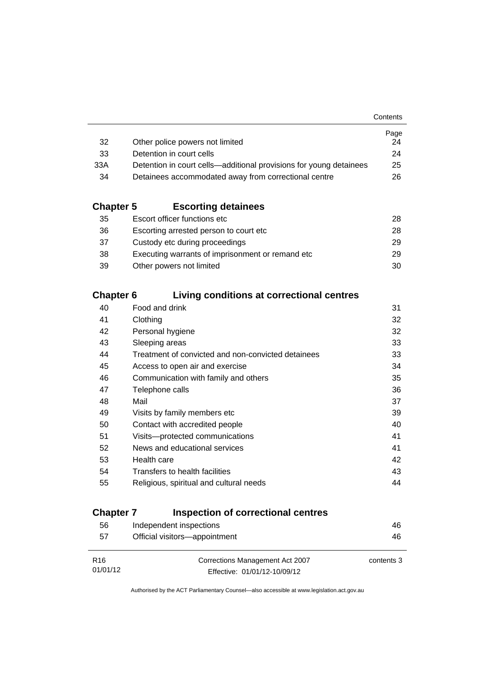|                                                                    | Page |
|--------------------------------------------------------------------|------|
| Other police powers not limited                                    | 24   |
| Detention in court cells                                           | 24   |
| Detention in court cells—additional provisions for young detainees | 25   |
| Detainees accommodated away from correctional centre               | 26.  |
|                                                                    |      |

### **Chapter 5 [Escorting detainees](#page-41-0)**

| 35 | Escort officer functions etc                      | 28. |
|----|---------------------------------------------------|-----|
| 36 | Escorting arrested person to court etc.           | 28. |
| 37 | Custody etc during proceedings                    | 29  |
| 38 | Executing warrants of imprisonment or remand etc. | 29  |
| 39 | Other powers not limited                          | 30  |

### **Chapter 6 [Living conditions at correctional centres](#page-44-0)**

| 40 | Food and drink                                     | 31 |
|----|----------------------------------------------------|----|
| 41 | Clothing                                           | 32 |
| 42 | Personal hygiene                                   | 32 |
| 43 | Sleeping areas                                     | 33 |
| 44 | Treatment of convicted and non-convicted detainees | 33 |
| 45 | Access to open air and exercise                    | 34 |
| 46 | Communication with family and others               | 35 |
| 47 | Telephone calls                                    | 36 |
| 48 | Mail                                               | 37 |
| 49 | Visits by family members etc                       | 39 |
| 50 | Contact with accredited people                     | 40 |
| 51 | Visits---protected communications                  | 41 |
| 52 | News and educational services                      | 41 |
| 53 | Health care                                        | 42 |
| 54 | Transfers to health facilities                     | 43 |
| 55 | Religious, spiritual and cultural needs            | 44 |
|    |                                                    |    |

### **Chapter 7 [Inspection of correctional centres](#page-59-0)**

| 56              | Independent inspections         | 46         |
|-----------------|---------------------------------|------------|
| 57              | Official visitors-appointment   | 46         |
|                 |                                 |            |
| R <sub>16</sub> | Corrections Management Act 2007 | contents 3 |
| 01/01/12        | Effective: 01/01/12-10/09/12    |            |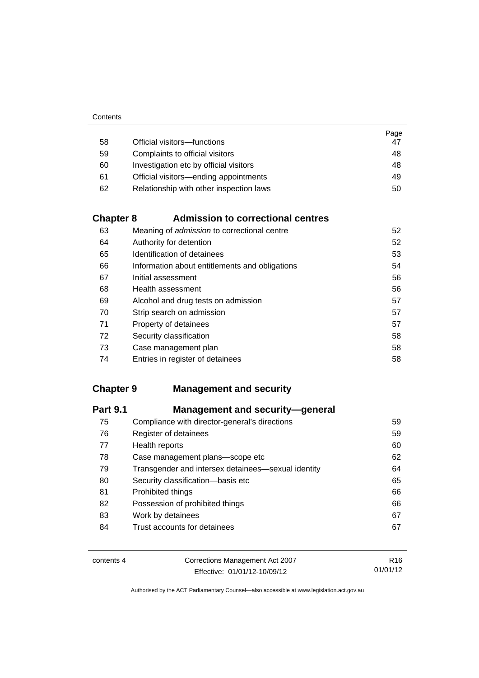|    |                                         | Page |
|----|-----------------------------------------|------|
| 58 | Official visitors-functions             | 47   |
| 59 | Complaints to official visitors         | 48   |
| 60 | Investigation etc by official visitors  | 48   |
| 61 | Official visitors—ending appointments   | 49   |
| 62 | Relationship with other inspection laws | 50   |

### **Chapter 8 [Admission to correctional centres](#page-65-0)**

| 63 | Meaning of admission to correctional centre    | 52 |
|----|------------------------------------------------|----|
| 64 | Authority for detention                        | 52 |
| 65 | Identification of detainees                    | 53 |
| 66 | Information about entitlements and obligations | 54 |
| 67 | Initial assessment                             | 56 |
| 68 | Health assessment                              | 56 |
| 69 | Alcohol and drug tests on admission            | 57 |
| 70 | Strip search on admission                      | 57 |
| 71 | Property of detainees                          | 57 |
| 72 | Security classification                        | 58 |
| 73 | Case management plan                           | 58 |
| 74 | Entries in register of detainees               | 58 |

### **Chapter 9 [Management and security](#page-72-0)**

| <b>Part 9.1</b> | <b>Management and security-general</b>             |    |
|-----------------|----------------------------------------------------|----|
| 75              | Compliance with director-general's directions      | 59 |
| 76              | Register of detainees                              | 59 |
| 77              | Health reports                                     | 60 |
| 78              | Case management plans-scope etc                    | 62 |
| 79              | Transgender and intersex detainees—sexual identity | 64 |
| 80              | Security classification-basis etc                  | 65 |
| 81              | Prohibited things                                  | 66 |
| 82              | Possession of prohibited things                    | 66 |
| 83              | Work by detainees                                  | 67 |
| 84              | Trust accounts for detainees                       | 67 |

| contents 4 | Corrections Management Act 2007 | R <sub>16</sub> |
|------------|---------------------------------|-----------------|
|            | Effective: 01/01/12-10/09/12    | 01/01/12        |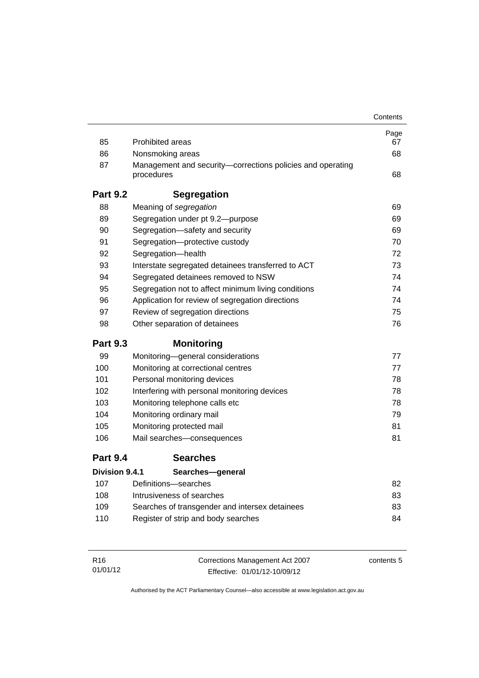|                       |                                                                          | Contents |
|-----------------------|--------------------------------------------------------------------------|----------|
|                       |                                                                          | Page     |
| 85                    | <b>Prohibited areas</b>                                                  | 67       |
| 86                    | Nonsmoking areas                                                         | 68       |
| 87                    | Management and security-corrections policies and operating<br>procedures | 68       |
| <b>Part 9.2</b>       | <b>Segregation</b>                                                       |          |
| 88                    | Meaning of segregation                                                   | 69       |
| 89                    | Segregation under pt 9.2-purpose                                         | 69       |
| 90                    | Segregation-safety and security                                          | 69       |
| 91                    | Segregation-protective custody                                           | 70       |
| 92                    | Segregation-health                                                       | 72       |
| 93                    | Interstate segregated detainees transferred to ACT                       | 73       |
| 94                    | Segregated detainees removed to NSW                                      | 74       |
| 95                    | Segregation not to affect minimum living conditions                      | 74       |
| 96                    | Application for review of segregation directions                         | 74       |
| 97                    | Review of segregation directions                                         | 75       |
| 98                    | Other separation of detainees                                            | 76       |
| <b>Part 9.3</b>       | <b>Monitoring</b>                                                        |          |
| 99                    | Monitoring-general considerations                                        | 77       |
| 100                   | Monitoring at correctional centres                                       | 77       |
| 101                   | Personal monitoring devices                                              | 78       |
| 102                   | Interfering with personal monitoring devices                             | 78       |
| 103                   | Monitoring telephone calls etc                                           | 78       |
| 104                   | Monitoring ordinary mail                                                 | 79       |
| 105                   | Monitoring protected mail                                                | 81       |
| 106                   | Mail searches-consequences                                               | 81       |
| <b>Part 9.4</b>       | <b>Searches</b>                                                          |          |
| <b>Division 9.4.1</b> | Searches-general                                                         |          |
| 107                   | Definitions-searches                                                     | 82       |
| 108                   | Intrusiveness of searches                                                | 83       |
| 109                   | Searches of transgender and intersex detainees                           | 83       |
| 110                   | Register of strip and body searches                                      | 84       |
|                       |                                                                          |          |

| R16      | Corrections Management Act 2007 | contents 5 |
|----------|---------------------------------|------------|
| 01/01/12 | Effective: 01/01/12-10/09/12    |            |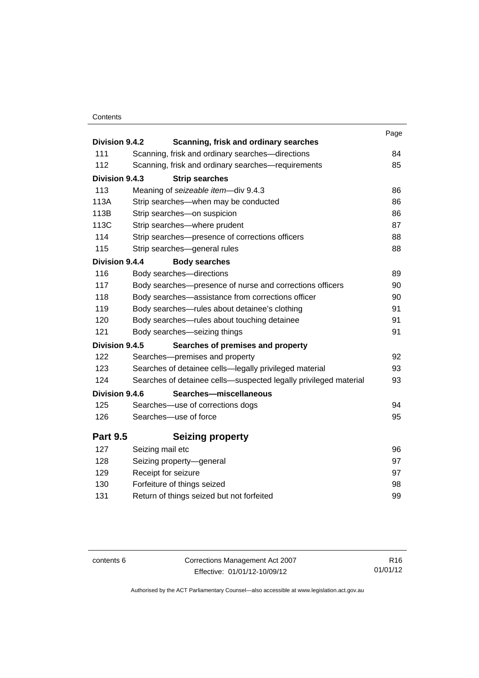### **Contents**

| Division 9.4.2  |                                                                  | Page |
|-----------------|------------------------------------------------------------------|------|
| 111             | Scanning, frisk and ordinary searches                            | 84   |
|                 | Scanning, frisk and ordinary searches-directions                 |      |
| 112             | Scanning, frisk and ordinary searches-requirements               | 85   |
| Division 9.4.3  | <b>Strip searches</b>                                            |      |
| 113             | Meaning of seizeable item-div 9.4.3                              | 86   |
| 113A            | Strip searches-when may be conducted                             | 86   |
| 113B            | Strip searches-on suspicion                                      | 86   |
| 113C            | Strip searches-where prudent                                     | 87   |
| 114             | Strip searches-presence of corrections officers                  | 88   |
| 115             | Strip searches-general rules                                     | 88   |
| Division 9.4.4  | <b>Body searches</b>                                             |      |
| 116             | Body searches-directions                                         | 89   |
| 117             | Body searches-presence of nurse and corrections officers         | 90   |
| 118             | Body searches—assistance from corrections officer                | 90   |
| 119             | Body searches-rules about detainee's clothing                    | 91   |
| 120             | Body searches—rules about touching detainee                      | 91   |
| 121             | Body searches-seizing things                                     | 91   |
| Division 9.4.5  | Searches of premises and property                                |      |
| 122             | Searches-premises and property                                   | 92   |
| 123             | Searches of detainee cells-legally privileged material           | 93   |
| 124             | Searches of detainee cells-suspected legally privileged material | 93   |
| Division 9.4.6  | Searches-miscellaneous                                           |      |
| 125             | Searches-use of corrections dogs                                 | 94   |
| 126             | Searches-use of force                                            | 95   |
| <b>Part 9.5</b> | <b>Seizing property</b>                                          |      |
| 127             | Seizing mail etc                                                 | 96   |
| 128             | Seizing property-general                                         | 97   |
| 129             | Receipt for seizure                                              | 97   |
| 130             | Forfeiture of things seized                                      | 98   |
| 131             | Return of things seized but not forfeited                        | 99   |
|                 |                                                                  |      |

contents 6 Corrections Management Act 2007 Effective: 01/01/12-10/09/12

R16 01/01/12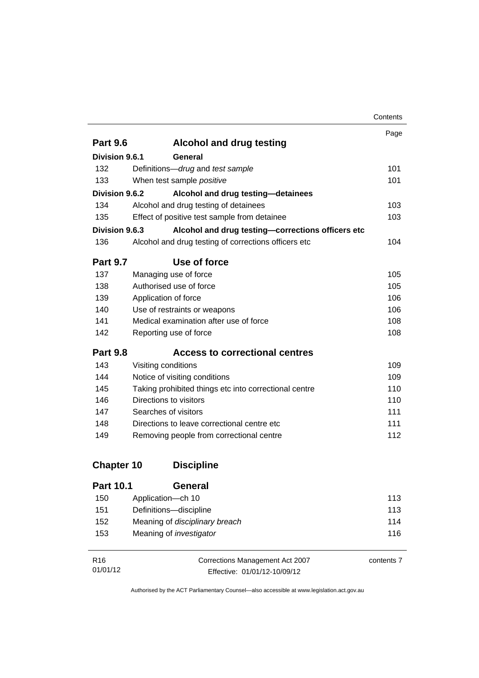|                       |                                                       | Contents |
|-----------------------|-------------------------------------------------------|----------|
|                       |                                                       | Page     |
| <b>Part 9.6</b>       | <b>Alcohol and drug testing</b>                       |          |
| Division 9.6.1        | General                                               |          |
| 132                   | Definitions-drug and test sample                      | 101      |
| 133                   | When test sample positive                             | 101      |
| Division 9.6.2        | Alcohol and drug testing-detainees                    |          |
| 134                   | Alcohol and drug testing of detainees                 | 103      |
| 135                   | Effect of positive test sample from detainee          | 103      |
| <b>Division 9.6.3</b> | Alcohol and drug testing-corrections officers etc     |          |
| 136                   | Alcohol and drug testing of corrections officers etc  | 104      |
| <b>Part 9.7</b>       | Use of force                                          |          |
| 137                   | Managing use of force                                 | 105      |
| 138                   | Authorised use of force                               | 105      |
| 139                   | Application of force                                  | 106      |
| 140                   | Use of restraints or weapons                          | 106      |
| 141                   | Medical examination after use of force                | 108      |
| 142                   | Reporting use of force                                | 108      |
| <b>Part 9.8</b>       | <b>Access to correctional centres</b>                 |          |
| 143                   | Visiting conditions                                   | 109      |
| 144                   | Notice of visiting conditions                         | 109      |
| 145                   | Taking prohibited things etc into correctional centre | 110      |
| 146                   | Directions to visitors                                | 110      |
| 147                   | Searches of visitors                                  | 111      |
| 148                   | Directions to leave correctional centre etc.          | 111      |
| 149                   | Removing people from correctional centre              | 112      |
| <b>Chapter 10</b>     | <b>Discipline</b>                                     |          |
| <b>Part 10.1</b>      | General                                               |          |
| 150                   | Application-ch 10                                     | 113      |
| 151                   | Definitions-discipline                                | 113      |

| R <sub>16</sub> | Corrections Management Act 2007 | contents 7 |
|-----------------|---------------------------------|------------|
| 01/01/12        | Effective: 01/01/12-10/09/12    |            |

152 Meaning of *disciplinary breach* [114](#page-127-0) 153 Meaning of *investigator* [116](#page-129-0)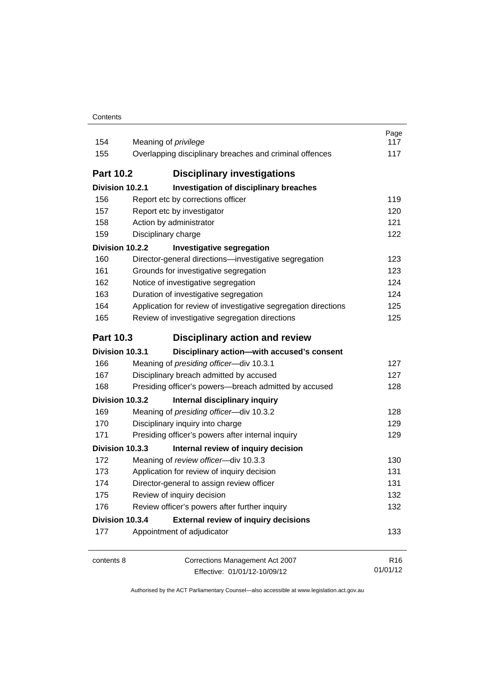| Contents |
|----------|
|----------|

| 154<br>155       | Meaning of <i>privilege</i><br>Overlapping disciplinary breaches and criminal offences | Page<br>117<br>117          |
|------------------|----------------------------------------------------------------------------------------|-----------------------------|
| <b>Part 10.2</b> | <b>Disciplinary investigations</b>                                                     |                             |
| Division 10.2.1  | <b>Investigation of disciplinary breaches</b>                                          |                             |
| 156              | Report etc by corrections officer                                                      | 119                         |
| 157              | Report etc by investigator                                                             | 120                         |
| 158              | Action by administrator                                                                | 121                         |
| 159              | Disciplinary charge                                                                    | 122                         |
| Division 10.2.2  | <b>Investigative segregation</b>                                                       |                             |
| 160              | Director-general directions-investigative segregation                                  | 123                         |
| 161              | Grounds for investigative segregation                                                  | 123                         |
| 162              | Notice of investigative segregation                                                    | 124                         |
| 163              | Duration of investigative segregation                                                  | 124                         |
| 164              | Application for review of investigative segregation directions                         | 125                         |
| 165              | Review of investigative segregation directions                                         | 125                         |
| <b>Part 10.3</b> | <b>Disciplinary action and review</b>                                                  |                             |
| Division 10.3.1  | Disciplinary action-with accused's consent                                             |                             |
| 166              | Meaning of presiding officer-div 10.3.1                                                | 127                         |
| 167              | Disciplinary breach admitted by accused                                                | 127                         |
| 168              | Presiding officer's powers-breach admitted by accused                                  | 128                         |
| Division 10.3.2  | Internal disciplinary inquiry                                                          |                             |
| 169              | Meaning of presiding officer-div 10.3.2                                                | 128                         |
| 170              | Disciplinary inquiry into charge                                                       | 129                         |
| 171              | Presiding officer's powers after internal inquiry                                      | 129                         |
| Division 10.3.3  | Internal review of inquiry decision                                                    |                             |
| 172              | Meaning of review officer-div 10.3.3                                                   | 130                         |
| 173              | Application for review of inquiry decision                                             | 131                         |
| 174              | Director-general to assign review officer                                              | 131                         |
| 175              | Review of inquiry decision                                                             | 132                         |
| 176              | Review officer's powers after further inquiry                                          | 132                         |
| Division 10.3.4  | <b>External review of inquiry decisions</b>                                            |                             |
| 177              | Appointment of adjudicator                                                             | 133                         |
| contents 8       | Corrections Management Act 2007                                                        | R <sub>16</sub><br>01/01/12 |
|                  | Effective: 01/01/12-10/09/12                                                           |                             |

Effective: 01/01/12-10/09/12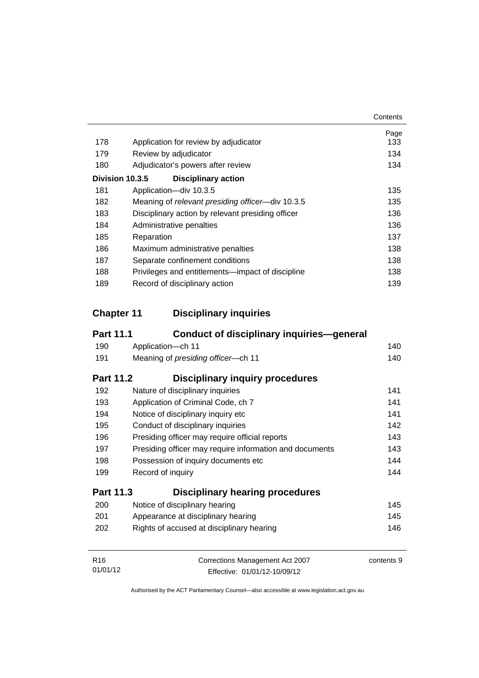|     |                                                   | Contents |
|-----|---------------------------------------------------|----------|
|     |                                                   | Page     |
| 178 | Application for review by adjudicator             | 133      |
| 179 | Review by adjudicator                             | 134      |
| 180 | Adjudicator's powers after review                 | 134      |
|     | Division 10.3.5<br><b>Disciplinary action</b>     |          |
| 181 | Application-div 10.3.5                            | 135      |
| 182 | Meaning of relevant presiding officer-div 10.3.5  | 135      |
| 183 | Disciplinary action by relevant presiding officer | 136      |
| 184 | Administrative penalties                          | 136      |
| 185 | Reparation                                        | 137      |
| 186 | Maximum administrative penalties                  | 138      |
| 187 | Separate confinement conditions                   | 138      |
| 188 | Privileges and entitlements—impact of discipline  | 138      |
| 189 | Record of disciplinary action                     | 139      |

### **Chapter 11 [Disciplinary inquiries](#page-153-0)**

| <b>Part 11.1</b> | <b>Conduct of disciplinary inquiries-general</b>        |            |
|------------------|---------------------------------------------------------|------------|
| 190              | Application-ch 11                                       | 140        |
| 191              | Meaning of presiding officer-ch 11                      | 140        |
| <b>Part 11.2</b> | <b>Disciplinary inquiry procedures</b>                  |            |
| 192              | Nature of disciplinary inquiries                        | 141        |
| 193              | Application of Criminal Code, ch 7                      | 141        |
| 194              | Notice of disciplinary inquiry etc                      | 141        |
| 195              | Conduct of disciplinary inquiries                       | 142        |
| 196              | Presiding officer may require official reports          | 143        |
| 197              | Presiding officer may require information and documents | 143        |
| 198              | Possession of inquiry documents etc                     | 144        |
| 199              | Record of inquiry                                       | 144        |
| <b>Part 11.3</b> | <b>Disciplinary hearing procedures</b>                  |            |
| 200              | Notice of disciplinary hearing                          | 145        |
| 201              | Appearance at disciplinary hearing                      | 145        |
| 202              | Rights of accused at disciplinary hearing               | 146        |
| R <sub>16</sub>  | Corrections Management Act 2007                         | contents 9 |
| 01/01/12         | Effective: 01/01/12-10/09/12                            |            |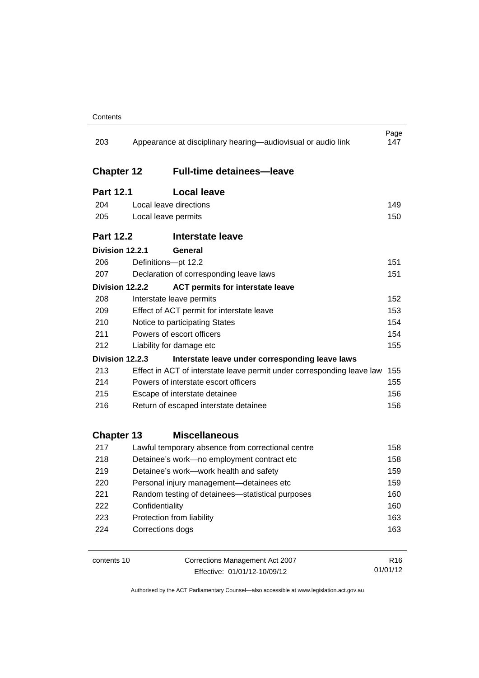| 203               | Appearance at disciplinary hearing—audiovisual or audio link |                                                                        |                 |  |
|-------------------|--------------------------------------------------------------|------------------------------------------------------------------------|-----------------|--|
| <b>Chapter 12</b> |                                                              | <b>Full-time detainees-leave</b>                                       |                 |  |
| <b>Part 12.1</b>  |                                                              | <b>Local leave</b>                                                     |                 |  |
| 204               | Local leave directions                                       |                                                                        | 149             |  |
| 205               | Local leave permits                                          |                                                                        |                 |  |
| <b>Part 12.2</b>  |                                                              | Interstate leave                                                       |                 |  |
| Division 12.2.1   |                                                              | General                                                                |                 |  |
| 206               | Definitions-pt 12.2                                          |                                                                        | 151             |  |
| 207               | Declaration of corresponding leave laws                      |                                                                        |                 |  |
|                   | Division 12.2.2                                              | <b>ACT permits for interstate leave</b>                                |                 |  |
| 208               |                                                              | Interstate leave permits                                               | 152             |  |
| 209               |                                                              | Effect of ACT permit for interstate leave                              | 153             |  |
| 210               | Notice to participating States                               |                                                                        |                 |  |
| 211               | Powers of escort officers                                    |                                                                        |                 |  |
| 212               | Liability for damage etc                                     |                                                                        |                 |  |
|                   | Division 12.2.3                                              | Interstate leave under corresponding leave laws                        |                 |  |
| 213               |                                                              | Effect in ACT of interstate leave permit under corresponding leave law | 155             |  |
| 214               | Powers of interstate escort officers                         |                                                                        |                 |  |
| 215               | Escape of interstate detainee                                |                                                                        |                 |  |
| 216               | Return of escaped interstate detainee                        |                                                                        |                 |  |
| <b>Chapter 13</b> |                                                              | <b>Miscellaneous</b>                                                   |                 |  |
| 217               |                                                              | Lawful temporary absence from correctional centre                      | 158             |  |
| 218               |                                                              | Detainee's work-no employment contract etc                             | 158             |  |
| 219               |                                                              | Detainee's work-work health and safety                                 | 159             |  |
| 220               |                                                              | Personal injury management-detainees etc                               | 159             |  |
| 221               |                                                              | Random testing of detainees—statistical purposes                       | 160             |  |
| 222               | Confidentiality                                              |                                                                        | 160             |  |
| 223               |                                                              | Protection from liability                                              | 163             |  |
| 224               |                                                              | Corrections dogs                                                       | 163             |  |
| contents 10       |                                                              | Corrections Management Act 2007                                        | R <sub>16</sub> |  |
|                   |                                                              | Effective: 01/01/12-10/09/12                                           | 01/01/12        |  |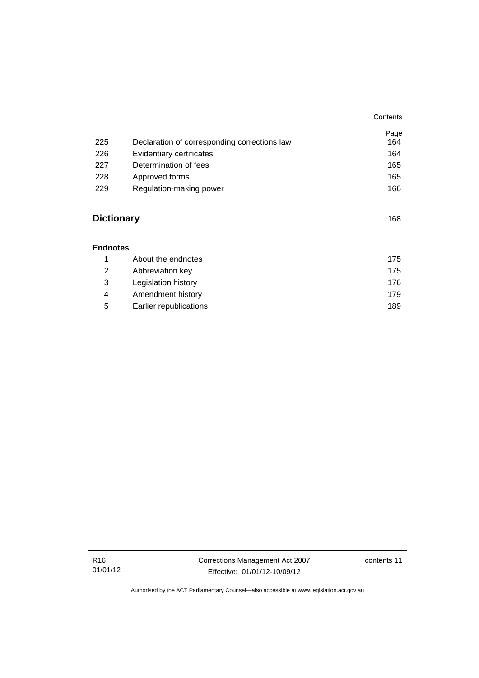|                   |                                              | Contents |
|-------------------|----------------------------------------------|----------|
|                   |                                              | Page     |
| 225               | Declaration of corresponding corrections law | 164      |
| 226               | Evidentiary certificates                     | 164      |
| 227               | Determination of fees                        | 165      |
| 228               | Approved forms                               | 165      |
| 229               | Regulation-making power                      | 166      |
|                   |                                              |          |
| <b>Dictionary</b> |                                              | 168      |
| <b>Endnotes</b>   |                                              |          |
| 1                 | About the endnotes                           | 175      |
| $\overline{2}$    | Abbreviation key                             | 175      |
| 3                 | Legislation history                          | 176      |
| 4                 | Amendment history                            | 179      |
| 5                 | Earlier republications                       | 189      |

R16 01/01/12 Corrections Management Act 2007 Effective: 01/01/12-10/09/12

contents 11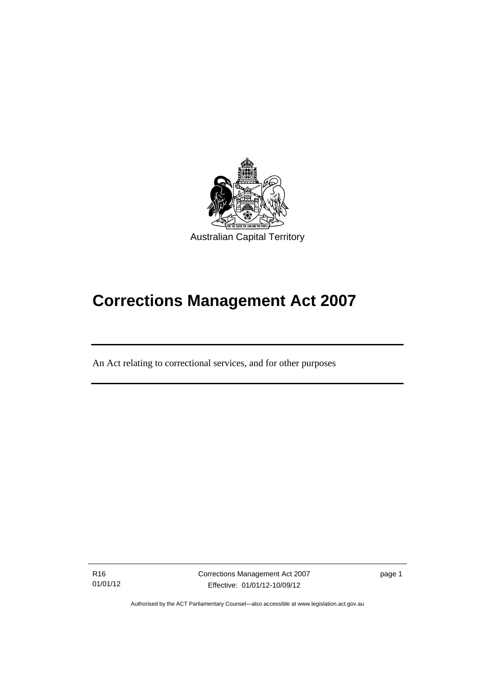

# **Corrections Management Act 2007**

An Act relating to correctional services, and for other purposes

R16 01/01/12

l

Corrections Management Act 2007 Effective: 01/01/12-10/09/12

page 1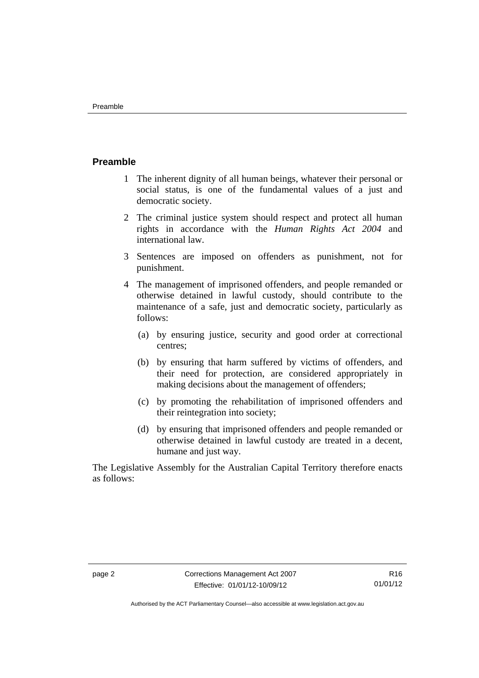### <span id="page-15-0"></span>**Preamble**

- 1 The inherent dignity of all human beings, whatever their personal or social status, is one of the fundamental values of a just and democratic society.
- 2 The criminal justice system should respect and protect all human rights in accordance with the *Human Rights Act 2004* and international law.
- 3 Sentences are imposed on offenders as punishment, not for punishment.
- 4 The management of imprisoned offenders, and people remanded or otherwise detained in lawful custody, should contribute to the maintenance of a safe, just and democratic society, particularly as follows:
	- (a) by ensuring justice, security and good order at correctional centres;
	- (b) by ensuring that harm suffered by victims of offenders, and their need for protection, are considered appropriately in making decisions about the management of offenders;
	- (c) by promoting the rehabilitation of imprisoned offenders and their reintegration into society;
	- (d) by ensuring that imprisoned offenders and people remanded or otherwise detained in lawful custody are treated in a decent, humane and just way.

The Legislative Assembly for the Australian Capital Territory therefore enacts as follows: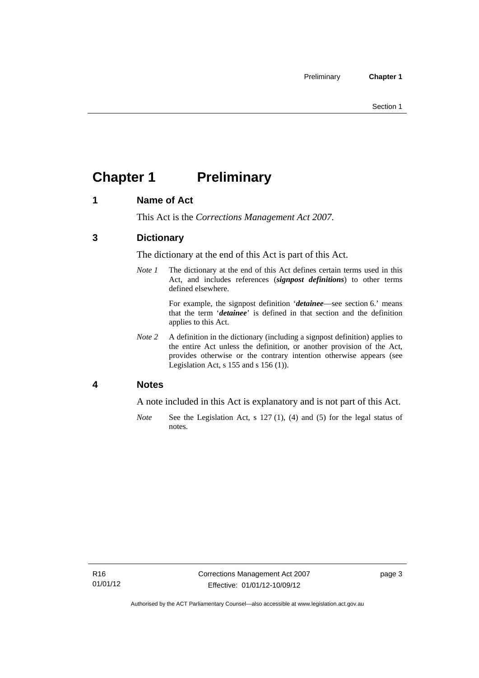## <span id="page-16-0"></span>**Chapter 1 Preliminary**

### <span id="page-16-1"></span>**1 Name of Act**

This Act is the *Corrections Management Act 2007*.

### <span id="page-16-2"></span>**3 Dictionary**

The dictionary at the end of this Act is part of this Act.

*Note 1* The dictionary at the end of this Act defines certain terms used in this Act, and includes references (*signpost definitions*) to other terms defined elsewhere.

> For example, the signpost definition '*detainee*—see section 6.' means that the term '*detainee*' is defined in that section and the definition applies to this Act.

*Note 2* A definition in the dictionary (including a signpost definition) applies to the entire Act unless the definition, or another provision of the Act, provides otherwise or the contrary intention otherwise appears (see Legislation Act, s 155 and s 156 (1)).

### <span id="page-16-3"></span>**4 Notes**

A note included in this Act is explanatory and is not part of this Act.

*Note* See the Legislation Act, s 127 (1), (4) and (5) for the legal status of notes.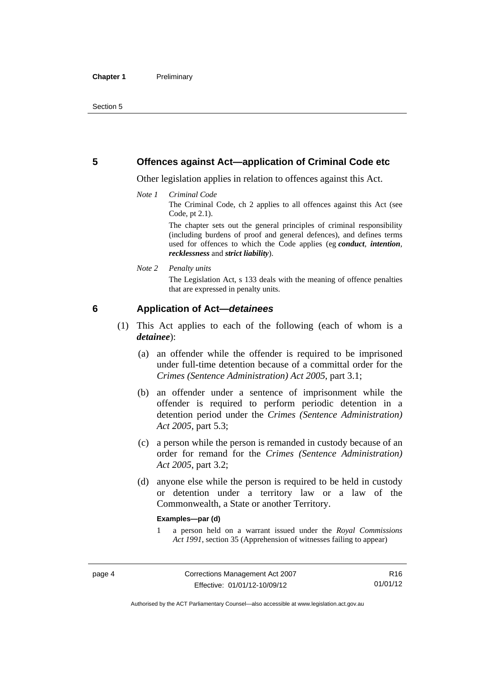### <span id="page-17-0"></span>**5 Offences against Act—application of Criminal Code etc**

Other legislation applies in relation to offences against this Act.

#### *Note 1 Criminal Code*

The Criminal Code, ch 2 applies to all offences against this Act (see Code, pt 2.1).

The chapter sets out the general principles of criminal responsibility (including burdens of proof and general defences), and defines terms used for offences to which the Code applies (eg *conduct*, *intention*, *recklessness* and *strict liability*).

#### *Note 2 Penalty units*

The Legislation Act, s 133 deals with the meaning of offence penalties that are expressed in penalty units.

### <span id="page-17-1"></span>**6 Application of Act—***detainees*

- (1) This Act applies to each of the following (each of whom is a *detainee*):
	- (a) an offender while the offender is required to be imprisoned under full-time detention because of a committal order for the *Crimes (Sentence Administration) Act 2005*, part 3.1;
	- (b) an offender under a sentence of imprisonment while the offender is required to perform periodic detention in a detention period under the *Crimes (Sentence Administration) Act 2005,* part 5.3;
	- (c) a person while the person is remanded in custody because of an order for remand for the *Crimes (Sentence Administration) Act 2005*, part 3.2;
	- (d) anyone else while the person is required to be held in custody or detention under a territory law or a law of the Commonwealth, a State or another Territory.

#### **Examples—par (d)**

1 a person held on a warrant issued under the *Royal Commissions Act 1991*, section 35 (Apprehension of witnesses failing to appear)

R16 01/01/12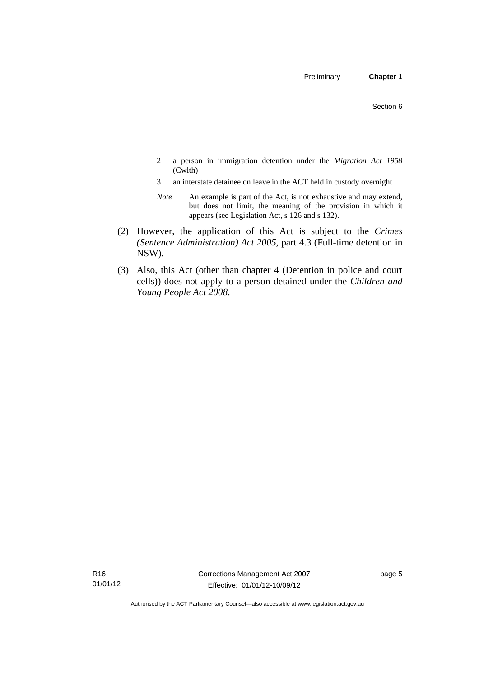- 2 a person in immigration detention under the *Migration Act 1958*  (Cwlth)
- 3 an interstate detainee on leave in the ACT held in custody overnight
- *Note* An example is part of the Act, is not exhaustive and may extend, but does not limit, the meaning of the provision in which it appears (see Legislation Act, s 126 and s 132).
- (2) However, the application of this Act is subject to the *Crimes (Sentence Administration) Act 2005*, part 4.3 (Full-time detention in NSW).
- (3) Also, this Act (other than chapter 4 (Detention in police and court cells)) does not apply to a person detained under the *Children and Young People Act 2008*.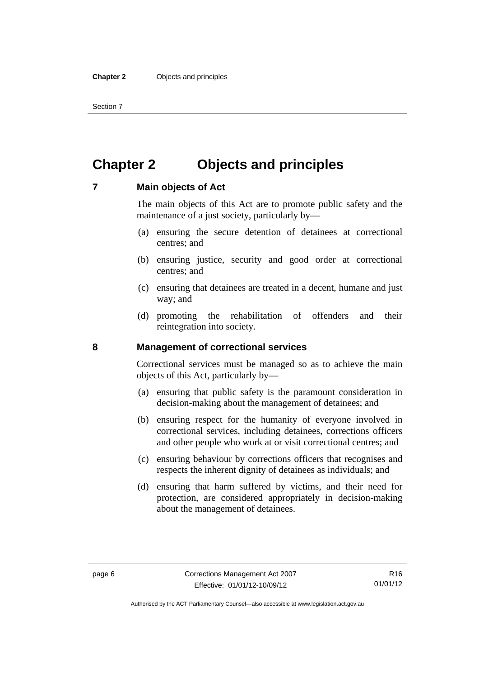Section 7

### <span id="page-19-0"></span>**Chapter 2 Objects and principles**

### <span id="page-19-1"></span>**7 Main objects of Act**

The main objects of this Act are to promote public safety and the maintenance of a just society, particularly by—

- (a) ensuring the secure detention of detainees at correctional centres; and
- (b) ensuring justice, security and good order at correctional centres; and
- (c) ensuring that detainees are treated in a decent, humane and just way; and
- (d) promoting the rehabilitation of offenders and their reintegration into society.

### <span id="page-19-2"></span>**8 Management of correctional services**

Correctional services must be managed so as to achieve the main objects of this Act, particularly by—

- (a) ensuring that public safety is the paramount consideration in decision-making about the management of detainees; and
- (b) ensuring respect for the humanity of everyone involved in correctional services, including detainees, corrections officers and other people who work at or visit correctional centres; and
- (c) ensuring behaviour by corrections officers that recognises and respects the inherent dignity of detainees as individuals; and
- (d) ensuring that harm suffered by victims, and their need for protection, are considered appropriately in decision-making about the management of detainees.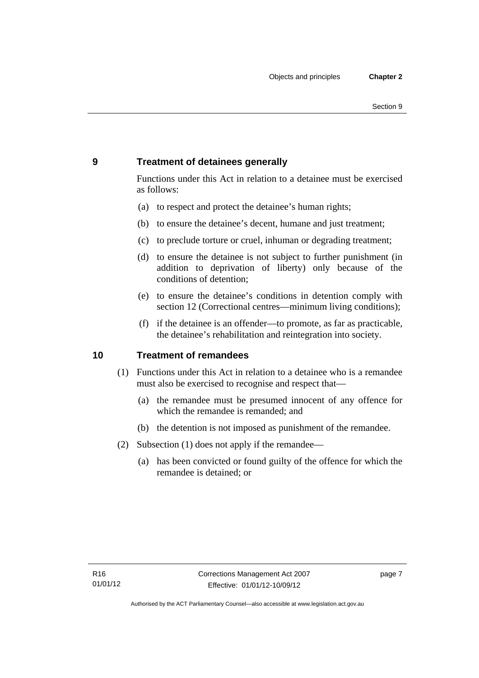### <span id="page-20-0"></span>**9 Treatment of detainees generally**

Functions under this Act in relation to a detainee must be exercised as follows:

- (a) to respect and protect the detainee's human rights;
- (b) to ensure the detainee's decent, humane and just treatment;
- (c) to preclude torture or cruel, inhuman or degrading treatment;
- (d) to ensure the detainee is not subject to further punishment (in addition to deprivation of liberty) only because of the conditions of detention;
- (e) to ensure the detainee's conditions in detention comply with section 12 (Correctional centres—minimum living conditions);
- (f) if the detainee is an offender—to promote, as far as practicable, the detainee's rehabilitation and reintegration into society.

### <span id="page-20-1"></span>**10 Treatment of remandees**

- (1) Functions under this Act in relation to a detainee who is a remandee must also be exercised to recognise and respect that—
	- (a) the remandee must be presumed innocent of any offence for which the remandee is remanded; and
	- (b) the detention is not imposed as punishment of the remandee.
- (2) Subsection (1) does not apply if the remandee—
	- (a) has been convicted or found guilty of the offence for which the remandee is detained; or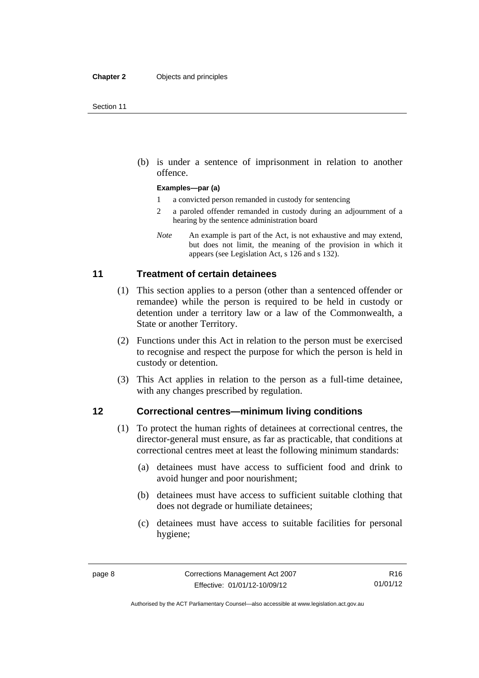(b) is under a sentence of imprisonment in relation to another offence.

#### **Examples—par (a)**

- 1 a convicted person remanded in custody for sentencing
- 2 a paroled offender remanded in custody during an adjournment of a hearing by the sentence administration board
- *Note* An example is part of the Act, is not exhaustive and may extend, but does not limit, the meaning of the provision in which it appears (see Legislation Act, s 126 and s 132).

### <span id="page-21-0"></span>**11 Treatment of certain detainees**

- (1) This section applies to a person (other than a sentenced offender or remandee) while the person is required to be held in custody or detention under a territory law or a law of the Commonwealth, a State or another Territory.
- (2) Functions under this Act in relation to the person must be exercised to recognise and respect the purpose for which the person is held in custody or detention.
- (3) This Act applies in relation to the person as a full-time detainee, with any changes prescribed by regulation.

### <span id="page-21-1"></span>**12 Correctional centres—minimum living conditions**

- (1) To protect the human rights of detainees at correctional centres, the director-general must ensure, as far as practicable, that conditions at correctional centres meet at least the following minimum standards:
	- (a) detainees must have access to sufficient food and drink to avoid hunger and poor nourishment;
	- (b) detainees must have access to sufficient suitable clothing that does not degrade or humiliate detainees;
	- (c) detainees must have access to suitable facilities for personal hygiene;

R16 01/01/12

Authorised by the ACT Parliamentary Counsel—also accessible at www.legislation.act.gov.au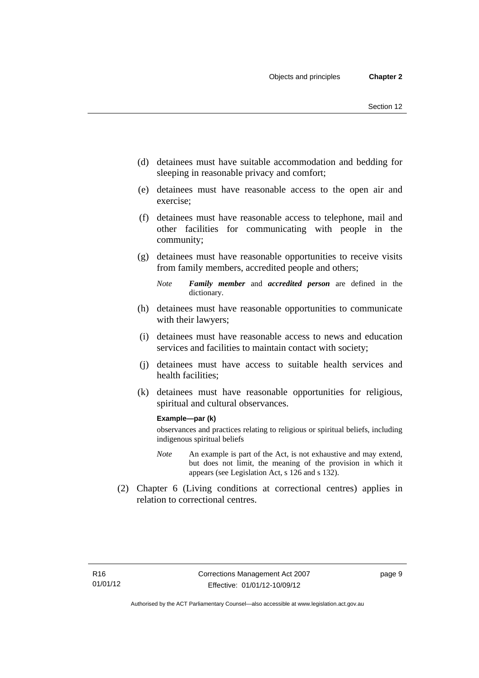- (d) detainees must have suitable accommodation and bedding for sleeping in reasonable privacy and comfort;
- (e) detainees must have reasonable access to the open air and exercise;
- (f) detainees must have reasonable access to telephone, mail and other facilities for communicating with people in the community;
- (g) detainees must have reasonable opportunities to receive visits from family members, accredited people and others;
	- *Note Family member* and *accredited person* are defined in the dictionary.
- (h) detainees must have reasonable opportunities to communicate with their lawyers;
- (i) detainees must have reasonable access to news and education services and facilities to maintain contact with society;
- (j) detainees must have access to suitable health services and health facilities;
- (k) detainees must have reasonable opportunities for religious, spiritual and cultural observances.

#### **Example—par (k)**

observances and practices relating to religious or spiritual beliefs, including indigenous spiritual beliefs

- *Note* An example is part of the Act, is not exhaustive and may extend, but does not limit, the meaning of the provision in which it appears (see Legislation Act, s 126 and s 132).
- (2) Chapter 6 (Living conditions at correctional centres) applies in relation to correctional centres.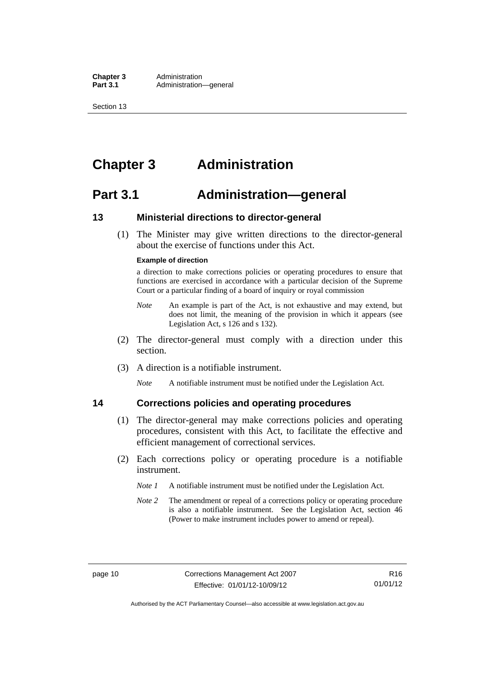**Chapter 3** Administration<br>**Part 3.1** Administration-Administration—general

Section 13

### <span id="page-23-0"></span>**Chapter 3 Administration**

### <span id="page-23-1"></span>**Part 3.1 Administration—general**

### <span id="page-23-2"></span>**13 Ministerial directions to director-general**

 (1) The Minister may give written directions to the director-general about the exercise of functions under this Act.

#### **Example of direction**

a direction to make corrections policies or operating procedures to ensure that functions are exercised in accordance with a particular decision of the Supreme Court or a particular finding of a board of inquiry or royal commission

- *Note* An example is part of the Act, is not exhaustive and may extend, but does not limit, the meaning of the provision in which it appears (see Legislation Act, s 126 and s 132).
- (2) The director-general must comply with a direction under this section.
- (3) A direction is a notifiable instrument.

*Note* A notifiable instrument must be notified under the Legislation Act.

### <span id="page-23-3"></span>**14 Corrections policies and operating procedures**

- (1) The director-general may make corrections policies and operating procedures, consistent with this Act, to facilitate the effective and efficient management of correctional services.
- (2) Each corrections policy or operating procedure is a notifiable instrument.
	- *Note 1* A notifiable instrument must be notified under the Legislation Act.
	- *Note 2* The amendment or repeal of a corrections policy or operating procedure is also a notifiable instrument. See the Legislation Act, section 46 (Power to make instrument includes power to amend or repeal).

Authorised by the ACT Parliamentary Counsel—also accessible at www.legislation.act.gov.au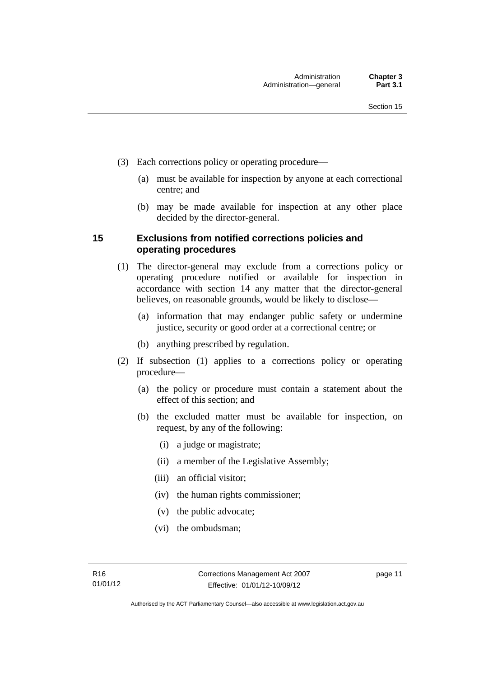- (3) Each corrections policy or operating procedure—
	- (a) must be available for inspection by anyone at each correctional centre; and
	- (b) may be made available for inspection at any other place decided by the director-general.

### <span id="page-24-0"></span>**15 Exclusions from notified corrections policies and operating procedures**

- (1) The director-general may exclude from a corrections policy or operating procedure notified or available for inspection in accordance with section 14 any matter that the director-general believes, on reasonable grounds, would be likely to disclose—
	- (a) information that may endanger public safety or undermine justice, security or good order at a correctional centre; or
	- (b) anything prescribed by regulation.
- (2) If subsection (1) applies to a corrections policy or operating procedure—
	- (a) the policy or procedure must contain a statement about the effect of this section; and
	- (b) the excluded matter must be available for inspection, on request, by any of the following:
		- (i) a judge or magistrate;
		- (ii) a member of the Legislative Assembly;
		- (iii) an official visitor;
		- (iv) the human rights commissioner;
		- (v) the public advocate;
		- (vi) the ombudsman;

page 11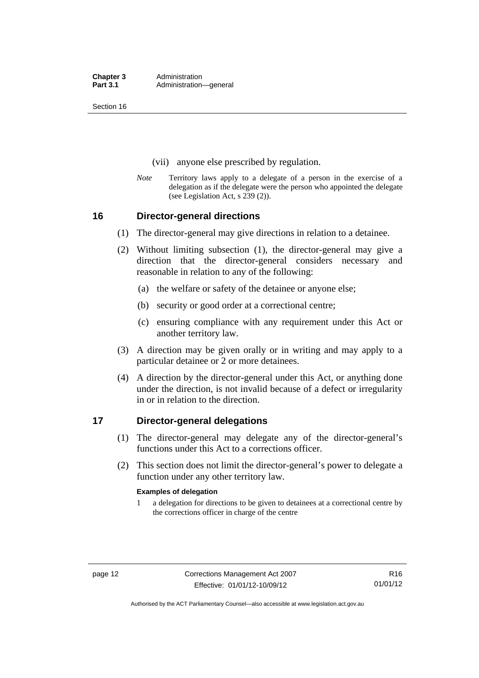Section 16

- (vii) anyone else prescribed by regulation.
- *Note* Territory laws apply to a delegate of a person in the exercise of a delegation as if the delegate were the person who appointed the delegate (see Legislation Act, s 239 (2)).

### <span id="page-25-0"></span>**16 Director-general directions**

- (1) The director-general may give directions in relation to a detainee.
- (2) Without limiting subsection (1), the director-general may give a direction that the director-general considers necessary and reasonable in relation to any of the following:
	- (a) the welfare or safety of the detainee or anyone else;
	- (b) security or good order at a correctional centre;
	- (c) ensuring compliance with any requirement under this Act or another territory law.
- (3) A direction may be given orally or in writing and may apply to a particular detainee or 2 or more detainees.
- (4) A direction by the director-general under this Act, or anything done under the direction, is not invalid because of a defect or irregularity in or in relation to the direction.

### <span id="page-25-1"></span>**17 Director-general delegations**

- (1) The director-general may delegate any of the director-general's functions under this Act to a corrections officer.
- (2) This section does not limit the director-general's power to delegate a function under any other territory law.

#### **Examples of delegation**

1 a delegation for directions to be given to detainees at a correctional centre by the corrections officer in charge of the centre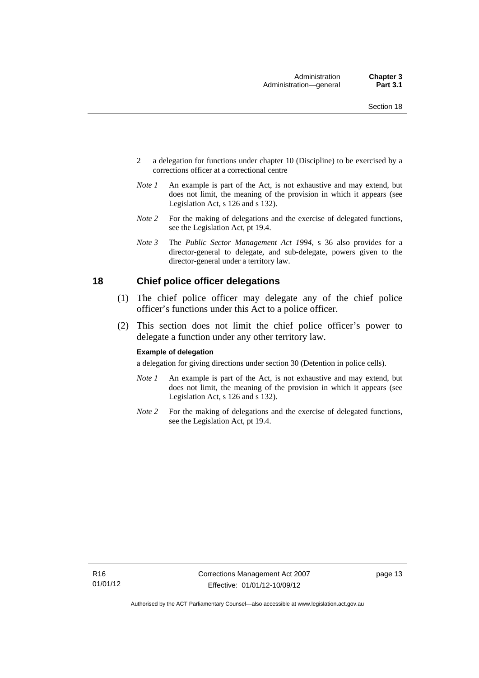- 2 a delegation for functions under chapter 10 (Discipline) to be exercised by a corrections officer at a correctional centre
- *Note 1* An example is part of the Act, is not exhaustive and may extend, but does not limit, the meaning of the provision in which it appears (see Legislation Act, s 126 and s 132).
- *Note 2* For the making of delegations and the exercise of delegated functions, see the Legislation Act, pt 19.4.
- *Note 3* The *Public Sector Management Act 1994*, s 36 also provides for a director-general to delegate, and sub-delegate, powers given to the director-general under a territory law.

### <span id="page-26-0"></span>**18 Chief police officer delegations**

- (1) The chief police officer may delegate any of the chief police officer's functions under this Act to a police officer.
- (2) This section does not limit the chief police officer's power to delegate a function under any other territory law.

#### **Example of delegation**

a delegation for giving directions under section 30 (Detention in police cells).

- *Note 1* An example is part of the Act, is not exhaustive and may extend, but does not limit, the meaning of the provision in which it appears (see Legislation Act, s 126 and s 132).
- *Note* 2 For the making of delegations and the exercise of delegated functions, see the Legislation Act, pt 19.4.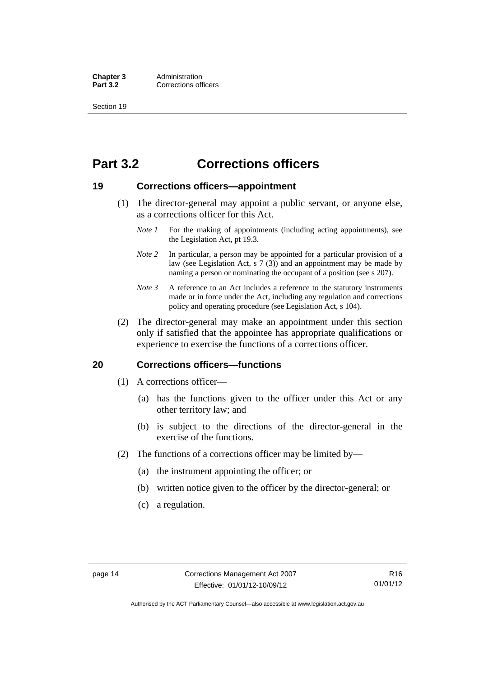**Chapter 3** Administration<br> **Part 3.2** Corrections off **Corrections officers** 

Section 19

### <span id="page-27-0"></span>**Part 3.2 Corrections officers**

### <span id="page-27-1"></span>**19 Corrections officers—appointment**

- (1) The director-general may appoint a public servant, or anyone else, as a corrections officer for this Act.
	- *Note 1* For the making of appointments (including acting appointments), see the Legislation Act, pt 19.3.
	- *Note* 2 In particular, a person may be appointed for a particular provision of a law (see Legislation Act, s 7 (3)) and an appointment may be made by naming a person or nominating the occupant of a position (see s 207).
	- *Note 3* A reference to an Act includes a reference to the statutory instruments made or in force under the Act, including any regulation and corrections policy and operating procedure (see Legislation Act, s 104).
- (2) The director-general may make an appointment under this section only if satisfied that the appointee has appropriate qualifications or experience to exercise the functions of a corrections officer.

### <span id="page-27-2"></span>**20 Corrections officers—functions**

- (1) A corrections officer—
	- (a) has the functions given to the officer under this Act or any other territory law; and
	- (b) is subject to the directions of the director-general in the exercise of the functions.
- (2) The functions of a corrections officer may be limited by—
	- (a) the instrument appointing the officer; or
	- (b) written notice given to the officer by the director-general; or
	- (c) a regulation.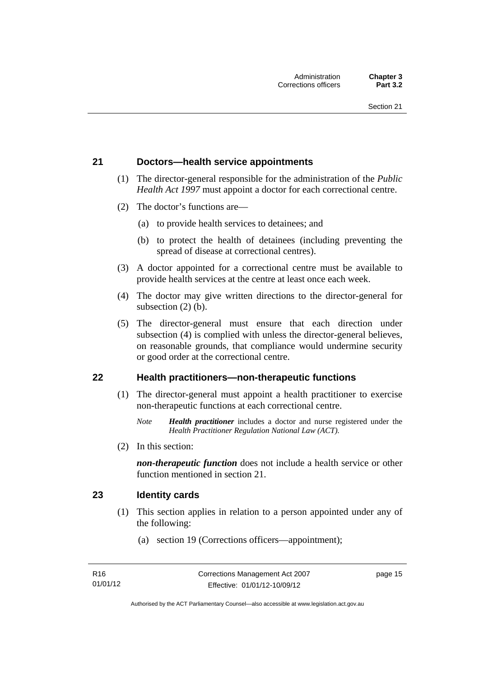### <span id="page-28-0"></span>**21 Doctors—health service appointments**

- (1) The director-general responsible for the administration of the *Public Health Act 1997* must appoint a doctor for each correctional centre.
- (2) The doctor's functions are—
	- (a) to provide health services to detainees; and
	- (b) to protect the health of detainees (including preventing the spread of disease at correctional centres).
- (3) A doctor appointed for a correctional centre must be available to provide health services at the centre at least once each week.
- (4) The doctor may give written directions to the director-general for subsection (2) (b).
- (5) The director-general must ensure that each direction under subsection (4) is complied with unless the director-general believes, on reasonable grounds, that compliance would undermine security or good order at the correctional centre.

### <span id="page-28-1"></span>**22 Health practitioners—non-therapeutic functions**

- (1) The director-general must appoint a health practitioner to exercise non-therapeutic functions at each correctional centre.
	- *Note Health practitioner* includes a doctor and nurse registered under the *Health Practitioner Regulation National Law (ACT)*.
- (2) In this section:

*non-therapeutic function* does not include a health service or other function mentioned in section 21.

### <span id="page-28-2"></span>**23 Identity cards**

- (1) This section applies in relation to a person appointed under any of the following:
	- (a) section 19 (Corrections officers—appointment);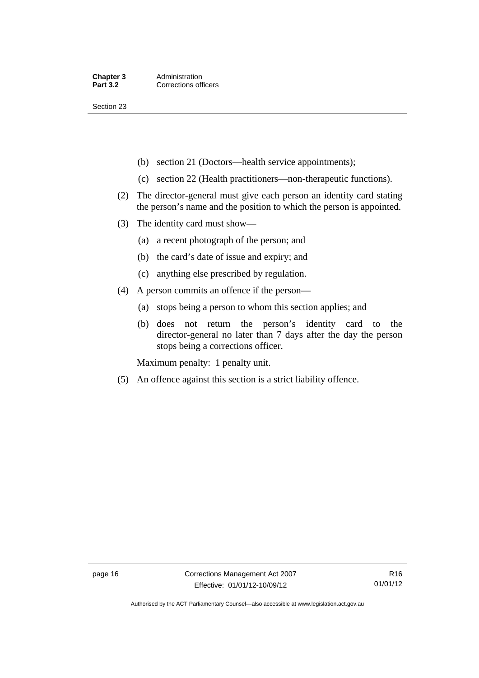Section 23

- (b) section 21 (Doctors—health service appointments);
- (c) section 22 (Health practitioners—non-therapeutic functions).
- (2) The director-general must give each person an identity card stating the person's name and the position to which the person is appointed.
- (3) The identity card must show—
	- (a) a recent photograph of the person; and
	- (b) the card's date of issue and expiry; and
	- (c) anything else prescribed by regulation.
- (4) A person commits an offence if the person—
	- (a) stops being a person to whom this section applies; and
	- (b) does not return the person's identity card to the director-general no later than 7 days after the day the person stops being a corrections officer.

Maximum penalty: 1 penalty unit.

(5) An offence against this section is a strict liability offence.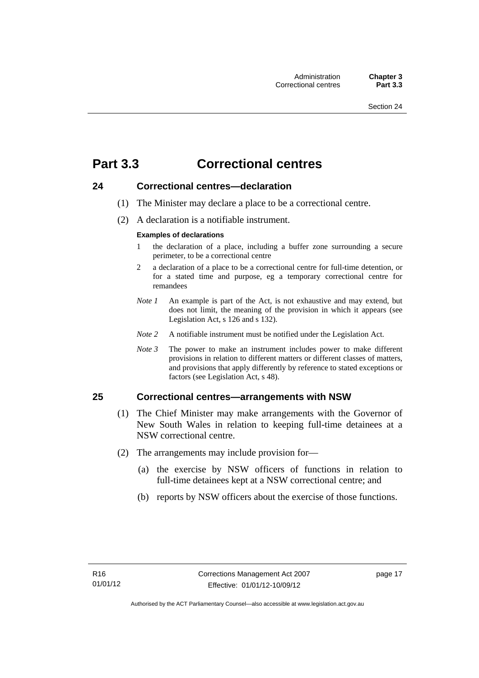### <span id="page-30-0"></span>**Part 3.3 Correctional centres**

### <span id="page-30-1"></span>**24 Correctional centres—declaration**

- (1) The Minister may declare a place to be a correctional centre.
- (2) A declaration is a notifiable instrument.

#### **Examples of declarations**

- 1 the declaration of a place, including a buffer zone surrounding a secure perimeter, to be a correctional centre
- 2 a declaration of a place to be a correctional centre for full-time detention, or for a stated time and purpose, eg a temporary correctional centre for remandees
- *Note 1* An example is part of the Act, is not exhaustive and may extend, but does not limit, the meaning of the provision in which it appears (see Legislation Act, s 126 and s 132).
- *Note 2* A notifiable instrument must be notified under the Legislation Act.
- *Note 3* The power to make an instrument includes power to make different provisions in relation to different matters or different classes of matters, and provisions that apply differently by reference to stated exceptions or factors (see Legislation Act, s 48).

### <span id="page-30-2"></span>**25 Correctional centres—arrangements with NSW**

- (1) The Chief Minister may make arrangements with the Governor of New South Wales in relation to keeping full-time detainees at a NSW correctional centre.
- (2) The arrangements may include provision for—
	- (a) the exercise by NSW officers of functions in relation to full-time detainees kept at a NSW correctional centre; and
	- (b) reports by NSW officers about the exercise of those functions.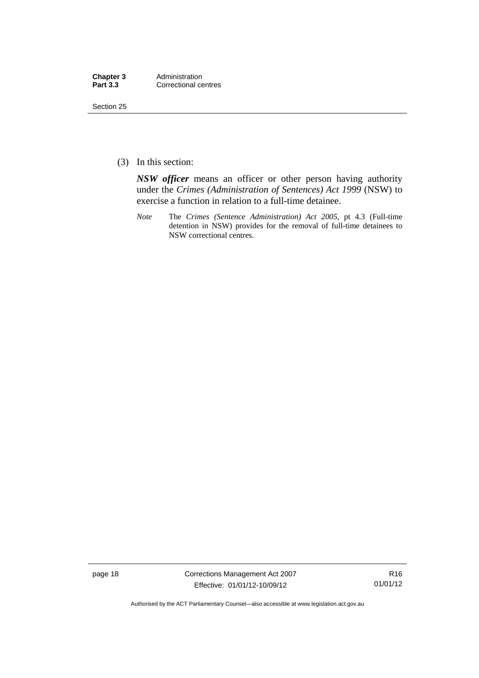| Chapter 3       | Administration       |
|-----------------|----------------------|
| <b>Part 3.3</b> | Correctional centres |

Section 25

(3) In this section:

*NSW officer* means an officer or other person having authority under the *Crimes (Administration of Sentences) Act 1999* (NSW) to exercise a function in relation to a full-time detainee.

*Note* The *Crimes (Sentence Administration) Act 2005*, pt 4.3 (Full-time detention in NSW) provides for the removal of full-time detainees to NSW correctional centres.

page 18 Corrections Management Act 2007 Effective: 01/01/12-10/09/12

R16 01/01/12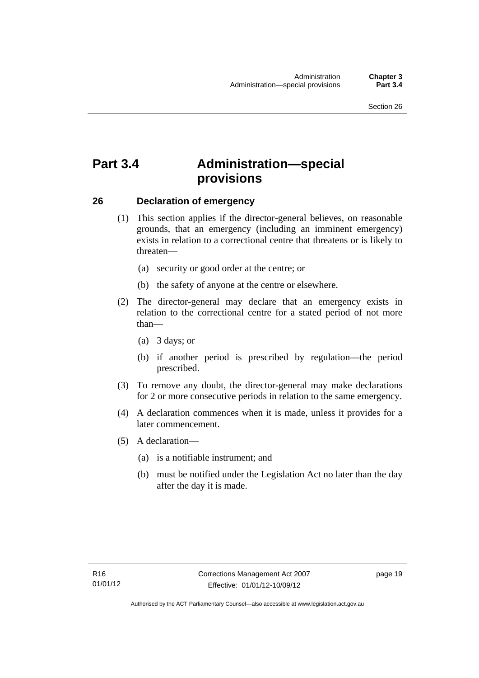### <span id="page-32-0"></span>**Part 3.4 Administration—special provisions**

### <span id="page-32-1"></span>**26 Declaration of emergency**

- (1) This section applies if the director-general believes, on reasonable grounds, that an emergency (including an imminent emergency) exists in relation to a correctional centre that threatens or is likely to threaten—
	- (a) security or good order at the centre; or
	- (b) the safety of anyone at the centre or elsewhere.
- (2) The director-general may declare that an emergency exists in relation to the correctional centre for a stated period of not more than—
	- (a) 3 days; or
	- (b) if another period is prescribed by regulation—the period prescribed.
- (3) To remove any doubt, the director-general may make declarations for 2 or more consecutive periods in relation to the same emergency.
- (4) A declaration commences when it is made, unless it provides for a later commencement.
- (5) A declaration—
	- (a) is a notifiable instrument; and
	- (b) must be notified under the Legislation Act no later than the day after the day it is made.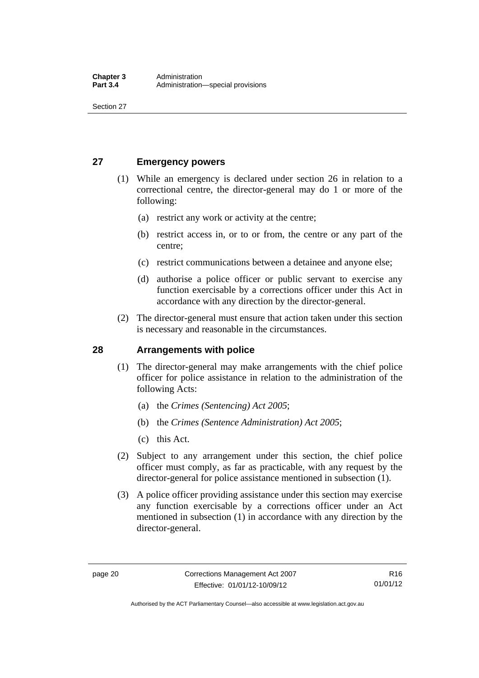Section 27

### <span id="page-33-0"></span>**27 Emergency powers**

- (1) While an emergency is declared under section 26 in relation to a correctional centre, the director-general may do 1 or more of the following:
	- (a) restrict any work or activity at the centre;
	- (b) restrict access in, or to or from, the centre or any part of the centre;
	- (c) restrict communications between a detainee and anyone else;
	- (d) authorise a police officer or public servant to exercise any function exercisable by a corrections officer under this Act in accordance with any direction by the director-general.
- (2) The director-general must ensure that action taken under this section is necessary and reasonable in the circumstances.

### <span id="page-33-1"></span>**28 Arrangements with police**

- (1) The director-general may make arrangements with the chief police officer for police assistance in relation to the administration of the following Acts:
	- (a) the *Crimes (Sentencing) Act 2005*;
	- (b) the *Crimes (Sentence Administration) Act 2005*;
	- (c) this Act.
- (2) Subject to any arrangement under this section, the chief police officer must comply, as far as practicable, with any request by the director-general for police assistance mentioned in subsection (1).
- (3) A police officer providing assistance under this section may exercise any function exercisable by a corrections officer under an Act mentioned in subsection (1) in accordance with any direction by the director-general.

Authorised by the ACT Parliamentary Counsel—also accessible at www.legislation.act.gov.au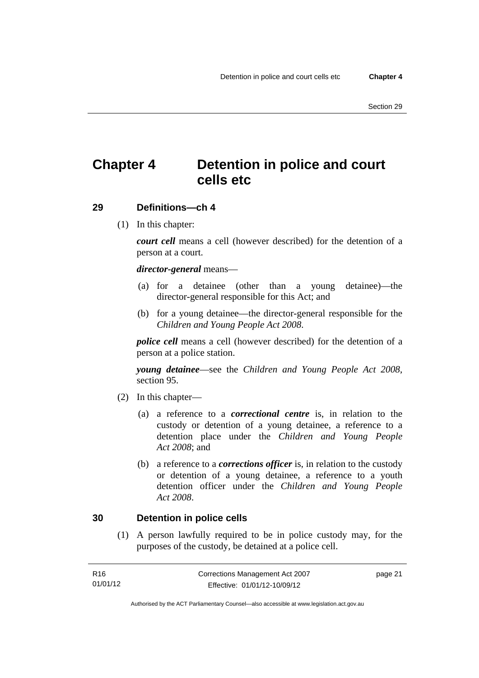### <span id="page-34-0"></span>**Chapter 4 Detention in police and court cells etc**

### <span id="page-34-1"></span>**29 Definitions—ch 4**

(1) In this chapter:

*court cell* means a cell (however described) for the detention of a person at a court.

### *director-general* means—

- (a) for a detainee (other than a young detainee)—the director-general responsible for this Act; and
- (b) for a young detainee—the director-general responsible for the *Children and Young People Act 2008*.

*police cell* means a cell (however described) for the detention of a person at a police station.

*young detainee*—see the *Children and Young People Act 2008*, section 95.

- (2) In this chapter—
	- (a) a reference to a *correctional centre* is, in relation to the custody or detention of a young detainee, a reference to a detention place under the *Children and Young People Act 2008*; and
	- (b) a reference to a *corrections officer* is, in relation to the custody or detention of a young detainee, a reference to a youth detention officer under the *Children and Young People Act 2008*.

### <span id="page-34-2"></span>**30 Detention in police cells**

 (1) A person lawfully required to be in police custody may, for the purposes of the custody, be detained at a police cell.

| R16      | Corrections Management Act 2007 | page 21 |
|----------|---------------------------------|---------|
| 01/01/12 | Effective: 01/01/12-10/09/12    |         |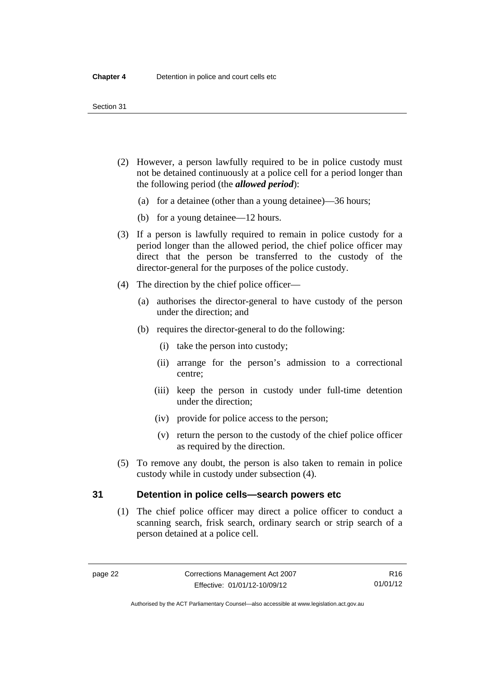#### Section 31

- (2) However, a person lawfully required to be in police custody must not be detained continuously at a police cell for a period longer than the following period (the *allowed period*):
	- (a) for a detainee (other than a young detainee)—36 hours;
	- (b) for a young detainee—12 hours.
- (3) If a person is lawfully required to remain in police custody for a period longer than the allowed period, the chief police officer may direct that the person be transferred to the custody of the director-general for the purposes of the police custody.
- (4) The direction by the chief police officer—
	- (a) authorises the director-general to have custody of the person under the direction; and
	- (b) requires the director-general to do the following:
		- (i) take the person into custody;
		- (ii) arrange for the person's admission to a correctional centre;
		- (iii) keep the person in custody under full-time detention under the direction;
		- (iv) provide for police access to the person;
		- (v) return the person to the custody of the chief police officer as required by the direction.
- (5) To remove any doubt, the person is also taken to remain in police custody while in custody under subsection (4).

### <span id="page-35-0"></span>**31 Detention in police cells—search powers etc**

 (1) The chief police officer may direct a police officer to conduct a scanning search, frisk search, ordinary search or strip search of a person detained at a police cell.

R16 01/01/12

Authorised by the ACT Parliamentary Counsel—also accessible at www.legislation.act.gov.au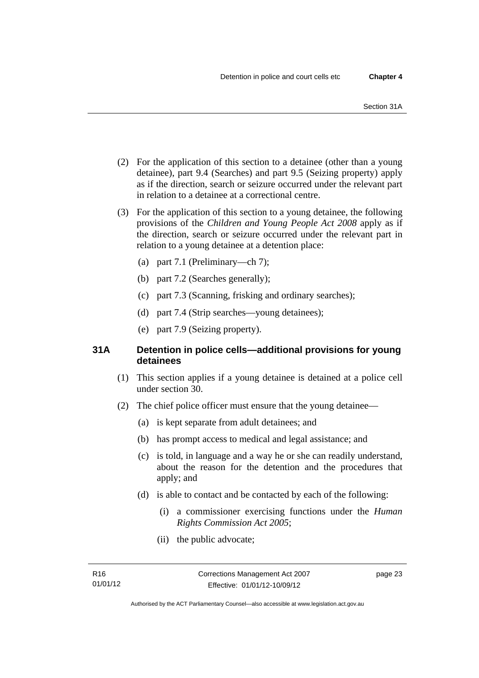- (2) For the application of this section to a detainee (other than a young detainee), part 9.4 (Searches) and part 9.5 (Seizing property) apply as if the direction, search or seizure occurred under the relevant part in relation to a detainee at a correctional centre.
- (3) For the application of this section to a young detainee, the following provisions of the *Children and Young People Act 2008* apply as if the direction, search or seizure occurred under the relevant part in relation to a young detainee at a detention place:
	- (a) part 7.1 (Preliminary—ch 7);
	- (b) part 7.2 (Searches generally);
	- (c) part 7.3 (Scanning, frisking and ordinary searches);
	- (d) part 7.4 (Strip searches—young detainees);
	- (e) part 7.9 (Seizing property).

# **31A Detention in police cells—additional provisions for young detainees**

- (1) This section applies if a young detainee is detained at a police cell under section 30.
- (2) The chief police officer must ensure that the young detainee—
	- (a) is kept separate from adult detainees; and
	- (b) has prompt access to medical and legal assistance; and
	- (c) is told, in language and a way he or she can readily understand, about the reason for the detention and the procedures that apply; and
	- (d) is able to contact and be contacted by each of the following:
		- (i) a commissioner exercising functions under the *Human Rights Commission Act 2005*;
		- (ii) the public advocate;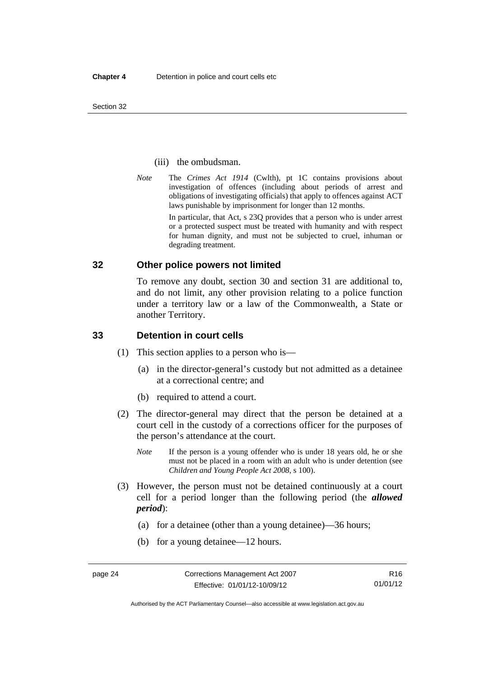#### (iii) the ombudsman.

*Note* The *Crimes Act 1914* (Cwlth), pt 1C contains provisions about investigation of offences (including about periods of arrest and obligations of investigating officials) that apply to offences against ACT laws punishable by imprisonment for longer than 12 months.

In particular, that Act, s 23Q provides that a person who is under arrest or a protected suspect must be treated with humanity and with respect for human dignity, and must not be subjected to cruel, inhuman or degrading treatment.

## **32 Other police powers not limited**

To remove any doubt, section 30 and section 31 are additional to, and do not limit, any other provision relating to a police function under a territory law or a law of the Commonwealth, a State or another Territory.

## **33 Detention in court cells**

- (1) This section applies to a person who is—
	- (a) in the director-general's custody but not admitted as a detainee at a correctional centre; and
	- (b) required to attend a court.
- (2) The director-general may direct that the person be detained at a court cell in the custody of a corrections officer for the purposes of the person's attendance at the court.
	- *Note* If the person is a young offender who is under 18 years old, he or she must not be placed in a room with an adult who is under detention (see *Children and Young People Act 2008*, s 100).
- (3) However, the person must not be detained continuously at a court cell for a period longer than the following period (the *allowed period*):
	- (a) for a detainee (other than a young detainee)—36 hours;
	- (b) for a young detainee—12 hours.

Authorised by the ACT Parliamentary Counsel—also accessible at www.legislation.act.gov.au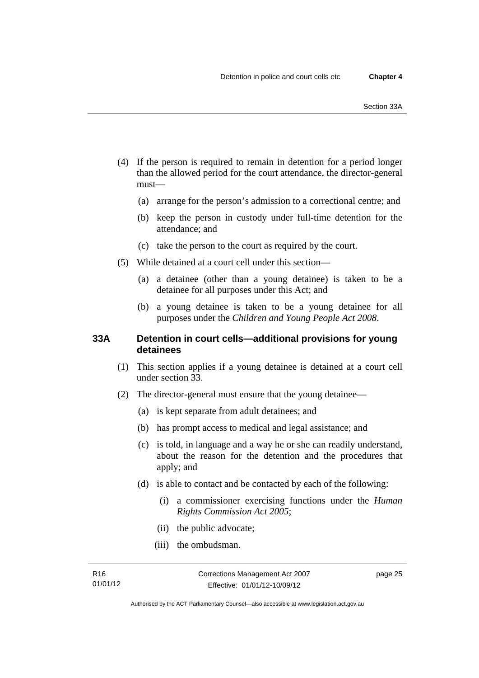- (4) If the person is required to remain in detention for a period longer than the allowed period for the court attendance, the director-general must—
	- (a) arrange for the person's admission to a correctional centre; and
	- (b) keep the person in custody under full-time detention for the attendance; and
	- (c) take the person to the court as required by the court.
- (5) While detained at a court cell under this section—
	- (a) a detainee (other than a young detainee) is taken to be a detainee for all purposes under this Act; and
	- (b) a young detainee is taken to be a young detainee for all purposes under the *Children and Young People Act 2008*.

# **33A Detention in court cells—additional provisions for young detainees**

- (1) This section applies if a young detainee is detained at a court cell under section 33.
- (2) The director-general must ensure that the young detainee—
	- (a) is kept separate from adult detainees; and
	- (b) has prompt access to medical and legal assistance; and
	- (c) is told, in language and a way he or she can readily understand, about the reason for the detention and the procedures that apply; and
	- (d) is able to contact and be contacted by each of the following:
		- (i) a commissioner exercising functions under the *Human Rights Commission Act 2005*;
		- (ii) the public advocate;
		- (iii) the ombudsman.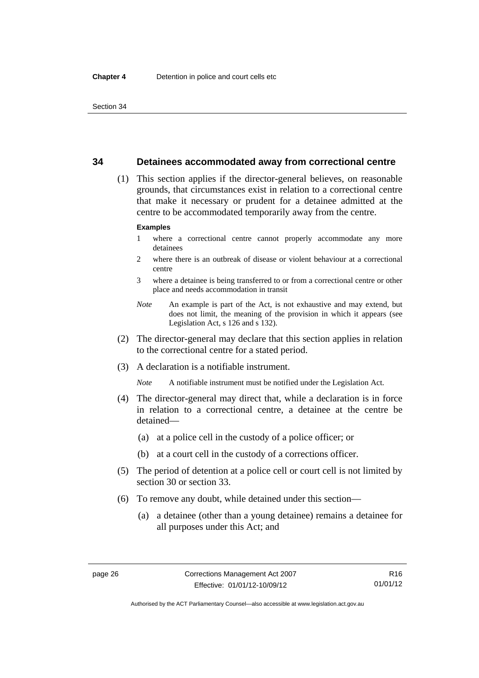### **34 Detainees accommodated away from correctional centre**

 (1) This section applies if the director-general believes, on reasonable grounds, that circumstances exist in relation to a correctional centre that make it necessary or prudent for a detainee admitted at the centre to be accommodated temporarily away from the centre.

#### **Examples**

- 1 where a correctional centre cannot properly accommodate any more detainees
- 2 where there is an outbreak of disease or violent behaviour at a correctional centre
- 3 where a detainee is being transferred to or from a correctional centre or other place and needs accommodation in transit
- *Note* An example is part of the Act, is not exhaustive and may extend, but does not limit, the meaning of the provision in which it appears (see Legislation Act, s 126 and s 132).
- (2) The director-general may declare that this section applies in relation to the correctional centre for a stated period.
- (3) A declaration is a notifiable instrument.

*Note* A notifiable instrument must be notified under the Legislation Act.

- (4) The director-general may direct that, while a declaration is in force in relation to a correctional centre, a detainee at the centre be detained—
	- (a) at a police cell in the custody of a police officer; or
	- (b) at a court cell in the custody of a corrections officer.
- (5) The period of detention at a police cell or court cell is not limited by section 30 or section 33.
- (6) To remove any doubt, while detained under this section—
	- (a) a detainee (other than a young detainee) remains a detainee for all purposes under this Act; and

Authorised by the ACT Parliamentary Counsel—also accessible at www.legislation.act.gov.au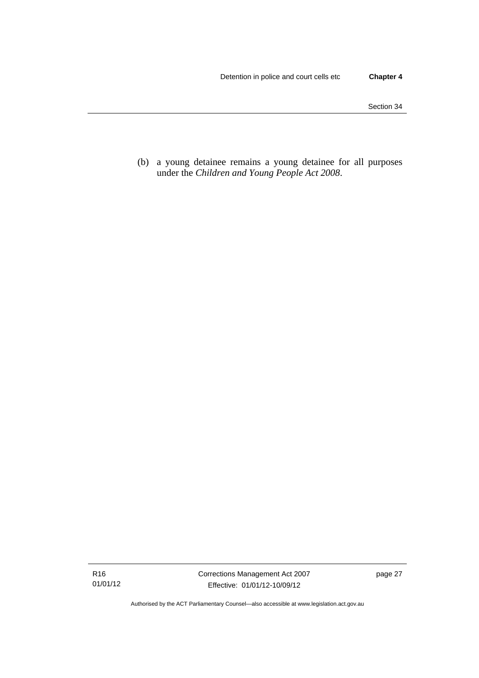(b) a young detainee remains a young detainee for all purposes under the *Children and Young People Act 2008*.

Authorised by the ACT Parliamentary Counsel—also accessible at www.legislation.act.gov.au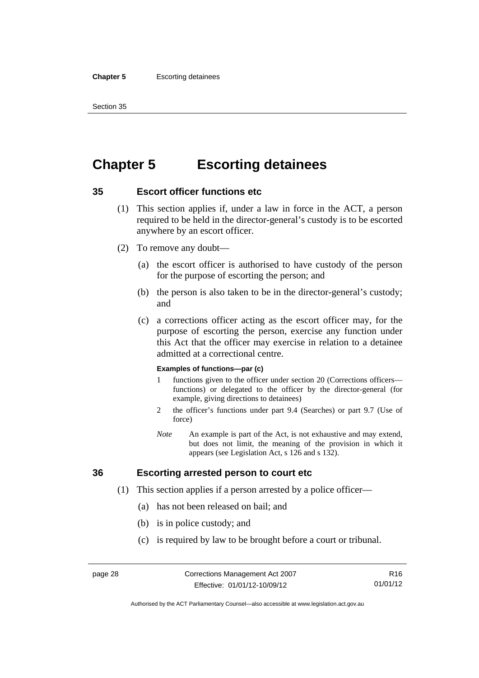#### **Chapter 5** Escorting detainees

Section 35

# **Chapter 5 Escorting detainees**

# **35 Escort officer functions etc**

- (1) This section applies if, under a law in force in the ACT, a person required to be held in the director-general's custody is to be escorted anywhere by an escort officer.
- (2) To remove any doubt—
	- (a) the escort officer is authorised to have custody of the person for the purpose of escorting the person; and
	- (b) the person is also taken to be in the director-general's custody; and
	- (c) a corrections officer acting as the escort officer may, for the purpose of escorting the person, exercise any function under this Act that the officer may exercise in relation to a detainee admitted at a correctional centre.

#### **Examples of functions—par (c)**

- 1 functions given to the officer under section 20 (Corrections officers functions) or delegated to the officer by the director-general (for example, giving directions to detainees)
- 2 the officer's functions under part 9.4 (Searches) or part 9.7 (Use of force)
- *Note* An example is part of the Act, is not exhaustive and may extend, but does not limit, the meaning of the provision in which it appears (see Legislation Act, s 126 and s 132).

# **36 Escorting arrested person to court etc**

- (1) This section applies if a person arrested by a police officer—
	- (a) has not been released on bail; and
	- (b) is in police custody; and
	- (c) is required by law to be brought before a court or tribunal.

Authorised by the ACT Parliamentary Counsel—also accessible at www.legislation.act.gov.au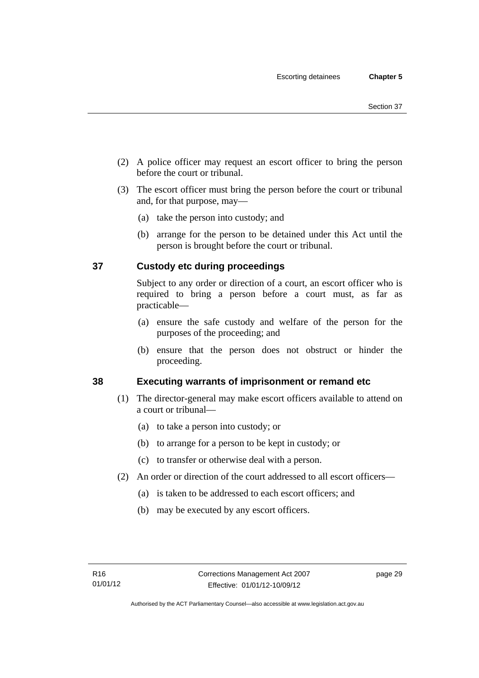- (2) A police officer may request an escort officer to bring the person before the court or tribunal.
- (3) The escort officer must bring the person before the court or tribunal and, for that purpose, may—
	- (a) take the person into custody; and
	- (b) arrange for the person to be detained under this Act until the person is brought before the court or tribunal.

# **37 Custody etc during proceedings**

Subject to any order or direction of a court, an escort officer who is required to bring a person before a court must, as far as practicable—

- (a) ensure the safe custody and welfare of the person for the purposes of the proceeding; and
- (b) ensure that the person does not obstruct or hinder the proceeding.

# **38 Executing warrants of imprisonment or remand etc**

- (1) The director-general may make escort officers available to attend on a court or tribunal—
	- (a) to take a person into custody; or
	- (b) to arrange for a person to be kept in custody; or
	- (c) to transfer or otherwise deal with a person.
- (2) An order or direction of the court addressed to all escort officers—
	- (a) is taken to be addressed to each escort officers; and
	- (b) may be executed by any escort officers.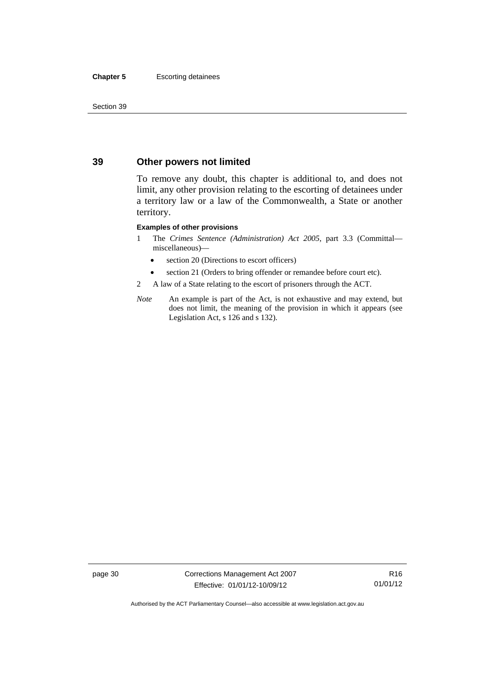#### **Chapter 5** Escorting detainees

Section 39

# **39 Other powers not limited**

To remove any doubt, this chapter is additional to, and does not limit, any other provision relating to the escorting of detainees under a territory law or a law of the Commonwealth, a State or another territory.

#### **Examples of other provisions**

- 1 The *Crimes Sentence (Administration) Act 2005*, part 3.3 (Committal miscellaneous)—
	- section 20 (Directions to escort officers)
	- section 21 (Orders to bring offender or remandee before court etc).
- 2 A law of a State relating to the escort of prisoners through the ACT.
- *Note* An example is part of the Act, is not exhaustive and may extend, but does not limit, the meaning of the provision in which it appears (see Legislation Act, s 126 and s 132).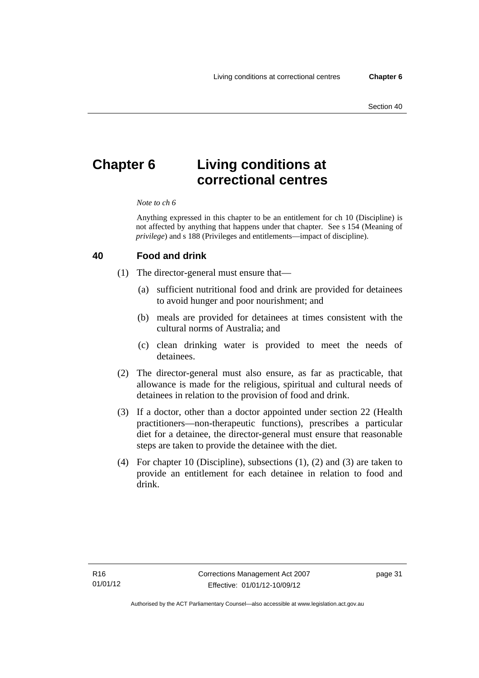# **Chapter 6 Living conditions at correctional centres**

#### *Note to ch 6*

Anything expressed in this chapter to be an entitlement for ch 10 (Discipline) is not affected by anything that happens under that chapter. See s 154 (Meaning of *privilege*) and s 188 (Privileges and entitlements—impact of discipline).

#### **40 Food and drink**

- (1) The director-general must ensure that—
	- (a) sufficient nutritional food and drink are provided for detainees to avoid hunger and poor nourishment; and
	- (b) meals are provided for detainees at times consistent with the cultural norms of Australia; and
	- (c) clean drinking water is provided to meet the needs of detainees.
- (2) The director-general must also ensure, as far as practicable, that allowance is made for the religious, spiritual and cultural needs of detainees in relation to the provision of food and drink.
- (3) If a doctor, other than a doctor appointed under section 22 (Health practitioners—non-therapeutic functions), prescribes a particular diet for a detainee, the director-general must ensure that reasonable steps are taken to provide the detainee with the diet.
- (4) For chapter 10 (Discipline), subsections (1), (2) and (3) are taken to provide an entitlement for each detainee in relation to food and drink.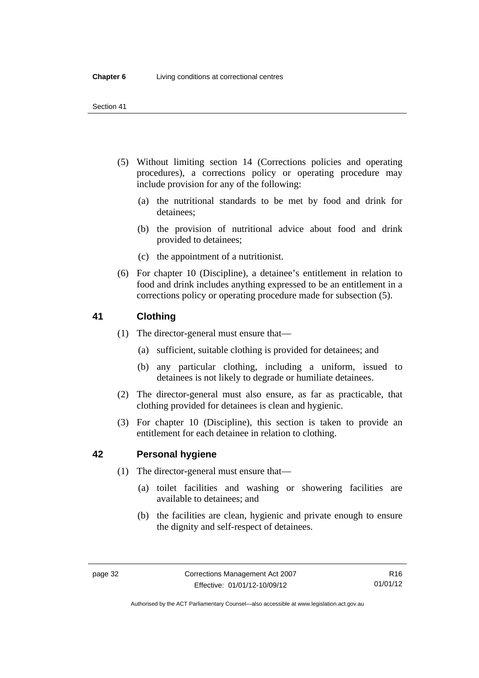- (5) Without limiting section 14 (Corrections policies and operating procedures), a corrections policy or operating procedure may include provision for any of the following:
	- (a) the nutritional standards to be met by food and drink for detainees;
	- (b) the provision of nutritional advice about food and drink provided to detainees;
	- (c) the appointment of a nutritionist.
- (6) For chapter 10 (Discipline), a detainee's entitlement in relation to food and drink includes anything expressed to be an entitlement in a corrections policy or operating procedure made for subsection (5).

# **41 Clothing**

- (1) The director-general must ensure that—
	- (a) sufficient, suitable clothing is provided for detainees; and
	- (b) any particular clothing, including a uniform, issued to detainees is not likely to degrade or humiliate detainees.
- (2) The director-general must also ensure, as far as practicable, that clothing provided for detainees is clean and hygienic.
- (3) For chapter 10 (Discipline), this section is taken to provide an entitlement for each detainee in relation to clothing.

# **42 Personal hygiene**

- (1) The director-general must ensure that—
	- (a) toilet facilities and washing or showering facilities are available to detainees; and
	- (b) the facilities are clean, hygienic and private enough to ensure the dignity and self-respect of detainees.

Authorised by the ACT Parliamentary Counsel—also accessible at www.legislation.act.gov.au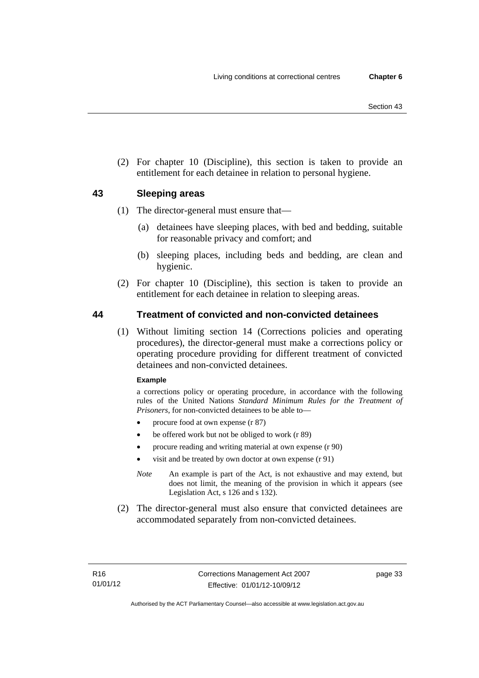(2) For chapter 10 (Discipline), this section is taken to provide an entitlement for each detainee in relation to personal hygiene.

# **43 Sleeping areas**

- (1) The director-general must ensure that—
	- (a) detainees have sleeping places, with bed and bedding, suitable for reasonable privacy and comfort; and
	- (b) sleeping places, including beds and bedding, are clean and hygienic.
- (2) For chapter 10 (Discipline), this section is taken to provide an entitlement for each detainee in relation to sleeping areas.

# **44 Treatment of convicted and non-convicted detainees**

 (1) Without limiting section 14 (Corrections policies and operating procedures), the director-general must make a corrections policy or operating procedure providing for different treatment of convicted detainees and non-convicted detainees.

### **Example**

a corrections policy or operating procedure, in accordance with the following rules of the United Nations *Standard Minimum Rules for the Treatment of Prisoners*, for non-convicted detainees to be able to—

- procure food at own expense (r 87)
- be offered work but not be obliged to work (r 89)
- procure reading and writing material at own expense (r 90)
- visit and be treated by own doctor at own expense (r 91)
- *Note* An example is part of the Act, is not exhaustive and may extend, but does not limit, the meaning of the provision in which it appears (see Legislation Act, s 126 and s 132).
- (2) The director-general must also ensure that convicted detainees are accommodated separately from non-convicted detainees.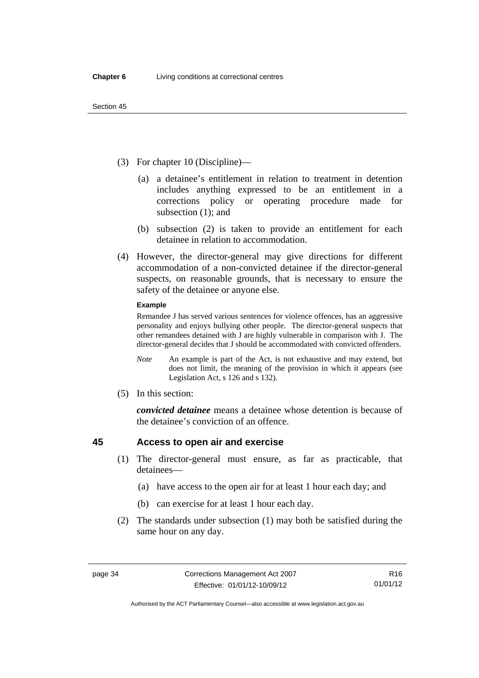- (3) For chapter 10 (Discipline)—
	- (a) a detainee's entitlement in relation to treatment in detention includes anything expressed to be an entitlement in a corrections policy or operating procedure made for subsection (1); and
	- (b) subsection (2) is taken to provide an entitlement for each detainee in relation to accommodation.
- (4) However, the director-general may give directions for different accommodation of a non-convicted detainee if the director-general suspects, on reasonable grounds, that is necessary to ensure the safety of the detainee or anyone else.

#### **Example**

Remandee J has served various sentences for violence offences, has an aggressive personality and enjoys bullying other people. The director-general suspects that other remandees detained with J are highly vulnerable in comparison with J. The director-general decides that J should be accommodated with convicted offenders.

- *Note* An example is part of the Act, is not exhaustive and may extend, but does not limit, the meaning of the provision in which it appears (see Legislation Act, s 126 and s 132).
- (5) In this section:

*convicted detainee* means a detainee whose detention is because of the detainee's conviction of an offence.

# **45 Access to open air and exercise**

- (1) The director-general must ensure, as far as practicable, that detainees—
	- (a) have access to the open air for at least 1 hour each day; and
	- (b) can exercise for at least 1 hour each day.
- (2) The standards under subsection (1) may both be satisfied during the same hour on any day.

Authorised by the ACT Parliamentary Counsel—also accessible at www.legislation.act.gov.au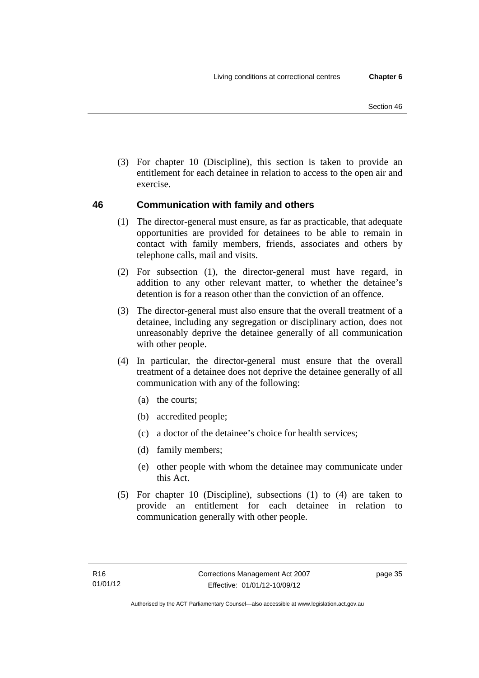(3) For chapter 10 (Discipline), this section is taken to provide an entitlement for each detainee in relation to access to the open air and exercise.

# **46 Communication with family and others**

- (1) The director-general must ensure, as far as practicable, that adequate opportunities are provided for detainees to be able to remain in contact with family members, friends, associates and others by telephone calls, mail and visits.
- (2) For subsection (1), the director-general must have regard, in addition to any other relevant matter, to whether the detainee's detention is for a reason other than the conviction of an offence.
- (3) The director-general must also ensure that the overall treatment of a detainee, including any segregation or disciplinary action, does not unreasonably deprive the detainee generally of all communication with other people.
- (4) In particular, the director-general must ensure that the overall treatment of a detainee does not deprive the detainee generally of all communication with any of the following:
	- (a) the courts;
	- (b) accredited people;
	- (c) a doctor of the detainee's choice for health services;
	- (d) family members;
	- (e) other people with whom the detainee may communicate under this Act.
- (5) For chapter 10 (Discipline), subsections (1) to (4) are taken to provide an entitlement for each detainee in relation to communication generally with other people.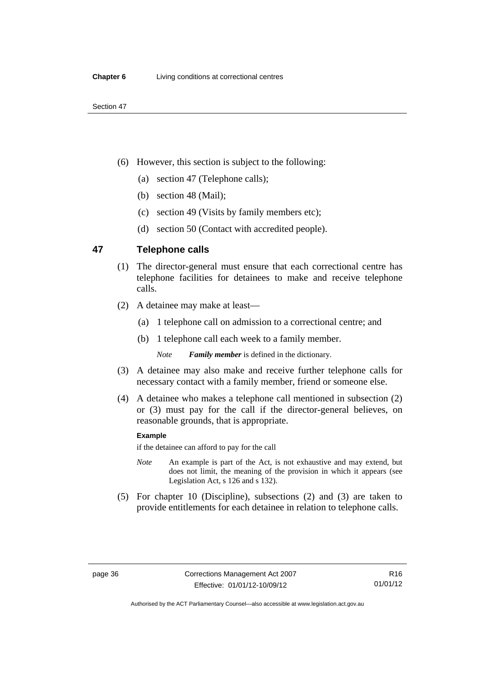- (6) However, this section is subject to the following:
	- (a) section 47 (Telephone calls);
	- (b) section 48 (Mail);
	- (c) section 49 (Visits by family members etc);
	- (d) section 50 (Contact with accredited people).

# **47 Telephone calls**

- (1) The director-general must ensure that each correctional centre has telephone facilities for detainees to make and receive telephone calls.
- (2) A detainee may make at least—
	- (a) 1 telephone call on admission to a correctional centre; and
	- (b) 1 telephone call each week to a family member.

*Note Family member* is defined in the dictionary.

- (3) A detainee may also make and receive further telephone calls for necessary contact with a family member, friend or someone else.
- (4) A detainee who makes a telephone call mentioned in subsection (2) or (3) must pay for the call if the director-general believes, on reasonable grounds, that is appropriate.

#### **Example**

if the detainee can afford to pay for the call

- *Note* An example is part of the Act, is not exhaustive and may extend, but does not limit, the meaning of the provision in which it appears (see Legislation Act, s 126 and s 132).
- (5) For chapter 10 (Discipline), subsections (2) and (3) are taken to provide entitlements for each detainee in relation to telephone calls.

Authorised by the ACT Parliamentary Counsel—also accessible at www.legislation.act.gov.au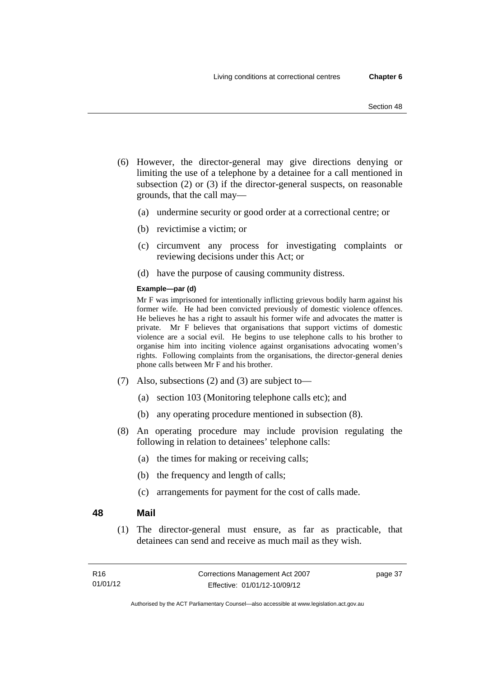- (6) However, the director-general may give directions denying or limiting the use of a telephone by a detainee for a call mentioned in subsection (2) or (3) if the director-general suspects, on reasonable grounds, that the call may—
	- (a) undermine security or good order at a correctional centre; or
	- (b) revictimise a victim; or
	- (c) circumvent any process for investigating complaints or reviewing decisions under this Act; or
	- (d) have the purpose of causing community distress.

#### **Example—par (d)**

Mr F was imprisoned for intentionally inflicting grievous bodily harm against his former wife. He had been convicted previously of domestic violence offences. He believes he has a right to assault his former wife and advocates the matter is private. Mr F believes that organisations that support victims of domestic violence are a social evil. He begins to use telephone calls to his brother to organise him into inciting violence against organisations advocating women's rights. Following complaints from the organisations, the director-general denies phone calls between Mr F and his brother.

- (7) Also, subsections (2) and (3) are subject to—
	- (a) section 103 (Monitoring telephone calls etc); and
	- (b) any operating procedure mentioned in subsection (8).
- (8) An operating procedure may include provision regulating the following in relation to detainees' telephone calls:
	- (a) the times for making or receiving calls;
	- (b) the frequency and length of calls;
	- (c) arrangements for payment for the cost of calls made.

### **48 Mail**

 (1) The director-general must ensure, as far as practicable, that detainees can send and receive as much mail as they wish.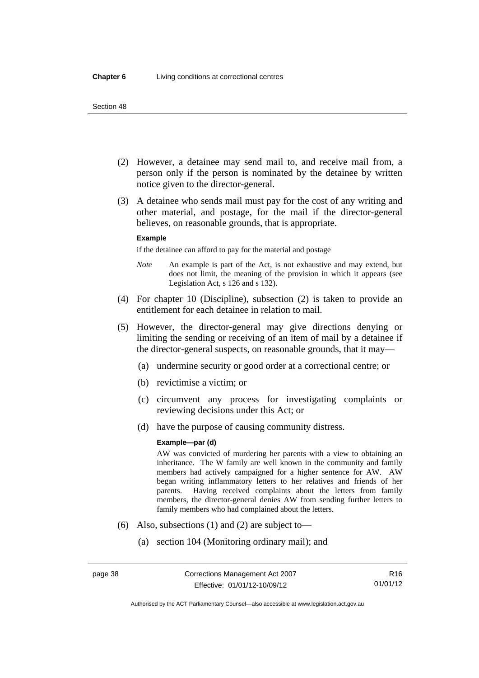- (2) However, a detainee may send mail to, and receive mail from, a person only if the person is nominated by the detainee by written notice given to the director-general.
- (3) A detainee who sends mail must pay for the cost of any writing and other material, and postage, for the mail if the director-general believes, on reasonable grounds, that is appropriate.

#### **Example**

if the detainee can afford to pay for the material and postage

- *Note* An example is part of the Act, is not exhaustive and may extend, but does not limit, the meaning of the provision in which it appears (see Legislation Act, s 126 and s 132).
- (4) For chapter 10 (Discipline), subsection (2) is taken to provide an entitlement for each detainee in relation to mail.
- (5) However, the director-general may give directions denying or limiting the sending or receiving of an item of mail by a detainee if the director-general suspects, on reasonable grounds, that it may—
	- (a) undermine security or good order at a correctional centre; or
	- (b) revictimise a victim; or
	- (c) circumvent any process for investigating complaints or reviewing decisions under this Act; or
	- (d) have the purpose of causing community distress.

#### **Example—par (d)**

AW was convicted of murdering her parents with a view to obtaining an inheritance. The W family are well known in the community and family members had actively campaigned for a higher sentence for AW. AW began writing inflammatory letters to her relatives and friends of her parents. Having received complaints about the letters from family members, the director-general denies AW from sending further letters to family members who had complained about the letters.

- (6) Also, subsections (1) and (2) are subject to—
	- (a) section 104 (Monitoring ordinary mail); and

Authorised by the ACT Parliamentary Counsel—also accessible at www.legislation.act.gov.au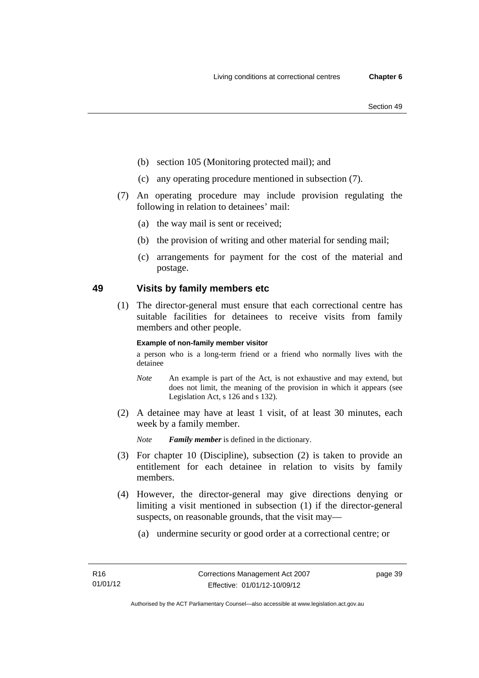- (b) section 105 (Monitoring protected mail); and
- (c) any operating procedure mentioned in subsection (7).
- (7) An operating procedure may include provision regulating the following in relation to detainees' mail:
	- (a) the way mail is sent or received;
	- (b) the provision of writing and other material for sending mail;
	- (c) arrangements for payment for the cost of the material and postage.

# **49 Visits by family members etc**

 (1) The director-general must ensure that each correctional centre has suitable facilities for detainees to receive visits from family members and other people.

#### **Example of non-family member visitor**

a person who is a long-term friend or a friend who normally lives with the detainee

- *Note* An example is part of the Act, is not exhaustive and may extend, but does not limit, the meaning of the provision in which it appears (see Legislation Act, s 126 and s 132).
- (2) A detainee may have at least 1 visit, of at least 30 minutes, each week by a family member.

*Note Family member* is defined in the dictionary.

- (3) For chapter 10 (Discipline), subsection (2) is taken to provide an entitlement for each detainee in relation to visits by family members.
- (4) However, the director-general may give directions denying or limiting a visit mentioned in subsection (1) if the director-general suspects, on reasonable grounds, that the visit may—
	- (a) undermine security or good order at a correctional centre; or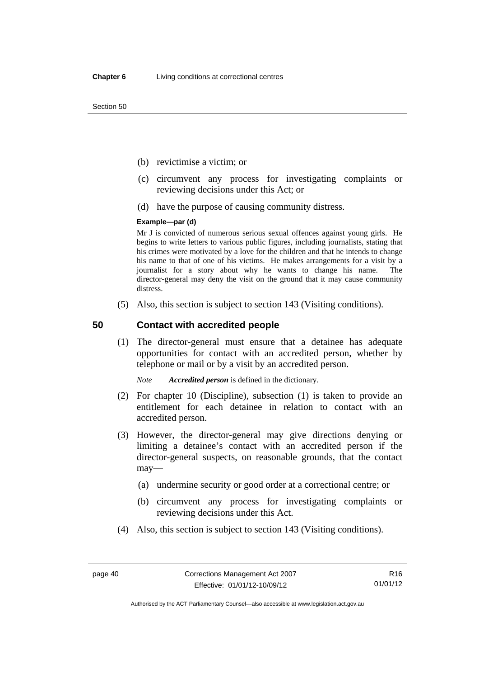- (b) revictimise a victim; or
- (c) circumvent any process for investigating complaints or reviewing decisions under this Act; or
- (d) have the purpose of causing community distress.

#### **Example—par (d)**

Mr J is convicted of numerous serious sexual offences against young girls. He begins to write letters to various public figures, including journalists, stating that his crimes were motivated by a love for the children and that he intends to change his name to that of one of his victims. He makes arrangements for a visit by a journalist for a story about why he wants to change his name. The director-general may deny the visit on the ground that it may cause community distress.

(5) Also, this section is subject to section 143 (Visiting conditions).

## **50 Contact with accredited people**

 (1) The director-general must ensure that a detainee has adequate opportunities for contact with an accredited person, whether by telephone or mail or by a visit by an accredited person.

*Note Accredited person* is defined in the dictionary.

- (2) For chapter 10 (Discipline), subsection (1) is taken to provide an entitlement for each detainee in relation to contact with an accredited person.
- (3) However, the director-general may give directions denying or limiting a detainee's contact with an accredited person if the director-general suspects, on reasonable grounds, that the contact may—
	- (a) undermine security or good order at a correctional centre; or
	- (b) circumvent any process for investigating complaints or reviewing decisions under this Act.
- (4) Also, this section is subject to section 143 (Visiting conditions).

Authorised by the ACT Parliamentary Counsel—also accessible at www.legislation.act.gov.au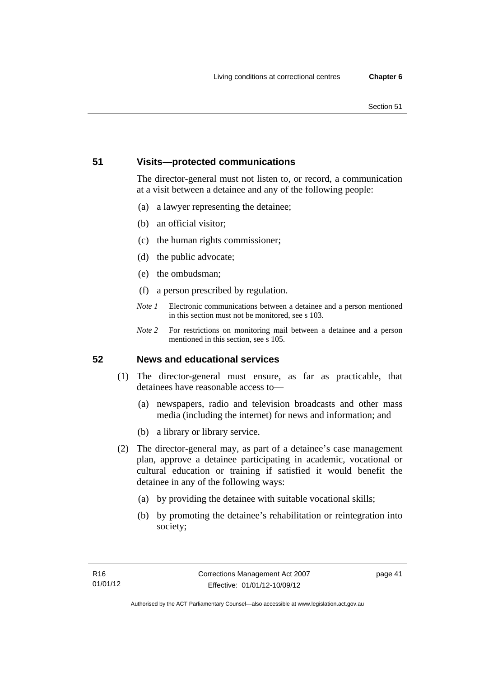# **51 Visits—protected communications**

The director-general must not listen to, or record, a communication at a visit between a detainee and any of the following people:

- (a) a lawyer representing the detainee;
- (b) an official visitor;
- (c) the human rights commissioner;
- (d) the public advocate;
- (e) the ombudsman;
- (f) a person prescribed by regulation.
- *Note 1* Electronic communications between a detainee and a person mentioned in this section must not be monitored, see s 103.
- *Note 2* For restrictions on monitoring mail between a detainee and a person mentioned in this section, see s 105.

# **52 News and educational services**

- (1) The director-general must ensure, as far as practicable, that detainees have reasonable access to—
	- (a) newspapers, radio and television broadcasts and other mass media (including the internet) for news and information; and
	- (b) a library or library service.
- (2) The director-general may, as part of a detainee's case management plan, approve a detainee participating in academic, vocational or cultural education or training if satisfied it would benefit the detainee in any of the following ways:
	- (a) by providing the detainee with suitable vocational skills;
	- (b) by promoting the detainee's rehabilitation or reintegration into society;

page 41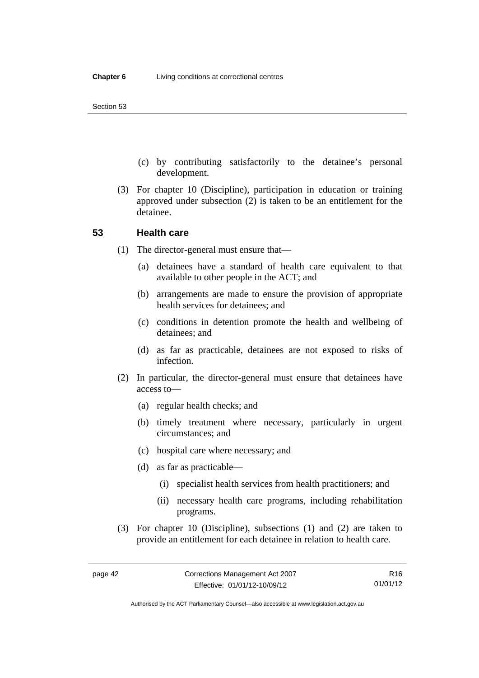- (c) by contributing satisfactorily to the detainee's personal development.
- (3) For chapter 10 (Discipline), participation in education or training approved under subsection (2) is taken to be an entitlement for the detainee.

## **53 Health care**

- (1) The director-general must ensure that—
	- (a) detainees have a standard of health care equivalent to that available to other people in the ACT; and
	- (b) arrangements are made to ensure the provision of appropriate health services for detainees; and
	- (c) conditions in detention promote the health and wellbeing of detainees; and
	- (d) as far as practicable, detainees are not exposed to risks of infection.
- (2) In particular, the director-general must ensure that detainees have access to—
	- (a) regular health checks; and
	- (b) timely treatment where necessary, particularly in urgent circumstances; and
	- (c) hospital care where necessary; and
	- (d) as far as practicable—
		- (i) specialist health services from health practitioners; and
		- (ii) necessary health care programs, including rehabilitation programs.
- (3) For chapter 10 (Discipline), subsections (1) and (2) are taken to provide an entitlement for each detainee in relation to health care.

R16 01/01/12

Authorised by the ACT Parliamentary Counsel—also accessible at www.legislation.act.gov.au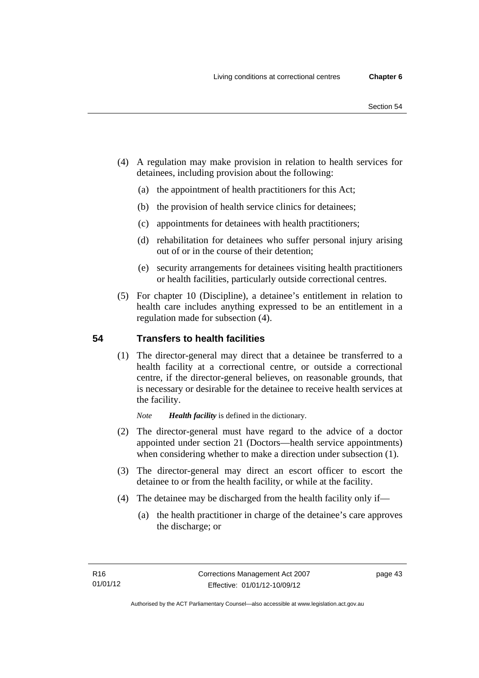- (4) A regulation may make provision in relation to health services for detainees, including provision about the following:
	- (a) the appointment of health practitioners for this Act;
	- (b) the provision of health service clinics for detainees;
	- (c) appointments for detainees with health practitioners;
	- (d) rehabilitation for detainees who suffer personal injury arising out of or in the course of their detention;
	- (e) security arrangements for detainees visiting health practitioners or health facilities, particularly outside correctional centres.
- (5) For chapter 10 (Discipline), a detainee's entitlement in relation to health care includes anything expressed to be an entitlement in a regulation made for subsection (4).

# **54 Transfers to health facilities**

 (1) The director-general may direct that a detainee be transferred to a health facility at a correctional centre, or outside a correctional centre, if the director-general believes, on reasonable grounds, that is necessary or desirable for the detainee to receive health services at the facility.

*Note Health facility* is defined in the dictionary.

- (2) The director-general must have regard to the advice of a doctor appointed under section 21 (Doctors—health service appointments) when considering whether to make a direction under subsection  $(1)$ .
- (3) The director-general may direct an escort officer to escort the detainee to or from the health facility, or while at the facility.
- (4) The detainee may be discharged from the health facility only if—
	- (a) the health practitioner in charge of the detainee's care approves the discharge; or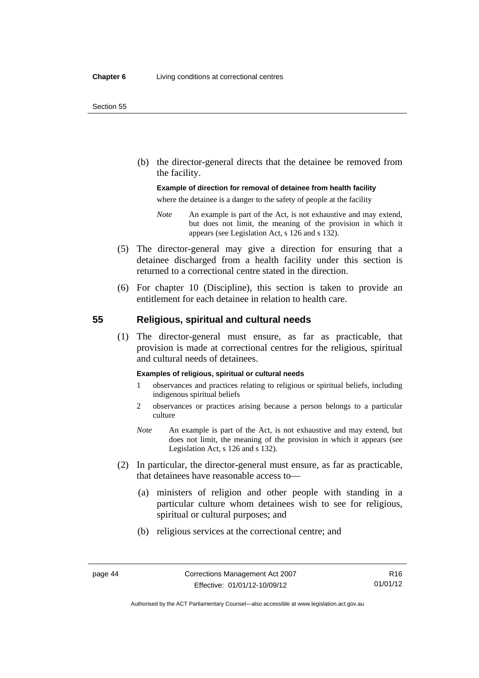(b) the director-general directs that the detainee be removed from the facility.

### **Example of direction for removal of detainee from health facility**

where the detainee is a danger to the safety of people at the facility

- *Note* An example is part of the Act, is not exhaustive and may extend, but does not limit, the meaning of the provision in which it appears (see Legislation Act, s 126 and s 132).
- (5) The director-general may give a direction for ensuring that a detainee discharged from a health facility under this section is returned to a correctional centre stated in the direction.
- (6) For chapter 10 (Discipline), this section is taken to provide an entitlement for each detainee in relation to health care.

## **55 Religious, spiritual and cultural needs**

 (1) The director-general must ensure, as far as practicable, that provision is made at correctional centres for the religious, spiritual and cultural needs of detainees.

#### **Examples of religious, spiritual or cultural needs**

- 1 observances and practices relating to religious or spiritual beliefs, including indigenous spiritual beliefs
- 2 observances or practices arising because a person belongs to a particular culture
- *Note* An example is part of the Act, is not exhaustive and may extend, but does not limit, the meaning of the provision in which it appears (see Legislation Act, s 126 and s 132).
- (2) In particular, the director-general must ensure, as far as practicable, that detainees have reasonable access to—
	- (a) ministers of religion and other people with standing in a particular culture whom detainees wish to see for religious, spiritual or cultural purposes; and
	- (b) religious services at the correctional centre; and

Authorised by the ACT Parliamentary Counsel—also accessible at www.legislation.act.gov.au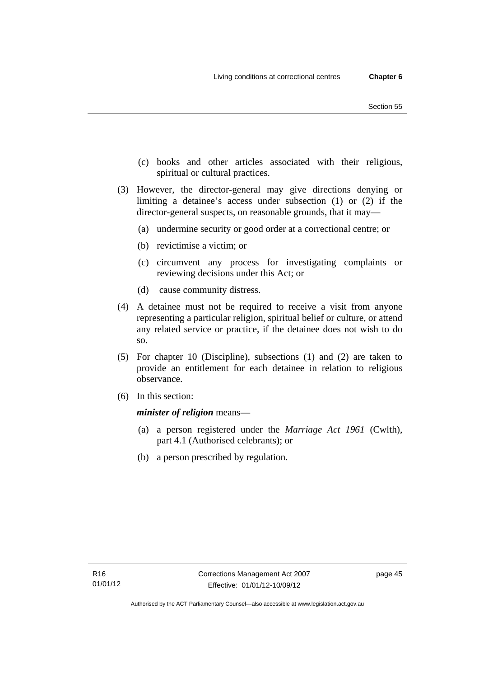- (c) books and other articles associated with their religious, spiritual or cultural practices.
- (3) However, the director-general may give directions denying or limiting a detainee's access under subsection (1) or (2) if the director-general suspects, on reasonable grounds, that it may—
	- (a) undermine security or good order at a correctional centre; or
	- (b) revictimise a victim; or
	- (c) circumvent any process for investigating complaints or reviewing decisions under this Act; or
	- (d) cause community distress.
- (4) A detainee must not be required to receive a visit from anyone representing a particular religion, spiritual belief or culture, or attend any related service or practice, if the detainee does not wish to do so.
- (5) For chapter 10 (Discipline), subsections (1) and (2) are taken to provide an entitlement for each detainee in relation to religious observance.
- (6) In this section:

*minister of religion* means—

- (a) a person registered under the *Marriage Act 1961* (Cwlth), part 4.1 (Authorised celebrants); or
- (b) a person prescribed by regulation.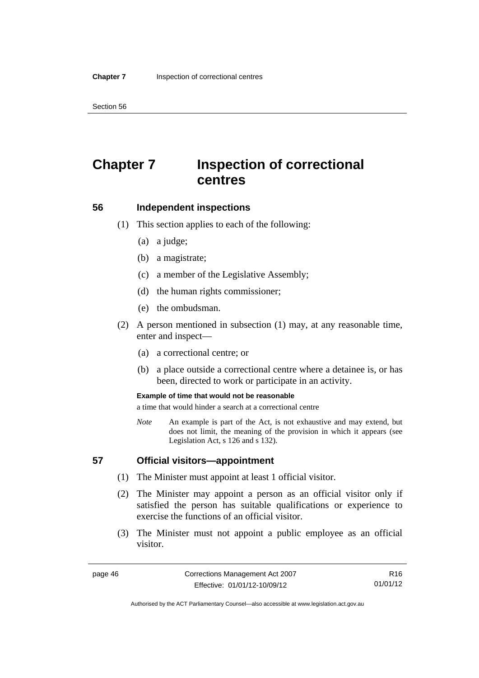# **Chapter 7 Inspection of correctional centres**

### **56 Independent inspections**

- (1) This section applies to each of the following:
	- (a) a judge;
	- (b) a magistrate;
	- (c) a member of the Legislative Assembly;
	- (d) the human rights commissioner;
	- (e) the ombudsman.
- (2) A person mentioned in subsection (1) may, at any reasonable time, enter and inspect—
	- (a) a correctional centre; or
	- (b) a place outside a correctional centre where a detainee is, or has been, directed to work or participate in an activity.

#### **Example of time that would not be reasonable**

a time that would hinder a search at a correctional centre

*Note* An example is part of the Act, is not exhaustive and may extend, but does not limit, the meaning of the provision in which it appears (see Legislation Act, s 126 and s 132).

## **57 Official visitors—appointment**

- (1) The Minister must appoint at least 1 official visitor.
- (2) The Minister may appoint a person as an official visitor only if satisfied the person has suitable qualifications or experience to exercise the functions of an official visitor.
- (3) The Minister must not appoint a public employee as an official visitor.

R16 01/01/12

Authorised by the ACT Parliamentary Counsel—also accessible at www.legislation.act.gov.au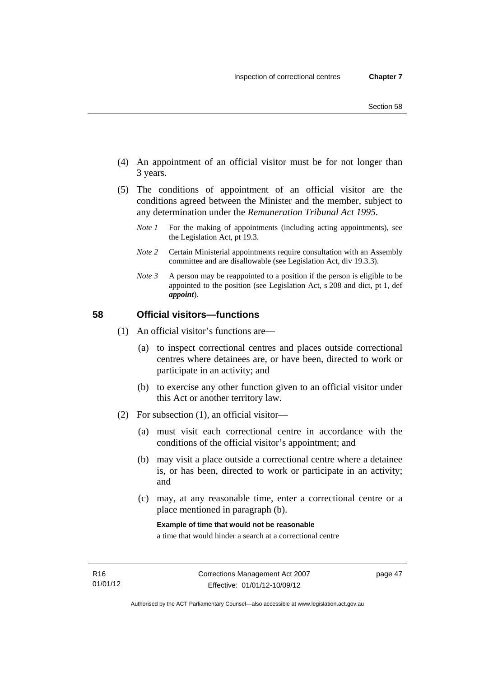- (4) An appointment of an official visitor must be for not longer than 3 years.
- (5) The conditions of appointment of an official visitor are the conditions agreed between the Minister and the member, subject to any determination under the *Remuneration Tribunal Act 1995*.
	- *Note 1* For the making of appointments (including acting appointments), see the Legislation Act, pt 19.3.
	- *Note 2* Certain Ministerial appointments require consultation with an Assembly committee and are disallowable (see Legislation Act, div 19.3.3).
	- *Note 3* A person may be reappointed to a position if the person is eligible to be appointed to the position (see Legislation Act, s 208 and dict, pt 1, def *appoint*).

# **58 Official visitors—functions**

- (1) An official visitor's functions are—
	- (a) to inspect correctional centres and places outside correctional centres where detainees are, or have been, directed to work or participate in an activity; and
	- (b) to exercise any other function given to an official visitor under this Act or another territory law.
- (2) For subsection (1), an official visitor—
	- (a) must visit each correctional centre in accordance with the conditions of the official visitor's appointment; and
	- (b) may visit a place outside a correctional centre where a detainee is, or has been, directed to work or participate in an activity; and
	- (c) may, at any reasonable time, enter a correctional centre or a place mentioned in paragraph (b).

**Example of time that would not be reasonable** 

a time that would hinder a search at a correctional centre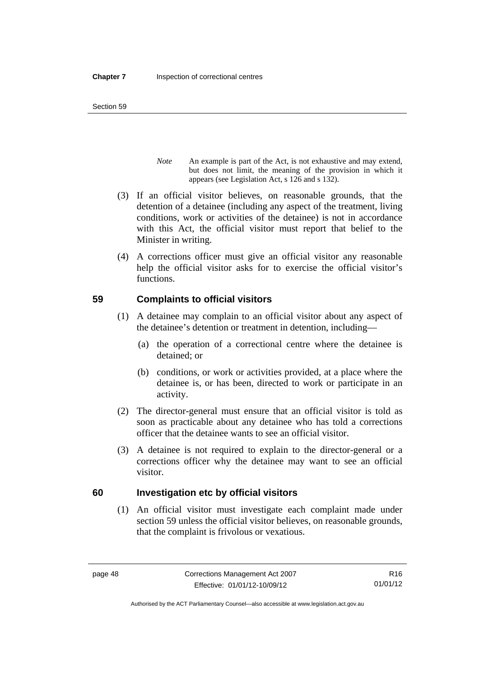- *Note* An example is part of the Act, is not exhaustive and may extend, but does not limit, the meaning of the provision in which it appears (see Legislation Act, s 126 and s 132).
- (3) If an official visitor believes, on reasonable grounds, that the detention of a detainee (including any aspect of the treatment, living conditions, work or activities of the detainee) is not in accordance with this Act, the official visitor must report that belief to the Minister in writing.
- (4) A corrections officer must give an official visitor any reasonable help the official visitor asks for to exercise the official visitor's functions.

# **59 Complaints to official visitors**

- (1) A detainee may complain to an official visitor about any aspect of the detainee's detention or treatment in detention, including—
	- (a) the operation of a correctional centre where the detainee is detained; or
	- (b) conditions, or work or activities provided, at a place where the detainee is, or has been, directed to work or participate in an activity.
- (2) The director-general must ensure that an official visitor is told as soon as practicable about any detainee who has told a corrections officer that the detainee wants to see an official visitor.
- (3) A detainee is not required to explain to the director-general or a corrections officer why the detainee may want to see an official visitor.

# **60 Investigation etc by official visitors**

 (1) An official visitor must investigate each complaint made under section 59 unless the official visitor believes, on reasonable grounds, that the complaint is frivolous or vexatious.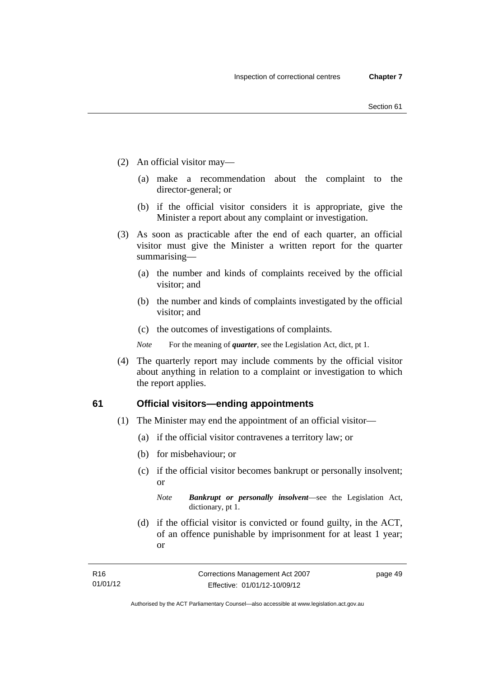- (2) An official visitor may—
	- (a) make a recommendation about the complaint to the director-general; or
	- (b) if the official visitor considers it is appropriate, give the Minister a report about any complaint or investigation.
- (3) As soon as practicable after the end of each quarter, an official visitor must give the Minister a written report for the quarter summarising—
	- (a) the number and kinds of complaints received by the official visitor; and
	- (b) the number and kinds of complaints investigated by the official visitor; and
	- (c) the outcomes of investigations of complaints.
	- *Note* For the meaning of *quarter*, see the Legislation Act, dict, pt 1.
- (4) The quarterly report may include comments by the official visitor about anything in relation to a complaint or investigation to which the report applies.

### **61 Official visitors—ending appointments**

- (1) The Minister may end the appointment of an official visitor—
	- (a) if the official visitor contravenes a territory law; or
	- (b) for misbehaviour; or
	- (c) if the official visitor becomes bankrupt or personally insolvent; or

*Note Bankrupt or personally insolvent*—see the Legislation Act, dictionary, pt 1.

 (d) if the official visitor is convicted or found guilty, in the ACT, of an offence punishable by imprisonment for at least 1 year; or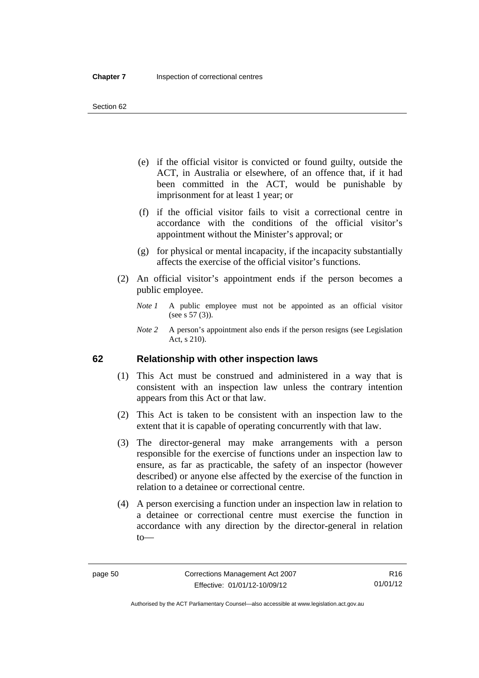- (e) if the official visitor is convicted or found guilty, outside the ACT, in Australia or elsewhere, of an offence that, if it had been committed in the ACT, would be punishable by imprisonment for at least 1 year; or
- (f) if the official visitor fails to visit a correctional centre in accordance with the conditions of the official visitor's appointment without the Minister's approval; or
- (g) for physical or mental incapacity, if the incapacity substantially affects the exercise of the official visitor's functions.
- (2) An official visitor's appointment ends if the person becomes a public employee.
	- *Note 1* A public employee must not be appointed as an official visitor (see s 57 (3)).
	- *Note 2* A person's appointment also ends if the person resigns (see Legislation Act, s 210).

# **62 Relationship with other inspection laws**

- (1) This Act must be construed and administered in a way that is consistent with an inspection law unless the contrary intention appears from this Act or that law.
- (2) This Act is taken to be consistent with an inspection law to the extent that it is capable of operating concurrently with that law.
- (3) The director-general may make arrangements with a person responsible for the exercise of functions under an inspection law to ensure, as far as practicable, the safety of an inspector (however described) or anyone else affected by the exercise of the function in relation to a detainee or correctional centre.
- (4) A person exercising a function under an inspection law in relation to a detainee or correctional centre must exercise the function in accordance with any direction by the director-general in relation to—

Authorised by the ACT Parliamentary Counsel—also accessible at www.legislation.act.gov.au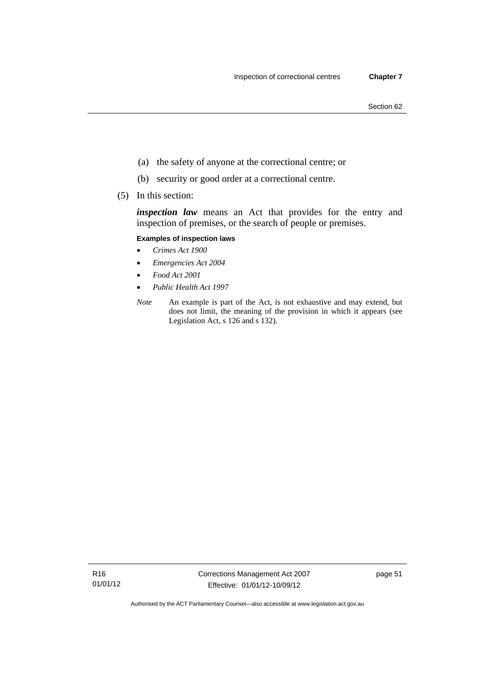- (a) the safety of anyone at the correctional centre; or
- (b) security or good order at a correctional centre.
- (5) In this section:

*inspection law* means an Act that provides for the entry and inspection of premises, or the search of people or premises.

### **Examples of inspection laws**

- *Crimes Act 1900*
- *Emergencies Act 2004*
- *Food Act 2001*
- *Public Health Act 1997*
- *Note* An example is part of the Act, is not exhaustive and may extend, but does not limit, the meaning of the provision in which it appears (see Legislation Act, s 126 and s 132).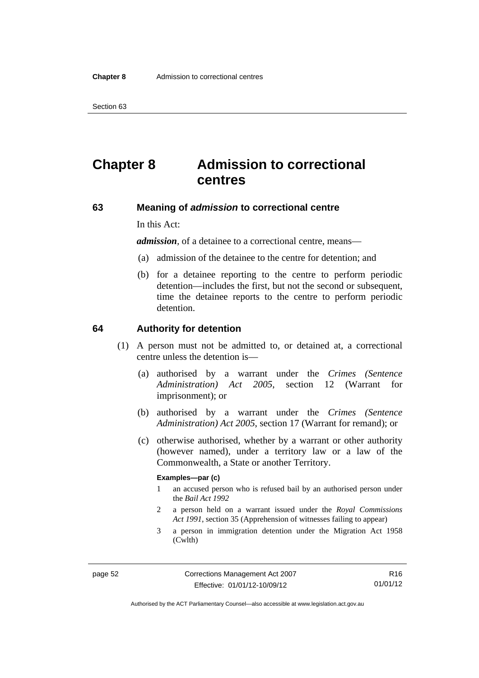# **Chapter 8 Admission to correctional centres**

### **63 Meaning of** *admission* **to correctional centre**

In this Act:

*admission,* of a detainee to a correctional centre, means—

- (a) admission of the detainee to the centre for detention; and
- (b) for a detainee reporting to the centre to perform periodic detention—includes the first, but not the second or subsequent, time the detainee reports to the centre to perform periodic detention.

### **64 Authority for detention**

- (1) A person must not be admitted to, or detained at, a correctional centre unless the detention is—
	- (a) authorised by a warrant under the *Crimes (Sentence Administration) Act 2005*, section 12 (Warrant for imprisonment); or
	- (b) authorised by a warrant under the *Crimes (Sentence Administration) Act 2005*, section 17 (Warrant for remand); or
	- (c) otherwise authorised, whether by a warrant or other authority (however named), under a territory law or a law of the Commonwealth, a State or another Territory.

#### **Examples—par (c)**

- 1 an accused person who is refused bail by an authorised person under the *Bail Act 1992*
- 2 a person held on a warrant issued under the *Royal Commissions Act 1991*, section 35 (Apprehension of witnesses failing to appear)
- 3 a person in immigration detention under the Migration Act 1958 (Cwlth)

R16 01/01/12

Authorised by the ACT Parliamentary Counsel—also accessible at www.legislation.act.gov.au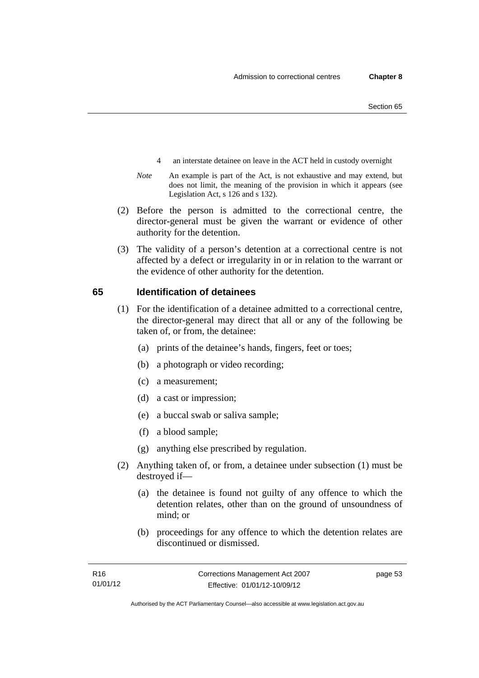- 4 an interstate detainee on leave in the ACT held in custody overnight
- *Note* An example is part of the Act, is not exhaustive and may extend, but does not limit, the meaning of the provision in which it appears (see Legislation Act, s 126 and s 132).
- (2) Before the person is admitted to the correctional centre, the director-general must be given the warrant or evidence of other authority for the detention.
- (3) The validity of a person's detention at a correctional centre is not affected by a defect or irregularity in or in relation to the warrant or the evidence of other authority for the detention.

## **65 Identification of detainees**

- (1) For the identification of a detainee admitted to a correctional centre, the director-general may direct that all or any of the following be taken of, or from, the detainee:
	- (a) prints of the detainee's hands, fingers, feet or toes;
	- (b) a photograph or video recording;
	- (c) a measurement;
	- (d) a cast or impression;
	- (e) a buccal swab or saliva sample;
	- (f) a blood sample;
	- (g) anything else prescribed by regulation.
- (2) Anything taken of, or from, a detainee under subsection (1) must be destroyed if—
	- (a) the detainee is found not guilty of any offence to which the detention relates, other than on the ground of unsoundness of mind; or
	- (b) proceedings for any offence to which the detention relates are discontinued or dismissed.

page 53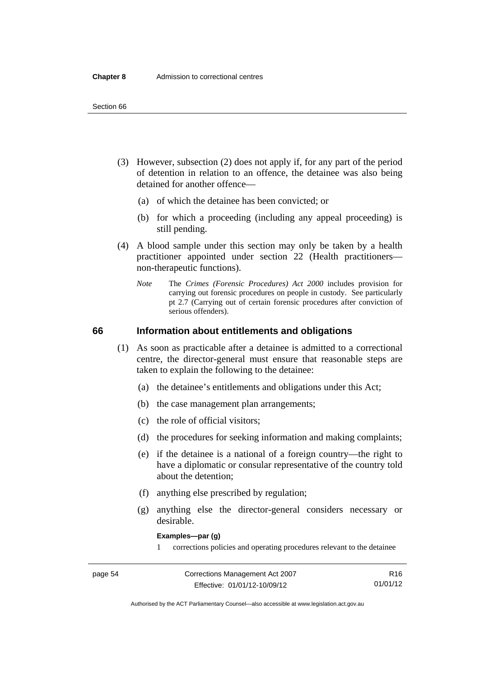- (3) However, subsection (2) does not apply if, for any part of the period of detention in relation to an offence, the detainee was also being detained for another offence—
	- (a) of which the detainee has been convicted; or
	- (b) for which a proceeding (including any appeal proceeding) is still pending.
- (4) A blood sample under this section may only be taken by a health practitioner appointed under section 22 (Health practitioners non-therapeutic functions).
	- *Note* The *Crimes (Forensic Procedures) Act 2000* includes provision for carrying out forensic procedures on people in custody. See particularly pt 2.7 (Carrying out of certain forensic procedures after conviction of serious offenders).

## **66 Information about entitlements and obligations**

- (1) As soon as practicable after a detainee is admitted to a correctional centre, the director-general must ensure that reasonable steps are taken to explain the following to the detainee:
	- (a) the detainee's entitlements and obligations under this Act;
	- (b) the case management plan arrangements;
	- (c) the role of official visitors;
	- (d) the procedures for seeking information and making complaints;
	- (e) if the detainee is a national of a foreign country—the right to have a diplomatic or consular representative of the country told about the detention;
	- (f) anything else prescribed by regulation;
	- (g) anything else the director-general considers necessary or desirable.

**Examples—par (g)** 

1 corrections policies and operating procedures relevant to the detainee

| page 54 | Corrections Management Act 2007 | R16      |
|---------|---------------------------------|----------|
|         | Effective: 01/01/12-10/09/12    | 01/01/12 |

Authorised by the ACT Parliamentary Counsel—also accessible at www.legislation.act.gov.au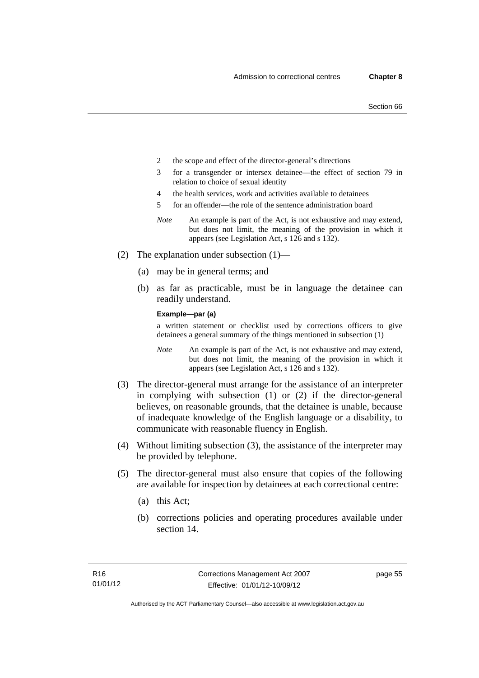- 2 the scope and effect of the director-general's directions
- 3 for a transgender or intersex detainee—the effect of section 79 in relation to choice of sexual identity
- 4 the health services, work and activities available to detainees
- 5 for an offender—the role of the sentence administration board
- *Note* An example is part of the Act, is not exhaustive and may extend, but does not limit, the meaning of the provision in which it appears (see Legislation Act, s 126 and s 132).
- (2) The explanation under subsection (1)—
	- (a) may be in general terms; and
	- (b) as far as practicable, must be in language the detainee can readily understand.

**Example—par (a)** 

a written statement or checklist used by corrections officers to give detainees a general summary of the things mentioned in subsection (1)

- *Note* An example is part of the Act, is not exhaustive and may extend, but does not limit, the meaning of the provision in which it appears (see Legislation Act, s 126 and s 132).
- (3) The director-general must arrange for the assistance of an interpreter in complying with subsection (1) or (2) if the director-general believes, on reasonable grounds, that the detainee is unable, because of inadequate knowledge of the English language or a disability, to communicate with reasonable fluency in English.
- (4) Without limiting subsection (3), the assistance of the interpreter may be provided by telephone.
- (5) The director-general must also ensure that copies of the following are available for inspection by detainees at each correctional centre:
	- (a) this Act;
	- (b) corrections policies and operating procedures available under section 14.

page 55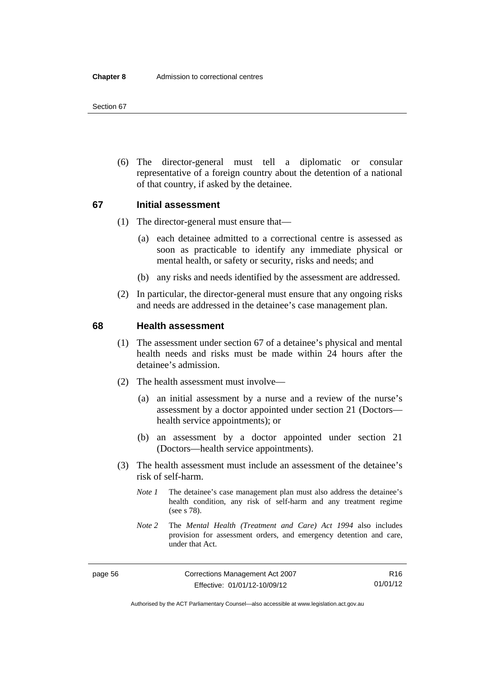(6) The director-general must tell a diplomatic or consular representative of a foreign country about the detention of a national of that country, if asked by the detainee.

## **67 Initial assessment**

- (1) The director-general must ensure that—
	- (a) each detainee admitted to a correctional centre is assessed as soon as practicable to identify any immediate physical or mental health, or safety or security, risks and needs; and
	- (b) any risks and needs identified by the assessment are addressed.
- (2) In particular, the director-general must ensure that any ongoing risks and needs are addressed in the detainee's case management plan.

### **68 Health assessment**

- (1) The assessment under section 67 of a detainee's physical and mental health needs and risks must be made within 24 hours after the detainee's admission.
- (2) The health assessment must involve—
	- (a) an initial assessment by a nurse and a review of the nurse's assessment by a doctor appointed under section 21 (Doctors health service appointments); or
	- (b) an assessment by a doctor appointed under section 21 (Doctors—health service appointments).
- (3) The health assessment must include an assessment of the detainee's risk of self-harm.
	- *Note 1* The detainee's case management plan must also address the detainee's health condition, any risk of self-harm and any treatment regime (see s 78).
	- *Note 2* The *Mental Health (Treatment and Care) Act 1994* also includes provision for assessment orders, and emergency detention and care, under that Act.

R16 01/01/12

Authorised by the ACT Parliamentary Counsel—also accessible at www.legislation.act.gov.au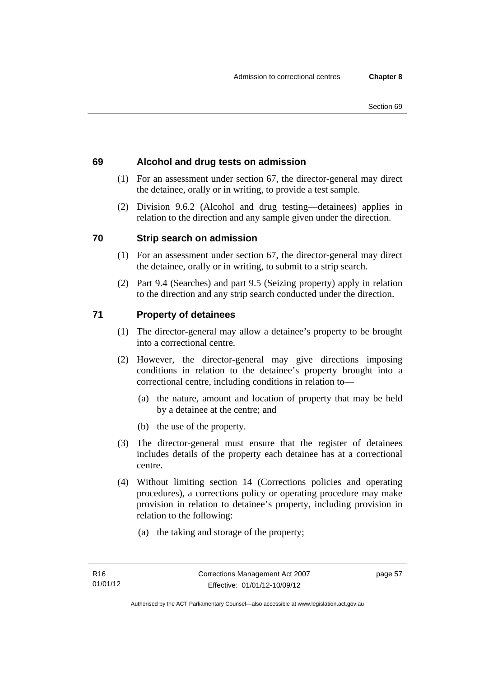# **69 Alcohol and drug tests on admission**

- (1) For an assessment under section 67, the director-general may direct the detainee, orally or in writing, to provide a test sample.
- (2) Division 9.6.2 (Alcohol and drug testing—detainees) applies in relation to the direction and any sample given under the direction.

# **70 Strip search on admission**

- (1) For an assessment under section 67, the director-general may direct the detainee, orally or in writing, to submit to a strip search.
- (2) Part 9.4 (Searches) and part 9.5 (Seizing property) apply in relation to the direction and any strip search conducted under the direction.

# **71 Property of detainees**

- (1) The director-general may allow a detainee's property to be brought into a correctional centre.
- (2) However, the director-general may give directions imposing conditions in relation to the detainee's property brought into a correctional centre, including conditions in relation to—
	- (a) the nature, amount and location of property that may be held by a detainee at the centre; and
	- (b) the use of the property.
- (3) The director-general must ensure that the register of detainees includes details of the property each detainee has at a correctional centre.
- (4) Without limiting section 14 (Corrections policies and operating procedures), a corrections policy or operating procedure may make provision in relation to detainee's property, including provision in relation to the following:
	- (a) the taking and storage of the property;

page 57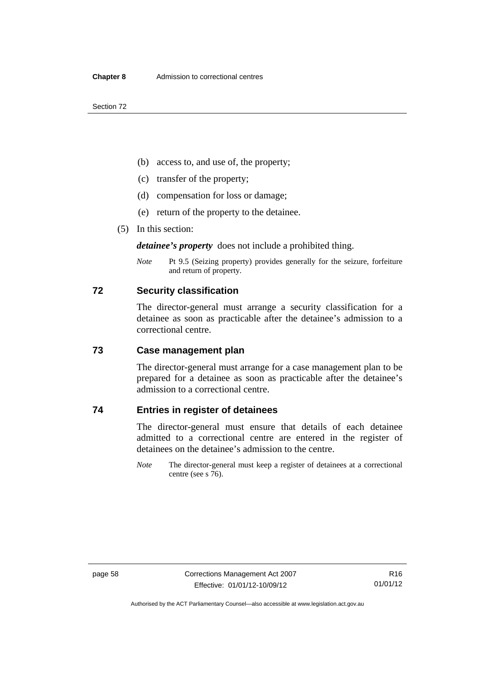- (b) access to, and use of, the property;
- (c) transfer of the property;
- (d) compensation for loss or damage;
- (e) return of the property to the detainee.
- (5) In this section:

*detainee's property* does not include a prohibited thing.

*Note* Pt 9.5 (Seizing property) provides generally for the seizure, forfeiture and return of property.

#### **72 Security classification**

The director-general must arrange a security classification for a detainee as soon as practicable after the detainee's admission to a correctional centre.

# **73 Case management plan**

The director-general must arrange for a case management plan to be prepared for a detainee as soon as practicable after the detainee's admission to a correctional centre.

# **74 Entries in register of detainees**

The director-general must ensure that details of each detainee admitted to a correctional centre are entered in the register of detainees on the detainee's admission to the centre.

*Note* The director-general must keep a register of detainees at a correctional centre (see s 76).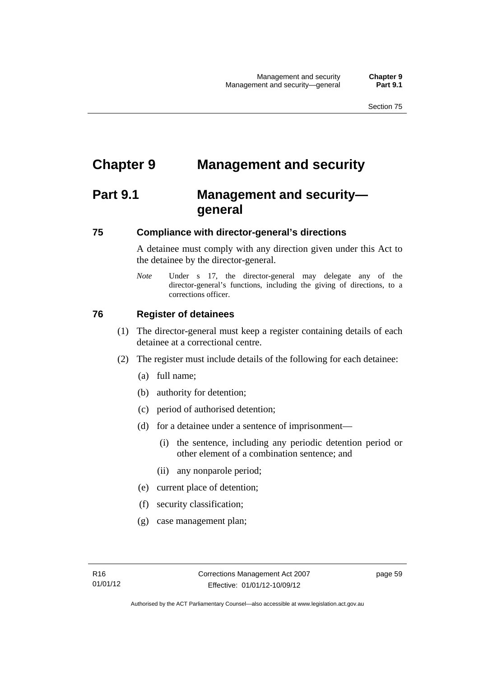# **Chapter 9 Management and security**

# **Part 9.1 Management and security general**

## **75 Compliance with director-general's directions**

A detainee must comply with any direction given under this Act to the detainee by the director-general.

*Note* Under s 17, the director-general may delegate any of the director-general's functions, including the giving of directions, to a corrections officer.

## **76 Register of detainees**

- (1) The director-general must keep a register containing details of each detainee at a correctional centre.
- (2) The register must include details of the following for each detainee:
	- (a) full name;
	- (b) authority for detention;
	- (c) period of authorised detention;
	- (d) for a detainee under a sentence of imprisonment—
		- (i) the sentence, including any periodic detention period or other element of a combination sentence; and
		- (ii) any nonparole period;
	- (e) current place of detention;
	- (f) security classification;
	- (g) case management plan;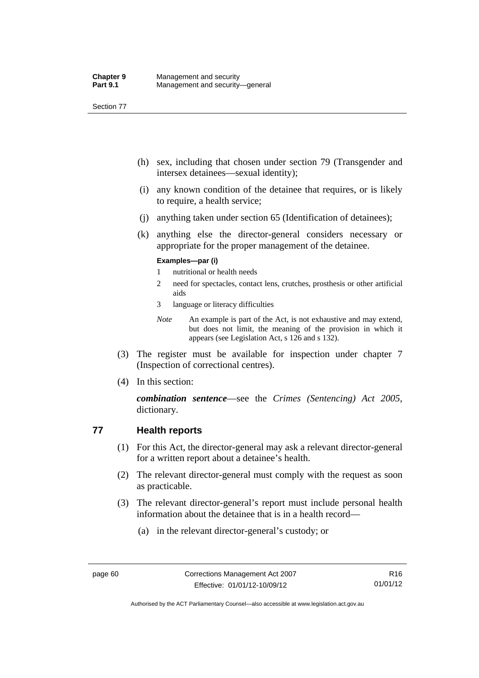- (h) sex, including that chosen under section 79 (Transgender and intersex detainees—sexual identity);
- (i) any known condition of the detainee that requires, or is likely to require, a health service;
- (j) anything taken under section 65 (Identification of detainees);
- (k) anything else the director-general considers necessary or appropriate for the proper management of the detainee.

#### **Examples—par (i)**

- 1 nutritional or health needs
- 2 need for spectacles, contact lens, crutches, prosthesis or other artificial aids
- 3 language or literacy difficulties
- *Note* An example is part of the Act, is not exhaustive and may extend, but does not limit, the meaning of the provision in which it appears (see Legislation Act, s 126 and s 132).
- (3) The register must be available for inspection under chapter 7 (Inspection of correctional centres).
- (4) In this section:

*combination sentence*—see the *Crimes (Sentencing) Act 2005*, dictionary.

## **77 Health reports**

- (1) For this Act, the director-general may ask a relevant director-general for a written report about a detainee's health.
- (2) The relevant director-general must comply with the request as soon as practicable.
- (3) The relevant director-general's report must include personal health information about the detainee that is in a health record—
	- (a) in the relevant director-general's custody; or

Authorised by the ACT Parliamentary Counsel—also accessible at www.legislation.act.gov.au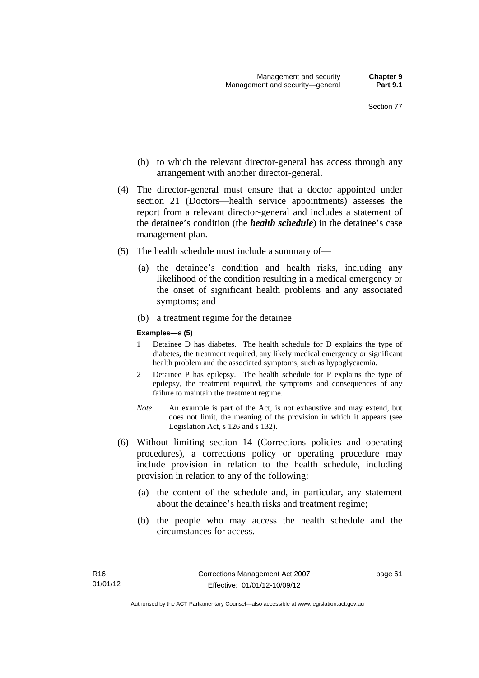- (b) to which the relevant director-general has access through any arrangement with another director-general.
- (4) The director-general must ensure that a doctor appointed under section 21 (Doctors—health service appointments) assesses the report from a relevant director-general and includes a statement of the detainee's condition (the *health schedule*) in the detainee's case management plan.
- (5) The health schedule must include a summary of—
	- (a) the detainee's condition and health risks, including any likelihood of the condition resulting in a medical emergency or the onset of significant health problems and any associated symptoms; and
	- (b) a treatment regime for the detainee

#### **Examples—s (5)**

- 1 Detainee D has diabetes. The health schedule for D explains the type of diabetes, the treatment required, any likely medical emergency or significant health problem and the associated symptoms, such as hypoglycaemia.
- 2 Detainee P has epilepsy. The health schedule for P explains the type of epilepsy, the treatment required, the symptoms and consequences of any failure to maintain the treatment regime.
- *Note* An example is part of the Act, is not exhaustive and may extend, but does not limit, the meaning of the provision in which it appears (see Legislation Act, s 126 and s 132).
- (6) Without limiting section 14 (Corrections policies and operating procedures), a corrections policy or operating procedure may include provision in relation to the health schedule, including provision in relation to any of the following:
	- (a) the content of the schedule and, in particular, any statement about the detainee's health risks and treatment regime;
	- (b) the people who may access the health schedule and the circumstances for access.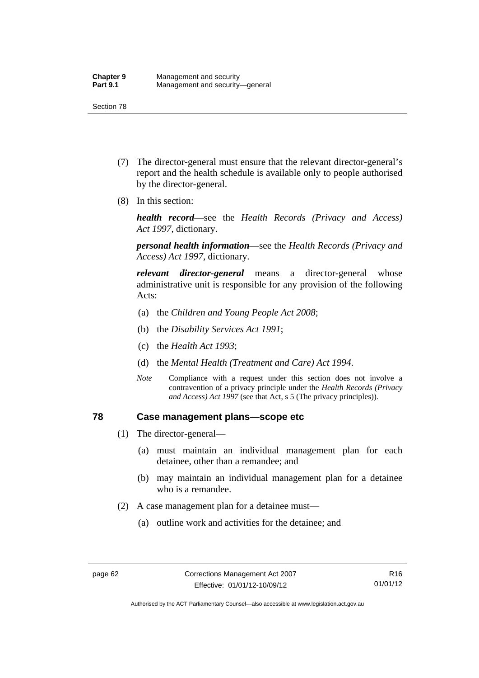- (7) The director-general must ensure that the relevant director-general's report and the health schedule is available only to people authorised by the director-general.
- (8) In this section:

*health record*—see the *Health Records (Privacy and Access) Act 1997*, dictionary.

*personal health information*—see the *Health Records (Privacy and Access) Act 1997*, dictionary.

*relevant director-general* means a director-general whose administrative unit is responsible for any provision of the following Acts:

- (a) the *Children and Young People Act 2008*;
- (b) the *Disability Services Act 1991*;
- (c) the *Health Act 1993*;
- (d) the *Mental Health (Treatment and Care) Act 1994*.
- *Note* Compliance with a request under this section does not involve a contravention of a privacy principle under the *Health Records (Privacy and Access) Act 1997* (see that Act, s 5 (The privacy principles))*.*

#### **78 Case management plans—scope etc**

- (1) The director-general—
	- (a) must maintain an individual management plan for each detainee, other than a remandee; and
	- (b) may maintain an individual management plan for a detainee who is a remandee.
- (2) A case management plan for a detainee must—
	- (a) outline work and activities for the detainee; and

Authorised by the ACT Parliamentary Counsel—also accessible at www.legislation.act.gov.au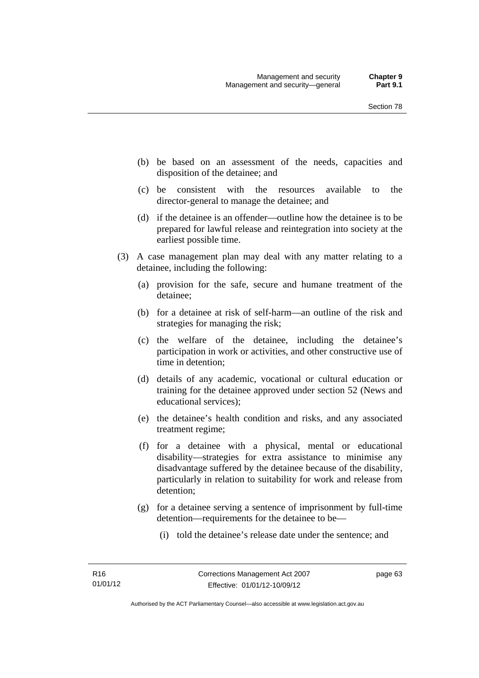- (b) be based on an assessment of the needs, capacities and disposition of the detainee; and
- (c) be consistent with the resources available to the director-general to manage the detainee; and
- (d) if the detainee is an offender—outline how the detainee is to be prepared for lawful release and reintegration into society at the earliest possible time.
- (3) A case management plan may deal with any matter relating to a detainee, including the following:
	- (a) provision for the safe, secure and humane treatment of the detainee;
	- (b) for a detainee at risk of self-harm—an outline of the risk and strategies for managing the risk;
	- (c) the welfare of the detainee, including the detainee's participation in work or activities, and other constructive use of time in detention;
	- (d) details of any academic, vocational or cultural education or training for the detainee approved under section 52 (News and educational services);
	- (e) the detainee's health condition and risks, and any associated treatment regime;
	- (f) for a detainee with a physical, mental or educational disability—strategies for extra assistance to minimise any disadvantage suffered by the detainee because of the disability, particularly in relation to suitability for work and release from detention;
	- (g) for a detainee serving a sentence of imprisonment by full-time detention—requirements for the detainee to be—
		- (i) told the detainee's release date under the sentence; and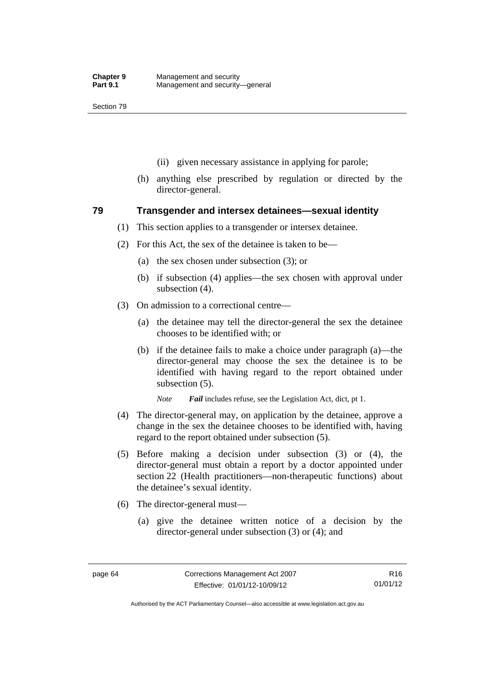- (ii) given necessary assistance in applying for parole;
- (h) anything else prescribed by regulation or directed by the director-general.

#### **79 Transgender and intersex detainees—sexual identity**

- (1) This section applies to a transgender or intersex detainee.
- (2) For this Act, the sex of the detainee is taken to be—
	- (a) the sex chosen under subsection (3); or
	- (b) if subsection (4) applies—the sex chosen with approval under subsection (4).
- (3) On admission to a correctional centre—
	- (a) the detainee may tell the director-general the sex the detainee chooses to be identified with; or
	- (b) if the detainee fails to make a choice under paragraph (a)—the director-general may choose the sex the detainee is to be identified with having regard to the report obtained under subsection (5).

*Note Fail* includes refuse, see the Legislation Act, dict, pt 1.

- (4) The director-general may, on application by the detainee, approve a change in the sex the detainee chooses to be identified with, having regard to the report obtained under subsection (5).
- (5) Before making a decision under subsection (3) or (4), the director-general must obtain a report by a doctor appointed under section 22 (Health practitioners—non-therapeutic functions) about the detainee's sexual identity.
- (6) The director-general must—
	- (a) give the detainee written notice of a decision by the director-general under subsection (3) or (4); and

R16 01/01/12

Authorised by the ACT Parliamentary Counsel—also accessible at www.legislation.act.gov.au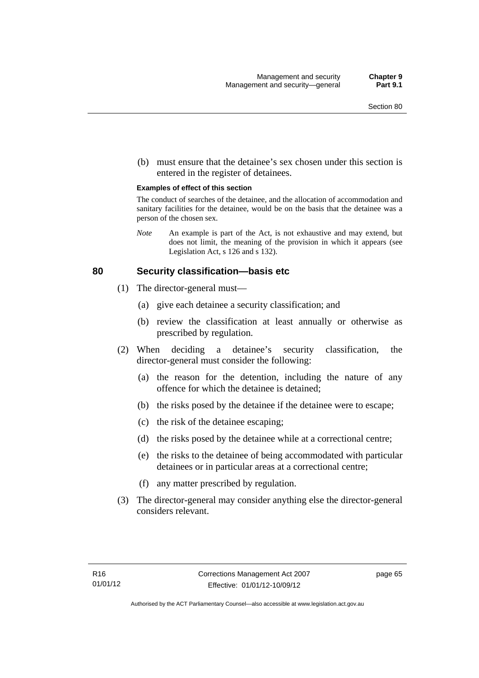(b) must ensure that the detainee's sex chosen under this section is entered in the register of detainees.

#### **Examples of effect of this section**

The conduct of searches of the detainee, and the allocation of accommodation and sanitary facilities for the detainee, would be on the basis that the detainee was a person of the chosen sex.

*Note* An example is part of the Act, is not exhaustive and may extend, but does not limit, the meaning of the provision in which it appears (see Legislation Act, s 126 and s 132).

#### **80 Security classification—basis etc**

- (1) The director-general must—
	- (a) give each detainee a security classification; and
	- (b) review the classification at least annually or otherwise as prescribed by regulation.
- (2) When deciding a detainee's security classification, the director-general must consider the following:
	- (a) the reason for the detention, including the nature of any offence for which the detainee is detained;
	- (b) the risks posed by the detainee if the detainee were to escape;
	- (c) the risk of the detainee escaping;
	- (d) the risks posed by the detainee while at a correctional centre;
	- (e) the risks to the detainee of being accommodated with particular detainees or in particular areas at a correctional centre;
	- (f) any matter prescribed by regulation.
- (3) The director-general may consider anything else the director-general considers relevant.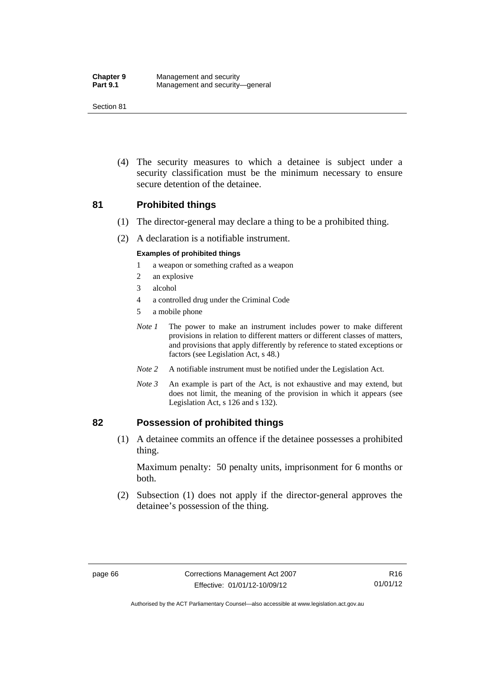(4) The security measures to which a detainee is subject under a security classification must be the minimum necessary to ensure secure detention of the detainee.

#### **81 Prohibited things**

- (1) The director-general may declare a thing to be a prohibited thing.
- (2) A declaration is a notifiable instrument.

#### **Examples of prohibited things**

- 1 a weapon or something crafted as a weapon
- 2 an explosive
- 3 alcohol
- 4 a controlled drug under the Criminal Code
- 5 a mobile phone
- *Note 1* The power to make an instrument includes power to make different provisions in relation to different matters or different classes of matters, and provisions that apply differently by reference to stated exceptions or factors (see Legislation Act, s 48.)
- *Note 2* A notifiable instrument must be notified under the Legislation Act.
- *Note 3* An example is part of the Act, is not exhaustive and may extend, but does not limit, the meaning of the provision in which it appears (see Legislation Act, s 126 and s 132).

#### **82 Possession of prohibited things**

 (1) A detainee commits an offence if the detainee possesses a prohibited thing.

Maximum penalty: 50 penalty units, imprisonment for 6 months or both.

 (2) Subsection (1) does not apply if the director-general approves the detainee's possession of the thing.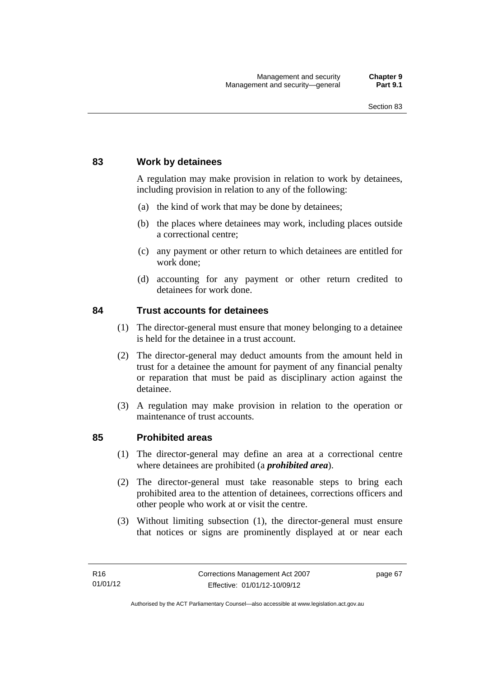## **83 Work by detainees**

A regulation may make provision in relation to work by detainees, including provision in relation to any of the following:

- (a) the kind of work that may be done by detainees;
- (b) the places where detainees may work, including places outside a correctional centre;
- (c) any payment or other return to which detainees are entitled for work done;
- (d) accounting for any payment or other return credited to detainees for work done.

#### **84 Trust accounts for detainees**

- (1) The director-general must ensure that money belonging to a detainee is held for the detainee in a trust account.
- (2) The director-general may deduct amounts from the amount held in trust for a detainee the amount for payment of any financial penalty or reparation that must be paid as disciplinary action against the detainee.
- (3) A regulation may make provision in relation to the operation or maintenance of trust accounts.

#### **85 Prohibited areas**

- (1) The director-general may define an area at a correctional centre where detainees are prohibited (a *prohibited area*).
- (2) The director-general must take reasonable steps to bring each prohibited area to the attention of detainees, corrections officers and other people who work at or visit the centre.
- (3) Without limiting subsection (1), the director-general must ensure that notices or signs are prominently displayed at or near each

page 67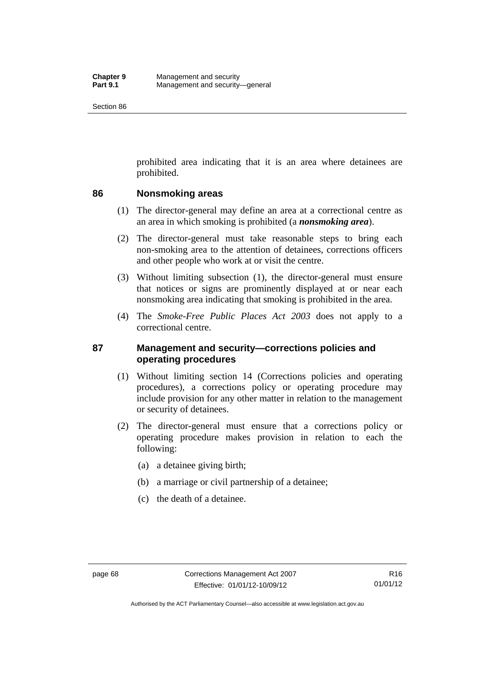prohibited area indicating that it is an area where detainees are prohibited.

## **86 Nonsmoking areas**

- (1) The director-general may define an area at a correctional centre as an area in which smoking is prohibited (a *nonsmoking area*).
- (2) The director-general must take reasonable steps to bring each non-smoking area to the attention of detainees, corrections officers and other people who work at or visit the centre.
- (3) Without limiting subsection (1), the director-general must ensure that notices or signs are prominently displayed at or near each nonsmoking area indicating that smoking is prohibited in the area.
- (4) The *Smoke-Free Public Places Act 2003* does not apply to a correctional centre.

## **87 Management and security—corrections policies and operating procedures**

- (1) Without limiting section 14 (Corrections policies and operating procedures), a corrections policy or operating procedure may include provision for any other matter in relation to the management or security of detainees.
- (2) The director-general must ensure that a corrections policy or operating procedure makes provision in relation to each the following:
	- (a) a detainee giving birth;
	- (b) a marriage or civil partnership of a detainee;
	- (c) the death of a detainee.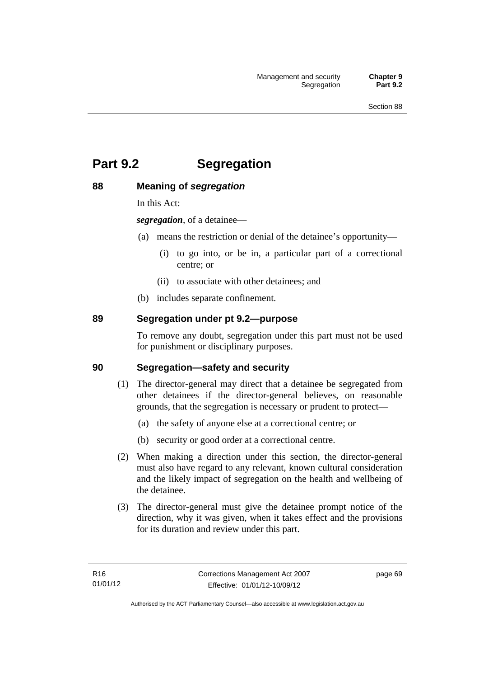# **Part 9.2 Segregation**

## **88 Meaning of** *segregation*

In this Act:

*segregation*, of a detainee—

- (a) means the restriction or denial of the detainee's opportunity—
	- (i) to go into, or be in, a particular part of a correctional centre; or
	- (ii) to associate with other detainees; and
- (b) includes separate confinement.

## **89 Segregation under pt 9.2—purpose**

To remove any doubt, segregation under this part must not be used for punishment or disciplinary purposes.

#### **90 Segregation—safety and security**

- (1) The director-general may direct that a detainee be segregated from other detainees if the director-general believes, on reasonable grounds, that the segregation is necessary or prudent to protect—
	- (a) the safety of anyone else at a correctional centre; or
	- (b) security or good order at a correctional centre.
- (2) When making a direction under this section, the director-general must also have regard to any relevant, known cultural consideration and the likely impact of segregation on the health and wellbeing of the detainee.
- (3) The director-general must give the detainee prompt notice of the direction, why it was given, when it takes effect and the provisions for its duration and review under this part.

page 69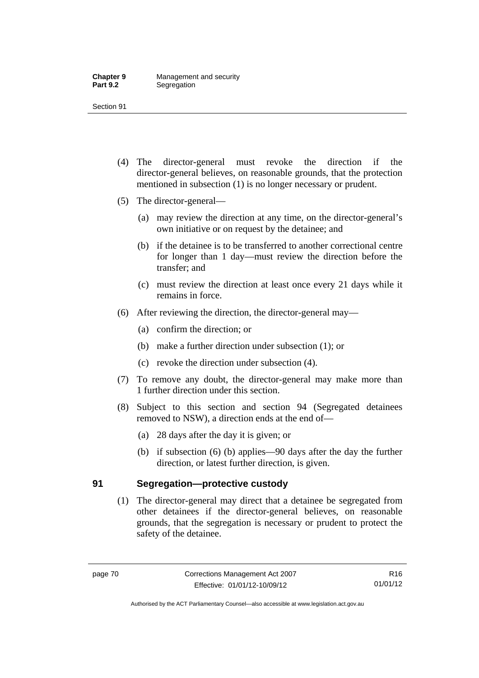- (4) The director-general must revoke the direction if the director-general believes, on reasonable grounds, that the protection mentioned in subsection (1) is no longer necessary or prudent.
- (5) The director-general—
	- (a) may review the direction at any time, on the director-general's own initiative or on request by the detainee; and
	- (b) if the detainee is to be transferred to another correctional centre for longer than 1 day—must review the direction before the transfer; and
	- (c) must review the direction at least once every 21 days while it remains in force.
- (6) After reviewing the direction, the director-general may—
	- (a) confirm the direction; or
	- (b) make a further direction under subsection (1); or
	- (c) revoke the direction under subsection (4).
- (7) To remove any doubt, the director-general may make more than 1 further direction under this section.
- (8) Subject to this section and section 94 (Segregated detainees removed to NSW), a direction ends at the end of—
	- (a) 28 days after the day it is given; or
	- (b) if subsection (6) (b) applies—90 days after the day the further direction, or latest further direction, is given.

## **91 Segregation—protective custody**

 (1) The director-general may direct that a detainee be segregated from other detainees if the director-general believes, on reasonable grounds, that the segregation is necessary or prudent to protect the safety of the detainee.

Authorised by the ACT Parliamentary Counsel—also accessible at www.legislation.act.gov.au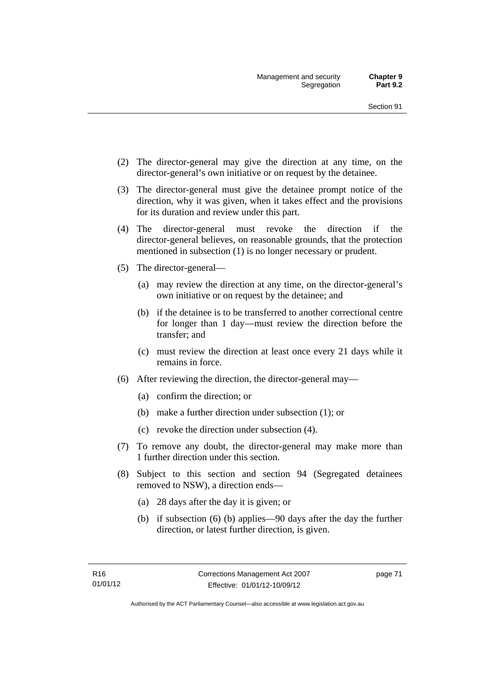- (2) The director-general may give the direction at any time, on the director-general's own initiative or on request by the detainee.
- (3) The director-general must give the detainee prompt notice of the direction, why it was given, when it takes effect and the provisions for its duration and review under this part.
- (4) The director-general must revoke the direction if the director-general believes, on reasonable grounds, that the protection mentioned in subsection (1) is no longer necessary or prudent.
- (5) The director-general—
	- (a) may review the direction at any time, on the director-general's own initiative or on request by the detainee; and
	- (b) if the detainee is to be transferred to another correctional centre for longer than 1 day—must review the direction before the transfer; and
	- (c) must review the direction at least once every 21 days while it remains in force.
- (6) After reviewing the direction, the director-general may—
	- (a) confirm the direction; or
	- (b) make a further direction under subsection (1); or
	- (c) revoke the direction under subsection (4).
- (7) To remove any doubt, the director-general may make more than 1 further direction under this section.
- (8) Subject to this section and section 94 (Segregated detainees removed to NSW), a direction ends—
	- (a) 28 days after the day it is given; or
	- (b) if subsection (6) (b) applies—90 days after the day the further direction, or latest further direction, is given.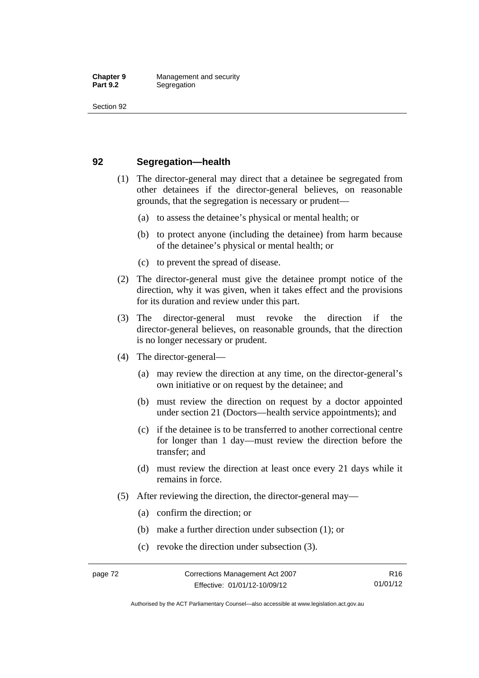### **92 Segregation—health**

- (1) The director-general may direct that a detainee be segregated from other detainees if the director-general believes, on reasonable grounds, that the segregation is necessary or prudent—
	- (a) to assess the detainee's physical or mental health; or
	- (b) to protect anyone (including the detainee) from harm because of the detainee's physical or mental health; or
	- (c) to prevent the spread of disease.
- (2) The director-general must give the detainee prompt notice of the direction, why it was given, when it takes effect and the provisions for its duration and review under this part.
- (3) The director-general must revoke the direction if the director-general believes, on reasonable grounds, that the direction is no longer necessary or prudent.
- (4) The director-general—
	- (a) may review the direction at any time, on the director-general's own initiative or on request by the detainee; and
	- (b) must review the direction on request by a doctor appointed under section 21 (Doctors—health service appointments); and
	- (c) if the detainee is to be transferred to another correctional centre for longer than 1 day—must review the direction before the transfer; and
	- (d) must review the direction at least once every 21 days while it remains in force.
- (5) After reviewing the direction, the director-general may—
	- (a) confirm the direction; or
	- (b) make a further direction under subsection (1); or
	- (c) revoke the direction under subsection (3).

Authorised by the ACT Parliamentary Counsel—also accessible at www.legislation.act.gov.au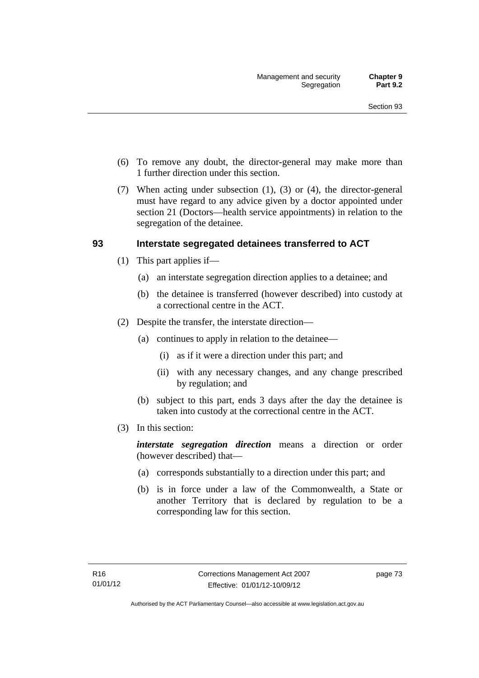- (6) To remove any doubt, the director-general may make more than 1 further direction under this section.
- (7) When acting under subsection (1), (3) or (4), the director-general must have regard to any advice given by a doctor appointed under section 21 (Doctors—health service appointments) in relation to the segregation of the detainee.

## **93 Interstate segregated detainees transferred to ACT**

- (1) This part applies if—
	- (a) an interstate segregation direction applies to a detainee; and
	- (b) the detainee is transferred (however described) into custody at a correctional centre in the ACT.
- (2) Despite the transfer, the interstate direction—
	- (a) continues to apply in relation to the detainee—
		- (i) as if it were a direction under this part; and
		- (ii) with any necessary changes, and any change prescribed by regulation; and
	- (b) subject to this part, ends 3 days after the day the detainee is taken into custody at the correctional centre in the ACT.
- (3) In this section:

*interstate segregation direction* means a direction or order (however described) that—

- (a) corresponds substantially to a direction under this part; and
- (b) is in force under a law of the Commonwealth, a State or another Territory that is declared by regulation to be a corresponding law for this section.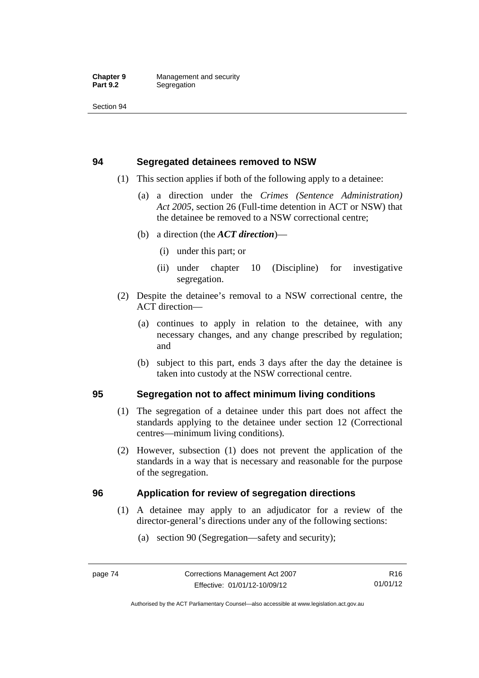## **94 Segregated detainees removed to NSW**

- (1) This section applies if both of the following apply to a detainee:
	- (a) a direction under the *Crimes (Sentence Administration) Act 2005*, section 26 (Full-time detention in ACT or NSW) that the detainee be removed to a NSW correctional centre;
	- (b) a direction (the *ACT direction*)—
		- (i) under this part; or
		- (ii) under chapter 10 (Discipline) for investigative segregation.
- (2) Despite the detainee's removal to a NSW correctional centre, the ACT direction—
	- (a) continues to apply in relation to the detainee, with any necessary changes, and any change prescribed by regulation; and
	- (b) subject to this part, ends 3 days after the day the detainee is taken into custody at the NSW correctional centre.

## **95 Segregation not to affect minimum living conditions**

- (1) The segregation of a detainee under this part does not affect the standards applying to the detainee under section 12 (Correctional centres—minimum living conditions).
- (2) However, subsection (1) does not prevent the application of the standards in a way that is necessary and reasonable for the purpose of the segregation.

## **96 Application for review of segregation directions**

- (1) A detainee may apply to an adjudicator for a review of the director-general's directions under any of the following sections:
	- (a) section 90 (Segregation—safety and security);

Authorised by the ACT Parliamentary Counsel—also accessible at www.legislation.act.gov.au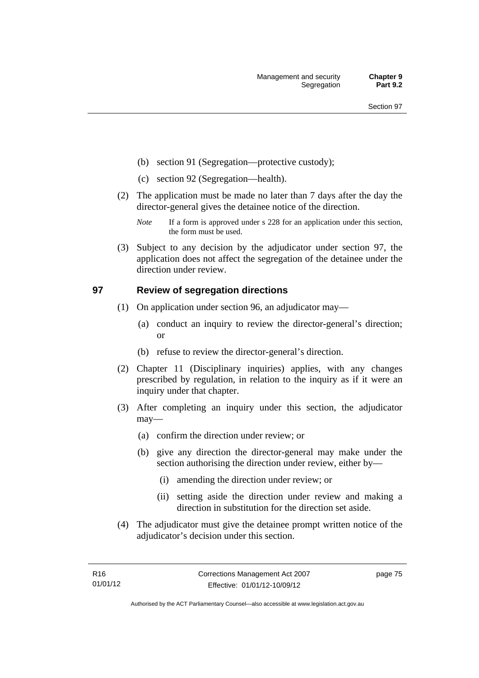- (b) section 91 (Segregation—protective custody);
- (c) section 92 (Segregation—health).
- (2) The application must be made no later than 7 days after the day the director-general gives the detainee notice of the direction.
	- *Note* If a form is approved under s 228 for an application under this section, the form must be used.
- (3) Subject to any decision by the adjudicator under section 97, the application does not affect the segregation of the detainee under the direction under review.

## **97 Review of segregation directions**

- (1) On application under section 96, an adjudicator may—
	- (a) conduct an inquiry to review the director-general's direction; or
	- (b) refuse to review the director-general's direction.
- (2) Chapter 11 (Disciplinary inquiries) applies, with any changes prescribed by regulation, in relation to the inquiry as if it were an inquiry under that chapter.
- (3) After completing an inquiry under this section, the adjudicator may—
	- (a) confirm the direction under review; or
	- (b) give any direction the director-general may make under the section authorising the direction under review, either by—
		- (i) amending the direction under review; or
		- (ii) setting aside the direction under review and making a direction in substitution for the direction set aside.
- (4) The adjudicator must give the detainee prompt written notice of the adjudicator's decision under this section.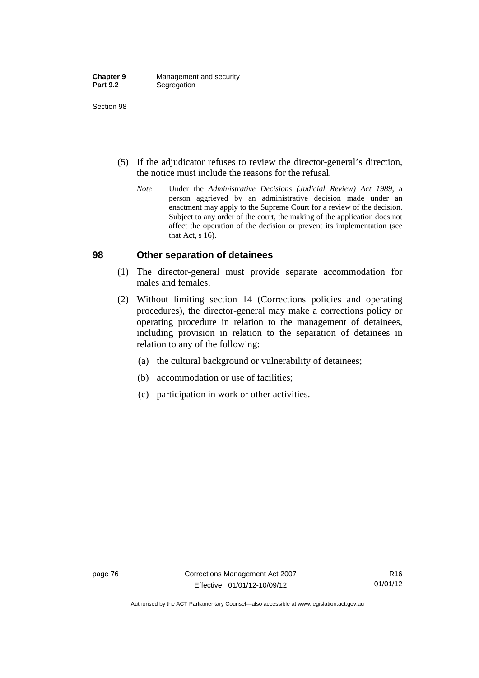- (5) If the adjudicator refuses to review the director-general's direction, the notice must include the reasons for the refusal.
	- *Note* Under the *Administrative Decisions (Judicial Review) Act 1989*, a person aggrieved by an administrative decision made under an enactment may apply to the Supreme Court for a review of the decision. Subject to any order of the court, the making of the application does not affect the operation of the decision or prevent its implementation (see that Act, s 16).

#### **98 Other separation of detainees**

- (1) The director-general must provide separate accommodation for males and females.
- (2) Without limiting section 14 (Corrections policies and operating procedures), the director-general may make a corrections policy or operating procedure in relation to the management of detainees, including provision in relation to the separation of detainees in relation to any of the following:
	- (a) the cultural background or vulnerability of detainees;
	- (b) accommodation or use of facilities;
	- (c) participation in work or other activities.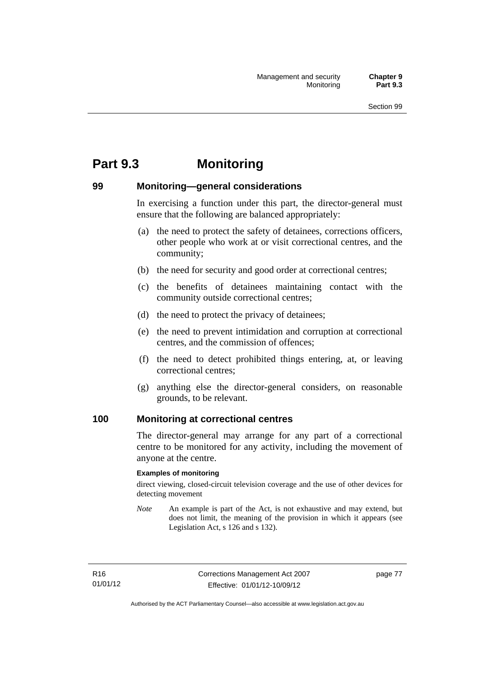# **Part 9.3 Monitoring**

## **99 Monitoring—general considerations**

In exercising a function under this part, the director-general must ensure that the following are balanced appropriately:

- (a) the need to protect the safety of detainees, corrections officers, other people who work at or visit correctional centres, and the community;
- (b) the need for security and good order at correctional centres;
- (c) the benefits of detainees maintaining contact with the community outside correctional centres;
- (d) the need to protect the privacy of detainees;
- (e) the need to prevent intimidation and corruption at correctional centres, and the commission of offences;
- (f) the need to detect prohibited things entering, at, or leaving correctional centres;
- (g) anything else the director-general considers, on reasonable grounds, to be relevant.

#### **100 Monitoring at correctional centres**

The director-general may arrange for any part of a correctional centre to be monitored for any activity, including the movement of anyone at the centre.

#### **Examples of monitoring**

direct viewing, closed-circuit television coverage and the use of other devices for detecting movement

*Note* An example is part of the Act, is not exhaustive and may extend, but does not limit, the meaning of the provision in which it appears (see Legislation Act, s 126 and s 132).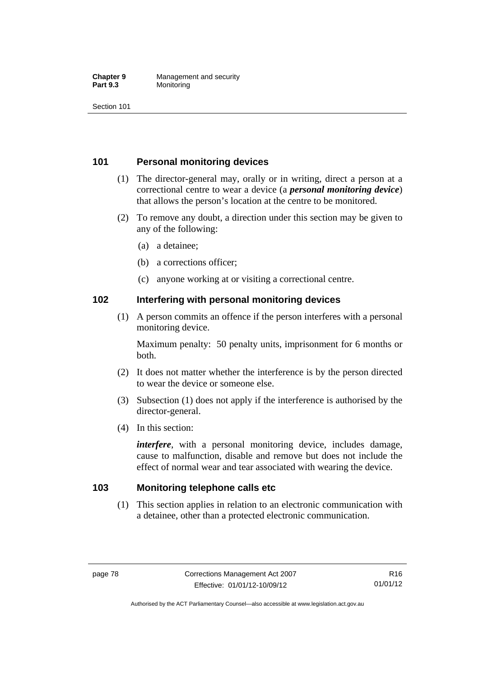#### **Chapter 9 Management and security**<br>**Part 9.3 Monitoring Monitoring**

Section 101

## **101 Personal monitoring devices**

- (1) The director-general may, orally or in writing, direct a person at a correctional centre to wear a device (a *personal monitoring device*) that allows the person's location at the centre to be monitored.
- (2) To remove any doubt, a direction under this section may be given to any of the following:
	- (a) a detainee;
	- (b) a corrections officer;
	- (c) anyone working at or visiting a correctional centre.

#### **102 Interfering with personal monitoring devices**

 (1) A person commits an offence if the person interferes with a personal monitoring device.

Maximum penalty: 50 penalty units, imprisonment for 6 months or both.

- (2) It does not matter whether the interference is by the person directed to wear the device or someone else.
- (3) Subsection (1) does not apply if the interference is authorised by the director-general.
- (4) In this section:

*interfere*, with a personal monitoring device, includes damage, cause to malfunction, disable and remove but does not include the effect of normal wear and tear associated with wearing the device.

#### **103 Monitoring telephone calls etc**

 (1) This section applies in relation to an electronic communication with a detainee, other than a protected electronic communication.

Authorised by the ACT Parliamentary Counsel—also accessible at www.legislation.act.gov.au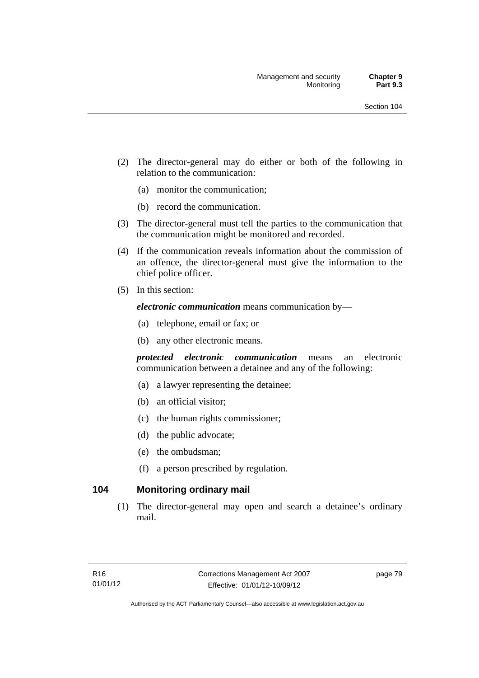- (2) The director-general may do either or both of the following in relation to the communication:
	- (a) monitor the communication;
	- (b) record the communication.
- (3) The director-general must tell the parties to the communication that the communication might be monitored and recorded.
- (4) If the communication reveals information about the commission of an offence, the director-general must give the information to the chief police officer.
- (5) In this section:

*electronic communication* means communication by—

- (a) telephone, email or fax; or
- (b) any other electronic means.

*protected electronic communication* means an electronic communication between a detainee and any of the following:

- (a) a lawyer representing the detainee;
- (b) an official visitor;
- (c) the human rights commissioner;
- (d) the public advocate;
- (e) the ombudsman;
- (f) a person prescribed by regulation.

## **104 Monitoring ordinary mail**

 (1) The director-general may open and search a detainee's ordinary mail.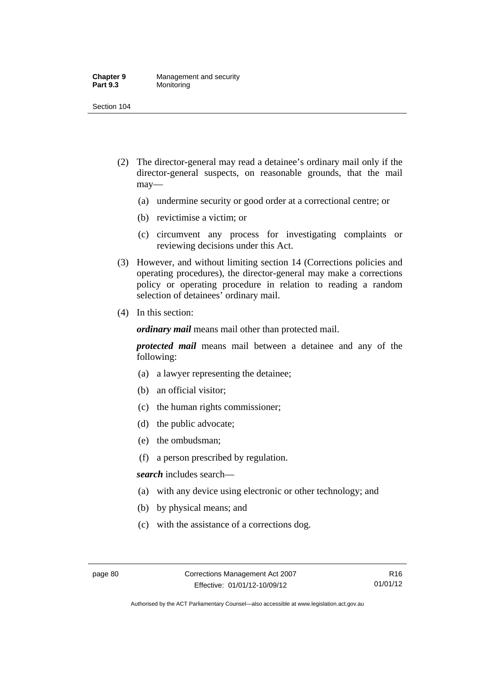#### **Chapter 9 Management and security**<br>**Part 9.3 Monitoring Monitoring**

Section 104

- (2) The director-general may read a detainee's ordinary mail only if the director-general suspects, on reasonable grounds, that the mail may—
	- (a) undermine security or good order at a correctional centre; or
	- (b) revictimise a victim; or
	- (c) circumvent any process for investigating complaints or reviewing decisions under this Act.
- (3) However, and without limiting section 14 (Corrections policies and operating procedures), the director-general may make a corrections policy or operating procedure in relation to reading a random selection of detainees' ordinary mail.
- (4) In this section:

*ordinary mail* means mail other than protected mail.

*protected mail* means mail between a detainee and any of the following:

- (a) a lawyer representing the detainee;
- (b) an official visitor;
- (c) the human rights commissioner;
- (d) the public advocate;
- (e) the ombudsman;
- (f) a person prescribed by regulation.

*search* includes search—

- (a) with any device using electronic or other technology; and
- (b) by physical means; and
- (c) with the assistance of a corrections dog.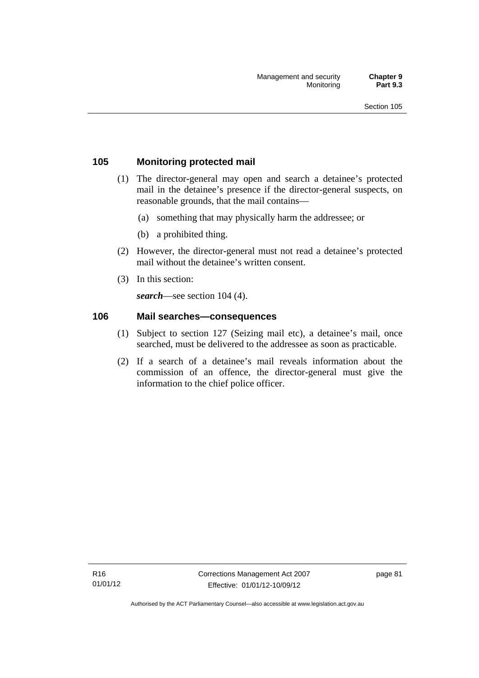## **105 Monitoring protected mail**

- (1) The director-general may open and search a detainee's protected mail in the detainee's presence if the director-general suspects, on reasonable grounds, that the mail contains—
	- (a) something that may physically harm the addressee; or
	- (b) a prohibited thing.
- (2) However, the director-general must not read a detainee's protected mail without the detainee's written consent.
- (3) In this section:

*search*—see section 104 (4).

#### **106 Mail searches—consequences**

- (1) Subject to section 127 (Seizing mail etc), a detainee's mail, once searched, must be delivered to the addressee as soon as practicable.
- (2) If a search of a detainee's mail reveals information about the commission of an offence, the director-general must give the information to the chief police officer.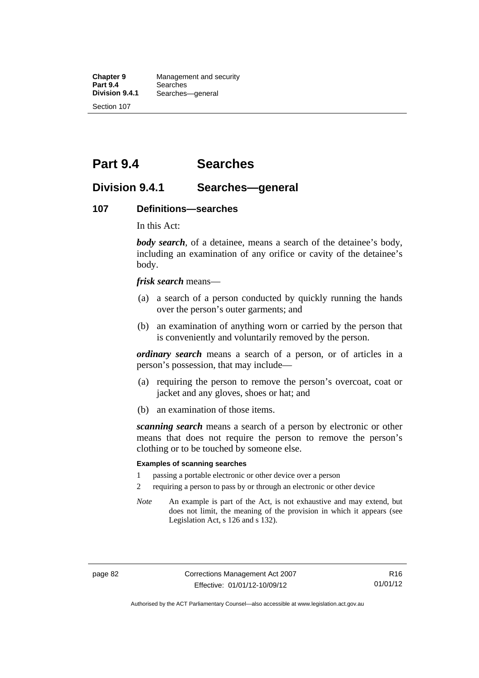**Chapter 9 Management and security**<br>**Part 9.4 Searches Part 9.4 Searches**<br>**Division 9.4.1 Searches Division 9.4.1** Searches—general Section 107

**Part 9.4 Searches** 

## **Division 9.4.1 Searches—general**

#### **107 Definitions—searches**

In this Act:

*body search*, of a detainee, means a search of the detainee's body, including an examination of any orifice or cavity of the detainee's body.

*frisk search* means—

- (a) a search of a person conducted by quickly running the hands over the person's outer garments; and
- (b) an examination of anything worn or carried by the person that is conveniently and voluntarily removed by the person.

*ordinary search* means a search of a person, or of articles in a person's possession, that may include—

- (a) requiring the person to remove the person's overcoat, coat or jacket and any gloves, shoes or hat; and
- (b) an examination of those items.

*scanning search* means a search of a person by electronic or other means that does not require the person to remove the person's clothing or to be touched by someone else.

#### **Examples of scanning searches**

- 1 passing a portable electronic or other device over a person
- 2 requiring a person to pass by or through an electronic or other device
- *Note* An example is part of the Act, is not exhaustive and may extend, but does not limit, the meaning of the provision in which it appears (see Legislation Act, s 126 and s 132).

Authorised by the ACT Parliamentary Counsel—also accessible at www.legislation.act.gov.au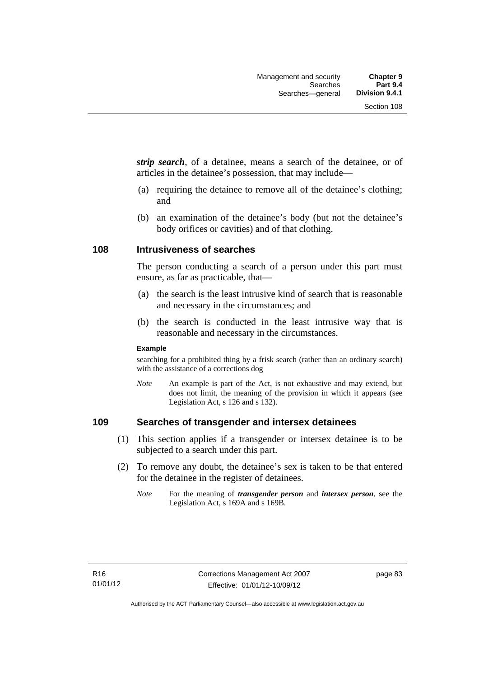*strip search*, of a detainee, means a search of the detainee, or of articles in the detainee's possession, that may include—

- (a) requiring the detainee to remove all of the detainee's clothing; and
- (b) an examination of the detainee's body (but not the detainee's body orifices or cavities) and of that clothing.

#### **108 Intrusiveness of searches**

The person conducting a search of a person under this part must ensure, as far as practicable, that—

- (a) the search is the least intrusive kind of search that is reasonable and necessary in the circumstances; and
- (b) the search is conducted in the least intrusive way that is reasonable and necessary in the circumstances.

#### **Example**

searching for a prohibited thing by a frisk search (rather than an ordinary search) with the assistance of a corrections dog

*Note* An example is part of the Act, is not exhaustive and may extend, but does not limit, the meaning of the provision in which it appears (see Legislation Act, s 126 and s 132).

### **109 Searches of transgender and intersex detainees**

- (1) This section applies if a transgender or intersex detainee is to be subjected to a search under this part.
- (2) To remove any doubt, the detainee's sex is taken to be that entered for the detainee in the register of detainees.
	- *Note* For the meaning of *transgender person* and *intersex person*, see the Legislation Act, s 169A and s 169B.

page 83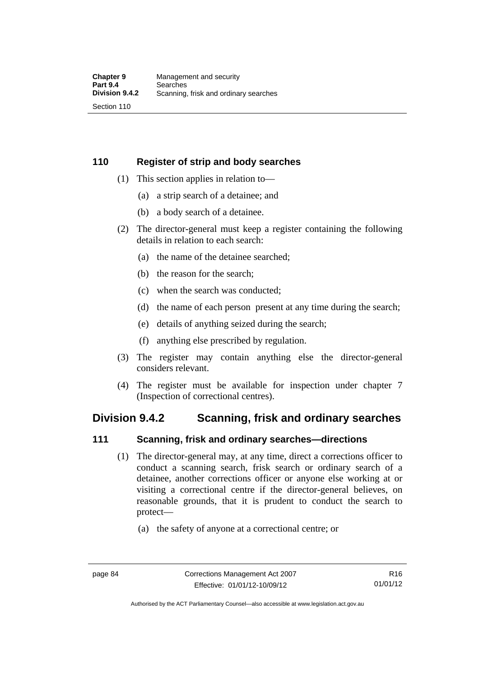## **110 Register of strip and body searches**

- (1) This section applies in relation to—
	- (a) a strip search of a detainee; and
	- (b) a body search of a detainee.
- (2) The director-general must keep a register containing the following details in relation to each search:
	- (a) the name of the detainee searched;
	- (b) the reason for the search;
	- (c) when the search was conducted;
	- (d) the name of each person present at any time during the search;
	- (e) details of anything seized during the search;
	- (f) anything else prescribed by regulation.
- (3) The register may contain anything else the director-general considers relevant.
- (4) The register must be available for inspection under chapter 7 (Inspection of correctional centres).

## **Division 9.4.2 Scanning, frisk and ordinary searches**

#### **111 Scanning, frisk and ordinary searches—directions**

- (1) The director-general may, at any time, direct a corrections officer to conduct a scanning search, frisk search or ordinary search of a detainee, another corrections officer or anyone else working at or visiting a correctional centre if the director-general believes, on reasonable grounds, that it is prudent to conduct the search to protect—
	- (a) the safety of anyone at a correctional centre; or

Authorised by the ACT Parliamentary Counsel—also accessible at www.legislation.act.gov.au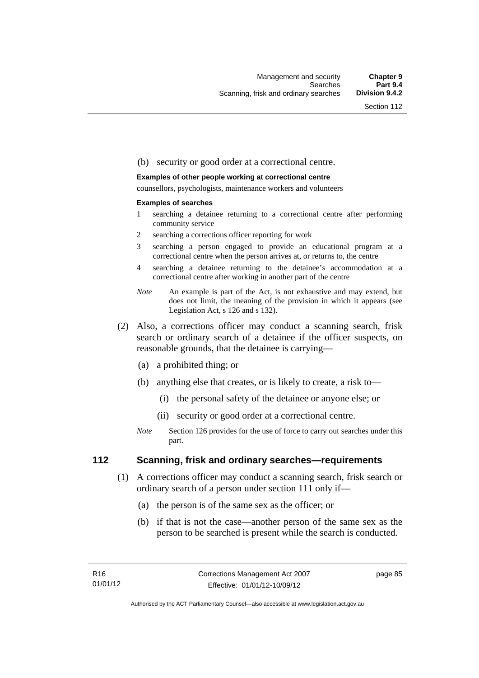#### (b) security or good order at a correctional centre.

#### **Examples of other people working at correctional centre**

counsellors, psychologists, maintenance workers and volunteers

#### **Examples of searches**

- 1 searching a detainee returning to a correctional centre after performing community service
- 2 searching a corrections officer reporting for work
- 3 searching a person engaged to provide an educational program at a correctional centre when the person arrives at, or returns to, the centre
- 4 searching a detainee returning to the detainee's accommodation at a correctional centre after working in another part of the centre
- *Note* An example is part of the Act, is not exhaustive and may extend, but does not limit, the meaning of the provision in which it appears (see Legislation Act, s 126 and s 132).
- (2) Also, a corrections officer may conduct a scanning search, frisk search or ordinary search of a detainee if the officer suspects, on reasonable grounds, that the detainee is carrying—
	- (a) a prohibited thing; or
	- (b) anything else that creates, or is likely to create, a risk to—
		- (i) the personal safety of the detainee or anyone else; or
		- (ii) security or good order at a correctional centre.
	- *Note* Section 126 provides for the use of force to carry out searches under this part.

#### **112 Scanning, frisk and ordinary searches—requirements**

- (1) A corrections officer may conduct a scanning search, frisk search or ordinary search of a person under section 111 only if—
	- (a) the person is of the same sex as the officer; or
	- (b) if that is not the case—another person of the same sex as the person to be searched is present while the search is conducted.

page 85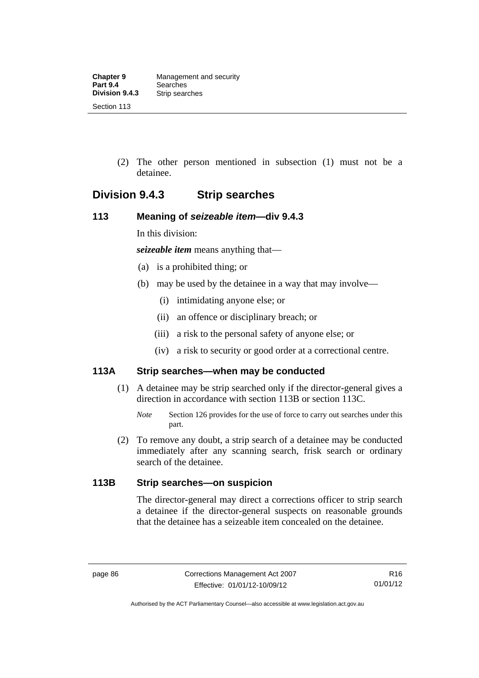(2) The other person mentioned in subsection (1) must not be a detainee.

## **Division 9.4.3 Strip searches**

## **113 Meaning of** *seizeable item***—div 9.4.3**

In this division:

*seizeable item* means anything that—

- (a) is a prohibited thing; or
- (b) may be used by the detainee in a way that may involve—
	- (i) intimidating anyone else; or
	- (ii) an offence or disciplinary breach; or
	- (iii) a risk to the personal safety of anyone else; or
	- (iv) a risk to security or good order at a correctional centre.

## **113A Strip searches—when may be conducted**

- (1) A detainee may be strip searched only if the director-general gives a direction in accordance with section 113B or section 113C.
	- *Note* Section 126 provides for the use of force to carry out searches under this part.
- (2) To remove any doubt, a strip search of a detainee may be conducted immediately after any scanning search, frisk search or ordinary search of the detainee.

## **113B Strip searches—on suspicion**

The director-general may direct a corrections officer to strip search a detainee if the director-general suspects on reasonable grounds that the detainee has a seizeable item concealed on the detainee.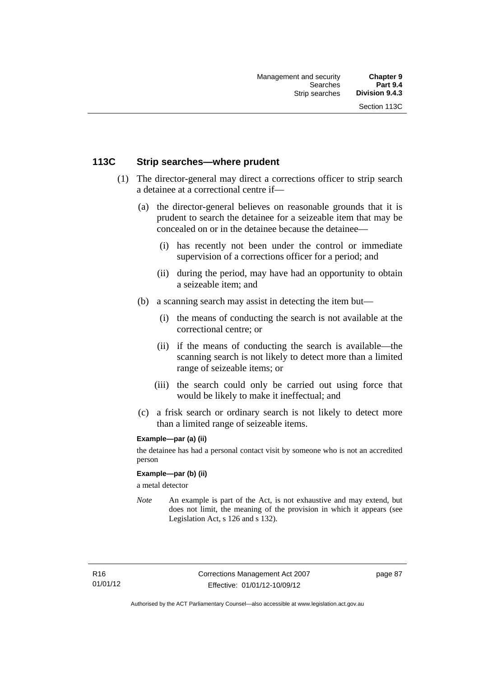## **113C Strip searches—where prudent**

- (1) The director-general may direct a corrections officer to strip search a detainee at a correctional centre if—
	- (a) the director-general believes on reasonable grounds that it is prudent to search the detainee for a seizeable item that may be concealed on or in the detainee because the detainee—
		- (i) has recently not been under the control or immediate supervision of a corrections officer for a period; and
		- (ii) during the period, may have had an opportunity to obtain a seizeable item; and
	- (b) a scanning search may assist in detecting the item but—
		- (i) the means of conducting the search is not available at the correctional centre; or
		- (ii) if the means of conducting the search is available—the scanning search is not likely to detect more than a limited range of seizeable items; or
		- (iii) the search could only be carried out using force that would be likely to make it ineffectual; and
	- (c) a frisk search or ordinary search is not likely to detect more than a limited range of seizeable items.

#### **Example—par (a) (ii)**

the detainee has had a personal contact visit by someone who is not an accredited person

#### **Example—par (b) (ii)**

a metal detector

*Note* An example is part of the Act, is not exhaustive and may extend, but does not limit, the meaning of the provision in which it appears (see Legislation Act, s 126 and s 132).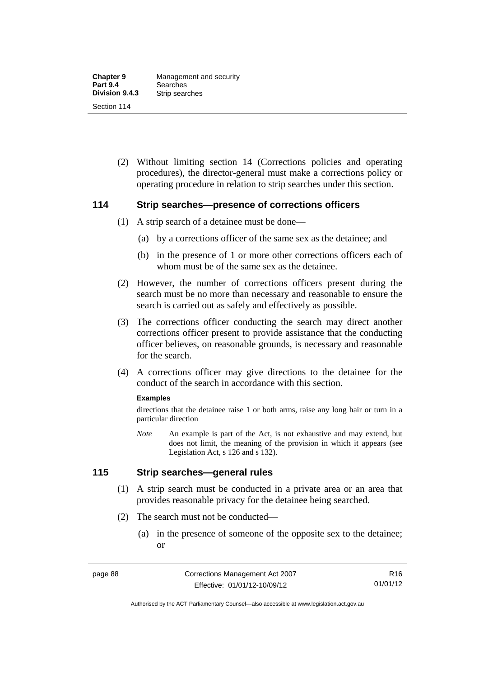(2) Without limiting section 14 (Corrections policies and operating procedures), the director-general must make a corrections policy or operating procedure in relation to strip searches under this section.

#### **114 Strip searches—presence of corrections officers**

- (1) A strip search of a detainee must be done—
	- (a) by a corrections officer of the same sex as the detainee; and
	- (b) in the presence of 1 or more other corrections officers each of whom must be of the same sex as the detainee.
- (2) However, the number of corrections officers present during the search must be no more than necessary and reasonable to ensure the search is carried out as safely and effectively as possible.
- (3) The corrections officer conducting the search may direct another corrections officer present to provide assistance that the conducting officer believes, on reasonable grounds, is necessary and reasonable for the search.
- (4) A corrections officer may give directions to the detainee for the conduct of the search in accordance with this section.

#### **Examples**

directions that the detainee raise 1 or both arms, raise any long hair or turn in a particular direction

*Note* An example is part of the Act, is not exhaustive and may extend, but does not limit, the meaning of the provision in which it appears (see Legislation Act, s 126 and s 132).

#### **115 Strip searches—general rules**

- (1) A strip search must be conducted in a private area or an area that provides reasonable privacy for the detainee being searched.
- (2) The search must not be conducted—
	- (a) in the presence of someone of the opposite sex to the detainee; or

Authorised by the ACT Parliamentary Counsel—also accessible at www.legislation.act.gov.au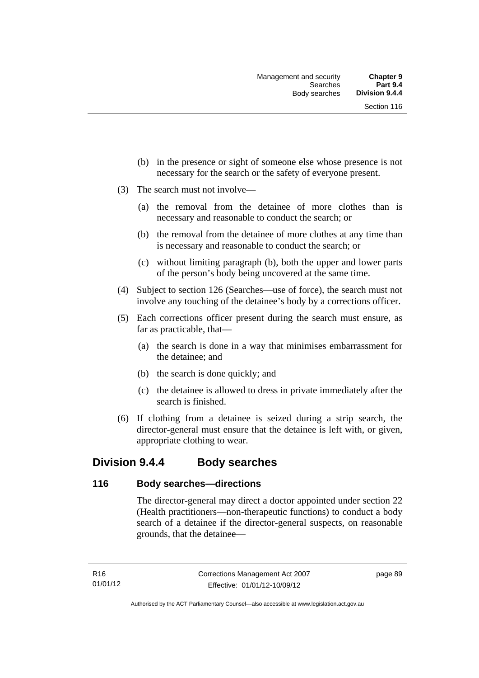- (b) in the presence or sight of someone else whose presence is not necessary for the search or the safety of everyone present.
- (3) The search must not involve—
	- (a) the removal from the detainee of more clothes than is necessary and reasonable to conduct the search; or
	- (b) the removal from the detainee of more clothes at any time than is necessary and reasonable to conduct the search; or
	- (c) without limiting paragraph (b), both the upper and lower parts of the person's body being uncovered at the same time.
- (4) Subject to section 126 (Searches—use of force), the search must not involve any touching of the detainee's body by a corrections officer.
- (5) Each corrections officer present during the search must ensure, as far as practicable, that—
	- (a) the search is done in a way that minimises embarrassment for the detainee; and
	- (b) the search is done quickly; and
	- (c) the detainee is allowed to dress in private immediately after the search is finished.
- (6) If clothing from a detainee is seized during a strip search, the director-general must ensure that the detainee is left with, or given, appropriate clothing to wear.

## **Division 9.4.4 Body searches**

#### **116 Body searches—directions**

The director-general may direct a doctor appointed under section 22 (Health practitioners—non-therapeutic functions) to conduct a body search of a detainee if the director-general suspects, on reasonable grounds, that the detainee—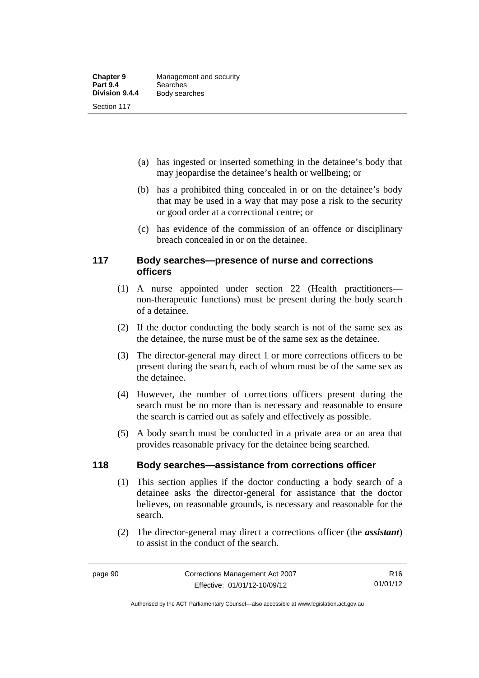- (a) has ingested or inserted something in the detainee's body that may jeopardise the detainee's health or wellbeing; or
- (b) has a prohibited thing concealed in or on the detainee's body that may be used in a way that may pose a risk to the security or good order at a correctional centre; or
- (c) has evidence of the commission of an offence or disciplinary breach concealed in or on the detainee.

## **117 Body searches—presence of nurse and corrections officers**

- (1) A nurse appointed under section 22 (Health practitioners non-therapeutic functions) must be present during the body search of a detainee.
- (2) If the doctor conducting the body search is not of the same sex as the detainee, the nurse must be of the same sex as the detainee.
- (3) The director-general may direct 1 or more corrections officers to be present during the search, each of whom must be of the same sex as the detainee.
- (4) However, the number of corrections officers present during the search must be no more than is necessary and reasonable to ensure the search is carried out as safely and effectively as possible.
- (5) A body search must be conducted in a private area or an area that provides reasonable privacy for the detainee being searched.

## **118 Body searches—assistance from corrections officer**

- (1) This section applies if the doctor conducting a body search of a detainee asks the director-general for assistance that the doctor believes, on reasonable grounds, is necessary and reasonable for the search.
- (2) The director-general may direct a corrections officer (the *assistant*) to assist in the conduct of the search.

Authorised by the ACT Parliamentary Counsel—also accessible at www.legislation.act.gov.au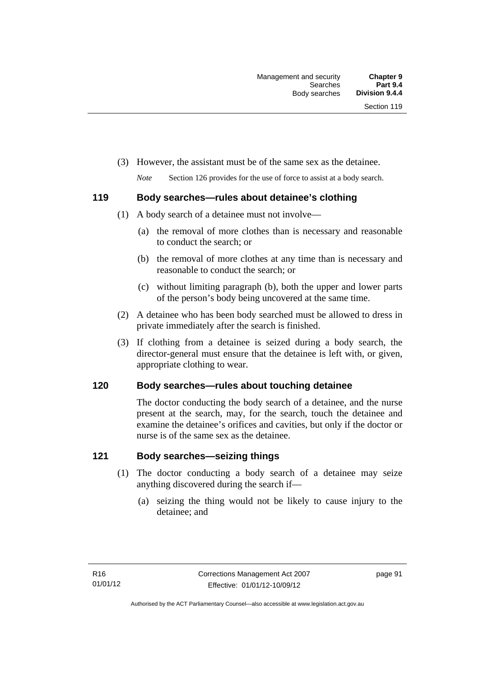- (3) However, the assistant must be of the same sex as the detainee.
	- *Note* Section 126 provides for the use of force to assist at a body search.

## **119 Body searches—rules about detainee's clothing**

- (1) A body search of a detainee must not involve—
	- (a) the removal of more clothes than is necessary and reasonable to conduct the search; or
	- (b) the removal of more clothes at any time than is necessary and reasonable to conduct the search; or
	- (c) without limiting paragraph (b), both the upper and lower parts of the person's body being uncovered at the same time.
- (2) A detainee who has been body searched must be allowed to dress in private immediately after the search is finished.
- (3) If clothing from a detainee is seized during a body search, the director-general must ensure that the detainee is left with, or given, appropriate clothing to wear.

## **120 Body searches—rules about touching detainee**

The doctor conducting the body search of a detainee, and the nurse present at the search, may, for the search, touch the detainee and examine the detainee's orifices and cavities, but only if the doctor or nurse is of the same sex as the detainee.

## **121 Body searches—seizing things**

- (1) The doctor conducting a body search of a detainee may seize anything discovered during the search if—
	- (a) seizing the thing would not be likely to cause injury to the detainee; and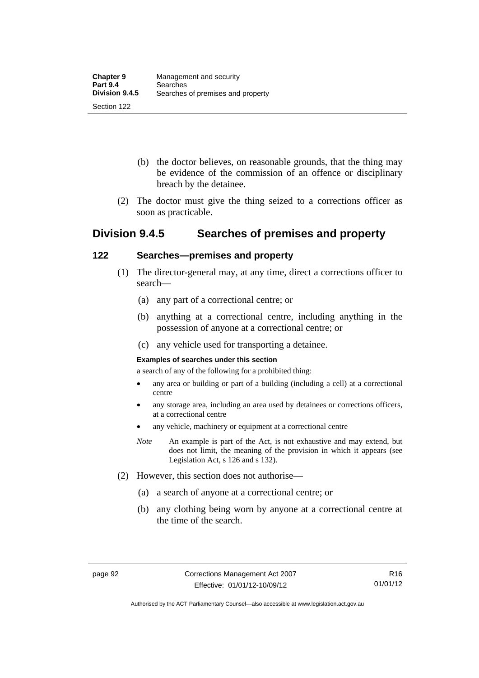- (b) the doctor believes, on reasonable grounds, that the thing may be evidence of the commission of an offence or disciplinary breach by the detainee.
- (2) The doctor must give the thing seized to a corrections officer as soon as practicable.

## **Division 9.4.5 Searches of premises and property**

## **122 Searches—premises and property**

- (1) The director-general may, at any time, direct a corrections officer to search—
	- (a) any part of a correctional centre; or
	- (b) anything at a correctional centre, including anything in the possession of anyone at a correctional centre; or
	- (c) any vehicle used for transporting a detainee.

#### **Examples of searches under this section**

a search of any of the following for a prohibited thing:

- any area or building or part of a building (including a cell) at a correctional centre
- any storage area, including an area used by detainees or corrections officers, at a correctional centre
- any vehicle, machinery or equipment at a correctional centre
- *Note* An example is part of the Act, is not exhaustive and may extend, but does not limit, the meaning of the provision in which it appears (see Legislation Act, s 126 and s 132).
- (2) However, this section does not authorise—
	- (a) a search of anyone at a correctional centre; or
	- (b) any clothing being worn by anyone at a correctional centre at the time of the search.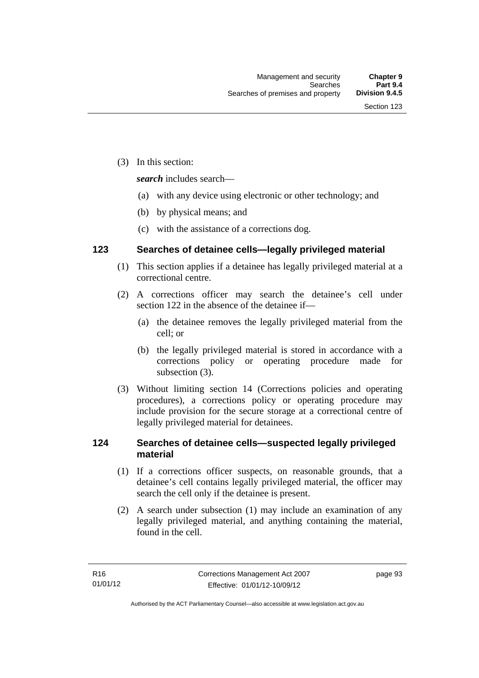(3) In this section:

*search* includes search—

- (a) with any device using electronic or other technology; and
- (b) by physical means; and
- (c) with the assistance of a corrections dog.

## **123 Searches of detainee cells—legally privileged material**

- (1) This section applies if a detainee has legally privileged material at a correctional centre.
- (2) A corrections officer may search the detainee's cell under section 122 in the absence of the detainee if—
	- (a) the detainee removes the legally privileged material from the cell; or
	- (b) the legally privileged material is stored in accordance with a corrections policy or operating procedure made for subsection (3).
- (3) Without limiting section 14 (Corrections policies and operating procedures), a corrections policy or operating procedure may include provision for the secure storage at a correctional centre of legally privileged material for detainees.

## **124 Searches of detainee cells—suspected legally privileged material**

- (1) If a corrections officer suspects, on reasonable grounds, that a detainee's cell contains legally privileged material, the officer may search the cell only if the detainee is present.
- (2) A search under subsection (1) may include an examination of any legally privileged material, and anything containing the material, found in the cell.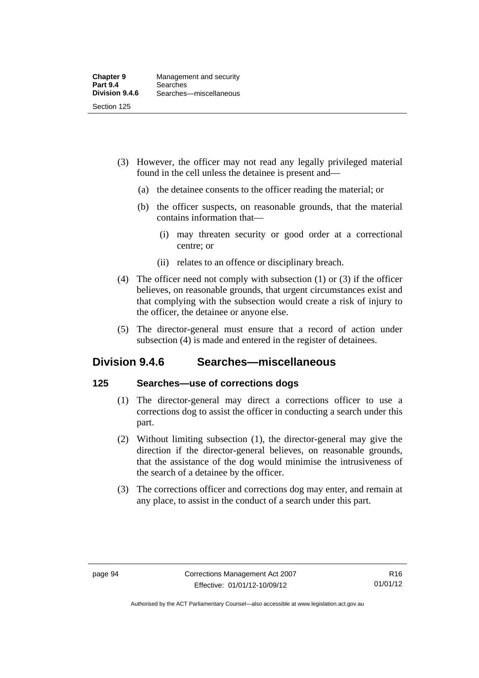- (3) However, the officer may not read any legally privileged material found in the cell unless the detainee is present and—
	- (a) the detainee consents to the officer reading the material; or
	- (b) the officer suspects, on reasonable grounds, that the material contains information that—
		- (i) may threaten security or good order at a correctional centre; or
		- (ii) relates to an offence or disciplinary breach.
- (4) The officer need not comply with subsection (1) or (3) if the officer believes, on reasonable grounds, that urgent circumstances exist and that complying with the subsection would create a risk of injury to the officer, the detainee or anyone else.
- (5) The director-general must ensure that a record of action under subsection (4) is made and entered in the register of detainees.

## **Division 9.4.6 Searches—miscellaneous**

### **125 Searches—use of corrections dogs**

- (1) The director-general may direct a corrections officer to use a corrections dog to assist the officer in conducting a search under this part.
- (2) Without limiting subsection (1), the director-general may give the direction if the director-general believes, on reasonable grounds, that the assistance of the dog would minimise the intrusiveness of the search of a detainee by the officer.
- (3) The corrections officer and corrections dog may enter, and remain at any place, to assist in the conduct of a search under this part.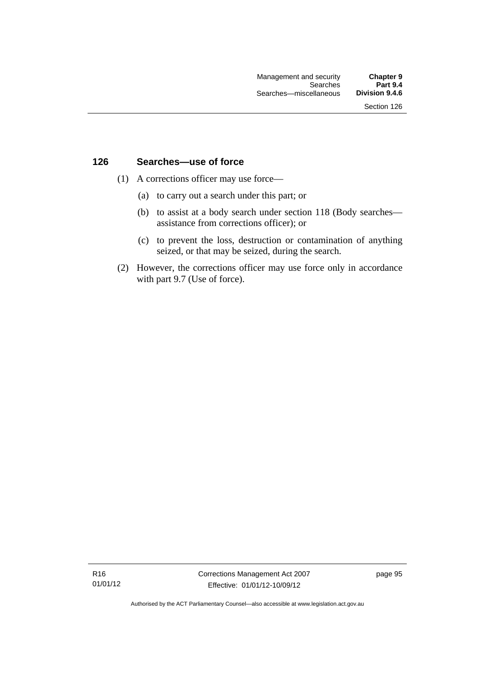### **126 Searches—use of force**

- (1) A corrections officer may use force—
	- (a) to carry out a search under this part; or
	- (b) to assist at a body search under section 118 (Body searches assistance from corrections officer); or
	- (c) to prevent the loss, destruction or contamination of anything seized, or that may be seized, during the search.
- (2) However, the corrections officer may use force only in accordance with part 9.7 (Use of force).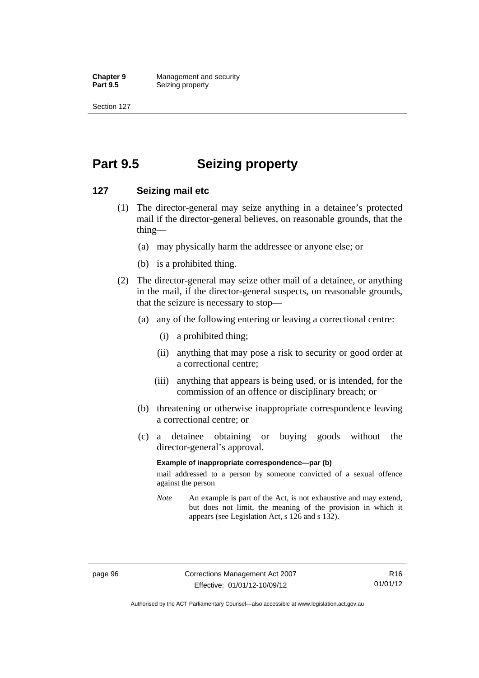**Chapter 9 Management and security**<br>**Part 9.5 Seizing property Seizing property** 

Section 127

# **Part 9.5 Seizing property**

### **127 Seizing mail etc**

- (1) The director-general may seize anything in a detainee's protected mail if the director-general believes, on reasonable grounds, that the thing—
	- (a) may physically harm the addressee or anyone else; or
	- (b) is a prohibited thing.
- (2) The director-general may seize other mail of a detainee, or anything in the mail, if the director-general suspects, on reasonable grounds, that the seizure is necessary to stop—
	- (a) any of the following entering or leaving a correctional centre:
		- (i) a prohibited thing;
		- (ii) anything that may pose a risk to security or good order at a correctional centre;
		- (iii) anything that appears is being used, or is intended, for the commission of an offence or disciplinary breach; or
	- (b) threatening or otherwise inappropriate correspondence leaving a correctional centre; or
	- (c) a detainee obtaining or buying goods without the director-general's approval.

### **Example of inappropriate correspondence—par (b)**

mail addressed to a person by someone convicted of a sexual offence against the person

*Note* An example is part of the Act, is not exhaustive and may extend, but does not limit, the meaning of the provision in which it appears (see Legislation Act, s 126 and s 132).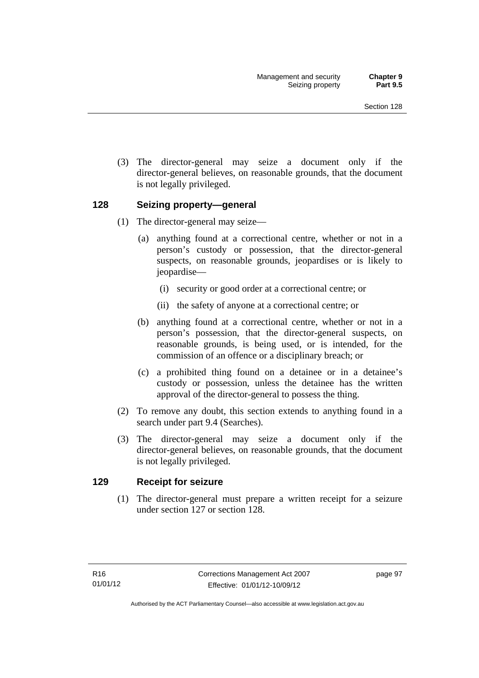(3) The director-general may seize a document only if the director-general believes, on reasonable grounds, that the document is not legally privileged.

# **128 Seizing property—general**

- (1) The director-general may seize—
	- (a) anything found at a correctional centre, whether or not in a person's custody or possession, that the director-general suspects, on reasonable grounds, jeopardises or is likely to jeopardise—
		- (i) security or good order at a correctional centre; or
		- (ii) the safety of anyone at a correctional centre; or
	- (b) anything found at a correctional centre, whether or not in a person's possession, that the director-general suspects, on reasonable grounds, is being used, or is intended, for the commission of an offence or a disciplinary breach; or
	- (c) a prohibited thing found on a detainee or in a detainee's custody or possession, unless the detainee has the written approval of the director-general to possess the thing.
- (2) To remove any doubt, this section extends to anything found in a search under part 9.4 (Searches).
- (3) The director-general may seize a document only if the director-general believes, on reasonable grounds, that the document is not legally privileged.

## **129 Receipt for seizure**

 (1) The director-general must prepare a written receipt for a seizure under section 127 or section 128.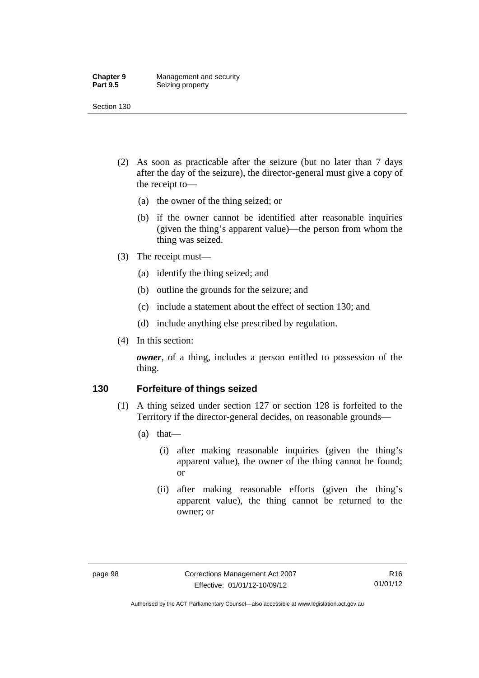#### **Chapter 9 Management and security**<br>**Part 9.5 Seizing property Seizing property**

Section 130

- (2) As soon as practicable after the seizure (but no later than 7 days after the day of the seizure), the director-general must give a copy of the receipt to—
	- (a) the owner of the thing seized; or
	- (b) if the owner cannot be identified after reasonable inquiries (given the thing's apparent value)—the person from whom the thing was seized.
- (3) The receipt must—
	- (a) identify the thing seized; and
	- (b) outline the grounds for the seizure; and
	- (c) include a statement about the effect of section 130; and
	- (d) include anything else prescribed by regulation.
- (4) In this section:

*owner*, of a thing, includes a person entitled to possession of the thing.

## **130 Forfeiture of things seized**

- (1) A thing seized under section 127 or section 128 is forfeited to the Territory if the director-general decides, on reasonable grounds—
	- (a) that—
		- (i) after making reasonable inquiries (given the thing's apparent value), the owner of the thing cannot be found; or
		- (ii) after making reasonable efforts (given the thing's apparent value), the thing cannot be returned to the owner; or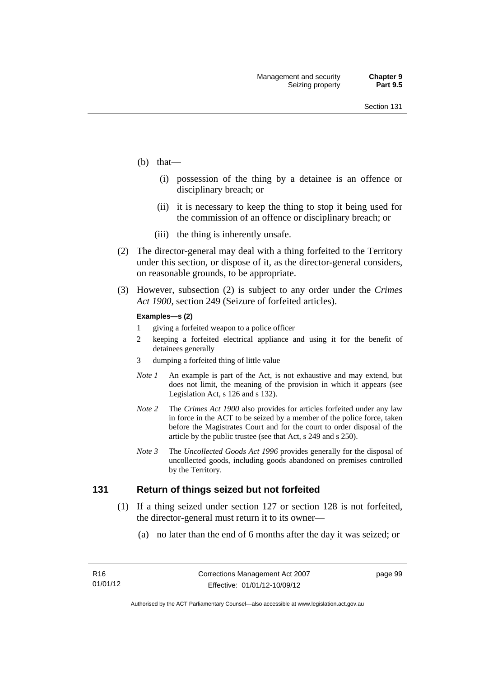- (b) that—
	- (i) possession of the thing by a detainee is an offence or disciplinary breach; or
	- (ii) it is necessary to keep the thing to stop it being used for the commission of an offence or disciplinary breach; or
	- (iii) the thing is inherently unsafe.
- (2) The director-general may deal with a thing forfeited to the Territory under this section, or dispose of it, as the director-general considers, on reasonable grounds, to be appropriate.
- (3) However, subsection (2) is subject to any order under the *Crimes Act 1900,* section 249 (Seizure of forfeited articles).

#### **Examples—s (2)**

- 1 giving a forfeited weapon to a police officer
- 2 keeping a forfeited electrical appliance and using it for the benefit of detainees generally
- 3 dumping a forfeited thing of little value
- *Note 1* An example is part of the Act, is not exhaustive and may extend, but does not limit, the meaning of the provision in which it appears (see Legislation Act, s 126 and s 132).
- *Note 2* The *Crimes Act 1900* also provides for articles forfeited under any law in force in the ACT to be seized by a member of the police force, taken before the Magistrates Court and for the court to order disposal of the article by the public trustee (see that Act, s 249 and s 250).
- *Note 3* The *Uncollected Goods Act 1996* provides generally for the disposal of uncollected goods, including goods abandoned on premises controlled by the Territory.

### **131 Return of things seized but not forfeited**

- (1) If a thing seized under section 127 or section 128 is not forfeited, the director-general must return it to its owner—
	- (a) no later than the end of 6 months after the day it was seized; or

page 99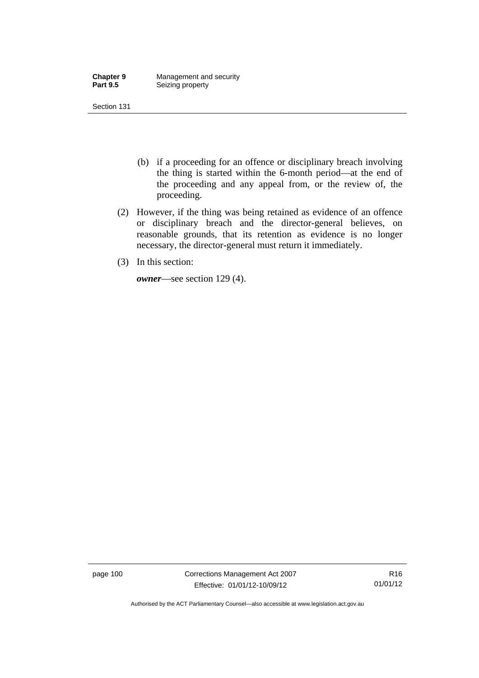| <b>Chapter 9</b> | Management and security |
|------------------|-------------------------|
| <b>Part 9.5</b>  | Seizing property        |

- (b) if a proceeding for an offence or disciplinary breach involving the thing is started within the 6-month period—at the end of the proceeding and any appeal from, or the review of, the proceeding.
- (2) However, if the thing was being retained as evidence of an offence or disciplinary breach and the director-general believes, on reasonable grounds, that its retention as evidence is no longer necessary, the director-general must return it immediately.
- (3) In this section:

*owner*—see section 129 (4).

page 100 Corrections Management Act 2007 Effective: 01/01/12-10/09/12

Authorised by the ACT Parliamentary Counsel—also accessible at www.legislation.act.gov.au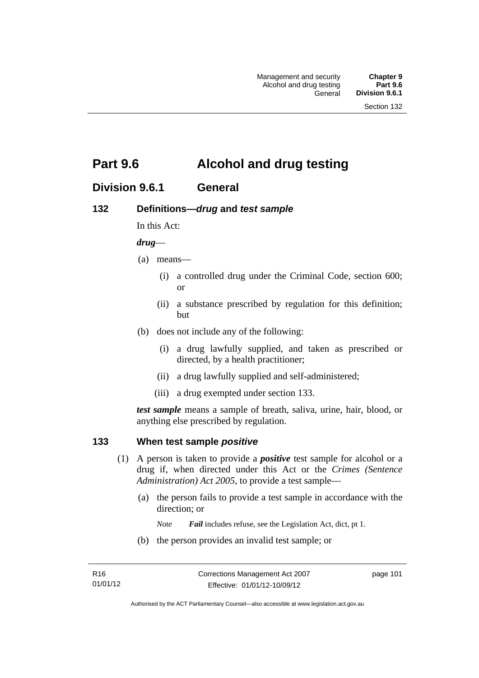# **Part 9.6 Alcohol and drug testing**

# **Division 9.6.1 General**

# **132 Definitions—***drug* **and** *test sample*

In this Act:

### *drug*—

- (a) means—
	- (i) a controlled drug under the Criminal Code, section 600; or
	- (ii) a substance prescribed by regulation for this definition; but
- (b) does not include any of the following:
	- (i) a drug lawfully supplied, and taken as prescribed or directed, by a health practitioner;
	- (ii) a drug lawfully supplied and self-administered;
	- (iii) a drug exempted under section 133.

*test sample* means a sample of breath, saliva, urine, hair, blood, or anything else prescribed by regulation.

### **133 When test sample** *positive*

- (1) A person is taken to provide a *positive* test sample for alcohol or a drug if, when directed under this Act or the *Crimes (Sentence Administration) Act 2005*, to provide a test sample—
	- (a) the person fails to provide a test sample in accordance with the direction; or
		- *Note Fail* includes refuse, see the Legislation Act, dict, pt 1.
	- (b) the person provides an invalid test sample; or

page 101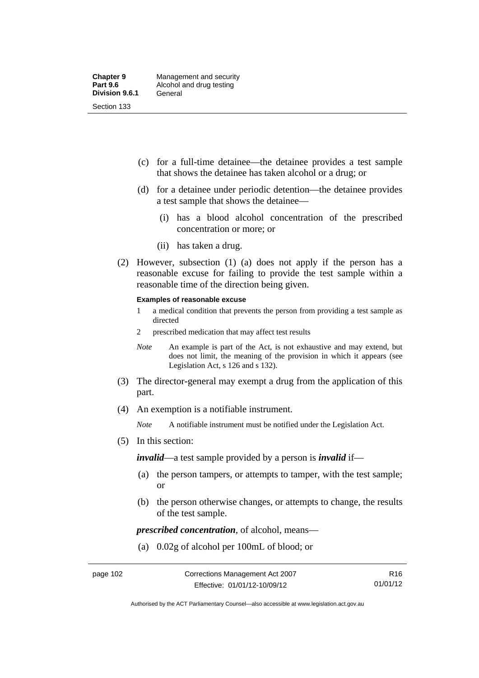- (c) for a full-time detainee—the detainee provides a test sample that shows the detainee has taken alcohol or a drug; or
- (d) for a detainee under periodic detention—the detainee provides a test sample that shows the detainee—
	- (i) has a blood alcohol concentration of the prescribed concentration or more; or
	- (ii) has taken a drug.
- (2) However, subsection (1) (a) does not apply if the person has a reasonable excuse for failing to provide the test sample within a reasonable time of the direction being given.

#### **Examples of reasonable excuse**

- 1 a medical condition that prevents the person from providing a test sample as directed
- 2 prescribed medication that may affect test results
- *Note* An example is part of the Act, is not exhaustive and may extend, but does not limit, the meaning of the provision in which it appears (see Legislation Act, s 126 and s 132).
- (3) The director-general may exempt a drug from the application of this part.
- (4) An exemption is a notifiable instrument.

*Note* A notifiable instrument must be notified under the Legislation Act.

(5) In this section:

*invalid*—a test sample provided by a person is *invalid* if—

- (a) the person tampers, or attempts to tamper, with the test sample; or
- (b) the person otherwise changes, or attempts to change, the results of the test sample.

*prescribed concentration*, of alcohol, means—

(a) 0.02g of alcohol per 100mL of blood; or

Authorised by the ACT Parliamentary Counsel—also accessible at www.legislation.act.gov.au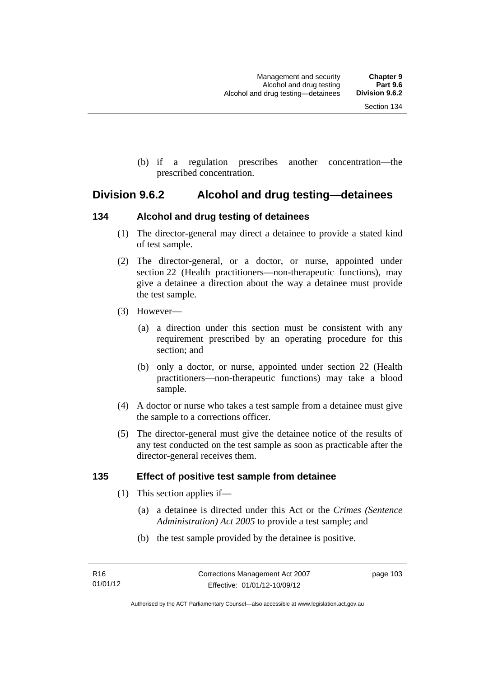(b) if a regulation prescribes another concentration—the prescribed concentration.

# **Division 9.6.2 Alcohol and drug testing—detainees**

# **134 Alcohol and drug testing of detainees**

- (1) The director-general may direct a detainee to provide a stated kind of test sample.
- (2) The director-general, or a doctor, or nurse, appointed under section 22 (Health practitioners—non-therapeutic functions), may give a detainee a direction about the way a detainee must provide the test sample.
- (3) However—
	- (a) a direction under this section must be consistent with any requirement prescribed by an operating procedure for this section; and
	- (b) only a doctor, or nurse, appointed under section 22 (Health practitioners—non-therapeutic functions) may take a blood sample.
- (4) A doctor or nurse who takes a test sample from a detainee must give the sample to a corrections officer.
- (5) The director-general must give the detainee notice of the results of any test conducted on the test sample as soon as practicable after the director-general receives them.

# **135 Effect of positive test sample from detainee**

- (1) This section applies if—
	- (a) a detainee is directed under this Act or the *Crimes (Sentence Administration) Act 2005* to provide a test sample; and
	- (b) the test sample provided by the detainee is positive.

page 103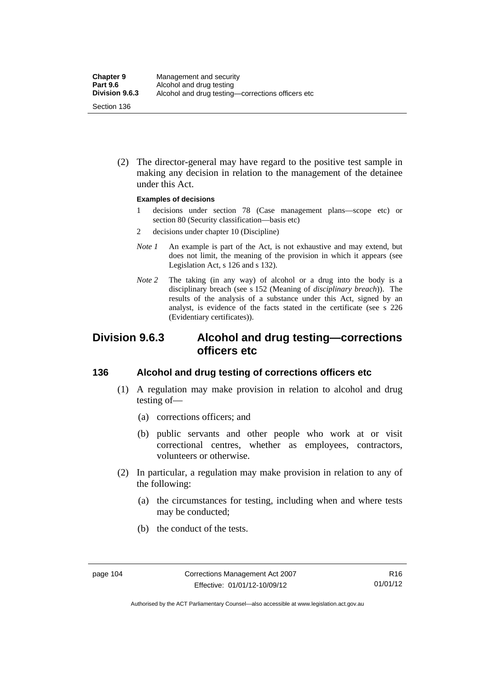(2) The director-general may have regard to the positive test sample in making any decision in relation to the management of the detainee under this Act.

#### **Examples of decisions**

- 1 decisions under section 78 (Case management plans—scope etc) or section 80 (Security classification—basis etc)
- 2 decisions under chapter 10 (Discipline)
- *Note 1* An example is part of the Act, is not exhaustive and may extend, but does not limit, the meaning of the provision in which it appears (see Legislation Act, s 126 and s 132).
- *Note* 2 The taking (in any way) of alcohol or a drug into the body is a disciplinary breach (see s 152 (Meaning of *disciplinary breach*)). The results of the analysis of a substance under this Act, signed by an analyst, is evidence of the facts stated in the certificate (see s 226 (Evidentiary certificates)).

# **Division 9.6.3 Alcohol and drug testing—corrections officers etc**

## **136 Alcohol and drug testing of corrections officers etc**

- (1) A regulation may make provision in relation to alcohol and drug testing of—
	- (a) corrections officers; and
	- (b) public servants and other people who work at or visit correctional centres, whether as employees, contractors, volunteers or otherwise.
- (2) In particular, a regulation may make provision in relation to any of the following:
	- (a) the circumstances for testing, including when and where tests may be conducted;
	- (b) the conduct of the tests.

Authorised by the ACT Parliamentary Counsel—also accessible at www.legislation.act.gov.au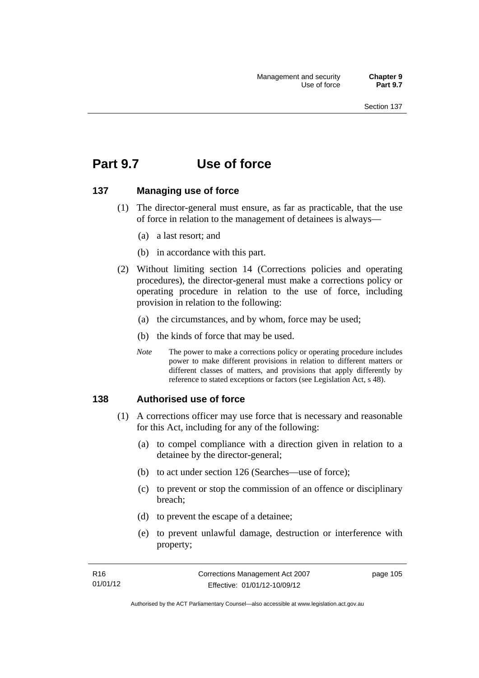# **Part 9.7 Use of force**

## **137 Managing use of force**

- (1) The director-general must ensure, as far as practicable, that the use of force in relation to the management of detainees is always—
	- (a) a last resort; and
	- (b) in accordance with this part.
- (2) Without limiting section 14 (Corrections policies and operating procedures), the director-general must make a corrections policy or operating procedure in relation to the use of force, including provision in relation to the following:
	- (a) the circumstances, and by whom, force may be used;
	- (b) the kinds of force that may be used.
	- *Note* The power to make a corrections policy or operating procedure includes power to make different provisions in relation to different matters or different classes of matters, and provisions that apply differently by reference to stated exceptions or factors (see Legislation Act, s 48).

### **138 Authorised use of force**

- (1) A corrections officer may use force that is necessary and reasonable for this Act, including for any of the following:
	- (a) to compel compliance with a direction given in relation to a detainee by the director-general;
	- (b) to act under section 126 (Searches—use of force);
	- (c) to prevent or stop the commission of an offence or disciplinary breach;
	- (d) to prevent the escape of a detainee;
	- (e) to prevent unlawful damage, destruction or interference with property;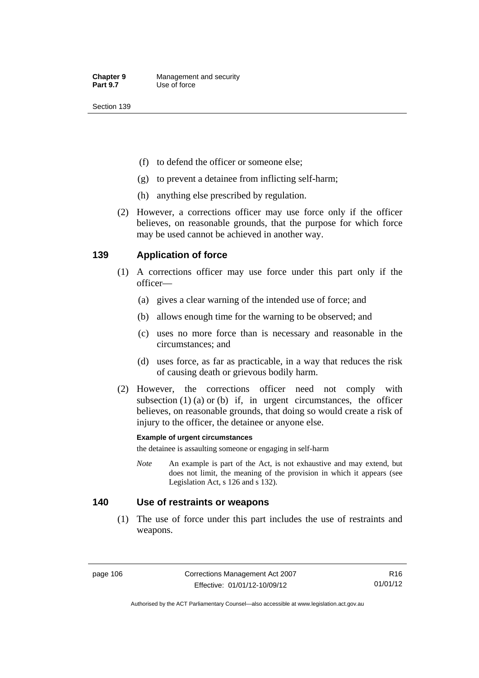- (f) to defend the officer or someone else;
- (g) to prevent a detainee from inflicting self-harm;
- (h) anything else prescribed by regulation.
- (2) However, a corrections officer may use force only if the officer believes, on reasonable grounds, that the purpose for which force may be used cannot be achieved in another way.

# **139 Application of force**

- (1) A corrections officer may use force under this part only if the officer—
	- (a) gives a clear warning of the intended use of force; and
	- (b) allows enough time for the warning to be observed; and
	- (c) uses no more force than is necessary and reasonable in the circumstances; and
	- (d) uses force, as far as practicable, in a way that reduces the risk of causing death or grievous bodily harm.
- (2) However, the corrections officer need not comply with subsection  $(1)$   $(a)$  or  $(b)$  if, in urgent circumstances, the officer believes, on reasonable grounds, that doing so would create a risk of injury to the officer, the detainee or anyone else.

### **Example of urgent circumstances**

the detainee is assaulting someone or engaging in self-harm

*Note* An example is part of the Act, is not exhaustive and may extend, but does not limit, the meaning of the provision in which it appears (see Legislation Act, s 126 and s 132).

### **140 Use of restraints or weapons**

 (1) The use of force under this part includes the use of restraints and weapons.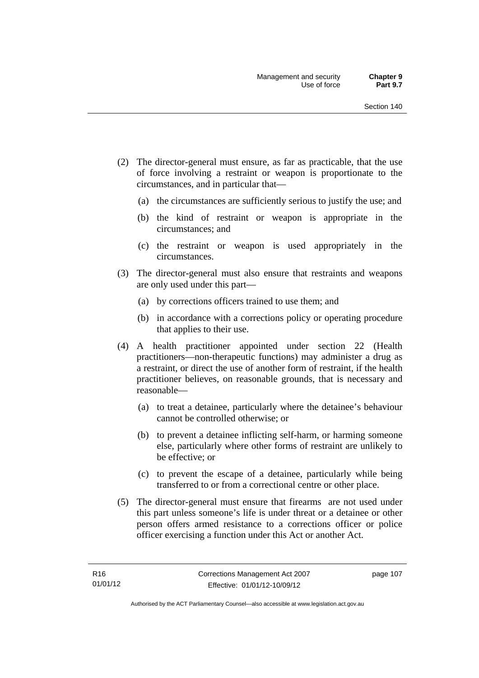- (2) The director-general must ensure, as far as practicable, that the use of force involving a restraint or weapon is proportionate to the circumstances, and in particular that—
	- (a) the circumstances are sufficiently serious to justify the use; and
	- (b) the kind of restraint or weapon is appropriate in the circumstances; and
	- (c) the restraint or weapon is used appropriately in the circumstances.
- (3) The director-general must also ensure that restraints and weapons are only used under this part—
	- (a) by corrections officers trained to use them; and
	- (b) in accordance with a corrections policy or operating procedure that applies to their use.
- (4) A health practitioner appointed under section 22 (Health practitioners—non-therapeutic functions) may administer a drug as a restraint, or direct the use of another form of restraint, if the health practitioner believes, on reasonable grounds, that is necessary and reasonable—
	- (a) to treat a detainee, particularly where the detainee's behaviour cannot be controlled otherwise; or
	- (b) to prevent a detainee inflicting self-harm, or harming someone else, particularly where other forms of restraint are unlikely to be effective; or
	- (c) to prevent the escape of a detainee, particularly while being transferred to or from a correctional centre or other place.
- (5) The director-general must ensure that firearms are not used under this part unless someone's life is under threat or a detainee or other person offers armed resistance to a corrections officer or police officer exercising a function under this Act or another Act.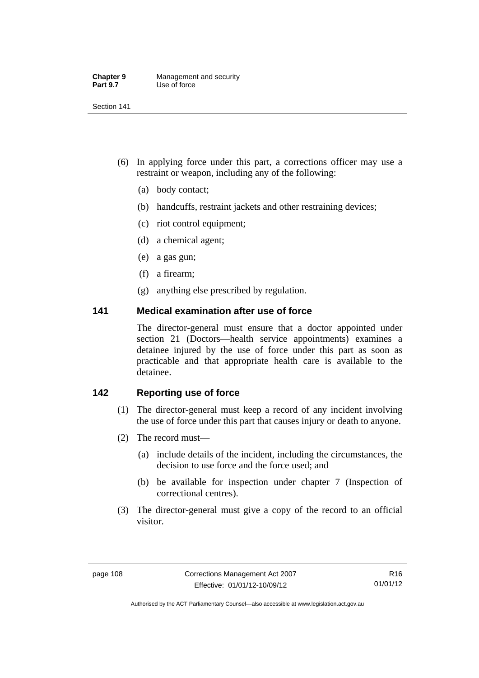| <b>Chapter 9</b> | Management and security |
|------------------|-------------------------|
| <b>Part 9.7</b>  | Use of force            |

- (6) In applying force under this part, a corrections officer may use a restraint or weapon, including any of the following:
	- (a) body contact;
	- (b) handcuffs, restraint jackets and other restraining devices;
	- (c) riot control equipment;
	- (d) a chemical agent;
	- (e) a gas gun;
	- (f) a firearm;
	- (g) anything else prescribed by regulation.

## **141 Medical examination after use of force**

The director-general must ensure that a doctor appointed under section 21 (Doctors—health service appointments) examines a detainee injured by the use of force under this part as soon as practicable and that appropriate health care is available to the detainee.

# **142 Reporting use of force**

- (1) The director-general must keep a record of any incident involving the use of force under this part that causes injury or death to anyone.
- (2) The record must—
	- (a) include details of the incident, including the circumstances, the decision to use force and the force used; and
	- (b) be available for inspection under chapter 7 (Inspection of correctional centres).
- (3) The director-general must give a copy of the record to an official visitor.

Authorised by the ACT Parliamentary Counsel—also accessible at www.legislation.act.gov.au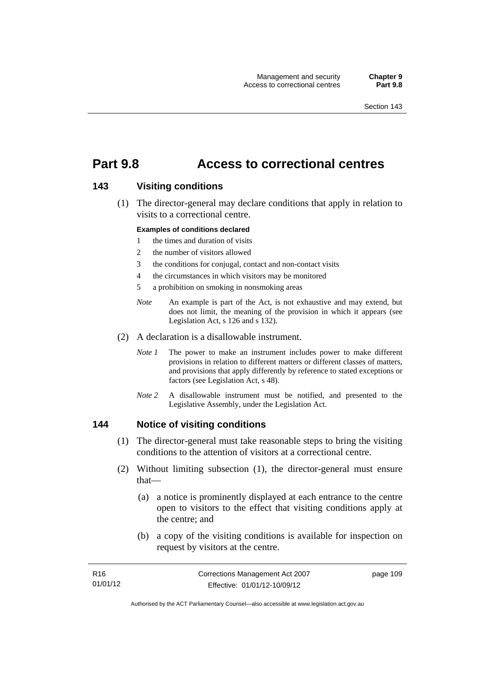# **Part 9.8 Access to correctional centres**

### **143 Visiting conditions**

 (1) The director-general may declare conditions that apply in relation to visits to a correctional centre.

#### **Examples of conditions declared**

- 1 the times and duration of visits
- 2 the number of visitors allowed
- 3 the conditions for conjugal, contact and non-contact visits
- 4 the circumstances in which visitors may be monitored
- 5 a prohibition on smoking in nonsmoking areas
- *Note* An example is part of the Act, is not exhaustive and may extend, but does not limit, the meaning of the provision in which it appears (see Legislation Act, s 126 and s 132).
- (2) A declaration is a disallowable instrument.
	- *Note I* The power to make an instrument includes power to make different provisions in relation to different matters or different classes of matters, and provisions that apply differently by reference to stated exceptions or factors (see Legislation Act, s 48).
	- *Note 2* A disallowable instrument must be notified, and presented to the Legislative Assembly, under the Legislation Act.

### **144 Notice of visiting conditions**

- (1) The director-general must take reasonable steps to bring the visiting conditions to the attention of visitors at a correctional centre.
- (2) Without limiting subsection (1), the director-general must ensure that—
	- (a) a notice is prominently displayed at each entrance to the centre open to visitors to the effect that visiting conditions apply at the centre; and
	- (b) a copy of the visiting conditions is available for inspection on request by visitors at the centre.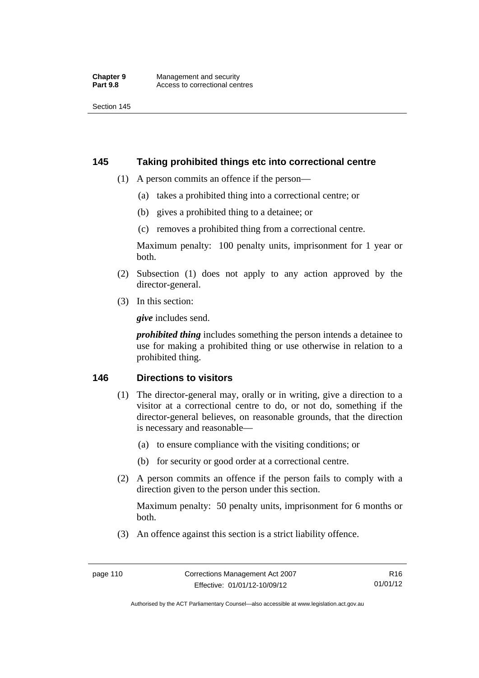## **145 Taking prohibited things etc into correctional centre**

- (1) A person commits an offence if the person—
	- (a) takes a prohibited thing into a correctional centre; or
	- (b) gives a prohibited thing to a detainee; or
	- (c) removes a prohibited thing from a correctional centre.

Maximum penalty: 100 penalty units, imprisonment for 1 year or both.

- (2) Subsection (1) does not apply to any action approved by the director-general.
- (3) In this section:

*give* includes send.

*prohibited thing* includes something the person intends a detainee to use for making a prohibited thing or use otherwise in relation to a prohibited thing.

## **146 Directions to visitors**

- (1) The director-general may, orally or in writing, give a direction to a visitor at a correctional centre to do, or not do, something if the director-general believes, on reasonable grounds, that the direction is necessary and reasonable—
	- (a) to ensure compliance with the visiting conditions; or
	- (b) for security or good order at a correctional centre.
- (2) A person commits an offence if the person fails to comply with a direction given to the person under this section.

Maximum penalty: 50 penalty units, imprisonment for 6 months or both.

(3) An offence against this section is a strict liability offence.

Authorised by the ACT Parliamentary Counsel—also accessible at www.legislation.act.gov.au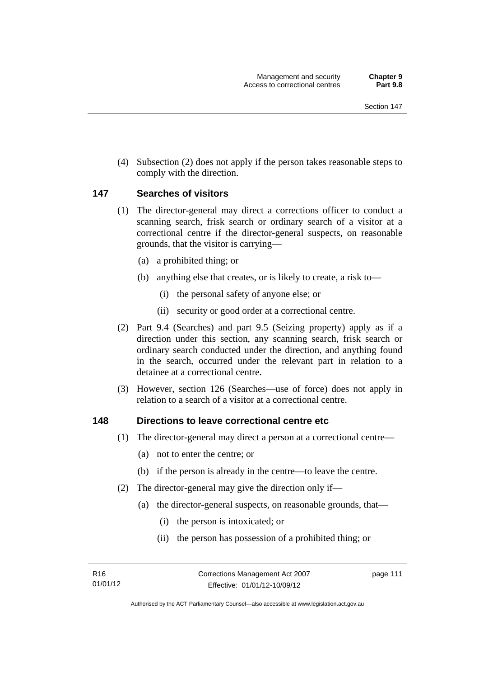(4) Subsection (2) does not apply if the person takes reasonable steps to comply with the direction.

### **147 Searches of visitors**

- (1) The director-general may direct a corrections officer to conduct a scanning search, frisk search or ordinary search of a visitor at a correctional centre if the director-general suspects, on reasonable grounds, that the visitor is carrying—
	- (a) a prohibited thing; or
	- (b) anything else that creates, or is likely to create, a risk to—
		- (i) the personal safety of anyone else; or
		- (ii) security or good order at a correctional centre.
- (2) Part 9.4 (Searches) and part 9.5 (Seizing property) apply as if a direction under this section, any scanning search, frisk search or ordinary search conducted under the direction, and anything found in the search, occurred under the relevant part in relation to a detainee at a correctional centre.
- (3) However, section 126 (Searches—use of force) does not apply in relation to a search of a visitor at a correctional centre.

### **148 Directions to leave correctional centre etc**

- (1) The director-general may direct a person at a correctional centre—
	- (a) not to enter the centre; or
	- (b) if the person is already in the centre—to leave the centre.
- (2) The director-general may give the direction only if—
	- (a) the director-general suspects, on reasonable grounds, that—
		- (i) the person is intoxicated; or
		- (ii) the person has possession of a prohibited thing; or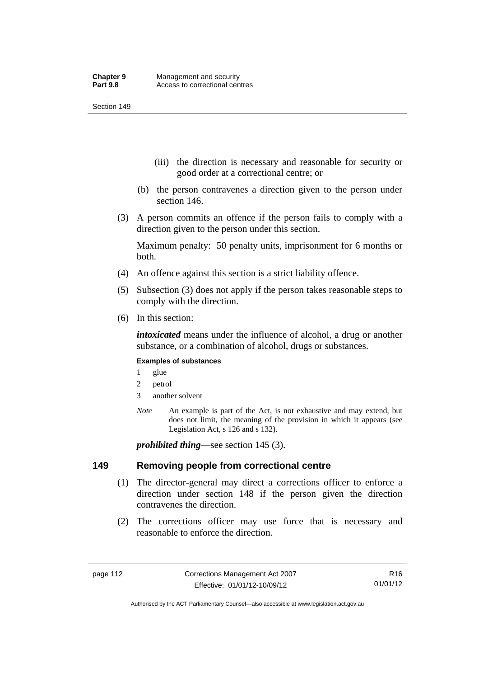- (iii) the direction is necessary and reasonable for security or good order at a correctional centre; or
- (b) the person contravenes a direction given to the person under section 146.
- (3) A person commits an offence if the person fails to comply with a direction given to the person under this section.

Maximum penalty: 50 penalty units, imprisonment for 6 months or both.

- (4) An offence against this section is a strict liability offence.
- (5) Subsection (3) does not apply if the person takes reasonable steps to comply with the direction.
- (6) In this section:

*intoxicated* means under the influence of alcohol, a drug or another substance, or a combination of alcohol, drugs or substances.

#### **Examples of substances**

- 1 glue
- 2 petrol
- 3 another solvent
- *Note* An example is part of the Act, is not exhaustive and may extend, but does not limit, the meaning of the provision in which it appears (see Legislation Act, s 126 and s 132).

*prohibited thing*—see section 145 (3).

### **149 Removing people from correctional centre**

- (1) The director-general may direct a corrections officer to enforce a direction under section 148 if the person given the direction contravenes the direction.
- (2) The corrections officer may use force that is necessary and reasonable to enforce the direction.

Authorised by the ACT Parliamentary Counsel—also accessible at www.legislation.act.gov.au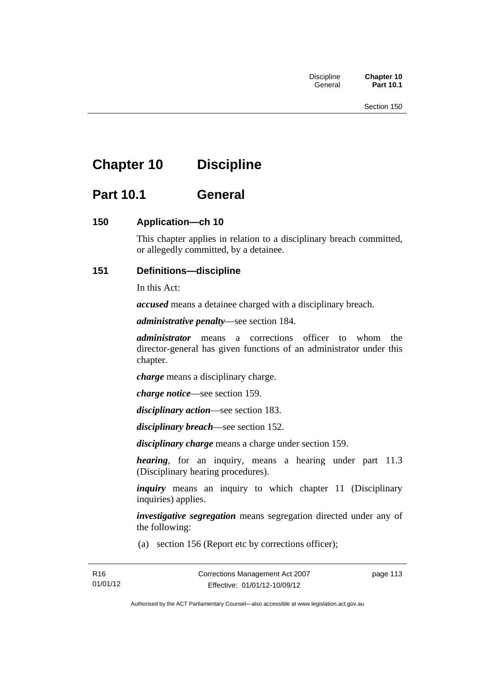# **Chapter 10 Discipline**

# **Part 10.1 General**

# **150 Application—ch 10**

This chapter applies in relation to a disciplinary breach committed, or allegedly committed, by a detainee.

# **151 Definitions—discipline**

In this Act:

*accused* means a detainee charged with a disciplinary breach.

*administrative penalty*—see section 184.

*administrator* means a corrections officer to whom the director-general has given functions of an administrator under this chapter.

*charge* means a disciplinary charge.

*charge notice*—see section 159.

*disciplinary action*—see section 183.

*disciplinary breach*—see section 152.

*disciplinary charge* means a charge under section 159.

*hearing*, for an inquiry, means a hearing under part 11.3 (Disciplinary hearing procedures).

*inquiry* means an inquiry to which chapter 11 (Disciplinary inquiries) applies.

*investigative segregation* means segregation directed under any of the following:

(a) section 156 (Report etc by corrections officer);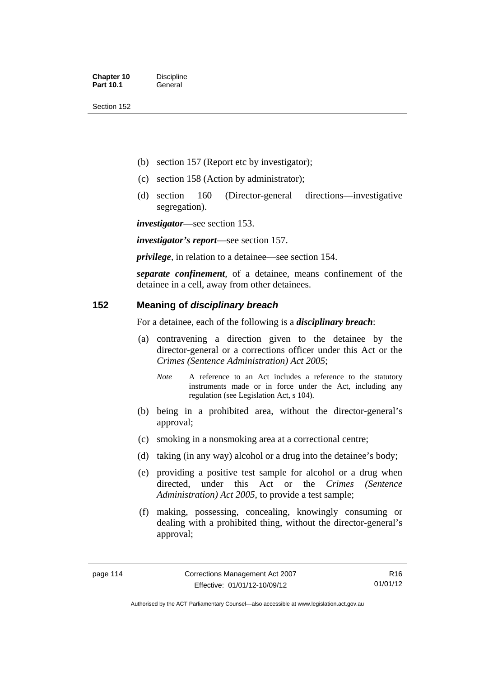- (b) section 157 (Report etc by investigator);
- (c) section 158 (Action by administrator);
- (d) section 160 (Director-general directions—investigative segregation).

*investigator*—see section 153.

*investigator's report*—see section 157.

*privilege*, in relation to a detainee—see section 154.

*separate confinement*, of a detainee, means confinement of the detainee in a cell, away from other detainees.

# **152 Meaning of** *disciplinary breach*

For a detainee, each of the following is a *disciplinary breach*:

- (a) contravening a direction given to the detainee by the director-general or a corrections officer under this Act or the *Crimes (Sentence Administration) Act 2005*;
	- *Note* A reference to an Act includes a reference to the statutory instruments made or in force under the Act, including any regulation (see Legislation Act, s 104).
- (b) being in a prohibited area, without the director-general's approval;
- (c) smoking in a nonsmoking area at a correctional centre;
- (d) taking (in any way) alcohol or a drug into the detainee's body;
- (e) providing a positive test sample for alcohol or a drug when directed, under this Act or the *Crimes (Sentence Administration) Act 2005*, to provide a test sample;
- (f) making, possessing, concealing, knowingly consuming or dealing with a prohibited thing, without the director-general's approval;

Authorised by the ACT Parliamentary Counsel—also accessible at www.legislation.act.gov.au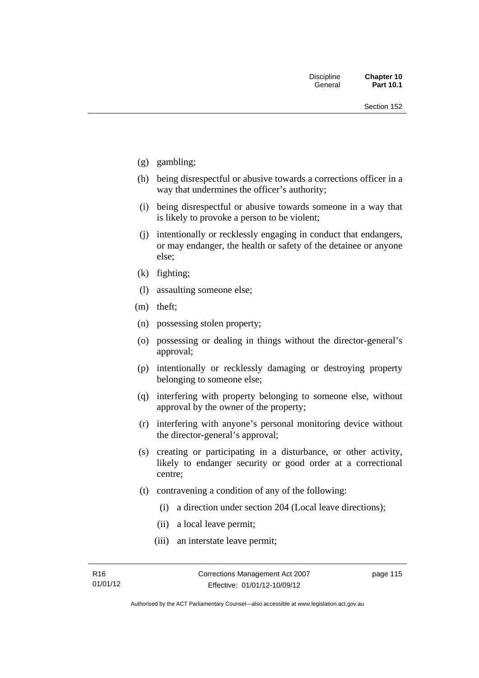- (g) gambling;
- (h) being disrespectful or abusive towards a corrections officer in a way that undermines the officer's authority;
- (i) being disrespectful or abusive towards someone in a way that is likely to provoke a person to be violent;
- (j) intentionally or recklessly engaging in conduct that endangers, or may endanger, the health or safety of the detainee or anyone else;
- (k) fighting;
- (l) assaulting someone else;
- (m) theft;
- (n) possessing stolen property;
- (o) possessing or dealing in things without the director-general's approval;
- (p) intentionally or recklessly damaging or destroying property belonging to someone else;
- (q) interfering with property belonging to someone else, without approval by the owner of the property;
- (r) interfering with anyone's personal monitoring device without the director-general's approval;
- (s) creating or participating in a disturbance, or other activity, likely to endanger security or good order at a correctional centre;
- (t) contravening a condition of any of the following:
	- (i) a direction under section 204 (Local leave directions);
	- (ii) a local leave permit;
	- (iii) an interstate leave permit;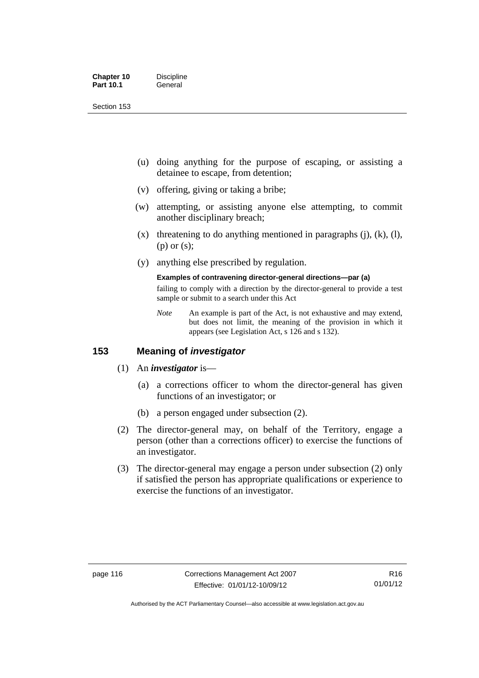| <b>Chapter 10</b> | <b>Discipline</b> |
|-------------------|-------------------|
| <b>Part 10.1</b>  | General           |

- (u) doing anything for the purpose of escaping, or assisting a detainee to escape, from detention;
- (v) offering, giving or taking a bribe;
- (w) attempting, or assisting anyone else attempting, to commit another disciplinary breach;
- $(x)$  threatening to do anything mentioned in paragraphs (j), (k), (l), (p) or (s);
- (y) anything else prescribed by regulation.

## **Examples of contravening director-general directions—par (a)**

failing to comply with a direction by the director-general to provide a test sample or submit to a search under this Act

*Note* An example is part of the Act, is not exhaustive and may extend, but does not limit, the meaning of the provision in which it appears (see Legislation Act, s 126 and s 132).

## **153 Meaning of** *investigator*

- (1) An *investigator* is—
	- (a) a corrections officer to whom the director-general has given functions of an investigator; or
	- (b) a person engaged under subsection (2).
- (2) The director-general may, on behalf of the Territory, engage a person (other than a corrections officer) to exercise the functions of an investigator.
- (3) The director-general may engage a person under subsection (2) only if satisfied the person has appropriate qualifications or experience to exercise the functions of an investigator.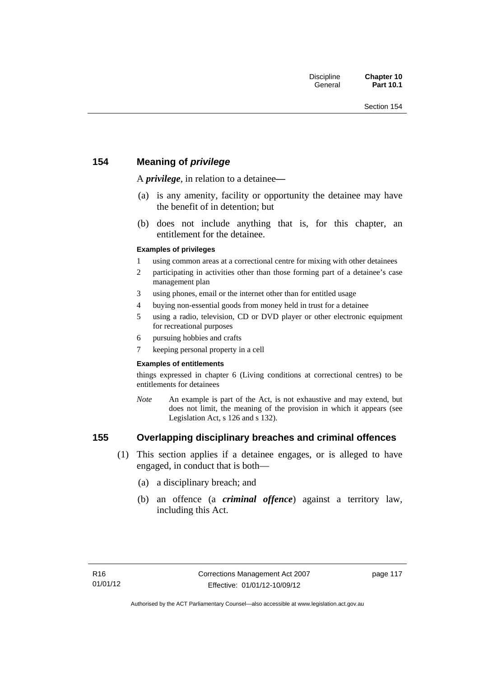# **154 Meaning of** *privilege*

A *privilege*, in relation to a detainee*—*

- (a) is any amenity, facility or opportunity the detainee may have the benefit of in detention; but
- (b) does not include anything that is, for this chapter, an entitlement for the detainee.

### **Examples of privileges**

- 1 using common areas at a correctional centre for mixing with other detainees
- 2 participating in activities other than those forming part of a detainee's case management plan
- 3 using phones, email or the internet other than for entitled usage
- 4 buying non-essential goods from money held in trust for a detainee
- 5 using a radio, television, CD or DVD player or other electronic equipment for recreational purposes
- 6 pursuing hobbies and crafts
- 7 keeping personal property in a cell

#### **Examples of entitlements**

things expressed in chapter 6 (Living conditions at correctional centres) to be entitlements for detainees

*Note* An example is part of the Act, is not exhaustive and may extend, but does not limit, the meaning of the provision in which it appears (see Legislation Act, s 126 and s 132).

# **155 Overlapping disciplinary breaches and criminal offences**

- (1) This section applies if a detainee engages, or is alleged to have engaged, in conduct that is both—
	- (a) a disciplinary breach; and
	- (b) an offence (a *criminal offence*) against a territory law, including this Act.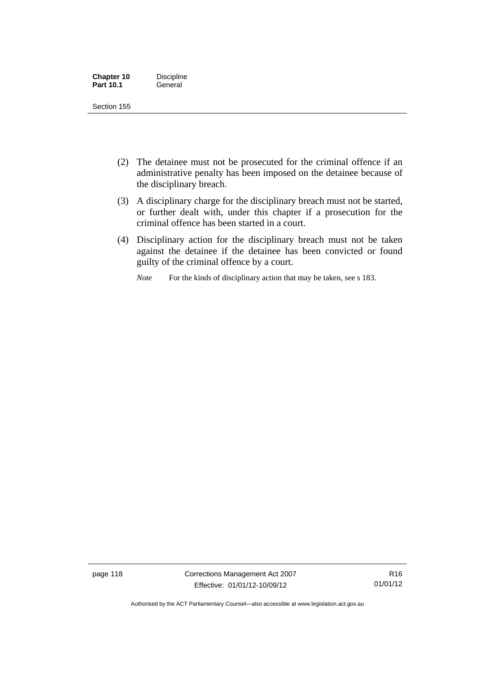| <b>Chapter 10</b> | <b>Discipline</b> |
|-------------------|-------------------|
| <b>Part 10.1</b>  | General           |

- (2) The detainee must not be prosecuted for the criminal offence if an administrative penalty has been imposed on the detainee because of the disciplinary breach.
- (3) A disciplinary charge for the disciplinary breach must not be started, or further dealt with, under this chapter if a prosecution for the criminal offence has been started in a court.
- (4) Disciplinary action for the disciplinary breach must not be taken against the detainee if the detainee has been convicted or found guilty of the criminal offence by a court.

*Note* For the kinds of disciplinary action that may be taken, see s 183.

page 118 Corrections Management Act 2007 Effective: 01/01/12-10/09/12

R16 01/01/12

Authorised by the ACT Parliamentary Counsel—also accessible at www.legislation.act.gov.au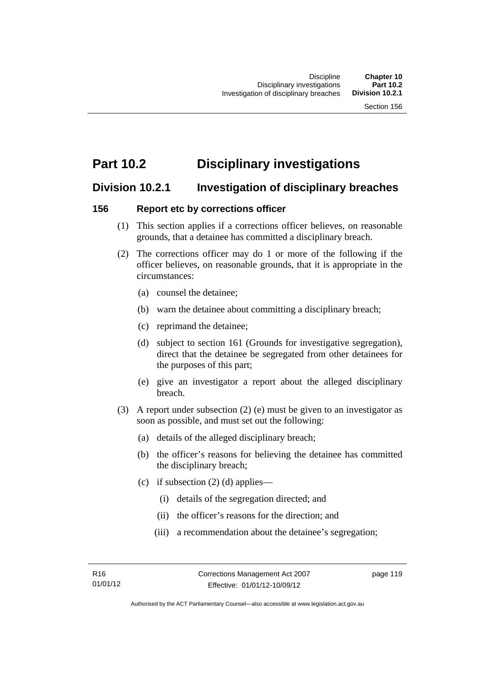# **Part 10.2 Disciplinary investigations**

# **Division 10.2.1 Investigation of disciplinary breaches**

# **156 Report etc by corrections officer**

- (1) This section applies if a corrections officer believes, on reasonable grounds, that a detainee has committed a disciplinary breach.
- (2) The corrections officer may do 1 or more of the following if the officer believes, on reasonable grounds, that it is appropriate in the circumstances:
	- (a) counsel the detainee;
	- (b) warn the detainee about committing a disciplinary breach;
	- (c) reprimand the detainee;
	- (d) subject to section 161 (Grounds for investigative segregation), direct that the detainee be segregated from other detainees for the purposes of this part;
	- (e) give an investigator a report about the alleged disciplinary breach.
- (3) A report under subsection (2) (e) must be given to an investigator as soon as possible, and must set out the following:
	- (a) details of the alleged disciplinary breach;
	- (b) the officer's reasons for believing the detainee has committed the disciplinary breach;
	- (c) if subsection  $(2)$  (d) applies—
		- (i) details of the segregation directed; and
		- (ii) the officer's reasons for the direction; and
		- (iii) a recommendation about the detainee's segregation;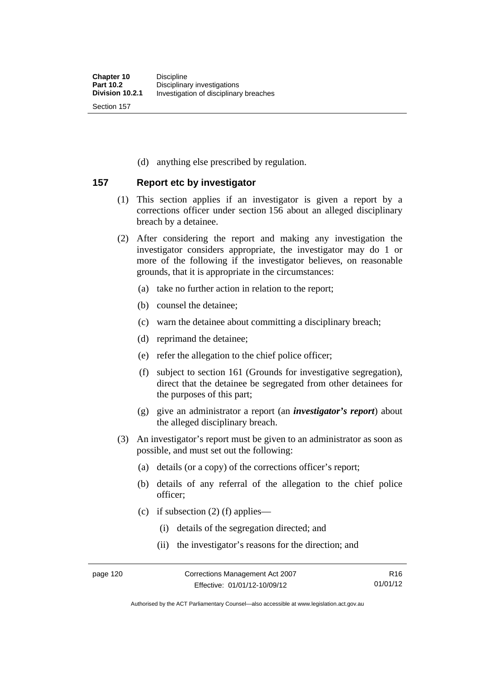(d) anything else prescribed by regulation.

# **157 Report etc by investigator**

- (1) This section applies if an investigator is given a report by a corrections officer under section 156 about an alleged disciplinary breach by a detainee.
- (2) After considering the report and making any investigation the investigator considers appropriate, the investigator may do 1 or more of the following if the investigator believes, on reasonable grounds, that it is appropriate in the circumstances:
	- (a) take no further action in relation to the report;
	- (b) counsel the detainee;
	- (c) warn the detainee about committing a disciplinary breach;
	- (d) reprimand the detainee;
	- (e) refer the allegation to the chief police officer;
	- (f) subject to section 161 (Grounds for investigative segregation), direct that the detainee be segregated from other detainees for the purposes of this part;
	- (g) give an administrator a report (an *investigator's report*) about the alleged disciplinary breach.
- (3) An investigator's report must be given to an administrator as soon as possible, and must set out the following:
	- (a) details (or a copy) of the corrections officer's report;
	- (b) details of any referral of the allegation to the chief police officer;
	- (c) if subsection  $(2)$  (f) applies—
		- (i) details of the segregation directed; and
		- (ii) the investigator's reasons for the direction; and

Authorised by the ACT Parliamentary Counsel—also accessible at www.legislation.act.gov.au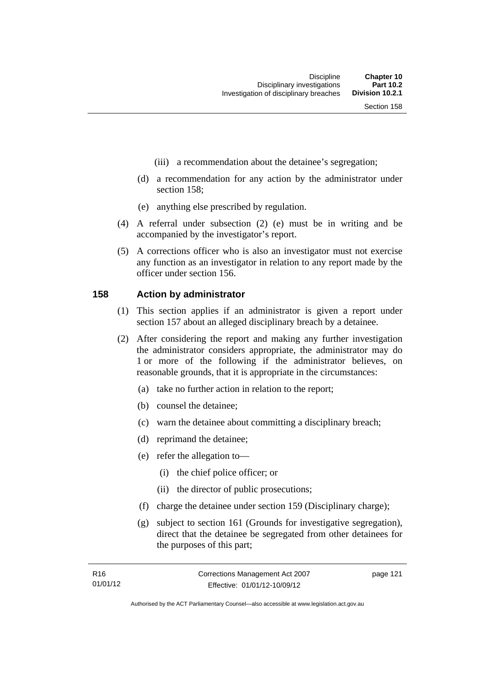- (iii) a recommendation about the detainee's segregation;
- (d) a recommendation for any action by the administrator under section 158;
- (e) anything else prescribed by regulation.
- (4) A referral under subsection (2) (e) must be in writing and be accompanied by the investigator's report.
- (5) A corrections officer who is also an investigator must not exercise any function as an investigator in relation to any report made by the officer under section 156.

### **158 Action by administrator**

- (1) This section applies if an administrator is given a report under section 157 about an alleged disciplinary breach by a detainee.
- (2) After considering the report and making any further investigation the administrator considers appropriate, the administrator may do 1 or more of the following if the administrator believes, on reasonable grounds, that it is appropriate in the circumstances:
	- (a) take no further action in relation to the report;
	- (b) counsel the detainee;
	- (c) warn the detainee about committing a disciplinary breach;
	- (d) reprimand the detainee;
	- (e) refer the allegation to—
		- (i) the chief police officer; or
		- (ii) the director of public prosecutions;
	- (f) charge the detainee under section 159 (Disciplinary charge);
	- (g) subject to section 161 (Grounds for investigative segregation), direct that the detainee be segregated from other detainees for the purposes of this part;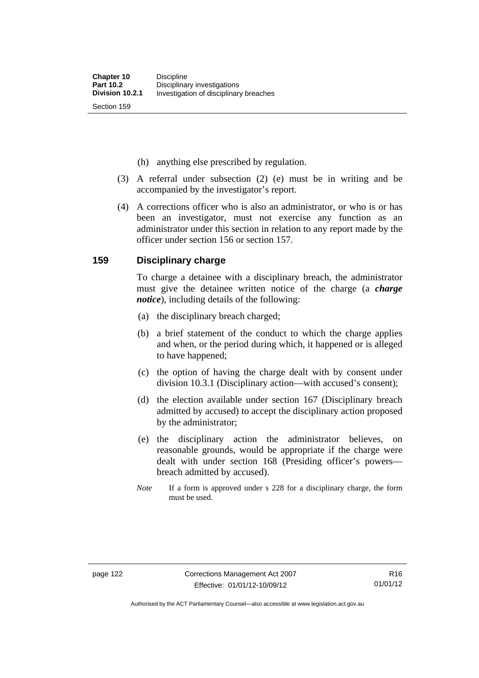(h) anything else prescribed by regulation.

- (3) A referral under subsection (2) (e) must be in writing and be accompanied by the investigator's report.
- (4) A corrections officer who is also an administrator, or who is or has been an investigator, must not exercise any function as an administrator under this section in relation to any report made by the officer under section 156 or section 157.

### **159 Disciplinary charge**

To charge a detainee with a disciplinary breach, the administrator must give the detainee written notice of the charge (a *charge notice*), including details of the following:

- (a) the disciplinary breach charged;
- (b) a brief statement of the conduct to which the charge applies and when, or the period during which, it happened or is alleged to have happened;
- (c) the option of having the charge dealt with by consent under division 10.3.1 (Disciplinary action—with accused's consent);
- (d) the election available under section 167 (Disciplinary breach admitted by accused) to accept the disciplinary action proposed by the administrator;
- (e) the disciplinary action the administrator believes, on reasonable grounds, would be appropriate if the charge were dealt with under section 168 (Presiding officer's powers breach admitted by accused).
- *Note* If a form is approved under s 228 for a disciplinary charge, the form must be used.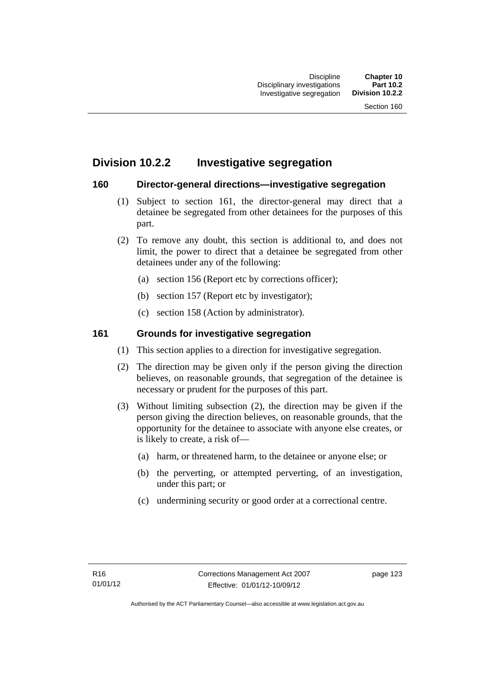# **Division 10.2.2 Investigative segregation**

# **160 Director-general directions—investigative segregation**

- (1) Subject to section 161, the director-general may direct that a detainee be segregated from other detainees for the purposes of this part.
- (2) To remove any doubt, this section is additional to, and does not limit, the power to direct that a detainee be segregated from other detainees under any of the following:
	- (a) section 156 (Report etc by corrections officer);
	- (b) section 157 (Report etc by investigator);
	- (c) section 158 (Action by administrator).

# **161 Grounds for investigative segregation**

- (1) This section applies to a direction for investigative segregation.
- (2) The direction may be given only if the person giving the direction believes, on reasonable grounds, that segregation of the detainee is necessary or prudent for the purposes of this part.
- (3) Without limiting subsection (2), the direction may be given if the person giving the direction believes, on reasonable grounds, that the opportunity for the detainee to associate with anyone else creates, or is likely to create, a risk of—
	- (a) harm, or threatened harm, to the detainee or anyone else; or
	- (b) the perverting, or attempted perverting, of an investigation, under this part; or
	- (c) undermining security or good order at a correctional centre.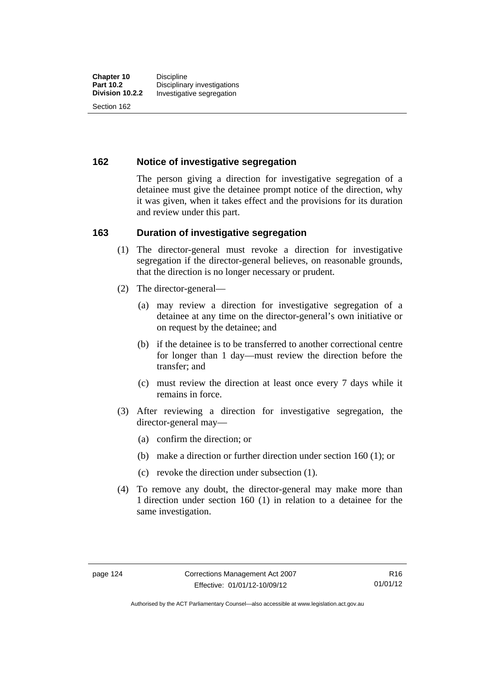# **162 Notice of investigative segregation**

The person giving a direction for investigative segregation of a detainee must give the detainee prompt notice of the direction, why it was given, when it takes effect and the provisions for its duration and review under this part.

### **163 Duration of investigative segregation**

- (1) The director-general must revoke a direction for investigative segregation if the director-general believes, on reasonable grounds, that the direction is no longer necessary or prudent.
- (2) The director-general—
	- (a) may review a direction for investigative segregation of a detainee at any time on the director-general's own initiative or on request by the detainee; and
	- (b) if the detainee is to be transferred to another correctional centre for longer than 1 day—must review the direction before the transfer; and
	- (c) must review the direction at least once every 7 days while it remains in force.
- (3) After reviewing a direction for investigative segregation, the director-general may—
	- (a) confirm the direction; or
	- (b) make a direction or further direction under section 160 (1); or
	- (c) revoke the direction under subsection (1).
- (4) To remove any doubt, the director-general may make more than 1 direction under section 160 (1) in relation to a detainee for the same investigation.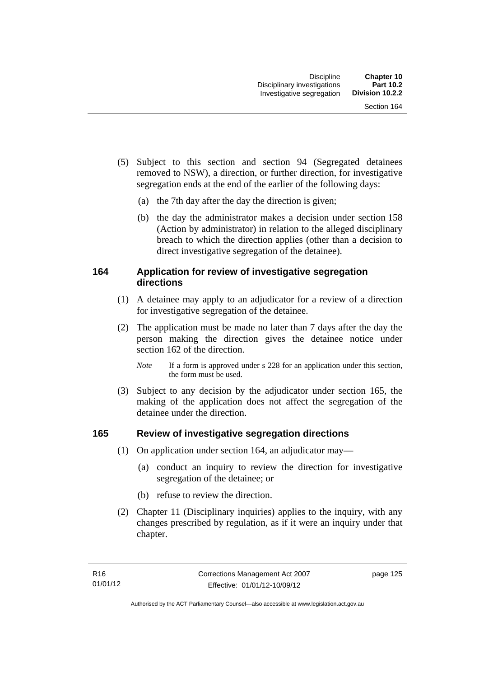- (5) Subject to this section and section 94 (Segregated detainees removed to NSW), a direction, or further direction, for investigative segregation ends at the end of the earlier of the following days:
	- (a) the 7th day after the day the direction is given;
	- (b) the day the administrator makes a decision under section 158 (Action by administrator) in relation to the alleged disciplinary breach to which the direction applies (other than a decision to direct investigative segregation of the detainee).

# **164 Application for review of investigative segregation directions**

- (1) A detainee may apply to an adjudicator for a review of a direction for investigative segregation of the detainee.
- (2) The application must be made no later than 7 days after the day the person making the direction gives the detainee notice under section 162 of the direction.
	- *Note* If a form is approved under s 228 for an application under this section, the form must be used.
- (3) Subject to any decision by the adjudicator under section 165, the making of the application does not affect the segregation of the detainee under the direction.

# **165 Review of investigative segregation directions**

- (1) On application under section 164, an adjudicator may—
	- (a) conduct an inquiry to review the direction for investigative segregation of the detainee; or
	- (b) refuse to review the direction.
- (2) Chapter 11 (Disciplinary inquiries) applies to the inquiry, with any changes prescribed by regulation, as if it were an inquiry under that chapter.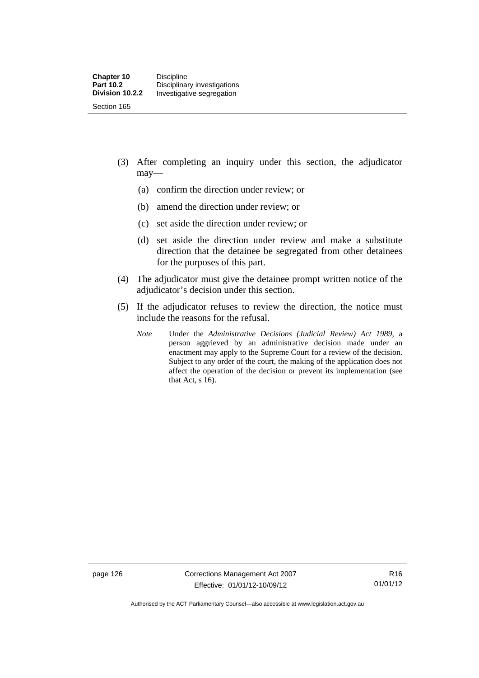- (3) After completing an inquiry under this section, the adjudicator may—
	- (a) confirm the direction under review; or
	- (b) amend the direction under review; or
	- (c) set aside the direction under review; or
	- (d) set aside the direction under review and make a substitute direction that the detainee be segregated from other detainees for the purposes of this part.
- (4) The adjudicator must give the detainee prompt written notice of the adjudicator's decision under this section.
- (5) If the adjudicator refuses to review the direction, the notice must include the reasons for the refusal.
	- *Note* Under the *Administrative Decisions (Judicial Review) Act 1989*, a person aggrieved by an administrative decision made under an enactment may apply to the Supreme Court for a review of the decision. Subject to any order of the court, the making of the application does not affect the operation of the decision or prevent its implementation (see that Act, s 16).

page 126 Corrections Management Act 2007 Effective: 01/01/12-10/09/12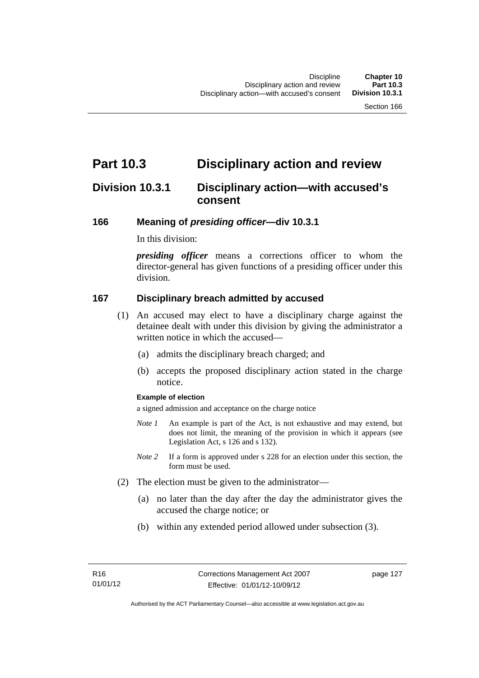# **Part 10.3 Disciplinary action and review**

# **Division 10.3.1 Disciplinary action—with accused's consent**

### **166 Meaning of** *presiding officer***—div 10.3.1**

In this division:

*presiding officer* means a corrections officer to whom the director-general has given functions of a presiding officer under this division.

## **167 Disciplinary breach admitted by accused**

- (1) An accused may elect to have a disciplinary charge against the detainee dealt with under this division by giving the administrator a written notice in which the accused—
	- (a) admits the disciplinary breach charged; and
	- (b) accepts the proposed disciplinary action stated in the charge notice.

#### **Example of election**

a signed admission and acceptance on the charge notice

- *Note 1* An example is part of the Act, is not exhaustive and may extend, but does not limit, the meaning of the provision in which it appears (see Legislation Act, s 126 and s 132).
- *Note* 2 If a form is approved under s 228 for an election under this section, the form must be used.
- (2) The election must be given to the administrator—
	- (a) no later than the day after the day the administrator gives the accused the charge notice; or
	- (b) within any extended period allowed under subsection (3).

page 127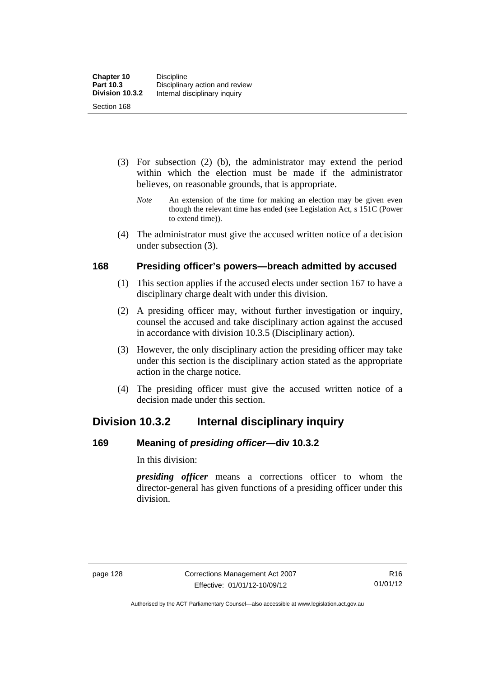- (3) For subsection (2) (b), the administrator may extend the period within which the election must be made if the administrator believes, on reasonable grounds, that is appropriate.
	- *Note* An extension of the time for making an election may be given even though the relevant time has ended (see Legislation Act, s 151C (Power to extend time)).
- (4) The administrator must give the accused written notice of a decision under subsection (3).

## **168 Presiding officer's powers—breach admitted by accused**

- (1) This section applies if the accused elects under section 167 to have a disciplinary charge dealt with under this division.
- (2) A presiding officer may, without further investigation or inquiry, counsel the accused and take disciplinary action against the accused in accordance with division 10.3.5 (Disciplinary action).
- (3) However, the only disciplinary action the presiding officer may take under this section is the disciplinary action stated as the appropriate action in the charge notice.
- (4) The presiding officer must give the accused written notice of a decision made under this section.

# **Division 10.3.2 Internal disciplinary inquiry**

# **169 Meaning of** *presiding officer***—div 10.3.2**

In this division:

*presiding officer* means a corrections officer to whom the director-general has given functions of a presiding officer under this division.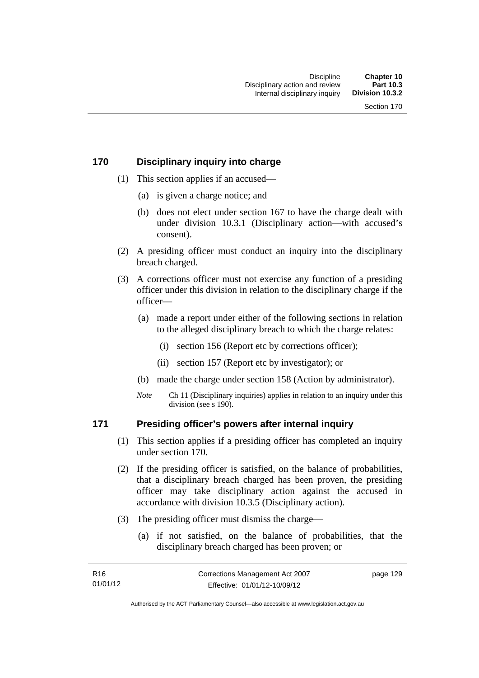# **170 Disciplinary inquiry into charge**

- (1) This section applies if an accused—
	- (a) is given a charge notice; and
	- (b) does not elect under section 167 to have the charge dealt with under division 10.3.1 (Disciplinary action—with accused's consent).
- (2) A presiding officer must conduct an inquiry into the disciplinary breach charged.
- (3) A corrections officer must not exercise any function of a presiding officer under this division in relation to the disciplinary charge if the officer—
	- (a) made a report under either of the following sections in relation to the alleged disciplinary breach to which the charge relates:
		- (i) section 156 (Report etc by corrections officer);
		- (ii) section 157 (Report etc by investigator); or
	- (b) made the charge under section 158 (Action by administrator).
	- *Note* Ch 11 (Disciplinary inquiries) applies in relation to an inquiry under this division (see s 190).

# **171 Presiding officer's powers after internal inquiry**

- (1) This section applies if a presiding officer has completed an inquiry under section 170.
- (2) If the presiding officer is satisfied, on the balance of probabilities, that a disciplinary breach charged has been proven, the presiding officer may take disciplinary action against the accused in accordance with division 10.3.5 (Disciplinary action).
- (3) The presiding officer must dismiss the charge—
	- (a) if not satisfied, on the balance of probabilities, that the disciplinary breach charged has been proven; or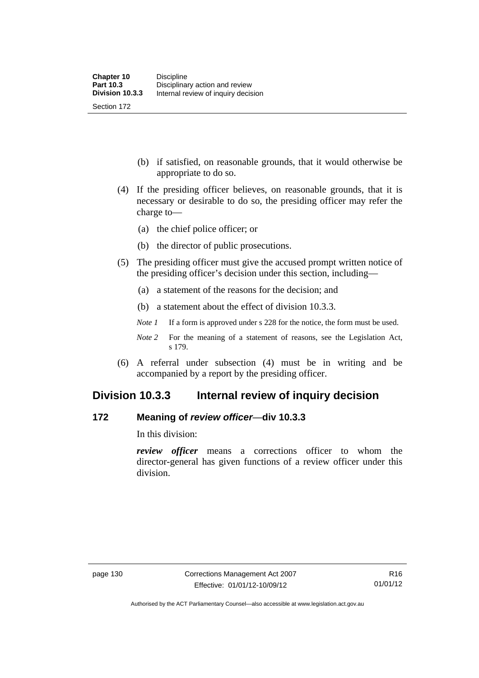(b) if satisfied, on reasonable grounds, that it would otherwise be appropriate to do so.

- (4) If the presiding officer believes, on reasonable grounds, that it is necessary or desirable to do so, the presiding officer may refer the charge to—
	- (a) the chief police officer; or
	- (b) the director of public prosecutions.
- (5) The presiding officer must give the accused prompt written notice of the presiding officer's decision under this section, including—
	- (a) a statement of the reasons for the decision; and
	- (b) a statement about the effect of division 10.3.3.
	- *Note 1* If a form is approved under s 228 for the notice, the form must be used.
	- *Note* 2 For the meaning of a statement of reasons, see the Legislation Act, s 179.
- (6) A referral under subsection (4) must be in writing and be accompanied by a report by the presiding officer.

# **Division 10.3.3 Internal review of inquiry decision**

## **172 Meaning of** *review officer*—**div 10.3.3**

In this division:

*review officer* means a corrections officer to whom the director-general has given functions of a review officer under this division.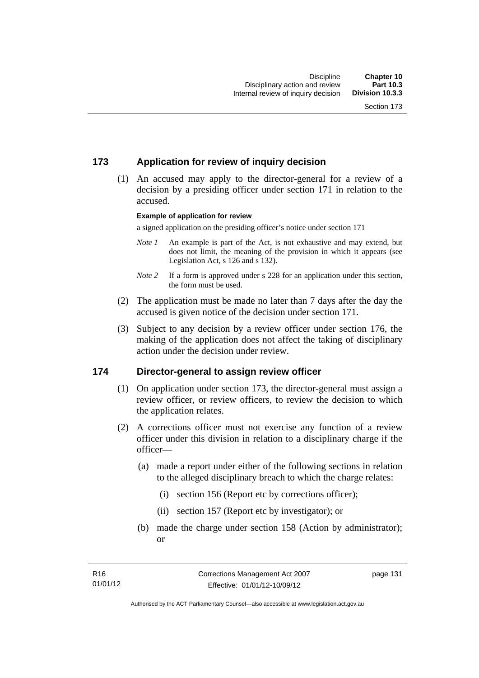# **173 Application for review of inquiry decision**

 (1) An accused may apply to the director-general for a review of a decision by a presiding officer under section 171 in relation to the accused.

#### **Example of application for review**

a signed application on the presiding officer's notice under section 171

- *Note 1* An example is part of the Act, is not exhaustive and may extend, but does not limit, the meaning of the provision in which it appears (see Legislation Act, s 126 and s 132).
- *Note* 2 If a form is approved under s 228 for an application under this section, the form must be used.
- (2) The application must be made no later than 7 days after the day the accused is given notice of the decision under section 171.
- (3) Subject to any decision by a review officer under section 176, the making of the application does not affect the taking of disciplinary action under the decision under review.

## **174 Director-general to assign review officer**

- (1) On application under section 173, the director-general must assign a review officer, or review officers, to review the decision to which the application relates.
- (2) A corrections officer must not exercise any function of a review officer under this division in relation to a disciplinary charge if the officer—
	- (a) made a report under either of the following sections in relation to the alleged disciplinary breach to which the charge relates:
		- (i) section 156 (Report etc by corrections officer);
		- (ii) section 157 (Report etc by investigator); or
	- (b) made the charge under section 158 (Action by administrator); or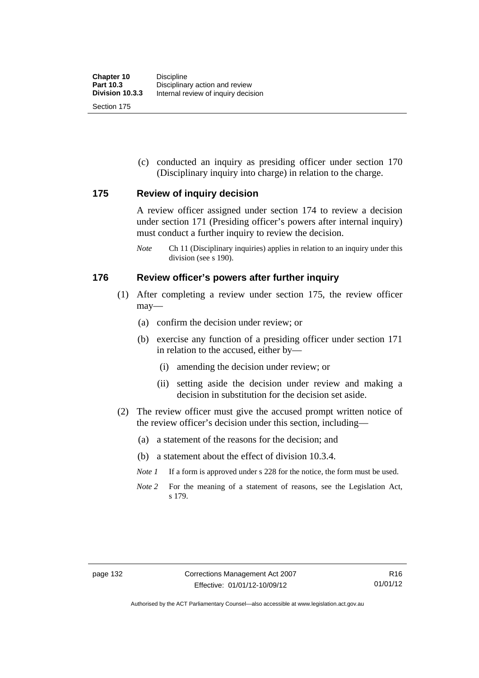(c) conducted an inquiry as presiding officer under section 170 (Disciplinary inquiry into charge) in relation to the charge.

# **175 Review of inquiry decision**

A review officer assigned under section 174 to review a decision under section 171 (Presiding officer's powers after internal inquiry) must conduct a further inquiry to review the decision.

*Note* Ch 11 (Disciplinary inquiries) applies in relation to an inquiry under this division (see s 190).

# **176 Review officer's powers after further inquiry**

- (1) After completing a review under section 175, the review officer may—
	- (a) confirm the decision under review; or
	- (b) exercise any function of a presiding officer under section 171 in relation to the accused, either by—
		- (i) amending the decision under review; or
		- (ii) setting aside the decision under review and making a decision in substitution for the decision set aside.
- (2) The review officer must give the accused prompt written notice of the review officer's decision under this section, including—
	- (a) a statement of the reasons for the decision; and
	- (b) a statement about the effect of division 10.3.4.
	- *Note 1* If a form is approved under s 228 for the notice, the form must be used.
	- *Note 2* For the meaning of a statement of reasons, see the Legislation Act, s 179.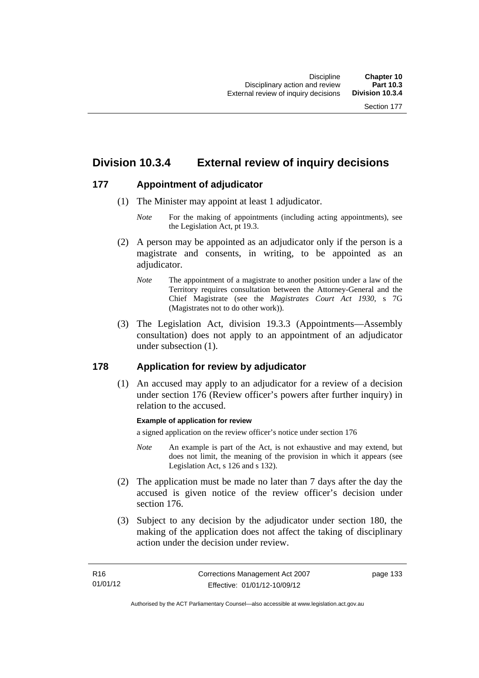# **Division 10.3.4 External review of inquiry decisions**

# **177 Appointment of adjudicator**

- (1) The Minister may appoint at least 1 adjudicator.
	- *Note* For the making of appointments (including acting appointments), see the Legislation Act, pt 19.3.
- (2) A person may be appointed as an adjudicator only if the person is a magistrate and consents, in writing, to be appointed as an adiudicator.
	- *Note* The appointment of a magistrate to another position under a law of the Territory requires consultation between the Attorney-General and the Chief Magistrate (see the *Magistrates Court Act 1930*, s 7G (Magistrates not to do other work)).
- (3) The Legislation Act, division 19.3.3 (Appointments—Assembly consultation) does not apply to an appointment of an adjudicator under subsection (1).

# **178 Application for review by adjudicator**

 (1) An accused may apply to an adjudicator for a review of a decision under section 176 (Review officer's powers after further inquiry) in relation to the accused.

## **Example of application for review**

a signed application on the review officer's notice under section 176

- *Note* An example is part of the Act, is not exhaustive and may extend, but does not limit, the meaning of the provision in which it appears (see Legislation Act, s 126 and s 132).
- (2) The application must be made no later than 7 days after the day the accused is given notice of the review officer's decision under section 176.
- (3) Subject to any decision by the adjudicator under section 180, the making of the application does not affect the taking of disciplinary action under the decision under review.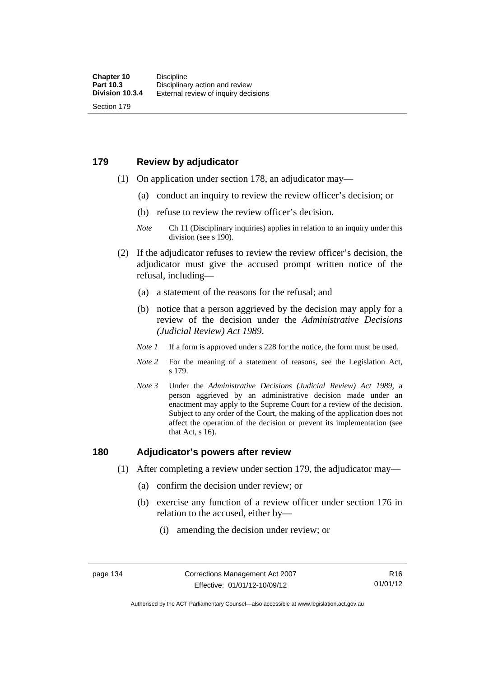# **179 Review by adjudicator**

Section 179

- (1) On application under section 178, an adjudicator may—
	- (a) conduct an inquiry to review the review officer's decision; or
	- (b) refuse to review the review officer's decision.

- (2) If the adjudicator refuses to review the review officer's decision, the adjudicator must give the accused prompt written notice of the refusal, including—
	- (a) a statement of the reasons for the refusal; and
	- (b) notice that a person aggrieved by the decision may apply for a review of the decision under the *Administrative Decisions (Judicial Review) Act 1989*.
	- *Note 1* If a form is approved under s 228 for the notice, the form must be used.
	- *Note 2* For the meaning of a statement of reasons, see the Legislation Act, s 179.
	- *Note 3* Under the *Administrative Decisions (Judicial Review) Act 1989*, a person aggrieved by an administrative decision made under an enactment may apply to the Supreme Court for a review of the decision. Subject to any order of the Court, the making of the application does not affect the operation of the decision or prevent its implementation (see that Act, s 16).

## **180 Adjudicator's powers after review**

- (1) After completing a review under section 179, the adjudicator may—
	- (a) confirm the decision under review; or
	- (b) exercise any function of a review officer under section 176 in relation to the accused, either by—
		- (i) amending the decision under review; or

*Note* Ch 11 (Disciplinary inquiries) applies in relation to an inquiry under this division (see s 190).

Authorised by the ACT Parliamentary Counsel—also accessible at www.legislation.act.gov.au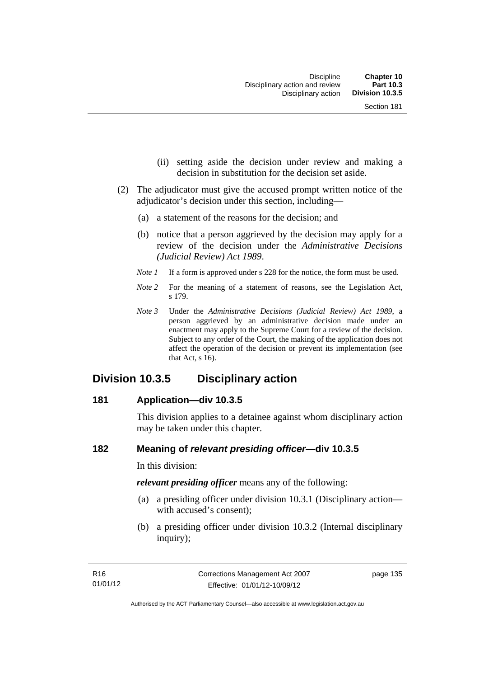- (ii) setting aside the decision under review and making a decision in substitution for the decision set aside.
- (2) The adjudicator must give the accused prompt written notice of the adjudicator's decision under this section, including—
	- (a) a statement of the reasons for the decision; and
	- (b) notice that a person aggrieved by the decision may apply for a review of the decision under the *Administrative Decisions (Judicial Review) Act 1989*.
	- *Note 1* If a form is approved under s 228 for the notice, the form must be used.
	- *Note* 2 For the meaning of a statement of reasons, see the Legislation Act, s 179.
	- *Note 3* Under the *Administrative Decisions (Judicial Review) Act 1989*, a person aggrieved by an administrative decision made under an enactment may apply to the Supreme Court for a review of the decision. Subject to any order of the Court, the making of the application does not affect the operation of the decision or prevent its implementation (see that Act, s 16).

# **Division 10.3.5 Disciplinary action**

## **181 Application—div 10.3.5**

This division applies to a detainee against whom disciplinary action may be taken under this chapter.

# **182 Meaning of** *relevant presiding officer***—div 10.3.5**

In this division:

*relevant presiding officer* means any of the following:

- (a) a presiding officer under division 10.3.1 (Disciplinary action with accused's consent);
- (b) a presiding officer under division 10.3.2 (Internal disciplinary inquiry);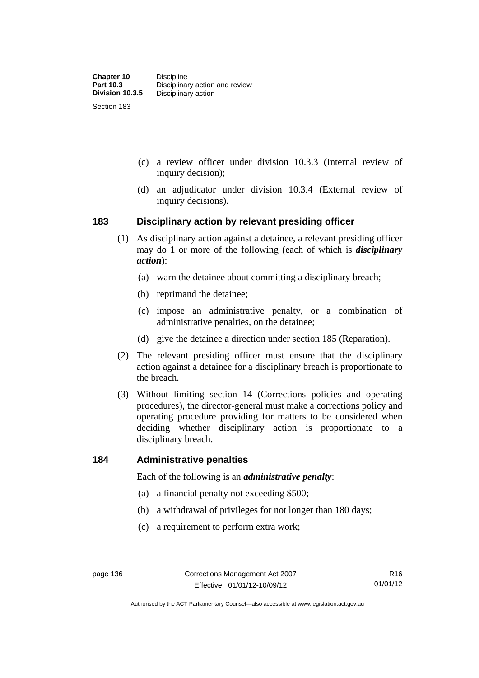- (c) a review officer under division 10.3.3 (Internal review of inquiry decision);
- (d) an adjudicator under division 10.3.4 (External review of inquiry decisions).

# **183 Disciplinary action by relevant presiding officer**

- (1) As disciplinary action against a detainee, a relevant presiding officer may do 1 or more of the following (each of which is *disciplinary action*):
	- (a) warn the detainee about committing a disciplinary breach;
	- (b) reprimand the detainee;
	- (c) impose an administrative penalty, or a combination of administrative penalties, on the detainee;
	- (d) give the detainee a direction under section 185 (Reparation).
- (2) The relevant presiding officer must ensure that the disciplinary action against a detainee for a disciplinary breach is proportionate to the breach.
- (3) Without limiting section 14 (Corrections policies and operating procedures), the director-general must make a corrections policy and operating procedure providing for matters to be considered when deciding whether disciplinary action is proportionate to a disciplinary breach.

## **184 Administrative penalties**

Each of the following is an *administrative penalty*:

- (a) a financial penalty not exceeding \$500;
- (b) a withdrawal of privileges for not longer than 180 days;
- (c) a requirement to perform extra work;

Authorised by the ACT Parliamentary Counsel—also accessible at www.legislation.act.gov.au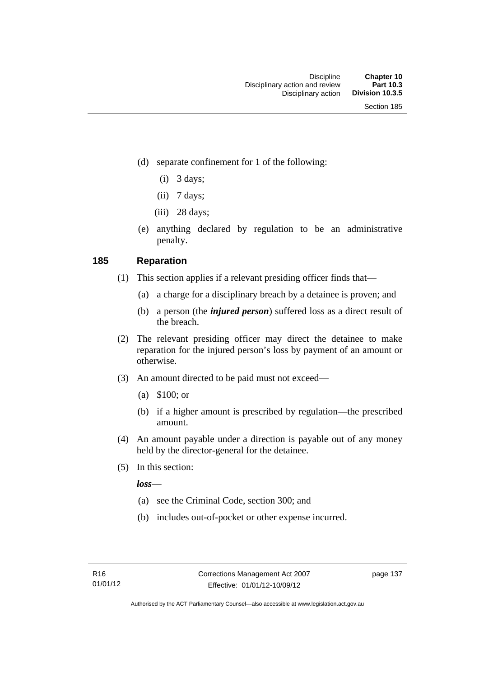- (d) separate confinement for 1 of the following:
	- $(i)$  3 days;
	- $(ii)$  7 days;
	- $(iii)$  28 days;
- (e) anything declared by regulation to be an administrative penalty.

# **185 Reparation**

- (1) This section applies if a relevant presiding officer finds that—
	- (a) a charge for a disciplinary breach by a detainee is proven; and
	- (b) a person (the *injured person*) suffered loss as a direct result of the breach.
- (2) The relevant presiding officer may direct the detainee to make reparation for the injured person's loss by payment of an amount or otherwise.
- (3) An amount directed to be paid must not exceed—
	- (a) \$100; or
	- (b) if a higher amount is prescribed by regulation—the prescribed amount.
- (4) An amount payable under a direction is payable out of any money held by the director-general for the detainee.
- (5) In this section:

*loss*—

- (a) see the Criminal Code, section 300; and
- (b) includes out-of-pocket or other expense incurred.

page 137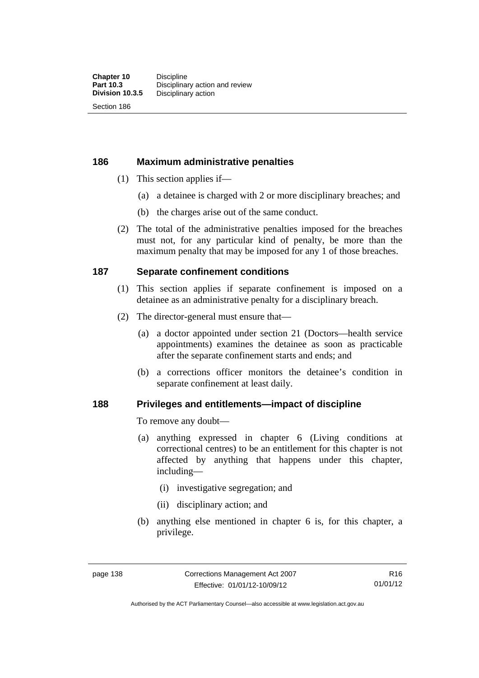Section 186

# **186 Maximum administrative penalties**

- (1) This section applies if—
	- (a) a detainee is charged with 2 or more disciplinary breaches; and
	- (b) the charges arise out of the same conduct.
- (2) The total of the administrative penalties imposed for the breaches must not, for any particular kind of penalty, be more than the maximum penalty that may be imposed for any 1 of those breaches.

# **187 Separate confinement conditions**

- (1) This section applies if separate confinement is imposed on a detainee as an administrative penalty for a disciplinary breach.
- (2) The director-general must ensure that—
	- (a) a doctor appointed under section 21 (Doctors—health service appointments) examines the detainee as soon as practicable after the separate confinement starts and ends; and
	- (b) a corrections officer monitors the detainee's condition in separate confinement at least daily.

# **188 Privileges and entitlements—impact of discipline**

To remove any doubt—

- (a) anything expressed in chapter 6 (Living conditions at correctional centres) to be an entitlement for this chapter is not affected by anything that happens under this chapter, including—
	- (i) investigative segregation; and
	- (ii) disciplinary action; and
- (b) anything else mentioned in chapter 6 is, for this chapter, a privilege.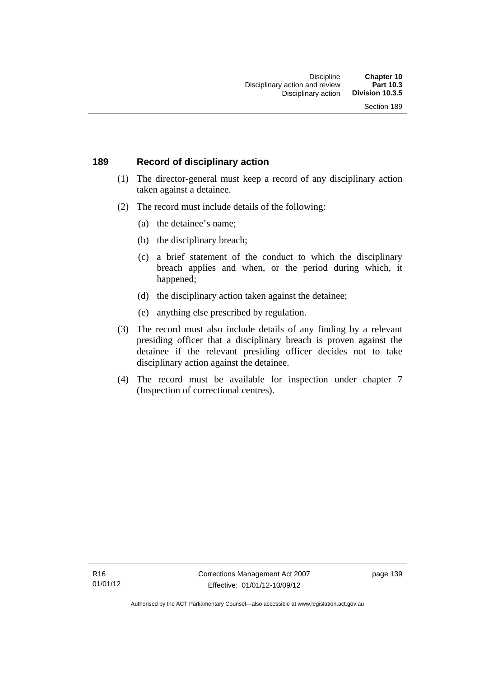# **189 Record of disciplinary action**

- (1) The director-general must keep a record of any disciplinary action taken against a detainee.
- (2) The record must include details of the following:
	- (a) the detainee's name;
	- (b) the disciplinary breach;
	- (c) a brief statement of the conduct to which the disciplinary breach applies and when, or the period during which, it happened;
	- (d) the disciplinary action taken against the detainee;
	- (e) anything else prescribed by regulation.
- (3) The record must also include details of any finding by a relevant presiding officer that a disciplinary breach is proven against the detainee if the relevant presiding officer decides not to take disciplinary action against the detainee.
- (4) The record must be available for inspection under chapter 7 (Inspection of correctional centres).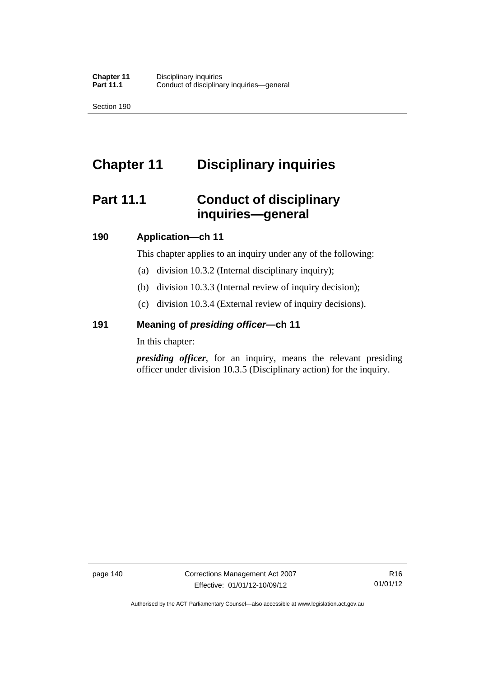Section 190

# **Chapter 11 Disciplinary inquiries**

# **Part 11.1 Conduct of disciplinary inquiries—general**

# **190 Application—ch 11**

This chapter applies to an inquiry under any of the following:

- (a) division 10.3.2 (Internal disciplinary inquiry);
- (b) division 10.3.3 (Internal review of inquiry decision);
- (c) division 10.3.4 (External review of inquiry decisions).

# **191 Meaning of** *presiding officer—***ch 11**

In this chapter:

*presiding officer*, for an inquiry, means the relevant presiding officer under division 10.3.5 (Disciplinary action) for the inquiry.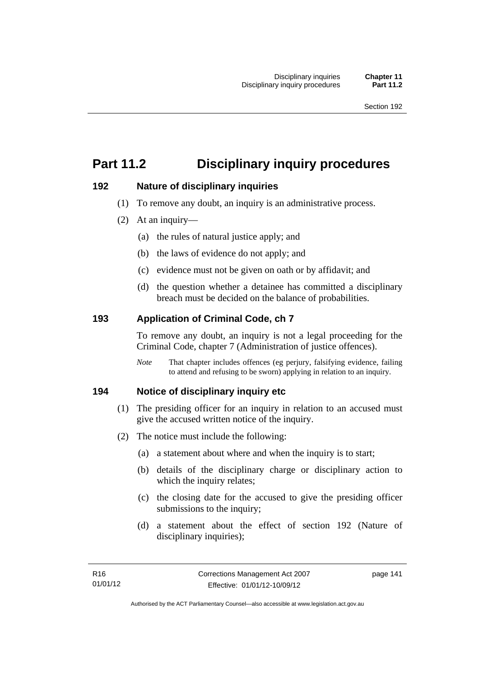# **Part 11.2 Disciplinary inquiry procedures**

# **192 Nature of disciplinary inquiries**

- (1) To remove any doubt, an inquiry is an administrative process.
- (2) At an inquiry—
	- (a) the rules of natural justice apply; and
	- (b) the laws of evidence do not apply; and
	- (c) evidence must not be given on oath or by affidavit; and
	- (d) the question whether a detainee has committed a disciplinary breach must be decided on the balance of probabilities.

# **193 Application of Criminal Code, ch 7**

To remove any doubt, an inquiry is not a legal proceeding for the Criminal Code, chapter 7 (Administration of justice offences).

*Note* That chapter includes offences (eg perjury, falsifying evidence, failing to attend and refusing to be sworn) applying in relation to an inquiry.

# **194 Notice of disciplinary inquiry etc**

- (1) The presiding officer for an inquiry in relation to an accused must give the accused written notice of the inquiry.
- (2) The notice must include the following:
	- (a) a statement about where and when the inquiry is to start;
	- (b) details of the disciplinary charge or disciplinary action to which the inquiry relates;
	- (c) the closing date for the accused to give the presiding officer submissions to the inquiry;
	- (d) a statement about the effect of section 192 (Nature of disciplinary inquiries);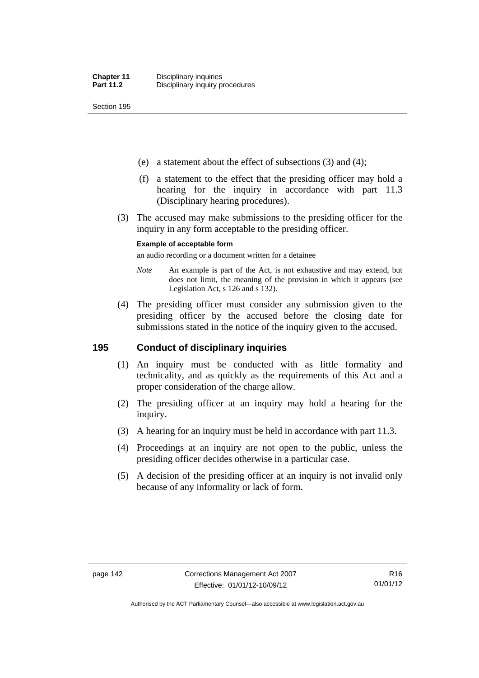Section 195

- (e) a statement about the effect of subsections (3) and (4);
- (f) a statement to the effect that the presiding officer may hold a hearing for the inquiry in accordance with part 11.3 (Disciplinary hearing procedures).
- (3) The accused may make submissions to the presiding officer for the inquiry in any form acceptable to the presiding officer.

#### **Example of acceptable form**

an audio recording or a document written for a detainee

- *Note* An example is part of the Act, is not exhaustive and may extend, but does not limit, the meaning of the provision in which it appears (see Legislation Act, s 126 and s 132).
- (4) The presiding officer must consider any submission given to the presiding officer by the accused before the closing date for submissions stated in the notice of the inquiry given to the accused.

# **195 Conduct of disciplinary inquiries**

- (1) An inquiry must be conducted with as little formality and technicality, and as quickly as the requirements of this Act and a proper consideration of the charge allow.
- (2) The presiding officer at an inquiry may hold a hearing for the inquiry.
- (3) A hearing for an inquiry must be held in accordance with part 11.3.
- (4) Proceedings at an inquiry are not open to the public, unless the presiding officer decides otherwise in a particular case.
- (5) A decision of the presiding officer at an inquiry is not invalid only because of any informality or lack of form.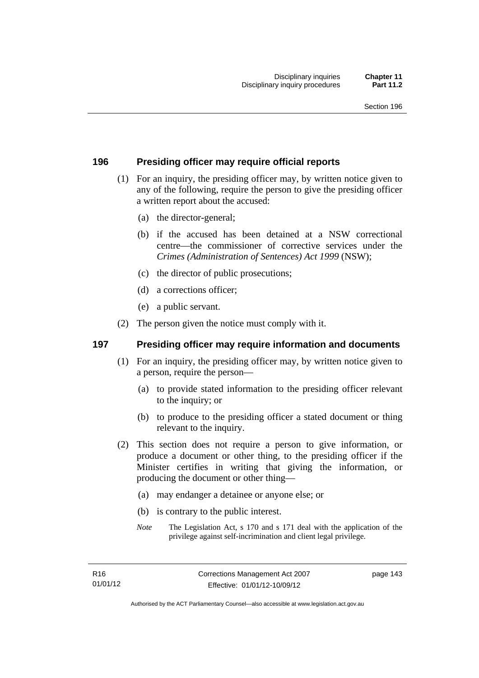# **196 Presiding officer may require official reports**

- (1) For an inquiry, the presiding officer may, by written notice given to any of the following, require the person to give the presiding officer a written report about the accused:
	- (a) the director-general;
	- (b) if the accused has been detained at a NSW correctional centre—the commissioner of corrective services under the *Crimes (Administration of Sentences) Act 1999* (NSW);
	- (c) the director of public prosecutions;
	- (d) a corrections officer;
	- (e) a public servant.
- (2) The person given the notice must comply with it.

# **197 Presiding officer may require information and documents**

- (1) For an inquiry, the presiding officer may, by written notice given to a person, require the person—
	- (a) to provide stated information to the presiding officer relevant to the inquiry; or
	- (b) to produce to the presiding officer a stated document or thing relevant to the inquiry.
- (2) This section does not require a person to give information, or produce a document or other thing, to the presiding officer if the Minister certifies in writing that giving the information, or producing the document or other thing—
	- (a) may endanger a detainee or anyone else; or
	- (b) is contrary to the public interest.
	- *Note* The Legislation Act, s 170 and s 171 deal with the application of the privilege against self-incrimination and client legal privilege.

page 143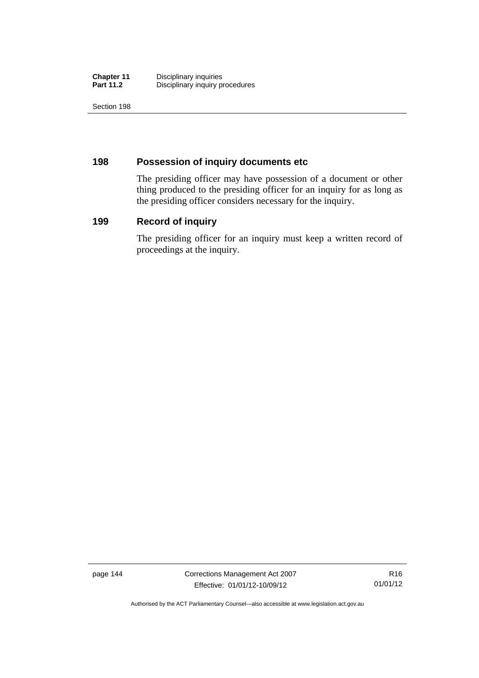| <b>Chapter 11</b> | Disciplinary inquiries          |
|-------------------|---------------------------------|
| <b>Part 11.2</b>  | Disciplinary inquiry procedures |

Section 198

# **198 Possession of inquiry documents etc**

The presiding officer may have possession of a document or other thing produced to the presiding officer for an inquiry for as long as the presiding officer considers necessary for the inquiry.

# **199 Record of inquiry**

The presiding officer for an inquiry must keep a written record of proceedings at the inquiry.

page 144 Corrections Management Act 2007 Effective: 01/01/12-10/09/12

Authorised by the ACT Parliamentary Counsel—also accessible at www.legislation.act.gov.au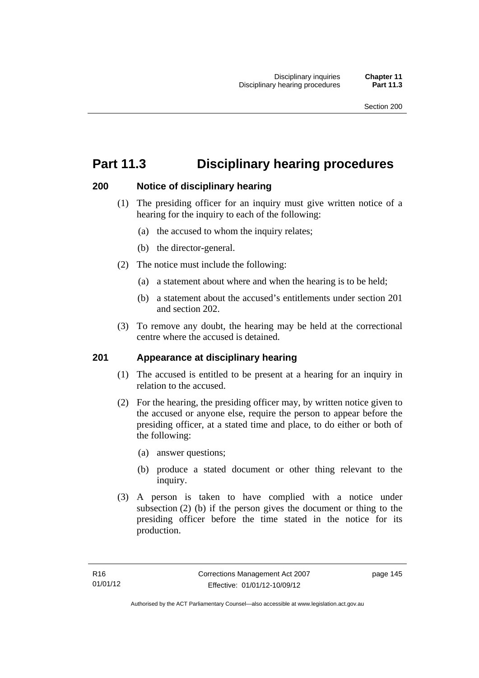# **Part 11.3 Disciplinary hearing procedures**

# **200 Notice of disciplinary hearing**

- (1) The presiding officer for an inquiry must give written notice of a hearing for the inquiry to each of the following:
	- (a) the accused to whom the inquiry relates;
	- (b) the director-general.
- (2) The notice must include the following:
	- (a) a statement about where and when the hearing is to be held;
	- (b) a statement about the accused's entitlements under section 201 and section 202.
- (3) To remove any doubt, the hearing may be held at the correctional centre where the accused is detained.

# **201 Appearance at disciplinary hearing**

- (1) The accused is entitled to be present at a hearing for an inquiry in relation to the accused.
- (2) For the hearing, the presiding officer may, by written notice given to the accused or anyone else, require the person to appear before the presiding officer, at a stated time and place, to do either or both of the following:
	- (a) answer questions;
	- (b) produce a stated document or other thing relevant to the inquiry.
- (3) A person is taken to have complied with a notice under subsection (2) (b) if the person gives the document or thing to the presiding officer before the time stated in the notice for its production.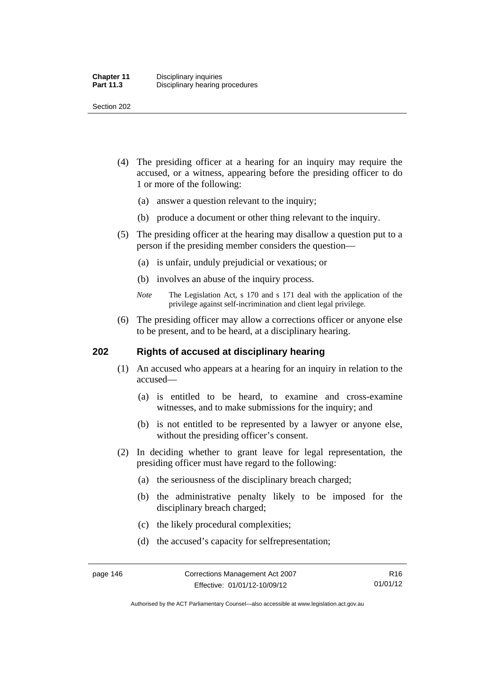Section 202

- (4) The presiding officer at a hearing for an inquiry may require the accused, or a witness, appearing before the presiding officer to do 1 or more of the following:
	- (a) answer a question relevant to the inquiry;
	- (b) produce a document or other thing relevant to the inquiry.
- (5) The presiding officer at the hearing may disallow a question put to a person if the presiding member considers the question—
	- (a) is unfair, unduly prejudicial or vexatious; or
	- (b) involves an abuse of the inquiry process.
	- *Note* The Legislation Act, s 170 and s 171 deal with the application of the privilege against self-incrimination and client legal privilege.
- (6) The presiding officer may allow a corrections officer or anyone else to be present, and to be heard, at a disciplinary hearing.

# **202 Rights of accused at disciplinary hearing**

- (1) An accused who appears at a hearing for an inquiry in relation to the accused—
	- (a) is entitled to be heard, to examine and cross-examine witnesses, and to make submissions for the inquiry; and
	- (b) is not entitled to be represented by a lawyer or anyone else, without the presiding officer's consent.
- (2) In deciding whether to grant leave for legal representation, the presiding officer must have regard to the following:
	- (a) the seriousness of the disciplinary breach charged;
	- (b) the administrative penalty likely to be imposed for the disciplinary breach charged;
	- (c) the likely procedural complexities;
	- (d) the accused's capacity for selfrepresentation;

Authorised by the ACT Parliamentary Counsel—also accessible at www.legislation.act.gov.au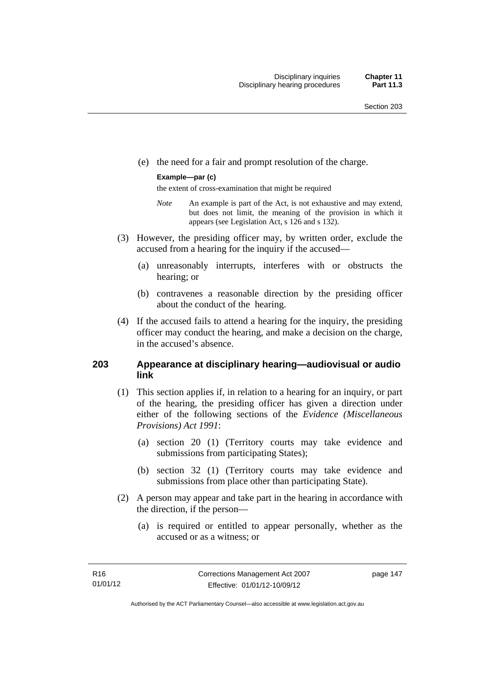(e) the need for a fair and prompt resolution of the charge.

#### **Example—par (c)**

the extent of cross-examination that might be required

- *Note* An example is part of the Act, is not exhaustive and may extend, but does not limit, the meaning of the provision in which it appears (see Legislation Act, s 126 and s 132).
- (3) However, the presiding officer may, by written order, exclude the accused from a hearing for the inquiry if the accused—
	- (a) unreasonably interrupts, interferes with or obstructs the hearing; or
	- (b) contravenes a reasonable direction by the presiding officer about the conduct of the hearing.
- (4) If the accused fails to attend a hearing for the inquiry, the presiding officer may conduct the hearing, and make a decision on the charge, in the accused's absence.

# **203 Appearance at disciplinary hearing—audiovisual or audio link**

- (1) This section applies if, in relation to a hearing for an inquiry, or part of the hearing, the presiding officer has given a direction under either of the following sections of the *Evidence (Miscellaneous Provisions) Act 1991*:
	- (a) section 20 (1) (Territory courts may take evidence and submissions from participating States);
	- (b) section 32 (1) (Territory courts may take evidence and submissions from place other than participating State).
- (2) A person may appear and take part in the hearing in accordance with the direction, if the person—
	- (a) is required or entitled to appear personally, whether as the accused or as a witness; or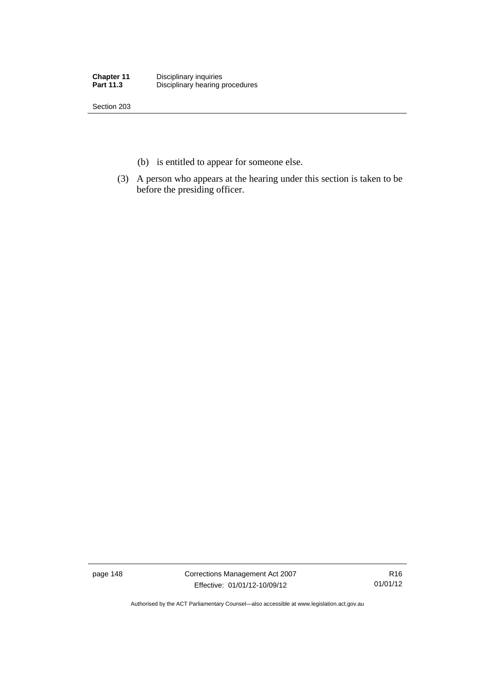| <b>Chapter 11</b> | Disciplinary inquiries          |
|-------------------|---------------------------------|
| <b>Part 11.3</b>  | Disciplinary hearing procedures |

Section 203

- (b) is entitled to appear for someone else.
- (3) A person who appears at the hearing under this section is taken to be before the presiding officer.

page 148 Corrections Management Act 2007 Effective: 01/01/12-10/09/12

R16 01/01/12

Authorised by the ACT Parliamentary Counsel—also accessible at www.legislation.act.gov.au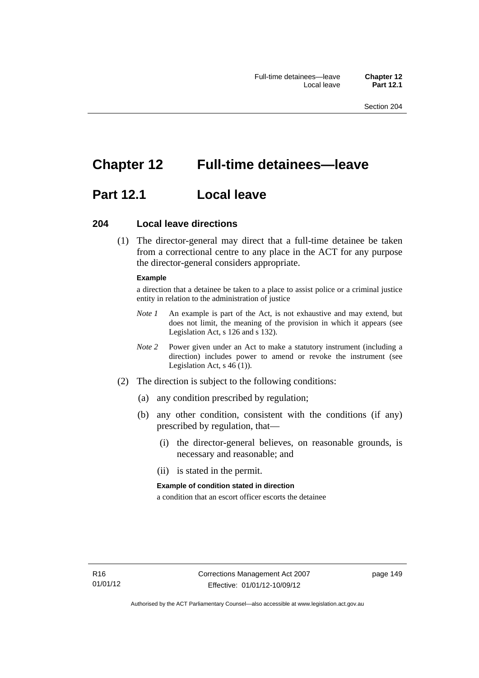# **Chapter 12 Full-time detainees—leave**

# **Part 12.1 Local leave**

# **204 Local leave directions**

 (1) The director-general may direct that a full-time detainee be taken from a correctional centre to any place in the ACT for any purpose the director-general considers appropriate.

#### **Example**

a direction that a detainee be taken to a place to assist police or a criminal justice entity in relation to the administration of justice

- *Note 1* An example is part of the Act, is not exhaustive and may extend, but does not limit, the meaning of the provision in which it appears (see Legislation Act, s 126 and s 132).
- *Note 2* Power given under an Act to make a statutory instrument (including a direction) includes power to amend or revoke the instrument (see Legislation Act, s 46 (1)).
- (2) The direction is subject to the following conditions:
	- (a) any condition prescribed by regulation;
	- (b) any other condition, consistent with the conditions (if any) prescribed by regulation, that—
		- (i) the director-general believes, on reasonable grounds, is necessary and reasonable; and
		- (ii) is stated in the permit.

#### **Example of condition stated in direction**

a condition that an escort officer escorts the detainee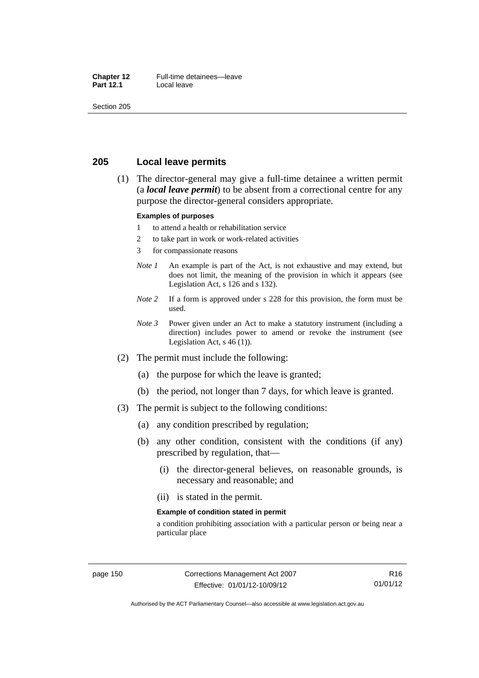#### **Chapter 12** Full-time detainees—leave<br>**Part 12.1** Local leave **Local leave**

Section 205

# **205 Local leave permits**

 (1) The director-general may give a full-time detainee a written permit (a *local leave permit*) to be absent from a correctional centre for any purpose the director-general considers appropriate.

#### **Examples of purposes**

- 1 to attend a health or rehabilitation service
- 2 to take part in work or work-related activities
- 3 for compassionate reasons
- *Note 1* An example is part of the Act, is not exhaustive and may extend, but does not limit, the meaning of the provision in which it appears (see Legislation Act, s 126 and s 132).
- *Note* 2 If a form is approved under s 228 for this provision, the form must be used.
- *Note 3* Power given under an Act to make a statutory instrument (including a direction) includes power to amend or revoke the instrument (see Legislation Act,  $s$  46 (1)).
- (2) The permit must include the following:
	- (a) the purpose for which the leave is granted;
	- (b) the period, not longer than 7 days, for which leave is granted.
- (3) The permit is subject to the following conditions:
	- (a) any condition prescribed by regulation;
	- (b) any other condition, consistent with the conditions (if any) prescribed by regulation, that—
		- (i) the director-general believes, on reasonable grounds, is necessary and reasonable; and
		- (ii) is stated in the permit.

#### **Example of condition stated in permit**

a condition prohibiting association with a particular person or being near a particular place

Authorised by the ACT Parliamentary Counsel—also accessible at www.legislation.act.gov.au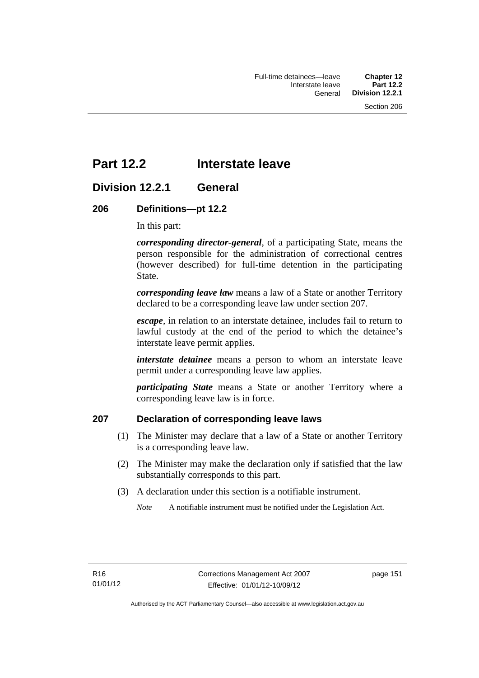# **Part 12.2 Interstate leave**

# **Division 12.2.1 General**

# **206 Definitions—pt 12.2**

In this part:

*corresponding director-general*, of a participating State, means the person responsible for the administration of correctional centres (however described) for full-time detention in the participating State.

*corresponding leave law* means a law of a State or another Territory declared to be a corresponding leave law under section 207.

*escape*, in relation to an interstate detainee, includes fail to return to lawful custody at the end of the period to which the detainee's interstate leave permit applies.

*interstate detainee* means a person to whom an interstate leave permit under a corresponding leave law applies.

*participating State* means a State or another Territory where a corresponding leave law is in force.

# **207 Declaration of corresponding leave laws**

- (1) The Minister may declare that a law of a State or another Territory is a corresponding leave law.
- (2) The Minister may make the declaration only if satisfied that the law substantially corresponds to this part.
- (3) A declaration under this section is a notifiable instrument.

*Note* A notifiable instrument must be notified under the Legislation Act.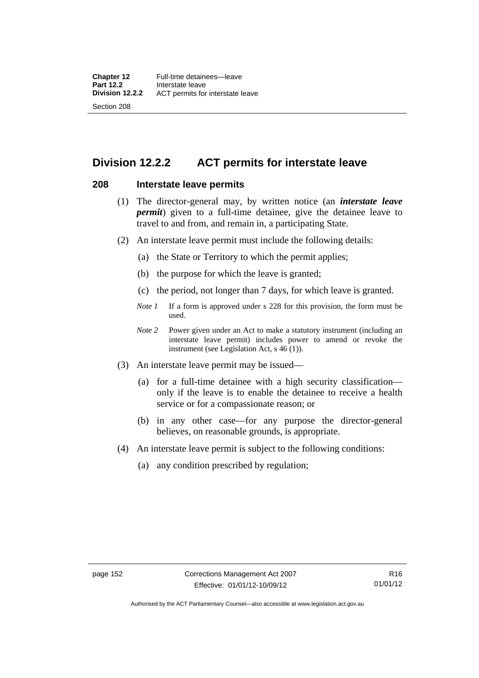# **Division 12.2.2 ACT permits for interstate leave**

## **208 Interstate leave permits**

- (1) The director-general may, by written notice (an *interstate leave permit*) given to a full-time detainee, give the detainee leave to travel to and from, and remain in, a participating State.
- (2) An interstate leave permit must include the following details:
	- (a) the State or Territory to which the permit applies;
	- (b) the purpose for which the leave is granted;
	- (c) the period, not longer than 7 days, for which leave is granted.
	- *Note 1* If a form is approved under s 228 for this provision, the form must be used.
	- *Note 2* Power given under an Act to make a statutory instrument (including an interstate leave permit) includes power to amend or revoke the instrument (see Legislation Act, s 46 (1)).
- (3) An interstate leave permit may be issued—
	- (a) for a full-time detainee with a high security classification only if the leave is to enable the detainee to receive a health service or for a compassionate reason; or
	- (b) in any other case—for any purpose the director-general believes, on reasonable grounds, is appropriate.
- (4) An interstate leave permit is subject to the following conditions:
	- (a) any condition prescribed by regulation;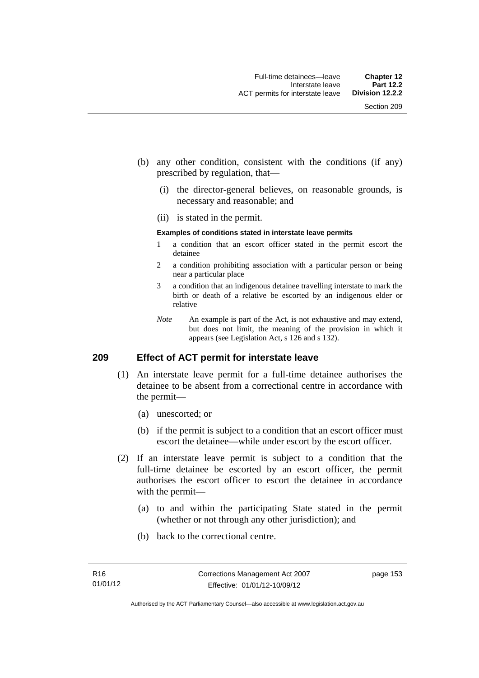- (b) any other condition, consistent with the conditions (if any) prescribed by regulation, that—
	- (i) the director-general believes, on reasonable grounds, is necessary and reasonable; and
	- (ii) is stated in the permit.

#### **Examples of conditions stated in interstate leave permits**

- 1 a condition that an escort officer stated in the permit escort the detainee
- 2 a condition prohibiting association with a particular person or being near a particular place
- 3 a condition that an indigenous detainee travelling interstate to mark the birth or death of a relative be escorted by an indigenous elder or relative
- *Note* An example is part of the Act, is not exhaustive and may extend, but does not limit, the meaning of the provision in which it appears (see Legislation Act, s 126 and s 132).

# **209 Effect of ACT permit for interstate leave**

- (1) An interstate leave permit for a full-time detainee authorises the detainee to be absent from a correctional centre in accordance with the permit—
	- (a) unescorted; or
	- (b) if the permit is subject to a condition that an escort officer must escort the detainee—while under escort by the escort officer.
- (2) If an interstate leave permit is subject to a condition that the full-time detainee be escorted by an escort officer, the permit authorises the escort officer to escort the detainee in accordance with the permit—
	- (a) to and within the participating State stated in the permit (whether or not through any other jurisdiction); and
	- (b) back to the correctional centre.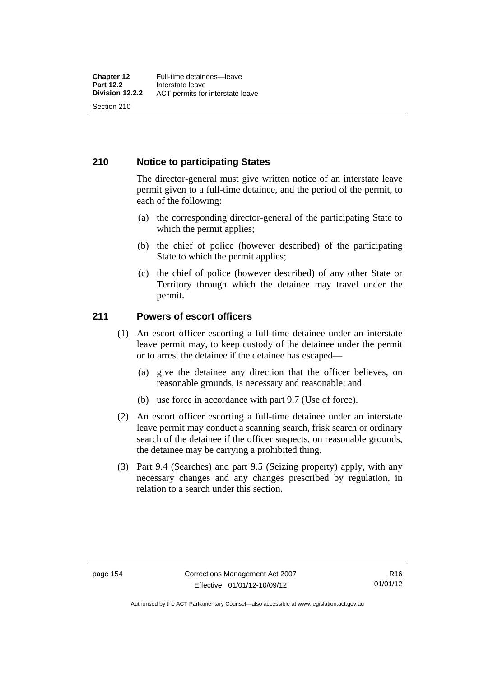# **210 Notice to participating States**

The director-general must give written notice of an interstate leave permit given to a full-time detainee, and the period of the permit, to each of the following:

- (a) the corresponding director-general of the participating State to which the permit applies;
- (b) the chief of police (however described) of the participating State to which the permit applies;
- (c) the chief of police (however described) of any other State or Territory through which the detainee may travel under the permit.

# **211 Powers of escort officers**

- (1) An escort officer escorting a full-time detainee under an interstate leave permit may, to keep custody of the detainee under the permit or to arrest the detainee if the detainee has escaped—
	- (a) give the detainee any direction that the officer believes, on reasonable grounds, is necessary and reasonable; and
	- (b) use force in accordance with part 9.7 (Use of force).
- (2) An escort officer escorting a full-time detainee under an interstate leave permit may conduct a scanning search, frisk search or ordinary search of the detainee if the officer suspects, on reasonable grounds, the detainee may be carrying a prohibited thing.
- (3) Part 9.4 (Searches) and part 9.5 (Seizing property) apply, with any necessary changes and any changes prescribed by regulation, in relation to a search under this section.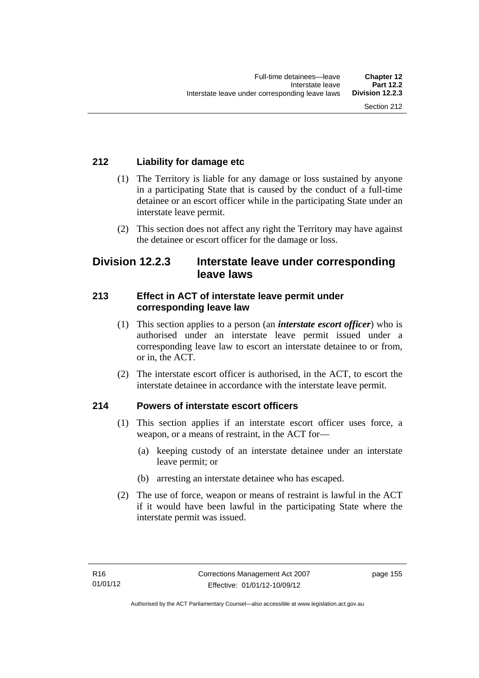# **212 Liability for damage etc**

- (1) The Territory is liable for any damage or loss sustained by anyone in a participating State that is caused by the conduct of a full-time detainee or an escort officer while in the participating State under an interstate leave permit.
- (2) This section does not affect any right the Territory may have against the detainee or escort officer for the damage or loss.

# **Division 12.2.3 Interstate leave under corresponding leave laws**

# **213 Effect in ACT of interstate leave permit under corresponding leave law**

- (1) This section applies to a person (an *interstate escort officer*) who is authorised under an interstate leave permit issued under a corresponding leave law to escort an interstate detainee to or from, or in, the ACT.
- (2) The interstate escort officer is authorised, in the ACT, to escort the interstate detainee in accordance with the interstate leave permit.

# **214 Powers of interstate escort officers**

- (1) This section applies if an interstate escort officer uses force, a weapon, or a means of restraint, in the ACT for—
	- (a) keeping custody of an interstate detainee under an interstate leave permit; or
	- (b) arresting an interstate detainee who has escaped.
- (2) The use of force, weapon or means of restraint is lawful in the ACT if it would have been lawful in the participating State where the interstate permit was issued.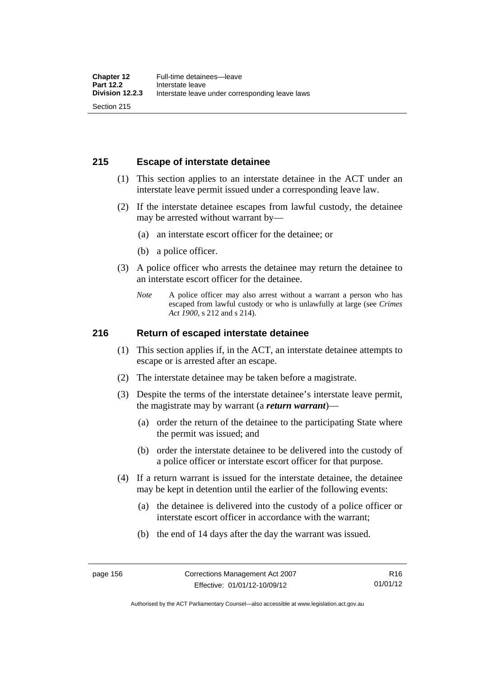# **215 Escape of interstate detainee**

- (1) This section applies to an interstate detainee in the ACT under an interstate leave permit issued under a corresponding leave law.
- (2) If the interstate detainee escapes from lawful custody, the detainee may be arrested without warrant by—
	- (a) an interstate escort officer for the detainee; or
	- (b) a police officer.
- (3) A police officer who arrests the detainee may return the detainee to an interstate escort officer for the detainee.
	- *Note* A police officer may also arrest without a warrant a person who has escaped from lawful custody or who is unlawfully at large (see *Crimes Act 1900*, s 212 and s 214).

## **216 Return of escaped interstate detainee**

- (1) This section applies if, in the ACT, an interstate detainee attempts to escape or is arrested after an escape.
- (2) The interstate detainee may be taken before a magistrate.
- (3) Despite the terms of the interstate detainee's interstate leave permit, the magistrate may by warrant (a *return warrant*)—
	- (a) order the return of the detainee to the participating State where the permit was issued; and
	- (b) order the interstate detainee to be delivered into the custody of a police officer or interstate escort officer for that purpose.
- (4) If a return warrant is issued for the interstate detainee, the detainee may be kept in detention until the earlier of the following events:
	- (a) the detainee is delivered into the custody of a police officer or interstate escort officer in accordance with the warrant;
	- (b) the end of 14 days after the day the warrant was issued.

Authorised by the ACT Parliamentary Counsel—also accessible at www.legislation.act.gov.au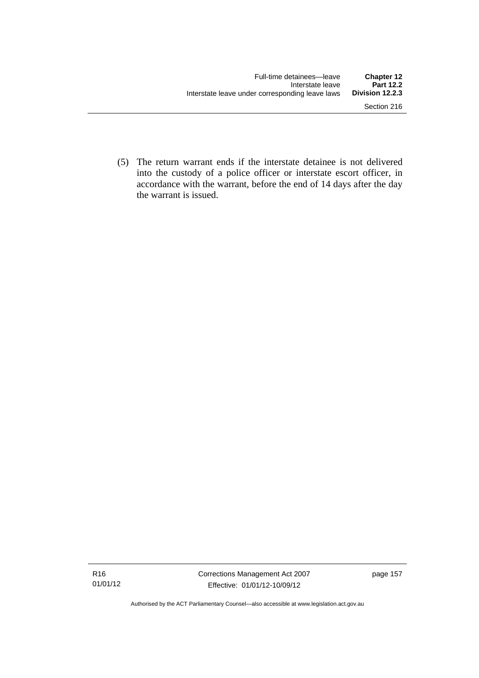(5) The return warrant ends if the interstate detainee is not delivered into the custody of a police officer or interstate escort officer, in accordance with the warrant, before the end of 14 days after the day the warrant is issued.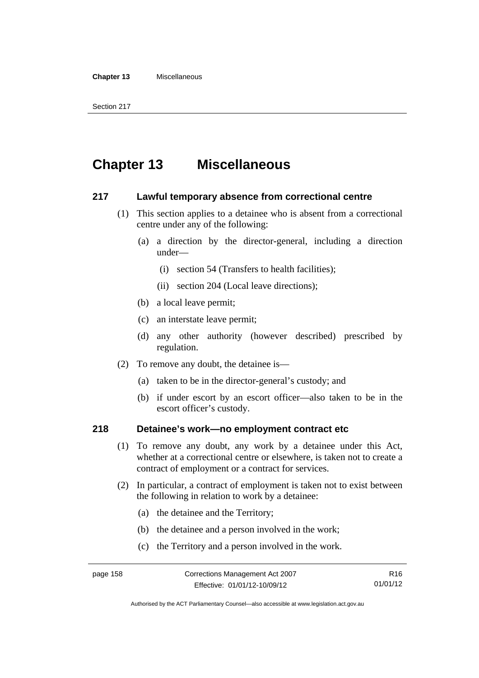#### **Chapter 13** Miscellaneous

# **Chapter 13 Miscellaneous**

## **217 Lawful temporary absence from correctional centre**

- (1) This section applies to a detainee who is absent from a correctional centre under any of the following:
	- (a) a direction by the director-general, including a direction under—
		- (i) section 54 (Transfers to health facilities);
		- (ii) section 204 (Local leave directions);
	- (b) a local leave permit;
	- (c) an interstate leave permit;
	- (d) any other authority (however described) prescribed by regulation.
- (2) To remove any doubt, the detainee is—
	- (a) taken to be in the director-general's custody; and
	- (b) if under escort by an escort officer—also taken to be in the escort officer's custody.

# **218 Detainee's work—no employment contract etc**

- (1) To remove any doubt, any work by a detainee under this Act, whether at a correctional centre or elsewhere, is taken not to create a contract of employment or a contract for services.
- (2) In particular, a contract of employment is taken not to exist between the following in relation to work by a detainee:
	- (a) the detainee and the Territory;
	- (b) the detainee and a person involved in the work;
	- (c) the Territory and a person involved in the work.

Authorised by the ACT Parliamentary Counsel—also accessible at www.legislation.act.gov.au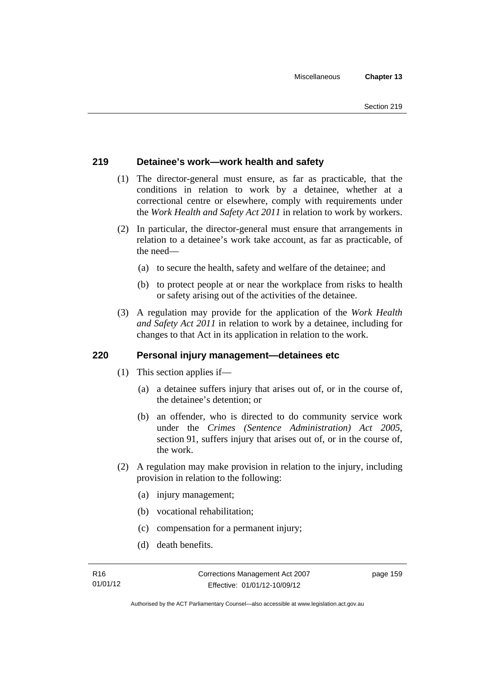# **219 Detainee's work—work health and safety**

- (1) The director-general must ensure, as far as practicable, that the conditions in relation to work by a detainee, whether at a correctional centre or elsewhere, comply with requirements under the *Work Health and Safety Act 2011* in relation to work by workers.
- (2) In particular, the director-general must ensure that arrangements in relation to a detainee's work take account, as far as practicable, of the need—
	- (a) to secure the health, safety and welfare of the detainee; and
	- (b) to protect people at or near the workplace from risks to health or safety arising out of the activities of the detainee.
- (3) A regulation may provide for the application of the *Work Health and Safety Act 2011* in relation to work by a detainee, including for changes to that Act in its application in relation to the work.

# **220 Personal injury management—detainees etc**

- (1) This section applies if—
	- (a) a detainee suffers injury that arises out of, or in the course of, the detainee's detention; or
	- (b) an offender, who is directed to do community service work under the *Crimes (Sentence Administration) Act 2005*, section 91, suffers injury that arises out of, or in the course of, the work.
- (2) A regulation may make provision in relation to the injury, including provision in relation to the following:
	- (a) injury management;
	- (b) vocational rehabilitation;
	- (c) compensation for a permanent injury;
	- (d) death benefits.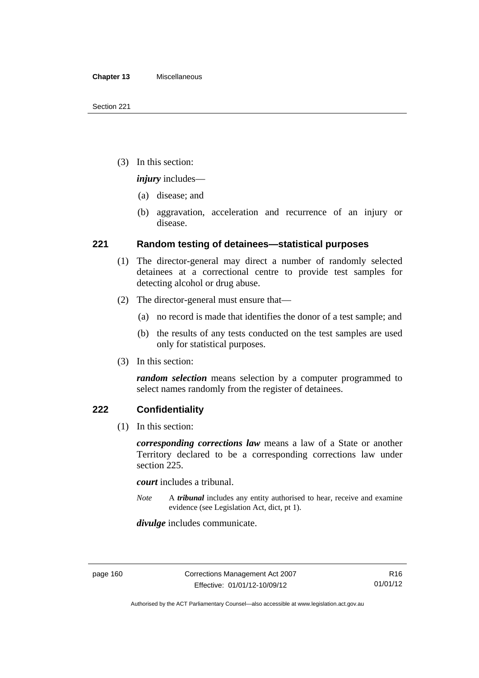(3) In this section:

*injury* includes—

- (a) disease; and
- (b) aggravation, acceleration and recurrence of an injury or disease.

# **221 Random testing of detainees—statistical purposes**

- (1) The director-general may direct a number of randomly selected detainees at a correctional centre to provide test samples for detecting alcohol or drug abuse.
- (2) The director-general must ensure that—
	- (a) no record is made that identifies the donor of a test sample; and
	- (b) the results of any tests conducted on the test samples are used only for statistical purposes.
- (3) In this section:

*random selection* means selection by a computer programmed to select names randomly from the register of detainees.

# **222 Confidentiality**

(1) In this section:

*corresponding corrections law* means a law of a State or another Territory declared to be a corresponding corrections law under section 225.

*court* includes a tribunal.

*Note* A *tribunal* includes any entity authorised to hear, receive and examine evidence (see Legislation Act, dict, pt 1).

*divulge* includes communicate.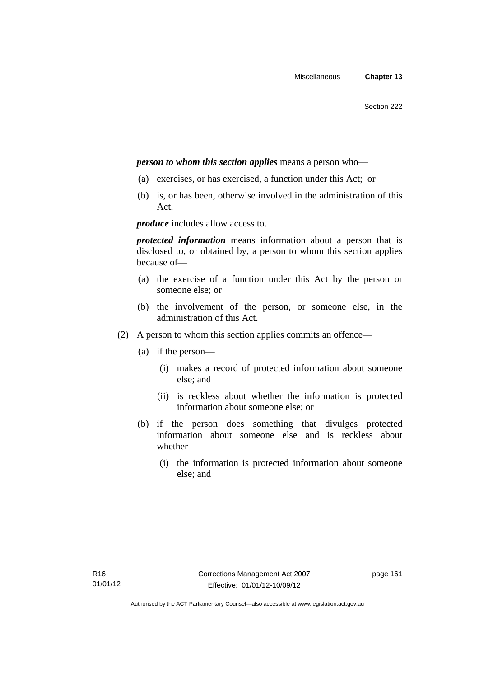## *person to whom this section applies* means a person who—

- (a) exercises, or has exercised, a function under this Act; or
- (b) is, or has been, otherwise involved in the administration of this Act.

*produce* includes allow access to.

*protected information* means information about a person that is disclosed to, or obtained by, a person to whom this section applies because of—

- (a) the exercise of a function under this Act by the person or someone else; or
- (b) the involvement of the person, or someone else, in the administration of this Act.
- (2) A person to whom this section applies commits an offence—
	- (a) if the person—
		- (i) makes a record of protected information about someone else; and
		- (ii) is reckless about whether the information is protected information about someone else; or
	- (b) if the person does something that divulges protected information about someone else and is reckless about whether—
		- (i) the information is protected information about someone else; and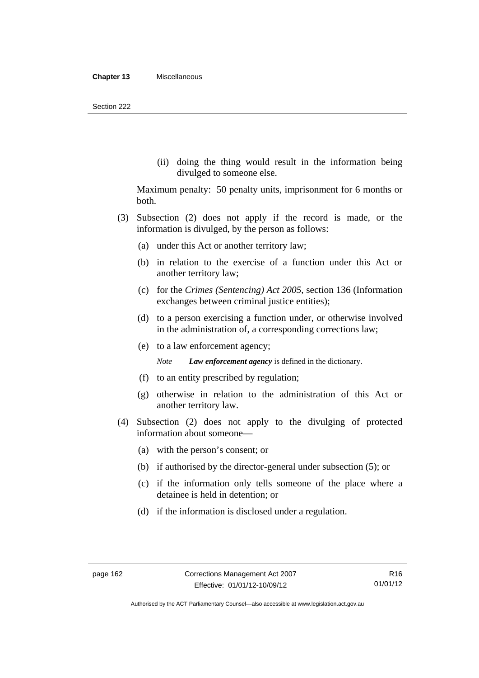(ii) doing the thing would result in the information being divulged to someone else.

Maximum penalty: 50 penalty units, imprisonment for 6 months or both.

- (3) Subsection (2) does not apply if the record is made, or the information is divulged, by the person as follows:
	- (a) under this Act or another territory law;
	- (b) in relation to the exercise of a function under this Act or another territory law;
	- (c) for the *Crimes (Sentencing) Act 2005*, section 136 (Information exchanges between criminal justice entities);
	- (d) to a person exercising a function under, or otherwise involved in the administration of, a corresponding corrections law;
	- (e) to a law enforcement agency;

*Note Law enforcement agency* is defined in the dictionary.

- (f) to an entity prescribed by regulation;
- (g) otherwise in relation to the administration of this Act or another territory law.
- (4) Subsection (2) does not apply to the divulging of protected information about someone—
	- (a) with the person's consent; or
	- (b) if authorised by the director-general under subsection (5); or
	- (c) if the information only tells someone of the place where a detainee is held in detention; or
	- (d) if the information is disclosed under a regulation.

Authorised by the ACT Parliamentary Counsel—also accessible at www.legislation.act.gov.au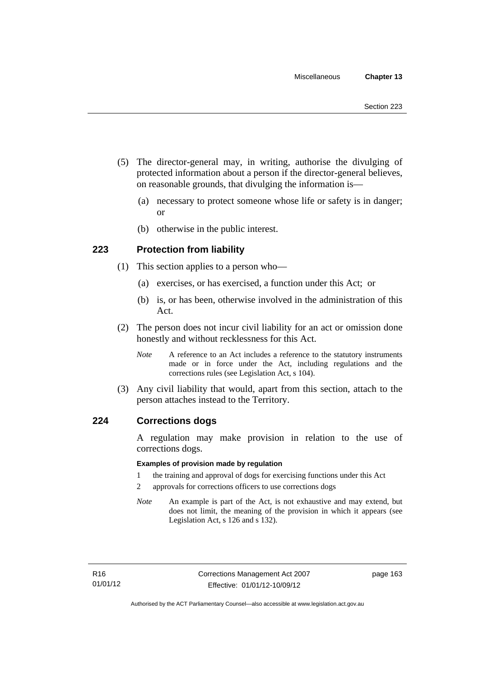- (5) The director-general may, in writing, authorise the divulging of protected information about a person if the director-general believes, on reasonable grounds, that divulging the information is—
	- (a) necessary to protect someone whose life or safety is in danger; or
	- (b) otherwise in the public interest.

# **223 Protection from liability**

- (1) This section applies to a person who—
	- (a) exercises, or has exercised, a function under this Act; or
	- (b) is, or has been, otherwise involved in the administration of this Act.
- (2) The person does not incur civil liability for an act or omission done honestly and without recklessness for this Act.
	- *Note* A reference to an Act includes a reference to the statutory instruments made or in force under the Act, including regulations and the corrections rules (see Legislation Act, s 104).
- (3) Any civil liability that would, apart from this section, attach to the person attaches instead to the Territory.

## **224 Corrections dogs**

A regulation may make provision in relation to the use of corrections dogs.

#### **Examples of provision made by regulation**

- 1 the training and approval of dogs for exercising functions under this Act
- 2 approvals for corrections officers to use corrections dogs
- *Note* An example is part of the Act, is not exhaustive and may extend, but does not limit, the meaning of the provision in which it appears (see Legislation Act, s 126 and s 132).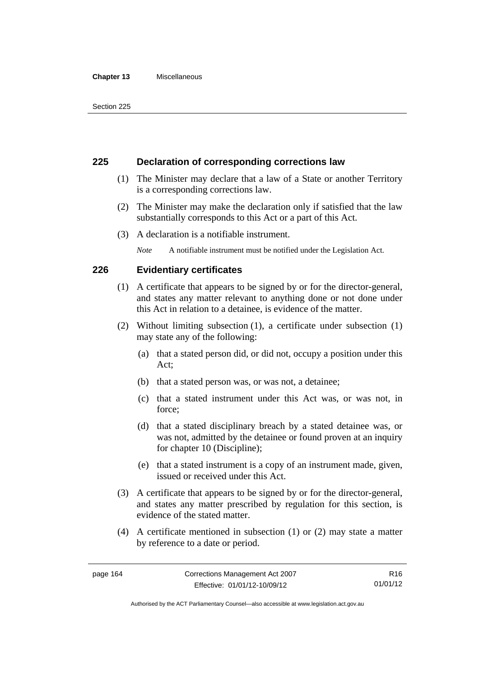#### **Chapter 13** Miscellaneous

# **225 Declaration of corresponding corrections law**

- (1) The Minister may declare that a law of a State or another Territory is a corresponding corrections law.
- (2) The Minister may make the declaration only if satisfied that the law substantially corresponds to this Act or a part of this Act.
- (3) A declaration is a notifiable instrument.

*Note* A notifiable instrument must be notified under the Legislation Act.

# **226 Evidentiary certificates**

- (1) A certificate that appears to be signed by or for the director-general, and states any matter relevant to anything done or not done under this Act in relation to a detainee, is evidence of the matter.
- (2) Without limiting subsection (1), a certificate under subsection (1) may state any of the following:
	- (a) that a stated person did, or did not, occupy a position under this Act;
	- (b) that a stated person was, or was not, a detainee;
	- (c) that a stated instrument under this Act was, or was not, in force;
	- (d) that a stated disciplinary breach by a stated detainee was, or was not, admitted by the detainee or found proven at an inquiry for chapter 10 (Discipline);
	- (e) that a stated instrument is a copy of an instrument made, given, issued or received under this Act.
- (3) A certificate that appears to be signed by or for the director-general, and states any matter prescribed by regulation for this section, is evidence of the stated matter.
- (4) A certificate mentioned in subsection (1) or (2) may state a matter by reference to a date or period.

Authorised by the ACT Parliamentary Counsel—also accessible at www.legislation.act.gov.au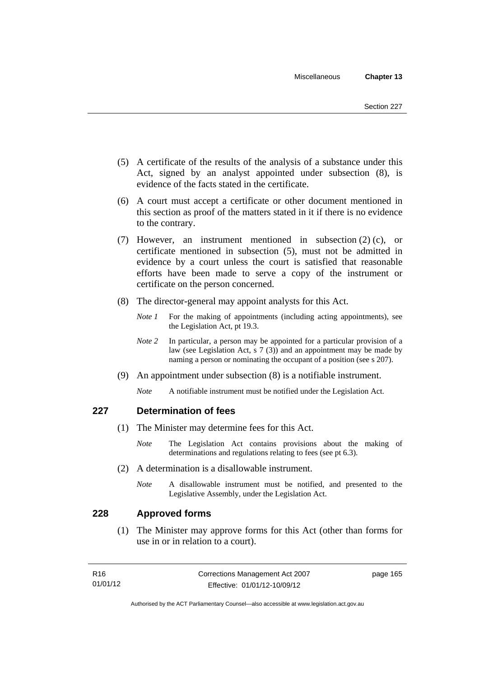- (5) A certificate of the results of the analysis of a substance under this Act, signed by an analyst appointed under subsection (8), is evidence of the facts stated in the certificate.
- (6) A court must accept a certificate or other document mentioned in this section as proof of the matters stated in it if there is no evidence to the contrary.
- (7) However, an instrument mentioned in subsection (2) (c), or certificate mentioned in subsection (5), must not be admitted in evidence by a court unless the court is satisfied that reasonable efforts have been made to serve a copy of the instrument or certificate on the person concerned.
- (8) The director-general may appoint analysts for this Act.
	- *Note 1* For the making of appointments (including acting appointments), see the Legislation Act, pt 19.3.
	- *Note* 2 In particular, a person may be appointed for a particular provision of a law (see Legislation Act, s 7 (3)) and an appointment may be made by naming a person or nominating the occupant of a position (see s 207).
- (9) An appointment under subsection (8) is a notifiable instrument.
	- *Note* A notifiable instrument must be notified under the Legislation Act.

# **227 Determination of fees**

- (1) The Minister may determine fees for this Act.
	- *Note* The Legislation Act contains provisions about the making of determinations and regulations relating to fees (see pt 6.3).
- (2) A determination is a disallowable instrument.
	- *Note* A disallowable instrument must be notified, and presented to the Legislative Assembly, under the Legislation Act.

# **228 Approved forms**

 (1) The Minister may approve forms for this Act (other than forms for use in or in relation to a court).

| R16      | Corrections Management Act 2007 | page 165 |
|----------|---------------------------------|----------|
| 01/01/12 | Effective: 01/01/12-10/09/12    |          |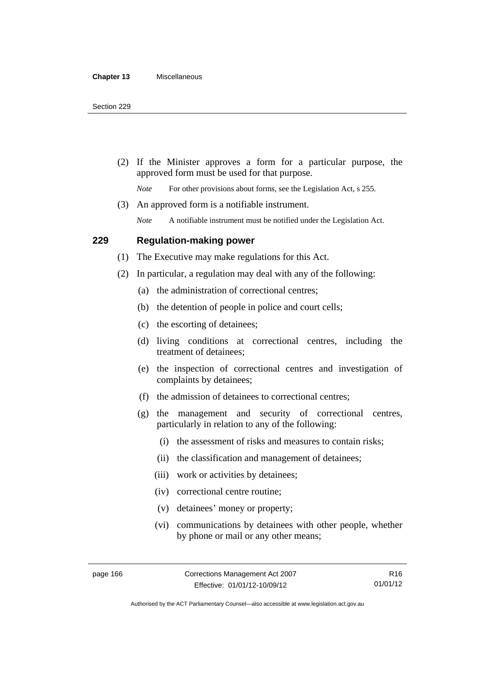(2) If the Minister approves a form for a particular purpose, the approved form must be used for that purpose.

*Note* For other provisions about forms, see the Legislation Act, s 255.

(3) An approved form is a notifiable instrument.

*Note* A notifiable instrument must be notified under the Legislation Act.

# **229 Regulation-making power**

(1) The Executive may make regulations for this Act.

- (2) In particular, a regulation may deal with any of the following:
	- (a) the administration of correctional centres;
	- (b) the detention of people in police and court cells;
	- (c) the escorting of detainees;
	- (d) living conditions at correctional centres, including the treatment of detainees;
	- (e) the inspection of correctional centres and investigation of complaints by detainees;
	- (f) the admission of detainees to correctional centres;
	- (g) the management and security of correctional centres, particularly in relation to any of the following:
		- (i) the assessment of risks and measures to contain risks;
		- (ii) the classification and management of detainees;
		- (iii) work or activities by detainees;
		- (iv) correctional centre routine;
		- (v) detainees' money or property;
		- (vi) communications by detainees with other people, whether by phone or mail or any other means;

R16 01/01/12

Authorised by the ACT Parliamentary Counsel—also accessible at www.legislation.act.gov.au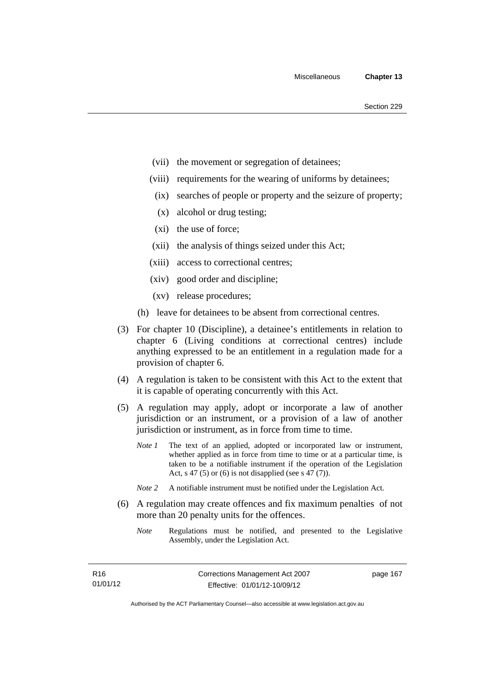- (vii) the movement or segregation of detainees;
- (viii) requirements for the wearing of uniforms by detainees;
	- (ix) searches of people or property and the seizure of property;
	- (x) alcohol or drug testing;
- (xi) the use of force;
- (xii) the analysis of things seized under this Act;
- (xiii) access to correctional centres;
- (xiv) good order and discipline;
- (xv) release procedures;
- (h) leave for detainees to be absent from correctional centres.
- (3) For chapter 10 (Discipline), a detainee's entitlements in relation to chapter 6 (Living conditions at correctional centres) include anything expressed to be an entitlement in a regulation made for a provision of chapter 6.
- (4) A regulation is taken to be consistent with this Act to the extent that it is capable of operating concurrently with this Act.
- (5) A regulation may apply, adopt or incorporate a law of another jurisdiction or an instrument, or a provision of a law of another jurisdiction or instrument, as in force from time to time.
	- *Note 1* The text of an applied, adopted or incorporated law or instrument, whether applied as in force from time to time or at a particular time, is taken to be a notifiable instrument if the operation of the Legislation Act, s 47 (5) or (6) is not disapplied (see s 47 (7)).
	- *Note 2* A notifiable instrument must be notified under the Legislation Act.
- (6) A regulation may create offences and fix maximum penalties of not more than 20 penalty units for the offences.
	- *Note* Regulations must be notified, and presented to the Legislative Assembly, under the Legislation Act.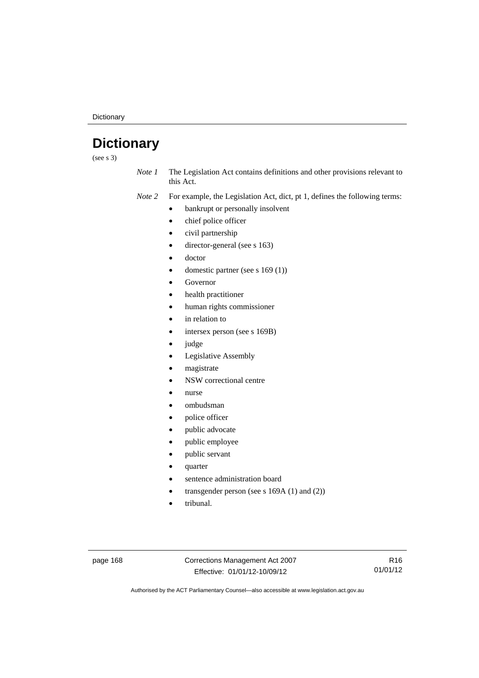**Dictionary** 

# **Dictionary**

(see s 3)

*Note 1* The Legislation Act contains definitions and other provisions relevant to this Act.

*Note 2* For example, the Legislation Act, dict, pt 1, defines the following terms:

- bankrupt or personally insolvent
	- chief police officer
	- civil partnership
	- director-general (see s 163)
- doctor
- domestic partner (see s 169 (1))
- Governor
- health practitioner
- human rights commissioner
- in relation to
- intersex person (see s 169B)
- judge
- Legislative Assembly
- magistrate
- NSW correctional centre
- nurse
- ombudsman
- police officer
- public advocate
- public employee
- public servant
- quarter
- sentence administration board
- transgender person (see s 169A (1) and (2))
- tribunal.

page 168 Corrections Management Act 2007 Effective: 01/01/12-10/09/12

R16 01/01/12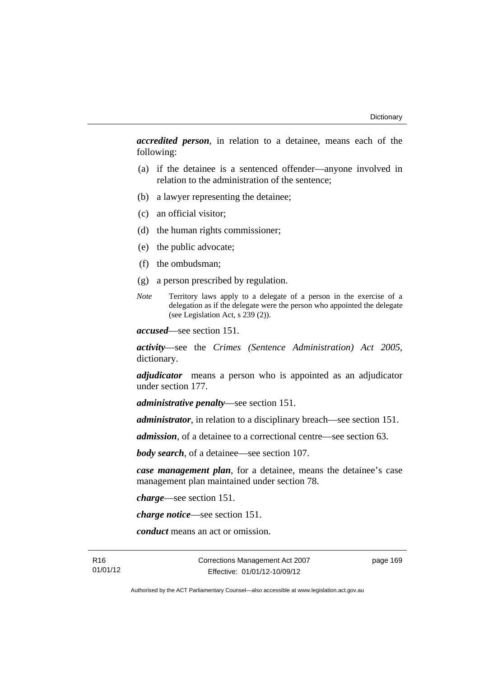*accredited person*, in relation to a detainee, means each of the following:

- (a) if the detainee is a sentenced offender—anyone involved in relation to the administration of the sentence;
- (b) a lawyer representing the detainee;
- (c) an official visitor;
- (d) the human rights commissioner;
- (e) the public advocate;
- (f) the ombudsman;
- (g) a person prescribed by regulation.
- *Note* Territory laws apply to a delegate of a person in the exercise of a delegation as if the delegate were the person who appointed the delegate (see Legislation Act, s 239 (2)).

*accused*—see section 151.

*activity*—see the *Crimes (Sentence Administration) Act 2005*, dictionary.

*adjudicator* means a person who is appointed as an adjudicator under section 177.

*administrative penalty*—see section 151.

*administrator*, in relation to a disciplinary breach—see section 151.

*admission*, of a detainee to a correctional centre—see section 63.

*body search*, of a detainee—see section 107.

*case management plan*, for a detainee, means the detainee's case management plan maintained under section 78.

*charge*—see section 151.

*charge notice*—see section 151.

*conduct* means an act or omission.

R16 01/01/12 Corrections Management Act 2007 Effective: 01/01/12-10/09/12

page 169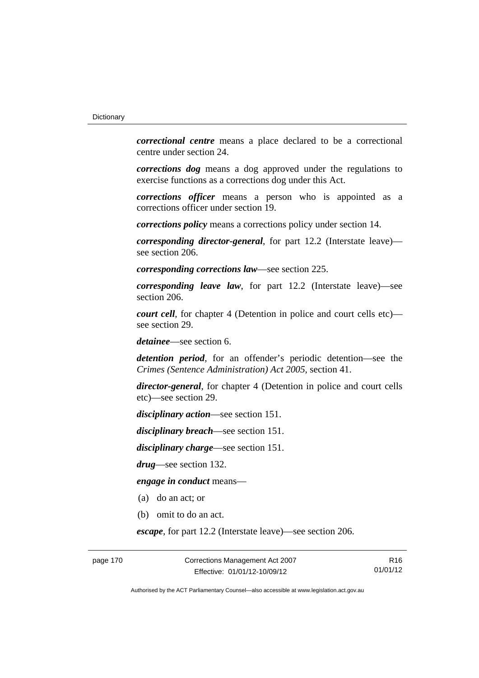*correctional centre* means a place declared to be a correctional centre under section 24.

*corrections dog* means a dog approved under the regulations to exercise functions as a corrections dog under this Act.

*corrections officer* means a person who is appointed as a corrections officer under section 19.

*corrections policy* means a corrections policy under section 14.

*corresponding director-general*, for part 12.2 (Interstate leave) see section 206.

*corresponding corrections law*—see section 225.

*corresponding leave law*, for part 12.2 (Interstate leave)—see section 206.

*court cell*, for chapter 4 (Detention in police and court cells etc) see section 29.

*detainee*—see section 6.

*detention period*, for an offender's periodic detention—see the *Crimes (Sentence Administration) Act 2005*, section 41.

*director-general*, for chapter 4 (Detention in police and court cells etc)—see section 29.

*disciplinary action*—see section 151.

*disciplinary breach*—see section 151.

*disciplinary charge*—see section 151.

*drug*—see section 132.

*engage in conduct* means—

- (a) do an act; or
- (b) omit to do an act.

*escape*, for part 12.2 (Interstate leave)—see section 206.

page 170 Corrections Management Act 2007 Effective: 01/01/12-10/09/12

R16 01/01/12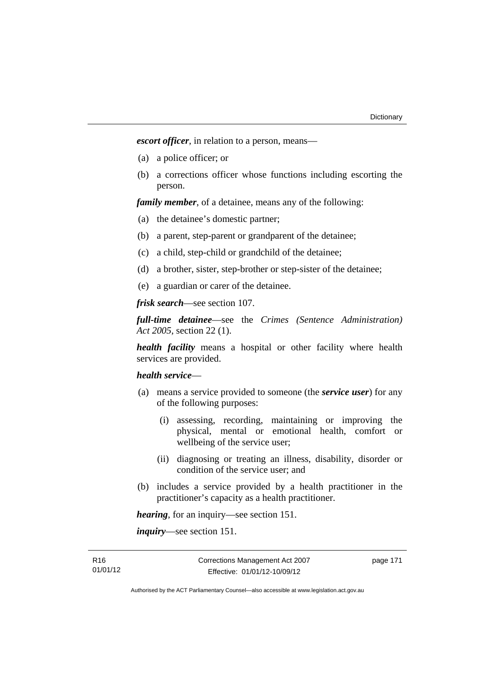*escort officer*, in relation to a person, means—

- (a) a police officer; or
- (b) a corrections officer whose functions including escorting the person.

*family member*, of a detainee, means any of the following:

- (a) the detainee's domestic partner;
- (b) a parent, step-parent or grandparent of the detainee;
- (c) a child, step-child or grandchild of the detainee;
- (d) a brother, sister, step-brother or step-sister of the detainee;
- (e) a guardian or carer of the detainee.

*frisk search*—see section 107.

*full-time detainee*—see the *Crimes (Sentence Administration) Act 2005*, section 22 (1).

*health facility* means a hospital or other facility where health services are provided.

### *health service*—

- (a) means a service provided to someone (the *service user*) for any of the following purposes:
	- (i) assessing, recording, maintaining or improving the physical, mental or emotional health, comfort or wellbeing of the service user;
	- (ii) diagnosing or treating an illness, disability, disorder or condition of the service user; and
- (b) includes a service provided by a health practitioner in the practitioner's capacity as a health practitioner.

*hearing*, for an inquiry—see section 151.

*inquiry*—see section 151.

page 171

Authorised by the ACT Parliamentary Counsel—also accessible at www.legislation.act.gov.au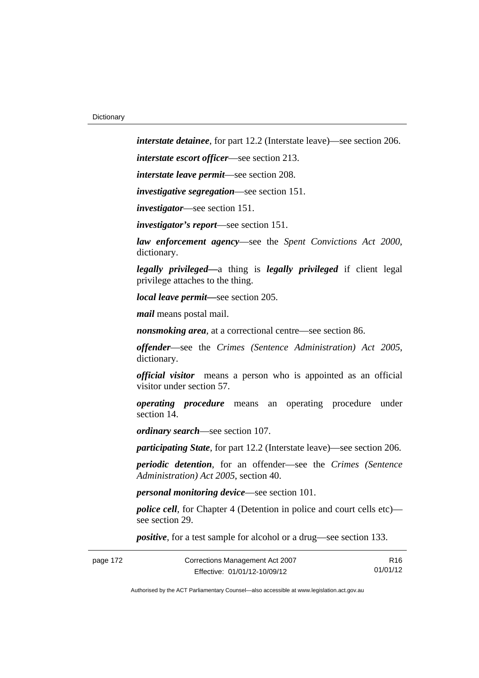*interstate detainee*, for part 12.2 (Interstate leave)—see section 206.

*interstate escort officer*—see section 213.

*interstate leave permit*—see section 208.

*investigative segregation*—see section 151.

*investigator*—see section 151.

*investigator's report*—see section 151.

*law enforcement agency*—see the *Spent Convictions Act 2000*, dictionary.

*legally privileged—*a thing is *legally privileged* if client legal privilege attaches to the thing.

*local leave permit—*see section 205.

*mail* means postal mail.

*nonsmoking area*, at a correctional centre—see section 86.

*offender*—see the *Crimes (Sentence Administration) Act 2005*, dictionary.

*official visitor* means a person who is appointed as an official visitor under section 57.

*operating procedure* means an operating procedure under section 14

*ordinary search*—see section 107.

*participating State*, for part 12.2 (Interstate leave)—see section 206.

*periodic detention*, for an offender—see the *Crimes (Sentence Administration) Act 2005*, section 40.

*personal monitoring device*—see section 101.

*police cell*, for Chapter 4 (Detention in police and court cells etc) see section 29.

*positive*, for a test sample for alcohol or a drug—see section 133.

| Corrections Management Act 2007<br>page 172 |                              | R <sub>16</sub> |
|---------------------------------------------|------------------------------|-----------------|
|                                             | Effective: 01/01/12-10/09/12 | 01/01/12        |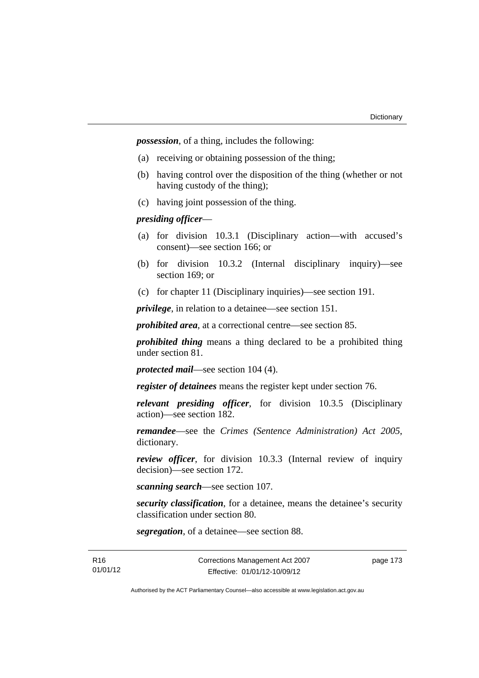*possession*, of a thing, includes the following:

- (a) receiving or obtaining possession of the thing;
- (b) having control over the disposition of the thing (whether or not having custody of the thing);
- (c) having joint possession of the thing.

### *presiding officer*—

- (a) for division 10.3.1 (Disciplinary action—with accused's consent)—see section 166; or
- (b) for division 10.3.2 (Internal disciplinary inquiry)—see section 169; or
- (c) for chapter 11 (Disciplinary inquiries)—see section 191.

*privilege*, in relation to a detainee—see section 151.

*prohibited area*, at a correctional centre—see section 85.

*prohibited thing* means a thing declared to be a prohibited thing under section 81.

*protected mail*—see section 104 (4).

*register of detainees* means the register kept under section 76.

*relevant presiding officer*, for division 10.3.5 (Disciplinary action)—see section 182.

*remandee*—see the *Crimes (Sentence Administration) Act 2005*, dictionary.

*review officer*, for division 10.3.3 (Internal review of inquiry decision)—see section 172.

*scanning search*—see section 107.

*security classification*, for a detainee, means the detainee's security classification under section 80.

*segregation*, of a detainee—see section 88.

page 173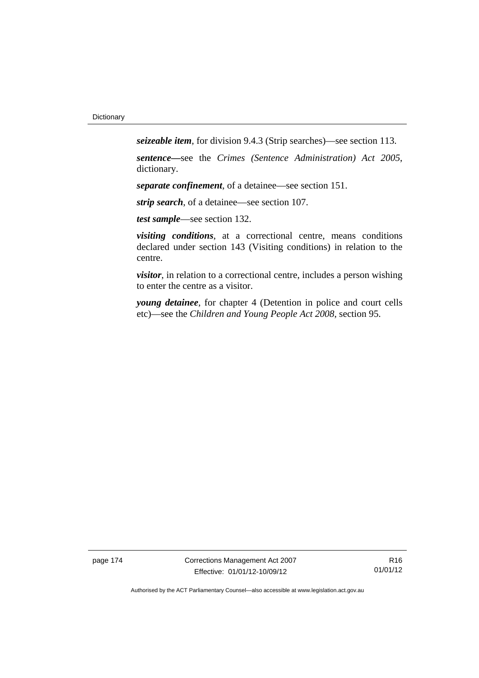*seizeable item*, for division 9.4.3 (Strip searches)—see section 113.

*sentence—*see the *Crimes (Sentence Administration) Act 2005*, dictionary.

*separate confinement*, of a detainee—see section 151.

*strip search*, of a detainee—see section 107.

*test sample*—see section 132.

*visiting conditions*, at a correctional centre, means conditions declared under section 143 (Visiting conditions) in relation to the centre.

*visitor*, in relation to a correctional centre, includes a person wishing to enter the centre as a visitor.

*young detainee*, for chapter 4 (Detention in police and court cells etc)—see the *Children and Young People Act 2008*, section 95.

page 174 Corrections Management Act 2007 Effective: 01/01/12-10/09/12

R16 01/01/12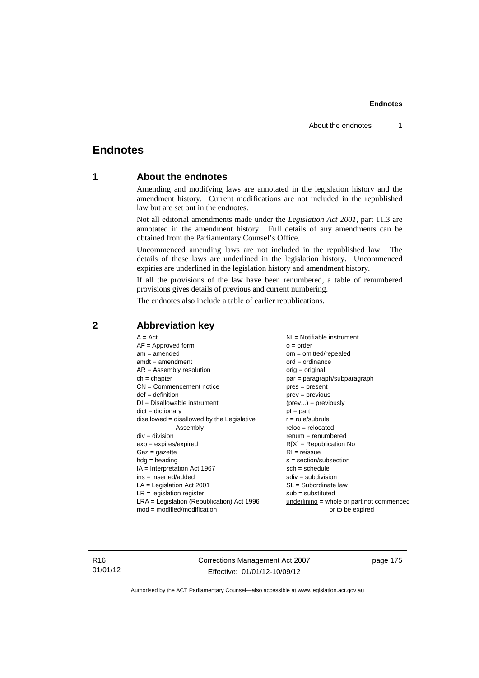# **Endnotes**

# **1 About the endnotes**

Amending and modifying laws are annotated in the legislation history and the amendment history. Current modifications are not included in the republished law but are set out in the endnotes.

Not all editorial amendments made under the *Legislation Act 2001*, part 11.3 are annotated in the amendment history. Full details of any amendments can be obtained from the Parliamentary Counsel's Office.

Uncommenced amending laws are not included in the republished law. The details of these laws are underlined in the legislation history. Uncommenced expiries are underlined in the legislation history and amendment history.

If all the provisions of the law have been renumbered, a table of renumbered provisions gives details of previous and current numbering.

The endnotes also include a table of earlier republications.

| $A = Act$<br>$AF =$ Approved form<br>$am = amended$<br>$amdt = amendment$<br>$AR = Assembly resolution$<br>$ch = chapter$<br>$CN =$ Commencement notice<br>$def = definition$<br>$DI = Disallowable instrument$<br>$dict = dictionary$<br>$disallowed = disallowed by the Legislative$<br>Assembly<br>$div = division$<br>$exp = expires/expired$<br>$Gaz = gazette$<br>$hdg =$ heading<br>IA = Interpretation Act 1967<br>$ins = inserted/added$<br>$LA =$ Legislation Act 2001<br>$LR =$ legislation register | $NI =$ Notifiable instrument<br>$o = order$<br>om = omitted/repealed<br>$ord = ordinance$<br>$orig = original$<br>par = paragraph/subparagraph<br>$pres = present$<br>$prev = previous$<br>$(\text{prev}) = \text{previously}$<br>$pt = part$<br>$r = rule/subrule$<br>$reloc = relocated$<br>$renum = renumbered$<br>$R[X]$ = Republication No<br>$RI = reissue$<br>$s = section/subsection$<br>$sch = schedule$<br>$sdiv = subdivision$<br>$SL = Subordinate$ law<br>$sub =$ substituted |  |
|-----------------------------------------------------------------------------------------------------------------------------------------------------------------------------------------------------------------------------------------------------------------------------------------------------------------------------------------------------------------------------------------------------------------------------------------------------------------------------------------------------------------|--------------------------------------------------------------------------------------------------------------------------------------------------------------------------------------------------------------------------------------------------------------------------------------------------------------------------------------------------------------------------------------------------------------------------------------------------------------------------------------------|--|
|                                                                                                                                                                                                                                                                                                                                                                                                                                                                                                                 |                                                                                                                                                                                                                                                                                                                                                                                                                                                                                            |  |
|                                                                                                                                                                                                                                                                                                                                                                                                                                                                                                                 |                                                                                                                                                                                                                                                                                                                                                                                                                                                                                            |  |
| $LRA =$ Legislation (Republication) Act 1996<br>$mod = modified/modification$                                                                                                                                                                                                                                                                                                                                                                                                                                   | $underlining = whole or part not commenced$                                                                                                                                                                                                                                                                                                                                                                                                                                                |  |
|                                                                                                                                                                                                                                                                                                                                                                                                                                                                                                                 | or to be expired                                                                                                                                                                                                                                                                                                                                                                                                                                                                           |  |

# **2 Abbreviation key**

R16 01/01/12 Corrections Management Act 2007 Effective: 01/01/12-10/09/12

page 175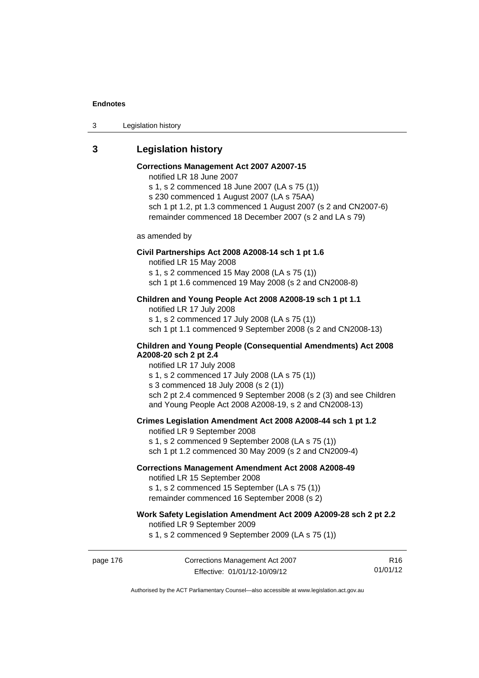3 Legislation history

# **3 Legislation history**

# **Corrections Management Act 2007 A2007-15**

notified LR 18 June 2007

s 1, s 2 commenced 18 June 2007 (LA s 75 (1)) s 230 commenced 1 August 2007 (LA s 75AA) sch 1 pt 1.2, pt 1.3 commenced 1 August 2007 (s 2 and CN2007-6) remainder commenced 18 December 2007 (s 2 and LA s 79)

as amended by

### **Civil Partnerships Act 2008 A2008-14 sch 1 pt 1.6**

notified LR 15 May 2008

s 1, s 2 commenced 15 May 2008 (LA s 75 (1))

sch 1 pt 1.6 commenced 19 May 2008 (s 2 and CN2008-8)

# **Children and Young People Act 2008 A2008-19 sch 1 pt 1.1**

notified LR 17 July 2008 s 1, s 2 commenced 17 July 2008 (LA s 75 (1)) sch 1 pt 1.1 commenced 9 September 2008 (s 2 and CN2008-13)

### **Children and Young People (Consequential Amendments) Act 2008 A2008-20 sch 2 pt 2.4**

notified LR 17 July 2008 s 1, s 2 commenced 17 July 2008 (LA s 75 (1))

s 3 commenced 18 July 2008 (s 2 (1))

sch 2 pt 2.4 commenced 9 September 2008 (s 2 (3) and see Children and Young People Act 2008 A2008-19, s 2 and CN2008-13)

### **Crimes Legislation Amendment Act 2008 A2008-44 sch 1 pt 1.2**

notified LR 9 September 2008 s 1, s 2 commenced 9 September 2008 (LA s 75 (1)) sch 1 pt 1.2 commenced 30 May 2009 (s 2 and CN2009-4)

### **Corrections Management Amendment Act 2008 A2008-49**

notified LR 15 September 2008

s 1, s 2 commenced 15 September (LA s 75 (1)) remainder commenced 16 September 2008 (s 2)

# **Work Safety Legislation Amendment Act 2009 A2009-28 sch 2 pt 2.2**

notified LR 9 September 2009

s 1, s 2 commenced 9 September 2009 (LA s 75 (1))

R16 01/01/12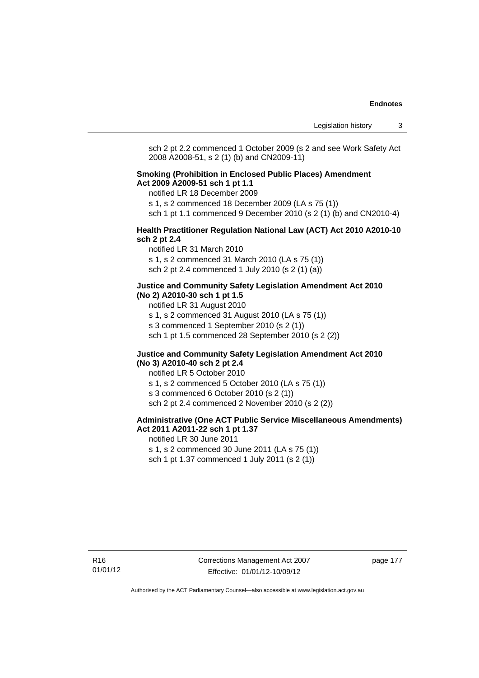sch 2 pt 2.2 commenced 1 October 2009 (s 2 and see Work Safety Act 2008 A2008-51, s 2 (1) (b) and CN2009-11)

### **Smoking (Prohibition in Enclosed Public Places) Amendment Act 2009 A2009-51 sch 1 pt 1.1**

notified LR 18 December 2009

s 1, s 2 commenced 18 December 2009 (LA s 75 (1))

sch 1 pt 1.1 commenced 9 December 2010 (s 2 (1) (b) and CN2010-4)

### **Health Practitioner Regulation National Law (ACT) Act 2010 A2010-10 sch 2 pt 2.4**

notified LR 31 March 2010 s 1, s 2 commenced 31 March 2010 (LA s 75 (1)) sch 2 pt 2.4 commenced 1 July 2010 (s 2 (1) (a))

### **Justice and Community Safety Legislation Amendment Act 2010 (No 2) A2010-30 sch 1 pt 1.5**

notified LR 31 August 2010

s 1, s 2 commenced 31 August 2010 (LA s 75 (1))

s 3 commenced 1 September 2010 (s 2 (1))

sch 1 pt 1.5 commenced 28 September 2010 (s 2 (2))

### **Justice and Community Safety Legislation Amendment Act 2010 (No 3) A2010-40 sch 2 pt 2.4**

notified LR 5 October 2010 s 1, s 2 commenced 5 October 2010 (LA s 75 (1)) s 3 commenced 6 October 2010 (s 2 (1)) sch 2 pt 2.4 commenced 2 November 2010 (s 2 (2))

### **Administrative (One ACT Public Service Miscellaneous Amendments) Act 2011 A2011-22 sch 1 pt 1.37**

notified LR 30 June 2011 s 1, s 2 commenced 30 June 2011 (LA s 75 (1)) sch 1 pt 1.37 commenced 1 July 2011 (s 2 (1))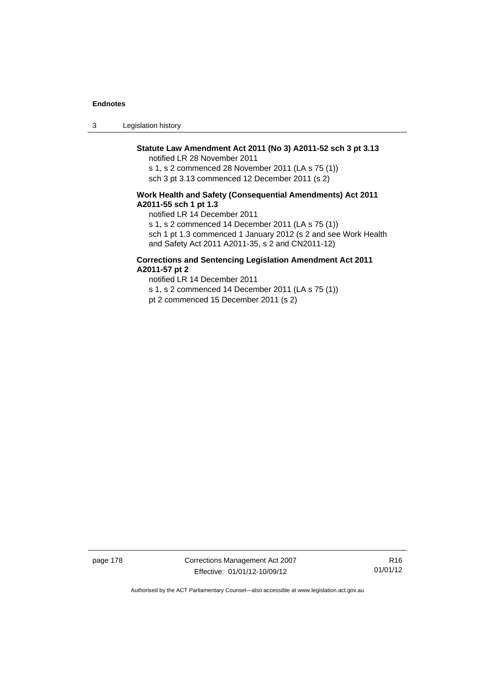3 Legislation history

# **Statute Law Amendment Act 2011 (No 3) A2011-52 sch 3 pt 3.13**

notified LR 28 November 2011

s 1, s 2 commenced 28 November 2011 (LA s 75 (1)) sch 3 pt 3.13 commenced 12 December 2011 (s 2)

### **Work Health and Safety (Consequential Amendments) Act 2011 A2011-55 sch 1 pt 1.3**

notified LR 14 December 2011

s 1, s 2 commenced 14 December 2011 (LA s 75 (1))

sch 1 pt 1.3 commenced 1 January 2012 (s 2 and see Work Health and Safety Act 2011 A2011-35, s 2 and CN2011-12)

### **Corrections and Sentencing Legislation Amendment Act 2011 A2011-57 pt 2**

notified LR 14 December 2011 s 1, s 2 commenced 14 December 2011 (LA s 75 (1)) pt 2 commenced 15 December 2011 (s 2)

page 178 Corrections Management Act 2007 Effective: 01/01/12-10/09/12

R16 01/01/12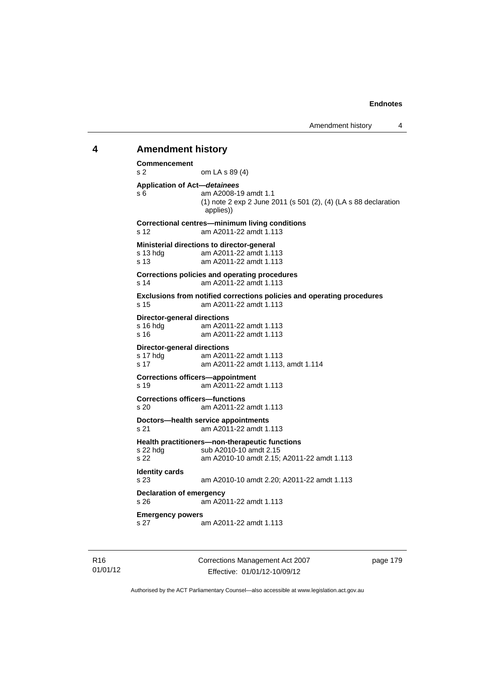# **4 Amendment history Commencement**  s 2 om LA s 89 (4) **Application of Act—***detainees* s 6 am A2008-19 amdt 1.1 (1) note 2 exp 2 June 2011 (s 501 (2), (4) (LA s 88 declaration applies)) **Correctional centres—minimum living conditions**  s 12 am A2011-22 amdt 1.113 **Ministerial directions to director-general**  s 13 hdg am A2011-22 amdt 1.113 s 13 am A2011-22 amdt 1.113 **Corrections policies and operating procedures**  s 14 am A2011-22 amdt 1.113 **Exclusions from notified corrections policies and operating procedures**  s 15 am A2011-22 amdt 1.113 **Director-general directions**  s 16 hdg am A2011-22 amdt 1.113 s 16 am A2011-22 amdt 1.113 **Director-general directions**  s 17 hdg am A2011-22 amdt 1.113 s 17 am A2011-22 amdt 1.113, amdt 1.114 **Corrections officers—appointment**  s 19 am A2011-22 amdt 1.113 **Corrections officers—functions**  s 20 am A2011-22 amdt 1.113 **Doctors—health service appointments**  s 21 am A2011-22 amdt 1.113 **Health practitioners—non-therapeutic functions**  s 22 hdg sub A2010-10 amdt 2.15 s 22 am A2010-10 amdt 2.15; A2011-22 amdt 1.113 **Identity cards**  s 23 am A2010-10 amdt 2.20; A2011-22 amdt 1.113 **Declaration of emergency**  s 26 am A2011-22 amdt 1.113 **Emergency powers**  s 27 am A2011-22 amdt 1.113

Corrections Management Act 2007 Effective: 01/01/12-10/09/12

page 179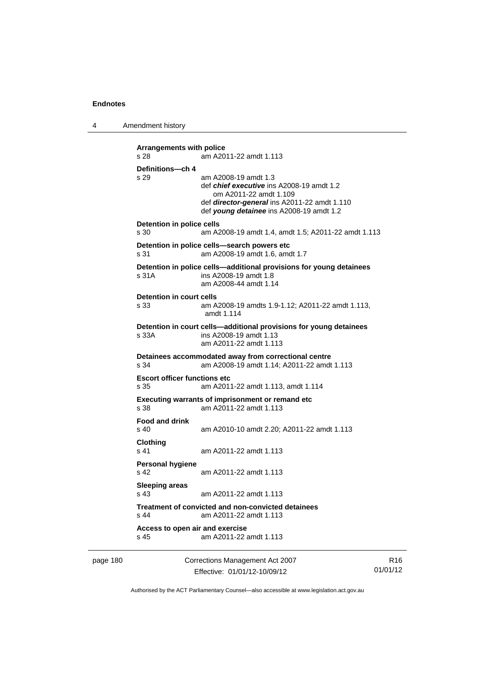4 Amendment history

```
Arrangements with police 
s 28 am A2011-22 amdt 1.113 
Definitions—ch 4 
s 29 am A2008-19 amdt 1.3 
                 def chief executive ins A2008-19 amdt 1.2 
                    om A2011-22 amdt 1.109 
                 def director-general ins A2011-22 amdt 1.110 
                 def young detainee ins A2008-19 amdt 1.2 
Detention in police cells 
s 30 am A2008-19 amdt 1.4, amdt 1.5; A2011-22 amdt 1.113 
Detention in police cells—search powers etc 
s 31 am A2008-19 amdt 1.6, amdt 1.7 
Detention in police cells—additional provisions for young detainees 
s 31A ins A2008-19 amdt 1.8 
                 am A2008-44 amdt 1.14 
Detention in court cells 
s 33 am A2008-19 amdts 1.9-1.12; A2011-22 amdt 1.113, 
                 amdt 1.114 
Detention in court cells—additional provisions for young detainees 
s 33A ins A2008-19 amdt 1.13 
                 am A2011-22 amdt 1.113 
Detainees accommodated away from correctional centre 
s 34 am A2008-19 amdt 1.14; A2011-22 amdt 1.113 
Escort officer functions etc 
s 35 am A2011-22 amdt 1.113, amdt 1.114 
Executing warrants of imprisonment or remand etc 
s 38 am A2011-22 amdt 1.113 
Food and drink 
s 40 am A2010-10 amdt 2.20; A2011-22 amdt 1.113 
Clothing 
s 41 am A2011-22 amdt 1.113 
Personal hygiene 
s 42 am A2011-22 amdt 1.113 
Sleeping areas 
s 43 am A2011-22 amdt 1.113 
Treatment of convicted and non-convicted detainees 
s 44 am A2011-22 amdt 1.113 
Access to open air and exercise 
s 45 am A2011-22 amdt 1.113
```
page 180 Corrections Management Act 2007 Effective: 01/01/12-10/09/12

R16 01/01/12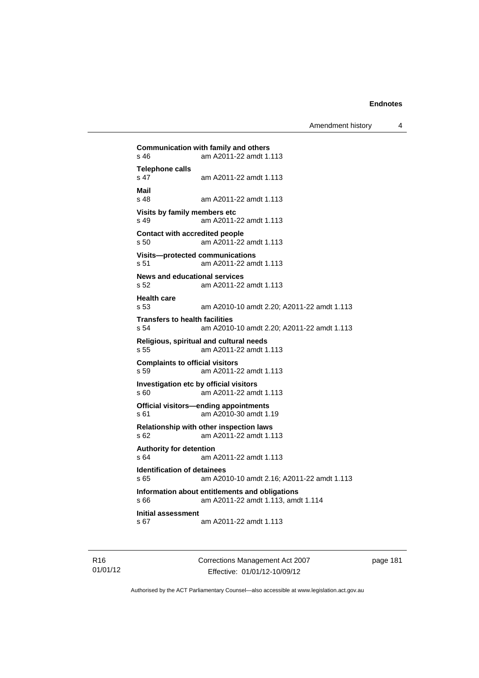Amendment history 4

```
Communication with family and others<br>s 46 am A2011-22 amdt 1.
                am A2011-22 amdt 1.113
Telephone calls 
                s 47 am A2011-22 amdt 1.113 
Mail 
                am A2011-22 amdt 1.113
Visits by family members etc 
s 49 am A2011-22 amdt 1.113 
Contact with accredited people 
s 50 am A2011-22 amdt 1.113 
Visits—protected communications 
s 51 am A2011-22 amdt 1.113 
News and educational services 
s 52 am A2011-22 amdt 1.113 
Health care 
s 53 am A2010-10 amdt 2.20; A2011-22 amdt 1.113 
Transfers to health facilities 
s 54 am A2010-10 amdt 2.20; A2011-22 amdt 1.113 
Religious, spiritual and cultural needs 
s 55 am A2011-22 amdt 1.113 
Complaints to official visitors 
s 59 am A2011-22 amdt 1.113 
Investigation etc by official visitors 
s 60 am A2011-22 amdt 1.113 
Official visitors—ending appointments 
s 61 am A2010-30 amdt 1.19 
Relationship with other inspection laws 
s 62 am A2011-22 amdt 1.113 
Authority for detention 
s 64 am A2011-22 amdt 1.113 
Identification of detainees 
s 65 am A2010-10 amdt 2.16; A2011-22 amdt 1.113 
Information about entitlements and obligations 
s 66 am A2011-22 amdt 1.113, amdt 1.114 
Initial assessment 
s 67 am A2011-22 amdt 1.113
```
R16 01/01/12 Corrections Management Act 2007 Effective: 01/01/12-10/09/12

page 181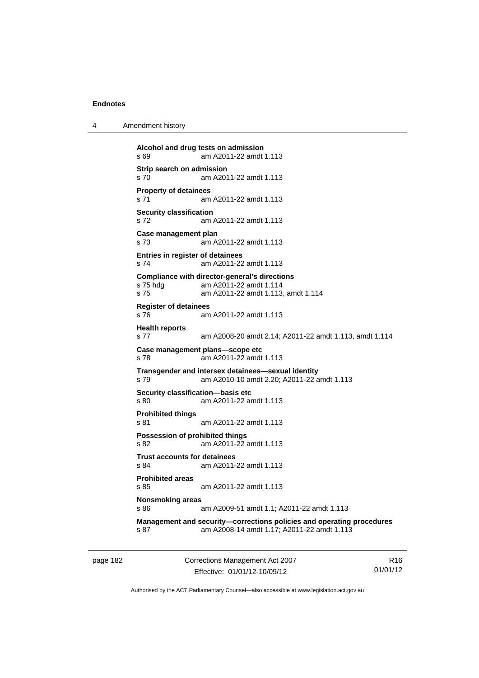4 Amendment history

```
Alcohol and drug tests on admission 
s 69 am A2011-22 amdt 1.113 
Strip search on admission 
s 70 am A2011-22 amdt 1.113 
Property of detainees 
s 71 am A2011-22 amdt 1.113 
Security classification 
s 72 am A2011-22 amdt 1.113 
Case management plan 
s 73 am A2011-22 amdt 1.113 
Entries in register of detainees 
s 74 am A2011-22 amdt 1.113 
Compliance with director-general's directions 
s 75 hdg am A2011-22 amdt 1.114 
s 75 am A2011-22 amdt 1.113, amdt 1.114 
Register of detainees 
s 76 am A2011-22 amdt 1.113 
Health reports 
s 77 am A2008-20 amdt 2.14; A2011-22 amdt 1.113, amdt 1.114 
Case management plans—scope etc 
s 78 am A2011-22 amdt 1.113 
Transgender and intersex detainees—sexual identity 
s 79 am A2010-10 amdt 2.20; A2011-22 amdt 1.113 
Security classification—basis etc 
s 80 am A2011-22 amdt 1.113 
Prohibited things 
s 81 am A2011-22 amdt 1.113 
Possession of prohibited things 
s 82 am A2011-22 amdt 1.113 
Trust accounts for detainees 
s 84 am A2011-22 amdt 1.113 
Prohibited areas 
s 85 am A2011-22 amdt 1.113 
Nonsmoking areas 
s 86 am A2009-51 amdt 1.1; A2011-22 amdt 1.113 
Management and security—corrections policies and operating procedures 
s 87 am A2008-14 amdt 1.17; A2011-22 amdt 1.113
```
page 182 Corrections Management Act 2007 Effective: 01/01/12-10/09/12

R16 01/01/12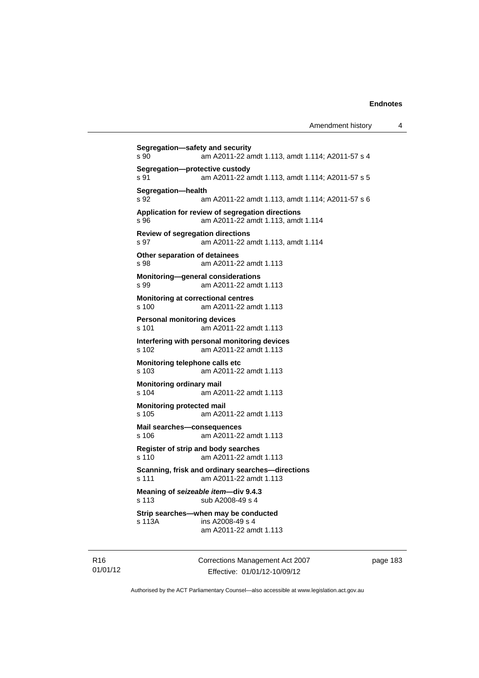```
Segregation—safety and security 
s 90 am A2011-22 amdt 1.113, amdt 1.114; A2011-57 s 4 
Segregation—protective custody 
s 91 am A2011-22 amdt 1.113, amdt 1.114; A2011-57 s 5 
Segregation—health 
s 92 am A2011-22 amdt 1.113, amdt 1.114; A2011-57 s 6 
Application for review of segregation directions 
s 96 am A2011-22 amdt 1.113, amdt 1.114 
Review of segregation directions 
s 97 am A2011-22 amdt 1.113, amdt 1.114 
Other separation of detainees 
s 98 am A2011-22 amdt 1.113 
Monitoring—general considerations 
s 99 am A2011-22 amdt 1.113 
Monitoring at correctional centres 
s 100 am A2011-22 amdt 1.113 
Personal monitoring devices 
s 101 am A2011-22 amdt 1.113 
Interfering with personal monitoring devices 
s 102 am A2011-22 amdt 1.113 
Monitoring telephone calls etc 
s 103 am A2011-22 amdt 1.113 
Monitoring ordinary mail 
s 104 am A2011-22 amdt 1.113 
Monitoring protected mail 
s 105 am A2011-22 amdt 1.113 
Mail searches—consequences 
s 106 am A2011-22 amdt 1.113 
Register of strip and body searches 
s 110 am A2011-22 amdt 1.113 
Scanning, frisk and ordinary searches—directions 
s 111 am A2011-22 amdt 1.113 
Meaning of seizeable item—div 9.4.3 
s 113 sub A2008-49 s 4 
Strip searches—when may be conducted 
s 113A ins A2008-49 s 4 
                am A2011-22 amdt 1.113
```
R16 01/01/12 Corrections Management Act 2007 Effective: 01/01/12-10/09/12

page 183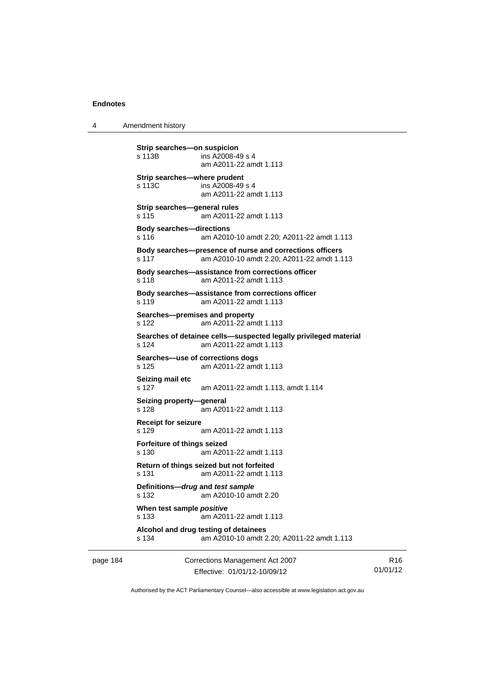4 Amendment history

**Strip searches—on suspicion**  s 113B ins A2008-49 s 4 am A2011-22 amdt 1.113 **Strip searches—where prudent**  s 113C ins A2008-49 s 4 am A2011-22 amdt 1.113 **Strip searches—general rules**  s 115 am A2011-22 amdt 1.113 **Body searches—directions**  s 116 am A2010-10 amdt 2.20; A2011-22 amdt 1.113 **Body searches—presence of nurse and corrections officers**  s 117 am A2010-10 amdt 2.20; A2011-22 amdt 1.113 **Body searches—assistance from corrections officer**  s 118 am A2011-22 amdt 1.113 **Body searches—assistance from corrections officer**  s 119 am A2011-22 amdt 1.113 **Searches—premises and property**  s 122 am A2011-22 amdt 1.113 **Searches of detainee cells—suspected legally privileged material**  s 124 am A2011-22 amdt 1.113 **Searches—use of corrections dogs**  s 125 am A2011-22 amdt 1.113 **Seizing mail etc**  s 127 am A2011-22 amdt 1.113, amdt 1.114 **Seizing property—general**  s 128 am A2011-22 amdt 1.113 **Receipt for seizure**  s 129 am A2011-22 amdt 1.113 **Forfeiture of things seized**  s 130 am A2011-22 amdt 1.113 **Return of things seized but not forfeited**  s 131 am A2011-22 amdt 1.113 **Definitions—***drug* **and** *test sample* s 132 am A2010-10 amdt 2.20 **When test sample** *positive* s 133 am A2011-22 amdt 1.113 **Alcohol and drug testing of detainees**  s 134 am A2010-10 amdt 2.20; A2011-22 amdt 1.113

page 184 Corrections Management Act 2007 Effective: 01/01/12-10/09/12

R16 01/01/12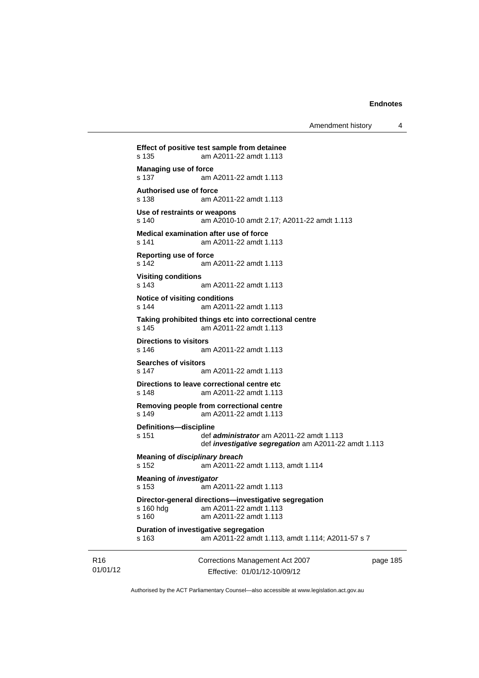```
Corrections Management Act 2007 
Effect of positive test sample from detainee 
s 135 am A2011-22 amdt 1.113 
Managing use of force 
s 137 am A2011-22 amdt 1.113 
Authorised use of force 
s 138 am A2011-22 amdt 1.113 
Use of restraints or weapons 
s 140 am A2010-10 amdt 2.17; A2011-22 amdt 1.113 
Medical examination after use of force 
s 141 am A2011-22 amdt 1.113 
Reporting use of force 
s 142 am A2011-22 amdt 1.113 
Visiting conditions 
s 143 am A2011-22 amdt 1.113 
Notice of visiting conditions 
s 144 am A2011-22 amdt 1.113 
Taking prohibited things etc into correctional centre 
s 145 am A2011-22 amdt 1.113 
Directions to visitors 
s 146 am A2011-22 amdt 1.113 
Searches of visitors 
s 147 am A2011-22 amdt 1.113 
Directions to leave correctional centre etc 
s 148 am A2011-22 amdt 1.113 
Removing people from correctional centre 
s 149 am A2011-22 amdt 1.113 
Definitions—discipline 
s 151 def administrator am A2011-22 amdt 1.113 
                 def investigative segregation am A2011-22 amdt 1.113 
Meaning of disciplinary breach
s 152 am A2011-22 amdt 1.113, amdt 1.114 
Meaning of investigator
s 153 am A2011-22 amdt 1.113 
Director-general directions—investigative segregation 
s 160 hdg am A2011-22 amdt 1.113 
s 160 am A2011-22 amdt 1.113 
Duration of investigative segregation 
s 163 am A2011-22 amdt 1.113, amdt 1.114; A2011-57 s 7
```
01/01/12

R16

Effective: 01/01/12-10/09/12

page 185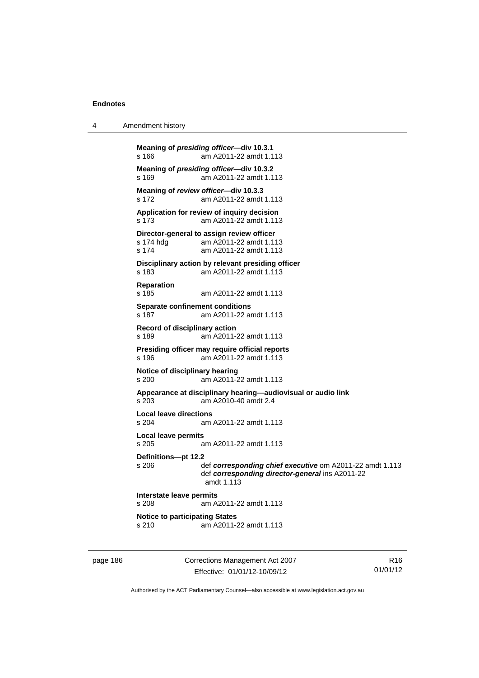4 Amendment history

```
Meaning of presiding officer—div 10.3.1 
s 166 am A2011-22 amdt 1.113 
Meaning of presiding officer—div 10.3.2 
s 169 am A2011-22 amdt 1.113 
Meaning of review officer—div 10.3.3 
s 172 am A2011-22 amdt 1.113 
Application for review of inquiry decision 
s 173 am A2011-22 amdt 1.113 
Director-general to assign review officer<br>s 174 hdg am A2011-22 amdt 1.11
                 am A2011-22 amdt 1.113
s 174 am A2011-22 amdt 1.113 
Disciplinary action by relevant presiding officer 
s 183 am A2011-22 amdt 1.113 
Reparation 
s 185 am A2011-22 amdt 1.113 
Separate confinement conditions 
s 187 am A2011-22 amdt 1.113 
Record of disciplinary action 
s 189 am A2011-22 amdt 1.113 
Presiding officer may require official reports 
                am A2011-22 amdt 1.113
Notice of disciplinary hearing 
s 200 am A2011-22 amdt 1.113 
Appearance at disciplinary hearing—audiovisual or audio link 
s 203 am A2010-40 amdt 2.4 
Local leave directions 
s 204 am A2011-22 amdt 1.113 
Local leave permits 
s 205 am A2011-22 amdt 1.113 
Definitions—pt 12.2 
s 206 def corresponding chief executive om A2011-22 amdt 1.113 
                  def corresponding director-general ins A2011-22 
                  amdt 1.113 
Interstate leave permits 
s 208 am A2011-22 amdt 1.113 
Notice to participating States<br>s 210 am A2011-2
                 am A2011-22 amdt 1.113
```
page 186 Corrections Management Act 2007 Effective: 01/01/12-10/09/12

R16 01/01/12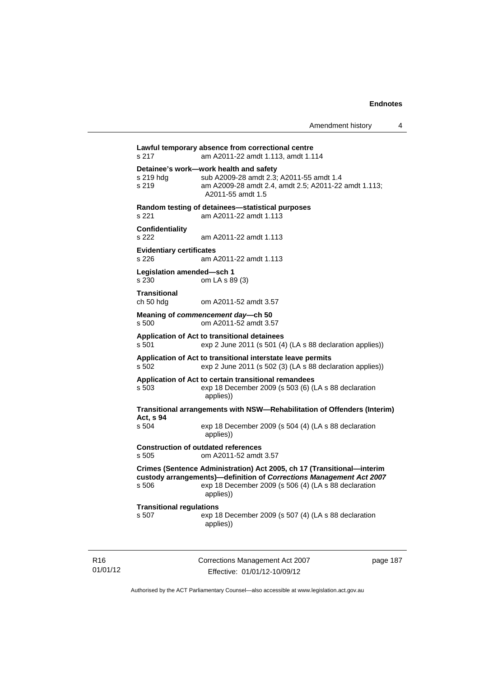**Lawful temporary absence from correctional centre**  s 217 am A2011-22 amdt 1.113, amdt 1.114 **Detainee's work—work health and safety**  sub A2009-28 amdt 2.3; A2011-55 amdt 1.4 s 219 am A2009-28 amdt 2.4, amdt 2.5; A2011-22 amdt 1.113; A2011-55 amdt 1.5 **Random testing of detainees—statistical purposes**  s 221 am A2011-22 amdt 1.113 **Confidentiality**  s 222 am A2011-22 amdt 1.113 **Evidentiary certificates**  s 226 am A2011-22 amdt 1.113 **Legislation amended—sch 1**  s 230 om LA s 89 (3) **Transitional**  ch 50 hdg om A2011-52 amdt 3.57 **Meaning of** *commencement day***—ch 50**  s 500 om A2011-52 amdt 3.57 **Application of Act to transitional detainees**  s 501 exp 2 June 2011 (s 501 (4) (LA s 88 declaration applies)) **Application of Act to transitional interstate leave permits**  s 502 exp 2 June 2011 (s 502 (3) (LA s 88 declaration applies)) **Application of Act to certain transitional remandees**  s 503 exp 18 December 2009 (s 503 (6) (LA s 88 declaration applies)) **Transitional arrangements with NSW—Rehabilitation of Offenders (Interim) Act, s 94**  s 504 exp 18 December 2009 (s 504 (4) (LA s 88 declaration applies)) **Construction of outdated references**  s 505 om A2011-52 amdt 3.57 **Crimes (Sentence Administration) Act 2005, ch 17 (Transitional—interim custody arrangements)—definition of** *Corrections Management Act 2007* s 506 exp 18 December 2009 (s 506 (4) (LA s 88 declaration applies)) **Transitional regulations**  s 507 exp 18 December 2009 (s 507 (4) (LA s 88 declaration applies))

R16 01/01/12 Corrections Management Act 2007 Effective: 01/01/12-10/09/12

page 187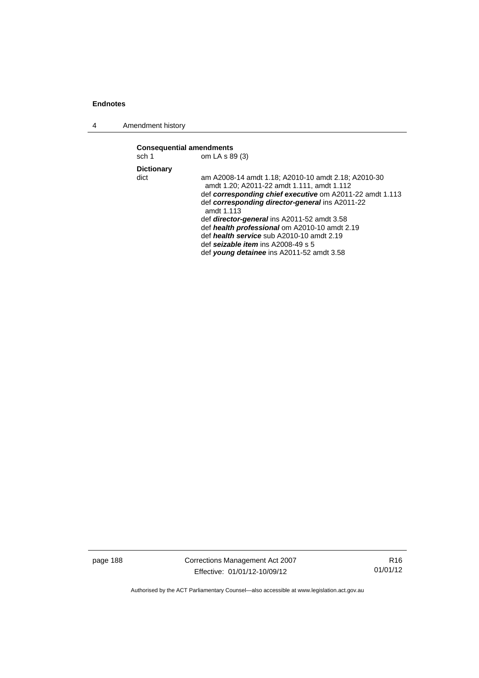4 Amendment history

| <b>Consequential amendments</b><br>sch 1 | om LA s 89 (3)                                                                                                                                                                                                                                                                                                                                                                                                                                                   |
|------------------------------------------|------------------------------------------------------------------------------------------------------------------------------------------------------------------------------------------------------------------------------------------------------------------------------------------------------------------------------------------------------------------------------------------------------------------------------------------------------------------|
| <b>Dictionary</b>                        |                                                                                                                                                                                                                                                                                                                                                                                                                                                                  |
| dict                                     | am A2008-14 amdt 1.18; A2010-10 amdt 2.18; A2010-30<br>amdt 1.20; A2011-22 amdt 1.111, amdt 1.112<br>def corresponding chief executive om A2011-22 amdt 1.113<br>def corresponding director-general ins A2011-22<br>amdt 1.113<br>def director-general ins A2011-52 amdt 3.58<br>def health professional om A2010-10 amdt 2.19<br>def health service sub A2010-10 amdt 2.19<br>def seizable item ins $A2008-49$ s 5<br>def young detainee ins A2011-52 amdt 3.58 |
|                                          |                                                                                                                                                                                                                                                                                                                                                                                                                                                                  |

page 188 Corrections Management Act 2007 Effective: 01/01/12-10/09/12

R16 01/01/12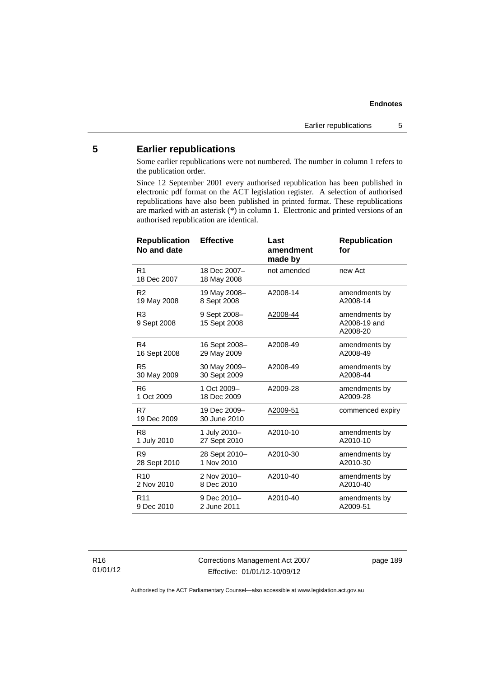# **5 Earlier republications**

Some earlier republications were not numbered. The number in column 1 refers to the publication order.

Since 12 September 2001 every authorised republication has been published in electronic pdf format on the ACT legislation register. A selection of authorised republications have also been published in printed format. These republications are marked with an asterisk (\*) in column 1. Electronic and printed versions of an authorised republication are identical.

| <b>Republication</b><br>No and date | <b>Effective</b>             | Last<br>amendment<br>made by | <b>Republication</b><br>for               |
|-------------------------------------|------------------------------|------------------------------|-------------------------------------------|
| R <sub>1</sub><br>18 Dec 2007       | 18 Dec 2007-<br>18 May 2008  | not amended                  | new Act                                   |
| R <sub>2</sub>                      | 19 May 2008-                 | A2008-14                     | amendments by                             |
| 19 May 2008                         | 8 Sept 2008                  |                              | A2008-14                                  |
| R <sub>3</sub><br>9 Sept 2008       | 9 Sept 2008-<br>15 Sept 2008 | A2008-44                     | amendments by<br>A2008-19 and<br>A2008-20 |
| R4                                  | 16 Sept 2008-                | A2008-49                     | amendments by                             |
| 16 Sept 2008                        | 29 May 2009                  |                              | A2008-49                                  |
| R <sub>5</sub>                      | 30 May 2009-                 | A2008-49                     | amendments by                             |
| 30 May 2009                         | 30 Sept 2009                 |                              | A2008-44                                  |
| R <sub>6</sub>                      | 1 Oct 2009-                  | A2009-28                     | amendments by                             |
| 1 Oct 2009                          | 18 Dec 2009                  |                              | A2009-28                                  |
| R7<br>19 Dec 2009                   | 19 Dec 2009-<br>30 June 2010 | <u>A2009-51</u>              | commenced expiry                          |
| R8                                  | 1 July 2010-                 | A2010-10                     | amendments by                             |
| 1 July 2010                         | 27 Sept 2010                 |                              | A2010-10                                  |
| R9                                  | 28 Sept 2010-                | A2010-30                     | amendments by                             |
| 28 Sept 2010                        | 1 Nov 2010                   |                              | A2010-30                                  |
| R <sub>10</sub>                     | 2 Nov 2010-                  | A2010-40                     | amendments by                             |
| 2 Nov 2010                          | 8 Dec 2010                   |                              | A2010-40                                  |
| R <sub>11</sub>                     | 9 Dec 2010-                  | A2010-40                     | amendments by                             |
| 9 Dec 2010                          | 2 June 2011                  |                              | A2009-51                                  |

R16 01/01/12 Corrections Management Act 2007 Effective: 01/01/12-10/09/12

page 189